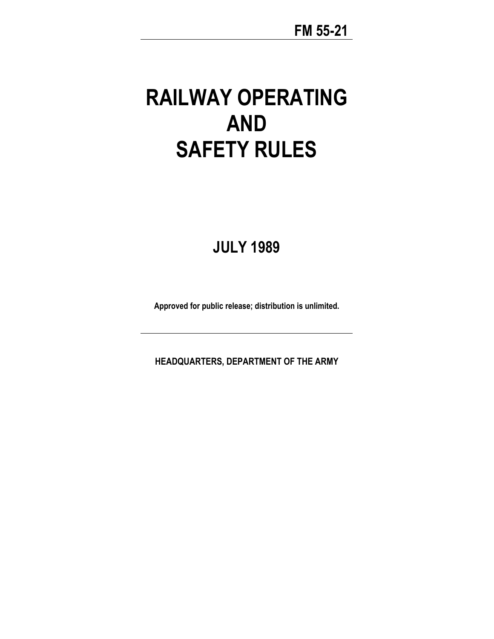# **RAILWAY OPERATING AND SAFETY RULES**

**JULY 1989**

**Approved for public release; distribution is unlimited.** 

**HEADQUARTERS, DEPARTMENT OF THE ARMY**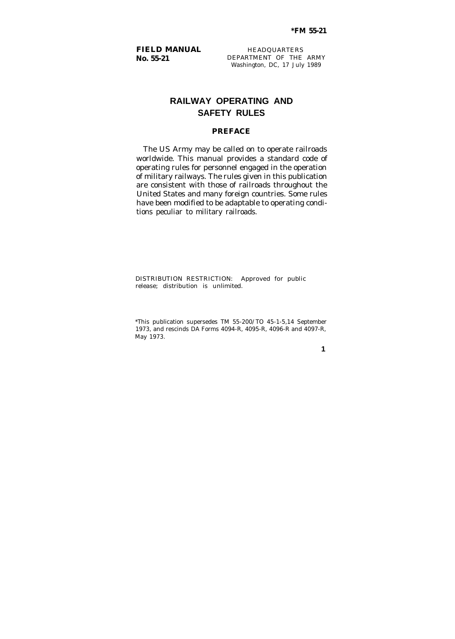**FIELD MANUAL No. 55-21**

HEADQUARTERS DEPARTMENT OF THE ARMY Washington, DC, 17 July 1989

# **RAILWAY OPERATING AND SAFETY RULES**

#### **PREFACE**

The US Army may be called on to operate railroads worldwide. This manual provides a standard code of operating rules for personnel engaged in the operation of military railways. The rules given in this publication are consistent with those of railroads throughout the United States and many foreign countries. Some rules have been modified to be adaptable to operating conditions peculiar to military railroads.

DISTRIBUTION RESTRICTION: Approved for public release; distribution is unlimited.

\*This publication supersedes TM 55-200/TO 45-1-5,14 September 1973, and rescinds DA Forms 4094-R, 4095-R, 4096-R and 4097-R, May 1973.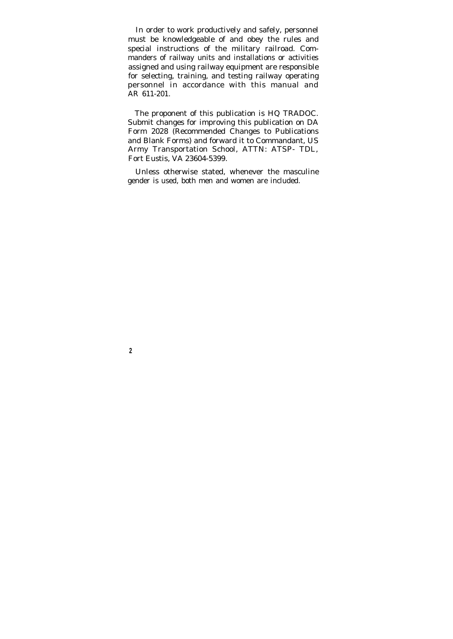In order to work productively and safely, personnel must be knowledgeable of and obey the rules and special instructions of the military railroad. Commanders of railway units and installations or activities assigned and using railway equipment are responsible for selecting, training, and testing railway operating personnel in accordance with this manual and AR 611-201.

The proponent of this publication is HQ TRADOC. Submit changes for improving this publication on DA Form 2028 (Recommended Changes to Publications and Blank Forms) and forward it to Commandant, US Army Transportation School, ATTN: ATSP- TDL, Fort Eustis, VA 23604-5399.

Unless otherwise stated, whenever the masculine gender is used, both men and women are included.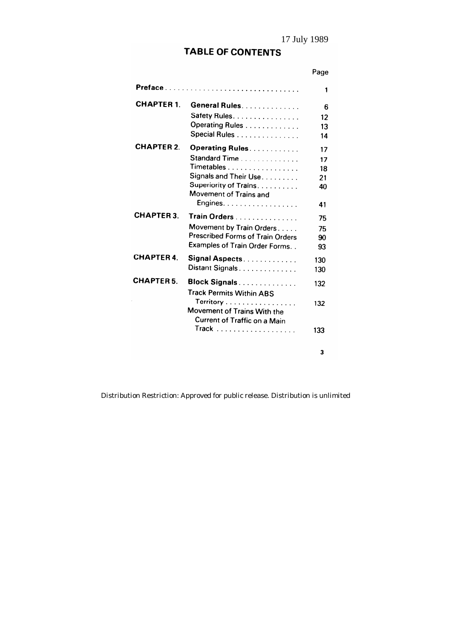# **TABLE OF CONTENTS**

|--|

|                   | Preface                                                                                                                                         | 1                                |
|-------------------|-------------------------------------------------------------------------------------------------------------------------------------------------|----------------------------------|
| <b>CHAPTER 1.</b> | General Rules.<br>Safety Rules.<br>Operating Rules<br>Special Rules                                                                             | 6<br>12<br>13<br>14              |
| <b>CHAPTER 2.</b> | <b>Operating Rules</b><br>Standard Time<br>Timetables<br>Signals and Their Use.<br>Superiority of Trains.<br>Movement of Trains and<br>Engines. | 17<br>17<br>18<br>21<br>40<br>41 |
| <b>CHAPTER 3</b>  | Train Orders<br>Movement by Train Orders<br><b>Prescribed Forms of Train Orders</b><br>Examples of Train Order Forms                            | 75<br>75<br>90<br>93             |
| <b>CHAPTER 4.</b> | Signal Aspects<br>Distant Signals.                                                                                                              | 130<br>130                       |
| <b>CHAPTER 5</b>  | <b>Block Signals</b><br><b>Track Permits Within ABS</b><br>Territory<br>Movement of Trains With the<br>Current of Traffic on a Main             | 132<br>132                       |
|                   |                                                                                                                                                 | 133<br>3                         |

Distribution Restriction: Approved for public release. Distribution is unlimited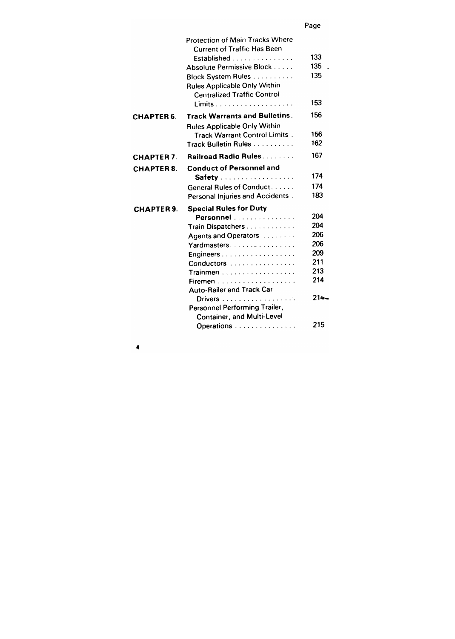# Page

|                   | Protection of Main Tracks Where<br><b>Current of Traffic Has Been</b> |     |
|-------------------|-----------------------------------------------------------------------|-----|
|                   | Fstablished                                                           | 133 |
|                   | Absolute Permissive Block                                             | 135 |
|                   | Block System Rules<br><b>Rules Applicable Only Within</b>             | 135 |
|                   | <b>Centralized Traffic Control</b>                                    |     |
|                   | $Limit.$                                                              | 153 |
| <b>CHAPTER 6.</b> | <b>Track Warrants and Bulletins.</b>                                  | 156 |
|                   | <b>Rules Applicable Only Within</b>                                   |     |
|                   | <b>Track Warrant Control Limits.</b>                                  | 156 |
|                   | Track Bulletin Rules                                                  | 162 |
| <b>CHAPTER 7.</b> | <b>Railroad Radio Rules</b>                                           | 167 |
| <b>CHAPTER 8.</b> | <b>Conduct of Personnel and</b>                                       |     |
|                   | Safety                                                                | 174 |
|                   | General Rules of Conduct                                              | 174 |
|                   | <b>Personal Injuries and Accidents.</b>                               | 183 |
| <b>CHAPTER 9.</b> | <b>Special Rules for Duty</b>                                         |     |
|                   | Personnel                                                             | 204 |
|                   | Train Dispatchers                                                     | 204 |
|                   | Agents and Operators                                                  | 206 |
|                   | Yardmasters                                                           | 206 |
|                   | Engineers                                                             | 209 |
|                   | Conductors                                                            | 211 |
|                   | Trainmen                                                              | 213 |
|                   |                                                                       | 214 |
|                   | <b>Auto-Railer and Track Car</b>                                      |     |
|                   | Drivers                                                               | 214 |
|                   |                                                                       |     |
|                   | Personnel Performing Trailer,                                         |     |
|                   | <b>Container, and Multi-Level</b><br>Operations                       | 215 |

 $\blacktriangleleft$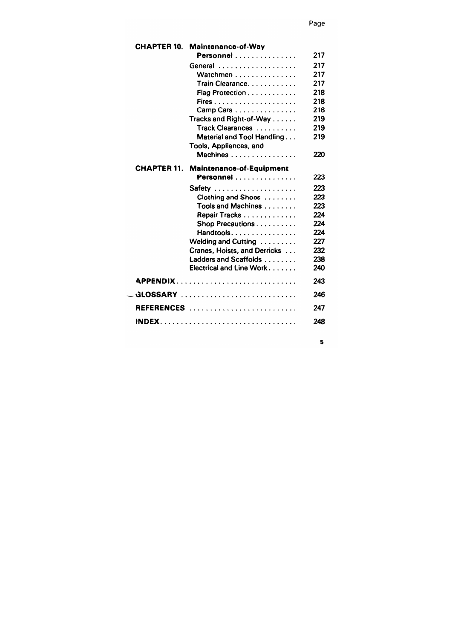# Page

| <b>CHAPTER 10.</b> | Maintenance-of-Way           |     |
|--------------------|------------------------------|-----|
|                    | Personnel                    | 217 |
|                    | General                      | 217 |
|                    | Watchmen                     | 217 |
|                    | Train Clearance.             | 217 |
|                    | Flag Protection              | 218 |
|                    |                              | 218 |
|                    | Camp Cars                    | 218 |
|                    | Tracks and Right-of-Way      | 219 |
|                    | Track Clearances             | 219 |
|                    | Material and Tool Handling   | 219 |
|                    | Tools, Appliances, and       |     |
|                    | Machines                     | 220 |
| <b>CHAPTER 11.</b> | Maintenance-of-Equipment     |     |
|                    | Personnel                    | 223 |
|                    | Safety                       | 223 |
|                    | Clothing and Shoes           | 223 |
|                    | Tools and Machines           | 223 |
|                    | Repair Tracks                | 224 |
|                    | Shop Precautions             | 224 |
|                    | Handtools.                   | 224 |
|                    | Welding and Cutting          | 227 |
|                    | Cranes, Hoists, and Derricks | 232 |
|                    | Ladders and Scaffolds        | 238 |
|                    | Electrical and Line Work     | 240 |
|                    |                              | 243 |
|                    | GLOSSARY                     | 246 |
|                    | REFERENCES                   | 247 |
|                    | <b>INDEX</b>                 | 248 |

 $\begin{array}{c} 5 \end{array}$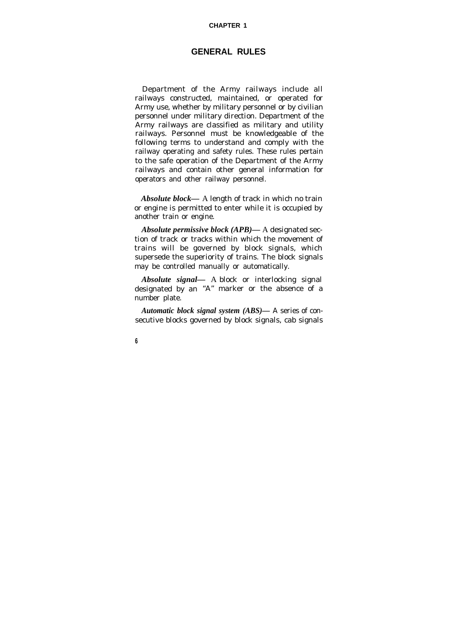#### **CHAPTER 1**

#### **GENERAL RULES**

Department of the Army railways include all railways constructed, maintained, or operated for Army use, whether by military personnel or by civilian personnel under military direction. Department of the Army railways are classified as military and utility railways. Personnel must be knowledgeable of the following terms to understand and comply with the railway operating and safety rules. These rules pertain to the safe operation of the Department of the Army railways and contain other general information for operators and other railway personnel.

*Absolute block—* A length of track in which no train or engine is permitted to enter while it is occupied by another train or engine.

*Absolute permissive block (APB)—* A designated section of track or tracks within which the movement of trains will be governed by block signals, which supersede the superiority of trains. The block signals may be controlled manually or automatically.

*Absolute signal—* A block or interlocking signal designated by an "A" marker or the absence of a number plate.

*Automatic block signal system (ABS)—* A series of consecutive blocks governed by block signals, cab signals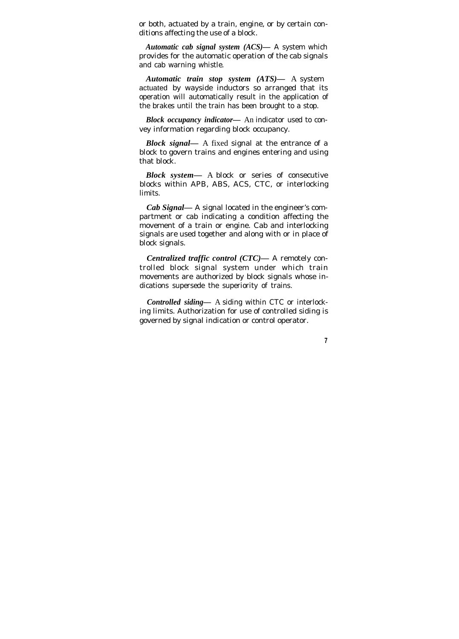or both, actuated by a train, engine, or by certain conditions affecting the use of a block.

*Automatic cab signal system (ACS)—* A system which provides for the automatic operation of the cab signals and cab warning whistle.

*Automatic train stop system (ATS)—* A system actuated by wayside inductors so arranged that its operation will automatically result in the application of the brakes until the train has been brought to a stop.

*Block occupancy indicator—* An indicator used to convey information regarding block occupancy.

*Block signal—* A fixed signal at the entrance of a block to govern trains and engines entering and using that block.

*Block system—* A block or series of consecutive blocks within APB, ABS, ACS, CTC, or interlocking limits.

*Cab Signal—* A signal located in the engineer's compartment or cab indicating a condition affecting the movement of a train or engine. Cab and interlocking signals are used together and along with or in place of block signals.

*Centralized traffic control (CTC)—* A remotely controlled block signal system under which train movements are authorized by block signals whose indications supersede the superiority of trains.

*Controlled siding—* A siding within CTC or interlocking limits. Authorization for use of controlled siding is governed by signal indication or control operator.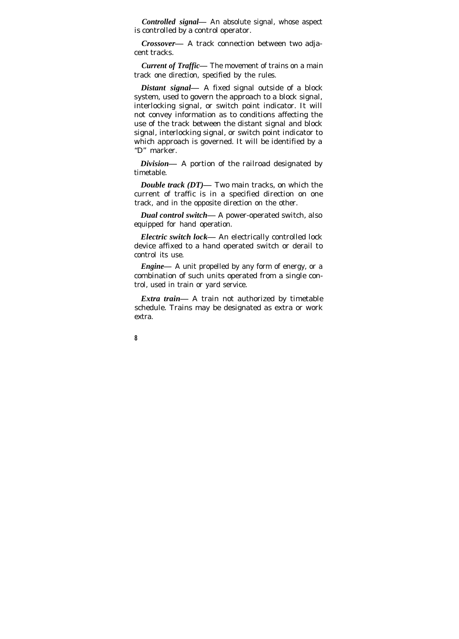*Controlled signal—* An absolute signal, whose aspect is controlled by a control operator.

*Crossover—* A track connection between two adjacent tracks.

*Current of Traffic—* The movement of trains on a main track one direction, specified by the rules.

*Distant signal—* A fixed signal outside of a block system, used to govern the approach to a block signal, interlocking signal, or switch point indicator. It will not convey information as to conditions affecting the use of the track between the distant signal and block signal, interlocking signal, or switch point indicator to which approach is governed. It will be identified by a "D" marker.

*Division—* A portion of the railroad designated by timetable.

*Double track (DT)—* Two main tracks, on which the current of traffic is in a specified direction on one track, and in the opposite direction on the other.

*Dual control switch—* A power-operated switch, also equipped for hand operation.

*Electric switch lock—* An electrically controlled lock device affixed to a hand operated switch or derail to control its use.

*Engine—* A unit propelled by any form of energy, or a combination of such units operated from a single control, used in train or yard service.

*Extra train—* A train not authorized by timetable schedule. Trains may be designated as extra or work extra.

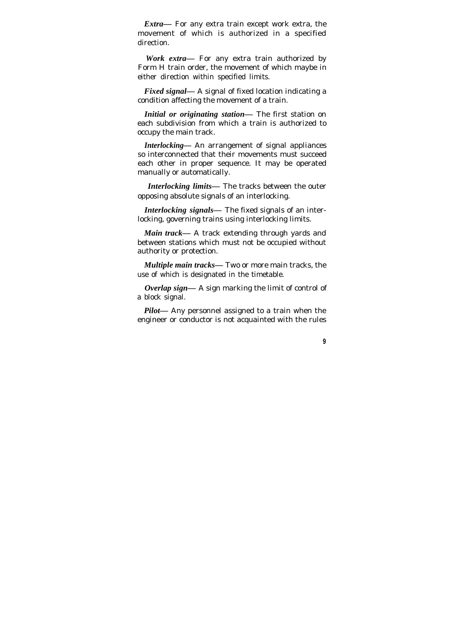*Extra—* For any extra train except work extra, the movement of which is authorized in a specified direction.

*Work extra—* For any extra train authorized by Form H train order, the movement of which maybe in either direction within specified limits.

*Fixed signal—* A signal of fixed location indicating a condition affecting the movement of a train.

*Initial or originating station—* The first station on each subdivision from which a train is authorized to occupy the main track.

*Interlocking—* An arrangement of signal appliances so interconnected that their movements must succeed each other in proper sequence. It may be operated manually or automatically.

*Interlocking limits—* The tracks between the outer opposing absolute signals of an interlocking.

*Interlocking signals—* The fixed signals of an interlocking, governing trains using interlocking limits.

*Main track—* A track extending through yards and between stations which must not be occupied without authority or protection.

*Multiple main tracks—* Two or more main tracks, the use of which is designated in the timetable.

*Overlap sign—* A sign marking the limit of control of a block signal.

*Pilot—* Any personnel assigned to a train when the engineer or conductor is not acquainted with the rules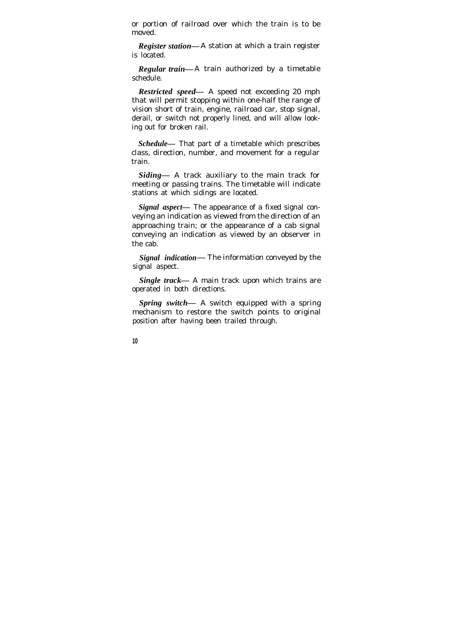or portion of railroad over which the train is to be moved.

*Register station—*A station at which a train register is located.

*Regular train—*A train authorized by a timetable schedule.

*Restricted speed—* A speed not exceeding 20 mph that will permit stopping within one-half the range of vision short of train, engine, railroad car, stop signal, derail, or switch not properly lined, and will allow looking out for broken rail.

*Schedule—* That part of a timetable which prescribes class, direction, number, and movement for a regular train.

*Siding—* A track auxiliary to the main track for meeting or passing trains. The timetable will indicate stations at which sidings are located.

*Signal aspect—* The appearance of a fixed signal conveying an indication as viewed from the direction of an approaching train; or the appearance of a cab signal conveying an indication as viewed by an observer in the cab.

*Signal indication—* The information conveyed by the signal aspect.

*Single track—* A main track upon which trains are operated in both directions.

*Spring switch—* A switch equipped with a spring mechanism to restore the switch points to original position after having been trailed through.

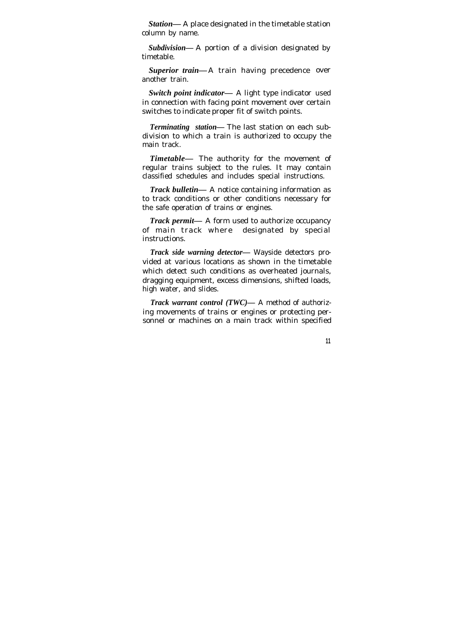*Station—* A place designated in the timetable station column by name.

*Subdivision—* A portion of a division designated by timetable.

Superior train-A train having precedence over another train.

Switch point indicator- A light type indicator used in connection with facing point movement over certain switches to indicate proper fit of switch points.

*Terminating station—* The last station on each subdivision to which a train is authorized to occupy the main track.

*Timetable—* The authority for the movement of regular trains subject to the rules. It may contain classified schedules and includes special instructions.

*Track bulletin—* A notice containing information as to track conditions or other conditions necessary for the safe operation of trains or engines.

*Track permit—* A form used to authorize occupancy of main track where designated by special instructions.

*Track side warning detector—* Wayside detectors provided at various locations as shown in the timetable which detect such conditions as overheated journals, dragging equipment, excess dimensions, shifted loads, high water, and slides.

*Track warrant control (TWC)—* A method of authorizing movements of trains or engines or protecting personnel or machines on a main track within specified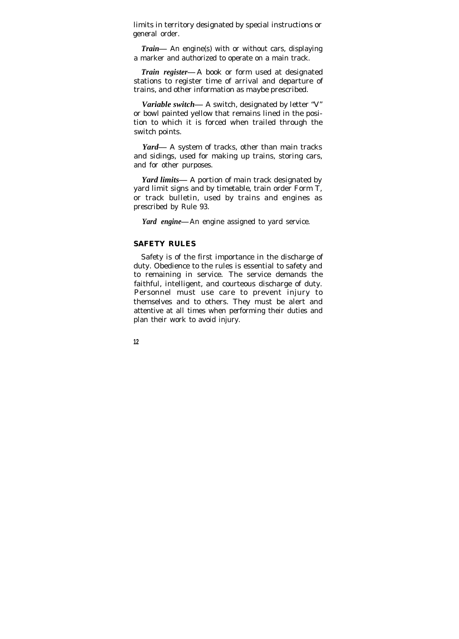limits in territory designated by special instructions or general order.

*Train—* An engine(s) with or without cars, displaying a marker and authorized to operate on a main track.

*Train register—* A book or form used at designated stations to register time of arrival and departure of trains, and other information as maybe prescribed.

*Variable switch—* A switch, designated by letter "V" or bowl painted yellow that remains lined in the position to which it is forced when trailed through the switch points.

*Yard—* A system of tracks, other than main tracks and sidings, used for making up trains, storing cars, and for other purposes.

*Yard limits—* A portion of main track designated by yard limit signs and by timetable, train order Form T, or track bulletin, used by trains and engines as prescribed by Rule 93.

*Yard engine—*An engine assigned to yard service.

#### **SAFETY RULES**

Safety is of the first importance in the discharge of duty. Obedience to the rules is essential to safety and to remaining in service. The service demands the faithful, intelligent, and courteous discharge of duty. Personnel must use care to prevent injury to themselves and to others. They must be alert and attentive at all times when performing their duties and plan their work to avoid injury.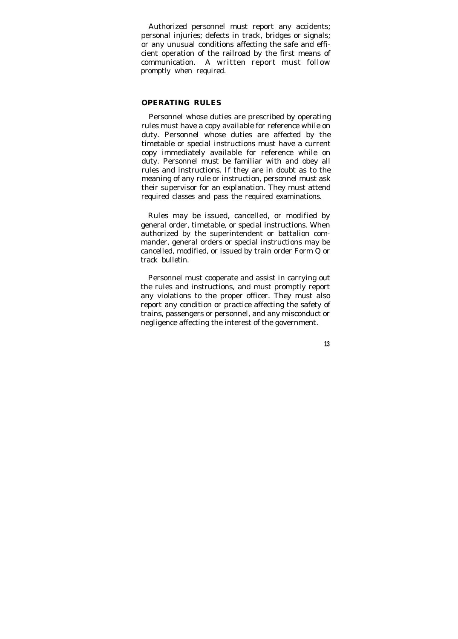Authorized personnel must report any accidents; personal injuries; defects in track, bridges or signals; or any unusual conditions affecting the safe and efficient operation of the railroad by the first means of communication. A written report must follow promptly when required.

#### **OPERATING RULES**

Personnel whose duties are prescribed by operating rules must have a copy available for reference while on duty. Personnel whose duties are affected by the timetable or special instructions must have a current copy immediately available for reference while on duty. Personnel must be familiar with and obey all rules and instructions. If they are in doubt as to the meaning of any rule or instruction, personnel must ask their supervisor for an explanation. They must attend required classes and pass the required examinations.

Rules may be issued, cancelled, or modified by general order, timetable, or special instructions. When authorized by the superintendent or battalion commander, general orders or special instructions may be cancelled, modified, or issued by train order Form Q or track bulletin.

Personnel must cooperate and assist in carrying out the rules and instructions, and must promptly report any violations to the proper officer. They must also report any condition or practice affecting the safety of trains, passengers or personnel, and any misconduct or negligence affecting the interest of the government.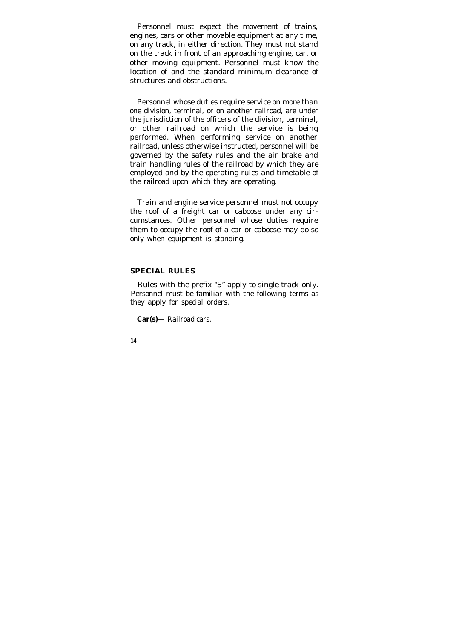Personnel must expect the movement of trains, engines, cars or other movable equipment at any time, on any track, in either direction. They must not stand on the track in front of an approaching engine, car, or other moving equipment. Personnel must know the location of and the standard minimum clearance of structures and obstructions.

Personnel whose duties require service on more than one division, terminal, or on another railroad, are under the jurisdiction of the officers of the division, terminal, or other railroad on which the service is being performed. When performing service on another railroad, unless otherwise instructed, personnel will be governed by the safety rules and the air brake and train handling rules of the railroad by which they are employed and by the operating rules and timetable of the railroad upon which they are operating.

Train and engine service personnel must not occupy the roof of a freight car or caboose under any circumstances. Other personnel whose duties require them to occupy the roof of a car or caboose may do so only when equipment is standing.

#### **SPECIAL RULES**

Rules with the prefix "S" apply to single track only. Personnel must be familiar with the following terms as they apply for special orders.

**Car(s)—** Railroad cars.

$$
14
$$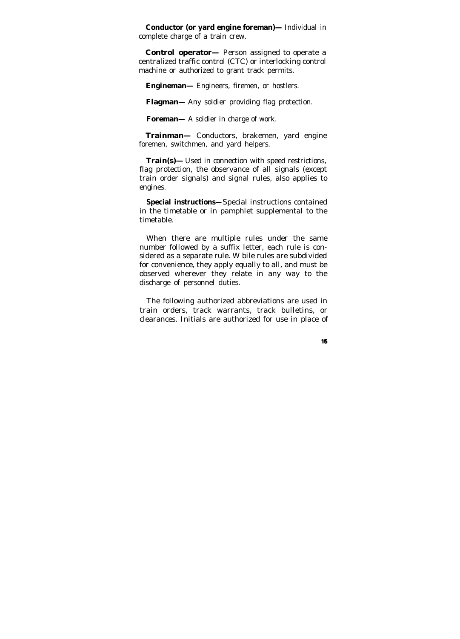**Conductor (or yard engine foreman)—** Individual in complete charge of a train crew.

**Control operator—** Person assigned to operate a centralized traffic control (CTC) or interlocking control machine or authorized to grant track permits.

**Engineman—** Engineers, firemen, or hostlers.

**Flagman—** Any soldier providing flag protection.

**Foreman—** A soldier in charge of work.

**Trainman—** Conductors, brakemen, yard engine foremen, switchmen, and yard helpers.

**Train(s)—** Used in connection with speed restrictions, flag protection, the observance of all signals (except train order signals) and signal rules, also applies to engines.

**Special instructions—**Special instructions contained in the timetable or in pamphlet supplemental to the timetable.

When there are multiple rules under the same number followed by a suffix letter, each rule is considered as a separate rule. W bile rules are subdivided for convenience, they apply equally to all, and must be observed wherever they relate in any way to the discharge of personnel duties.

The following authorized abbreviations are used in train orders, track warrants, track bulletins, or clearances. Initials are authorized for use in place of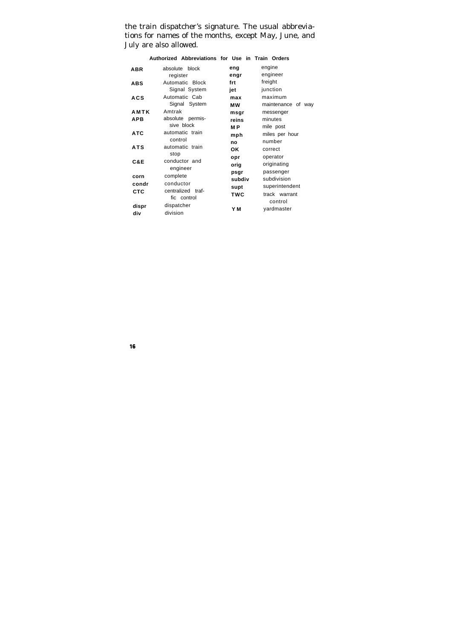the train dispatcher's signature. The usual abbreviations for names of the months, except May, June, and July are also allowed.

|                     | Authorized Abbreviations for Use in Train Orders |                                 |                                            |
|---------------------|--------------------------------------------------|---------------------------------|--------------------------------------------|
| <b>ABR</b>          | absolute block<br>register                       | eng<br>engr                     | engine<br>engineer                         |
| ABS                 | Automatic Block<br>Signal System                 | frt<br>iet                      | freight<br>junction                        |
| <b>ACS</b>          | Automatic Cab<br>Signal System                   | max<br><b>MW</b>                | maximum<br>maintenance<br>of wav           |
| AMTK<br><b>APB</b>  | Amtrak<br>absolute permis-<br>sive block         | msgr<br>reins<br>M <sub>P</sub> | messenger<br>minutes<br>mile post          |
| <b>ATC</b>          | automatic train<br>control                       | mph<br>no                       | miles per hour<br>number                   |
| <b>ATS</b>          | automatic train<br>stop                          | ΟK<br>opr                       | correct<br>operator                        |
| C&E                 | conductor and<br>engineer                        | orig                            | originating                                |
| corn                | complete<br>conductor                            | psgr<br>subdiv                  | passenger<br>subdivision                   |
| condr<br><b>CTC</b> | centralized traf-<br>fic control                 | supt<br>TWC                     | superintendent<br>track warrant<br>control |
| dispr<br>div        | dispatcher<br>division                           | Y M                             | yardmaster                                 |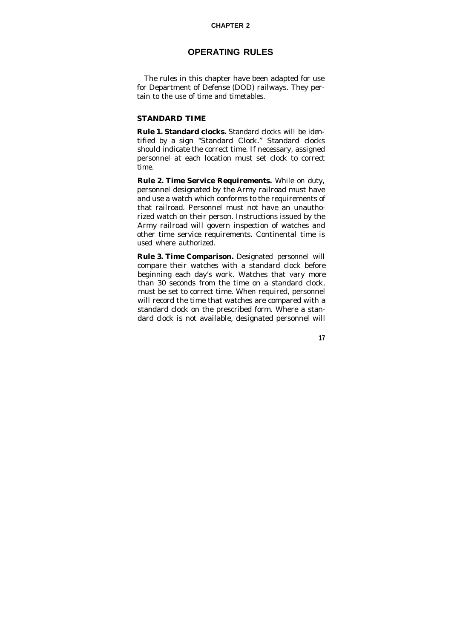#### **CHAPTER 2**

# **OPERATING RULES**

The rules in this chapter have been adapted for use for Department of Defense (DOD) railways. They pertain to the use of time and timetables.

#### **STANDARD TIME**

**Rule 1. Standard clocks.** Standard clocks will be identified by a sign "Standard Clock." Standard clocks should indicate the correct time. If necessary, assigned personnel at each location must set clock to correct time.

**Rule 2. Time Service Requirements.** While on duty, personnel designated by the Army railroad must have and use a watch which conforms to the requirements of that railroad. Personnel must not have an unauthorized watch on their person. Instructions issued by the Army railroad will govern inspection of watches and other time service requirements. Continental time is used where authorized.

**Rule 3. Time Comparison.** Designated personnel will compare their watches with a standard clock before beginning each day's work. Watches that vary more than 30 seconds from the time on a standard clock, must be set to correct time. When required, personnel will record the time that watches are compared with a standard clock on the prescribed form. Where a standard clock is not available, designated personnel will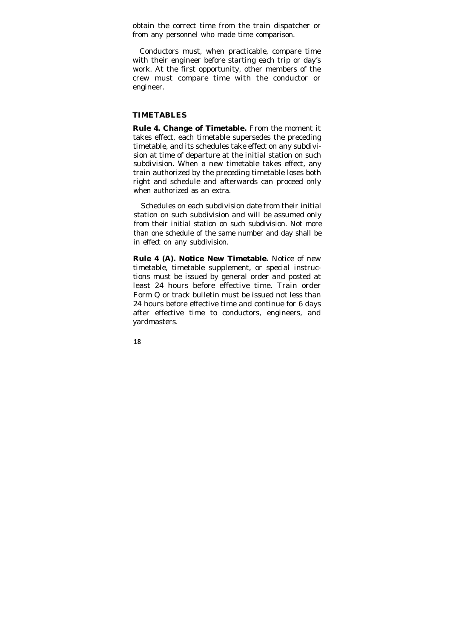obtain the correct time from the train dispatcher or from any personnel who made time comparison.

Conductors must, when practicable, compare time with their engineer before starting each trip or day's work. At the first opportunity, other members of the crew must compare time with the conductor or engineer.

#### **TIMETABLES**

**Rule 4. Change of Timetable.** From the moment it takes effect, each timetable supersedes the preceding timetable, and its schedules take effect on any subdivision at time of departure at the initial station on such subdivision. When a new timetable takes effect, any train authorized by the preceding timetable loses both right and schedule and afterwards can proceed only when authorized as an extra.

Schedules on each subdivision date from their initial station on such subdivision and will be assumed only from their initial station on such subdivision. Not more than one schedule of the same number and day shall be in effect on any subdivision.

**Rule 4 (A). Notice New Timetable.** Notice of new timetable, timetable supplement, or special instructions must be issued by general order and posted at least 24 hours before effective time. Train order Form Q or track bulletin must be issued not less than 24 hours before effective time and continue for 6 days after effective time to conductors, engineers, and yardmasters.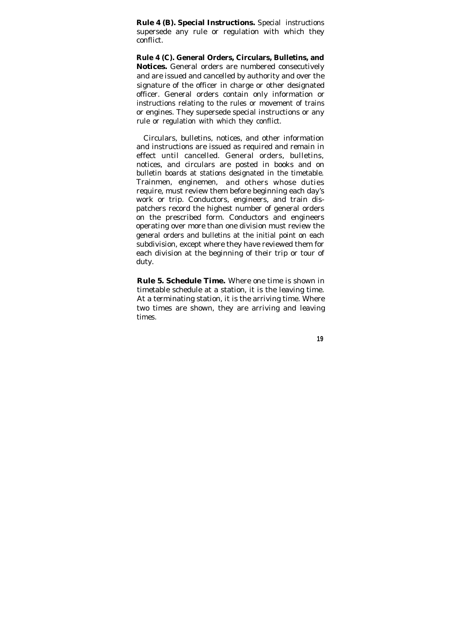**Rule 4 (B). Special Instructions.** Special instructions supersede any rule or regulation with which they conflict.

**Rule 4 (C). General Orders, Circulars, Bulletins, and Notices.** General orders are numbered consecutively and are issued and cancelled by authority and over the signature of the officer in charge or other designated officer. General orders contain only information or instructions relating to the rules or movement of trains or engines. They supersede special instructions or any rule or regulation with which they conflict.

Circulars, bulletins, notices, and other information and instructions are issued as required and remain in effect until cancelled. General orders, bulletins, notices, and circulars are posted in books and on bulletin boards at stations designated in the timetable. Trainmen, enginemen, and others whose duties require, must review them before beginning each day's work or trip. Conductors, engineers, and train dispatchers record the highest number of general orders on the prescribed form. Conductors and engineers operating over more than one division must review the general orders and bulletins at the initial point on each subdivision, except where they have reviewed them for each division at the beginning of their trip or tour of duty.

**Rule 5. Schedule Time.** Where one time is shown in timetable schedule at a station, it is the leaving time. At a terminating station, it is the arriving time. Where two times are shown, they are arriving and leaving times.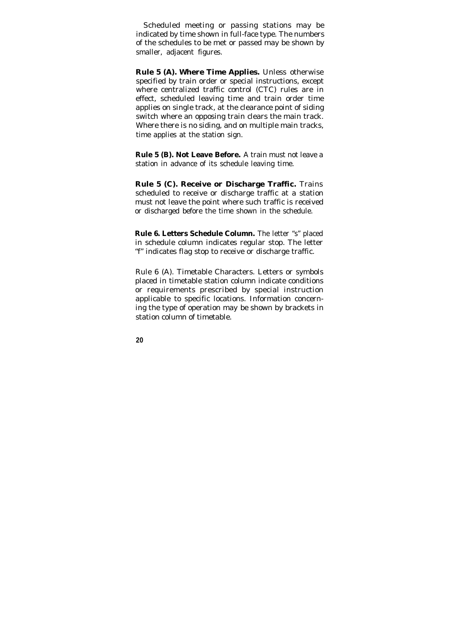Scheduled meeting or passing stations may be indicated by time shown in full-face type. The numbers of the schedules to be met or passed may be shown by smaller, adjacent figures.

**Rule 5 (A). Where Time Applies.** Unless otherwise specified by train order or special instructions, except where centralized traffic control (CTC) rules are in effect, scheduled leaving time and train order time applies on single track, at the clearance point of siding switch where an opposing train clears the main track. Where there is no siding, and on multiple main tracks, time applies at the station sign.

**Rule 5 (B). Not Leave Before.** A train must not leave a station in advance of its schedule leaving time.

**Rule 5 (C). Receive or Discharge Traffic.** Trains scheduled to receive or discharge traffic at a station must not leave the point where such traffic is received or discharged before the time shown in the schedule.

**Rule 6. Letters Schedule Column.** The letter "s" placed in schedule column indicates regular stop. The letter "f" indicates flag stop to receive or discharge traffic.

Rule 6 (A). Timetable Characters. Letters or symbols placed in timetable station column indicate conditions or requirements prescribed by special instruction applicable to specific locations. Information concerning the type of operation may be shown by brackets instation column of timetable.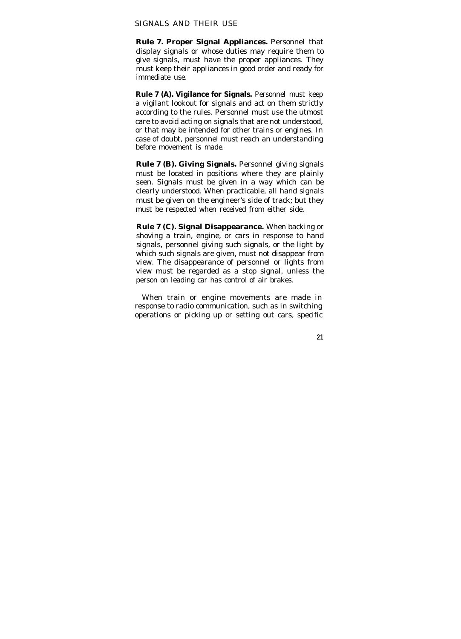SIGNALS AND THEIR USE

**Rule 7. Proper Signal Appliances.** Personnel that display signals or whose duties may require them to give signals, must have the proper appliances. They must keep their appliances in good order and ready for immediate use.

**Rule 7 (A). Vigilance for Signals.** Personnel must keep a vigilant lookout for signals and act on them strictly according to the rules. Personnel must use the utmost care to avoid acting on signals that are not understood, or that may be intended for other trains or engines. In case of doubt, personnel must reach an understanding before movement is made.

**Rule 7 (B). Giving Signals.** Personnel giving signals must be located in positions where they are plainly seen. Signals must be given in a way which can be clearly understood. When practicable, all hand signals must be given on the engineer's side of track; but they must be respected when received from either side.

**Rule 7 (C). Signal Disappearance.** When backing or shoving a train, engine, or cars in response to hand signals, personnel giving such signals, or the light by which such signals are given, must not disappear from view. The disappearance of personnel or lights from view must be regarded as a stop signal, unless the person on leading car has control of air brakes.

When train or engine movements are made in response to radio communication, such as in switching operations or picking up or setting out cars, specific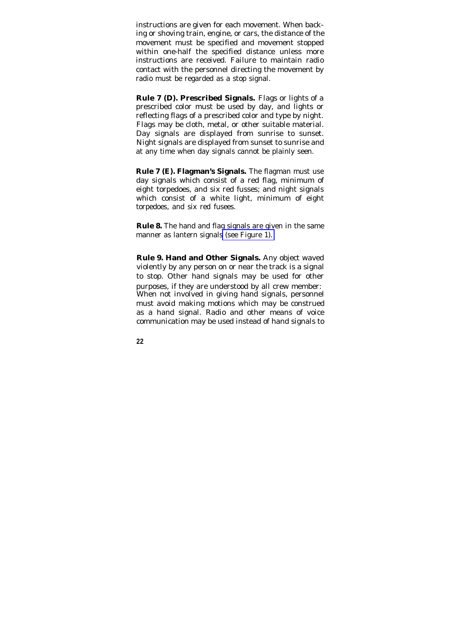instructions are given for each movement. When backing or shoving train, engine, or cars, the distance of the movement must be specified and movement stopped within one-half the specified distance unless more instructions are received. Failure to maintain radio contact with the personnel directing the movement by radio must be regarded as a stop signal.

**Rule 7 (D). Prescribed Signals.** Flags or lights of a prescribed color must be used by day, and lights or reflecting flags of a prescribed color and type by night. Flags may be cloth, metal, or other suitable material. Day signals are displayed from sunrise to sunset. Night signals are displayed from sunset to sunrise and at any time when day signals cannot be plainly seen.

**Rule 7 (E). Flagman's Signals.** The flagman must use day signals which consist of a red flag, minimum of eight torpedoes, and six red fusses; and night signals which consist of a white light, minimum of eight torpedoes, and six red fusees.

**Rule 8.** The hand and flag signals are given in the same manner as lantern signal[s \(see Figure 1\).](#page-23-0)

**Rule 9. Hand and Other Signals.** Any object waved violently by any person on or near the track is a signal to stop. Other hand signals may be used for other purposes, if they are understood by all crew member: When not involved in giving hand signals, personnel must avoid making motions which may be construed as a hand signal. Radio and other means of voice communication may be used instead of hand signals to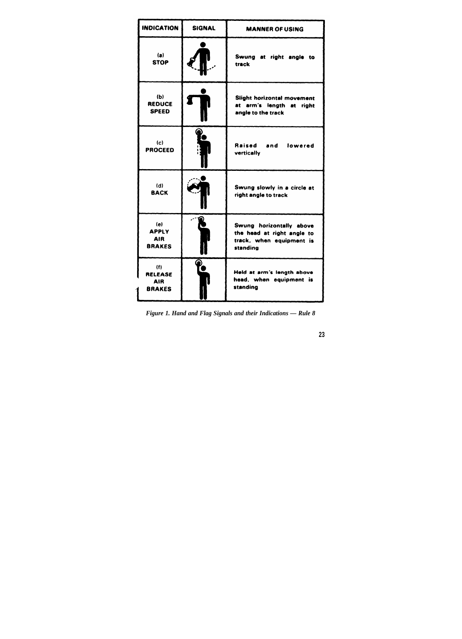<span id="page-23-0"></span>

| <b>INDICATION</b>                                  | <b>SIGNAL</b> | <b>MANNER OF USING</b>                                                                         |
|----------------------------------------------------|---------------|------------------------------------------------------------------------------------------------|
| (a)<br><b>STOP</b>                                 |               | Swung at right angle to<br>track                                                               |
| (b)<br><b>REDUCE</b><br><b>SPEED</b>               |               | Slight horizontal movement<br>at arm's length at right<br>angle to the track                   |
| (c)<br><b>PROCEED</b>                              |               | Raised<br>and<br>lowered<br>vertically                                                         |
| (d)<br><b>BACK</b>                                 |               | Swung slowly in a circle at<br>right angle to track                                            |
| (e)<br><b>APPLY</b><br><b>AIR</b><br><b>BRAKES</b> |               | Swung horizontally above<br>the head at right angle to<br>track, when equipment is<br>standing |
| (f)<br><b>RELEASE</b><br>AIR.<br><b>BRAKES</b>     |               | Held at arm's length above<br>head, when equipment is<br>standing                              |

*Figure 1. Hand and Flag Signals and their Indications — Rule 8*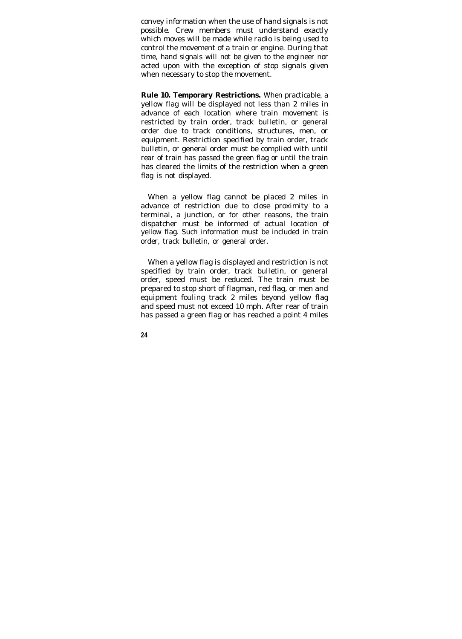convey information when the use of hand signals is not possible. Crew members must understand exactly which moves will be made while radio is being used to control the movement of a train or engine. During that time, hand signals will not be given to the engineer nor acted upon with the exception of stop signals given when necessary to stop the movement.

**Rule 10. Temporary Restrictions.** When practicable, a yellow flag will be displayed not less than 2 miles in advance of each location where train movement is restricted by train order, track bulletin, or general order due to track conditions, structures, men, or equipment. Restriction specified by train order, track bulletin, or general order must be complied with until rear of train has passed the green flag or until the train has cleared the limits of the restriction when a green flag is not displayed.

When a yellow flag cannot be placed 2 miles in advance of restriction due to close proximity to a terminal, a junction, or for other reasons, the train dispatcher must be informed of actual location of yellow flag. Such information must be included in train order, track bulletin, or general order.

When a yellow flag is displayed and restriction is not specified by train order, track bulletin, or general order, speed must be reduced. The train must be prepared to stop short of flagman, red flag, or men and equipment fouling track 2 miles beyond yellow flag and speed must not exceed 10 mph. After rear of train has passed a green flag or has reached a point 4 miles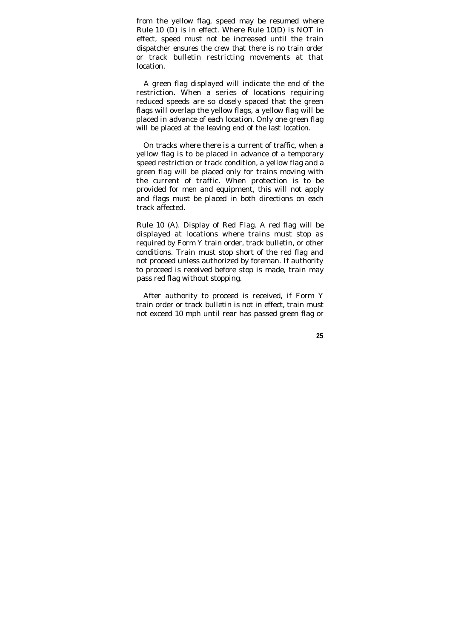from the yellow flag, speed may be resumed where Rule 10 (D) is in effect. Where Rule 10(D) is NOT in effect, speed must not be increased until the train dispatcher ensures the crew that there is no train order or track bulletin restricting movements at that location.

A green flag displayed will indicate the end of the restriction. When a series of locations requiring reduced speeds are so closely spaced that the green flags will overlap the yellow flags, a yellow flag will be placed in advance of each location. Only one green flag will be placed at the leaving end of the last location.

On tracks where there is a current of traffic, when a yellow flag is to be placed in advance of a temporary speed restriction or track condition, a yellow flag and a green flag will be placed only for trains moving with the current of traffic. When protection is to be provided for men and equipment, this will not apply and flags must be placed in both directions on each track affected.

Rule 10 (A). Display of Red Flag. A red flag will be displayed at locations where trains must stop as required by Form Y train order, track bulletin, or other conditions. Train must stop short of the red flag and not proceed unless authorized by foreman. If authority to proceed is received before stop is made, train may pass red flag without stopping.

After authority to proceed is received, if Form Y train order or track bulletin is not in effect, train must not exceed 10 mph until rear has passed green flag or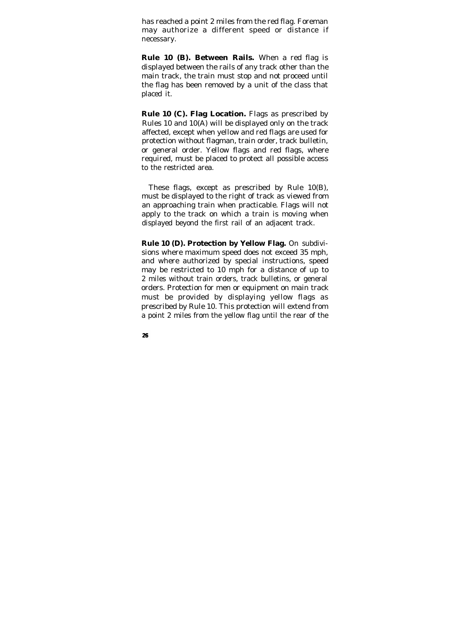has reached a point 2 miles from the red flag. Foreman may authorize a different speed or distance if necessary.

**Rule 10 (B). Between Rails.** When a red flag is displayed between the rails of any track other than the main track, the train must stop and not proceed until the flag has been removed by a unit of the class that placed it.

**Rule 10 (C). Flag Location.** Flags as prescribed by Rules 10 and 10(A) will be displayed only on the track affected, except when yellow and red flags are used for protection without flagman, train order, track bulletin, or general order. Yellow flags and red flags, where required, must be placed to protect all possible access to the restricted area.

These flags, except as prescribed by Rule 10(B), must be displayed to the right of track as viewed from an approaching train when practicable. Flags will not apply to the track on which a train is moving when displayed beyond the first rail of an adjacent track.

**Rule 10 (D). Protection by Yellow Flag.** On subdivisions where maximum speed does not exceed 35 mph, and where authorized by special instructions, speed may be restricted to 10 mph for a distance of up to 2 miles without train orders, track bulletins, or general orders. Protection for men or equipment on main track must be provided by displaying yellow flags as prescribed by Rule 10. This protection will extend from a point 2 miles from the yellow flag until the rear of the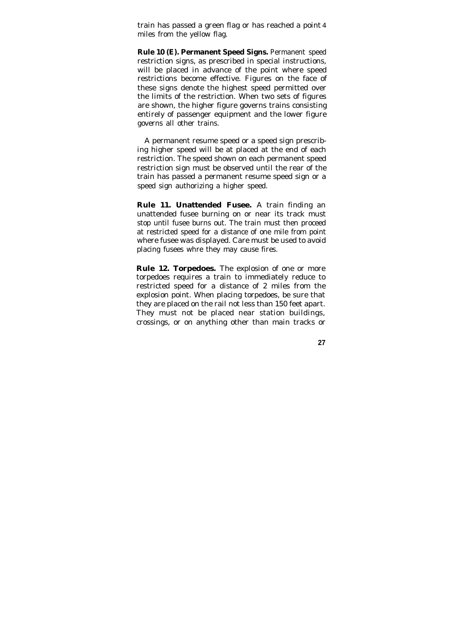train has passed a green flag or has reached a point 4 miles from the yellow flag.

**Rule 10 (E). Permanent Speed Signs.** Permanent speed restriction signs, as prescribed in special instructions, will be placed in advance of the point where speed restrictions become effective. Figures on the face of these signs denote the highest speed permitted over the limits of the restriction. When two sets of figures are shown, the higher figure governs trains consisting entirely of passenger equipment and the lower figure governs all other trains.

A permanent resume speed or a speed sign prescribing higher speed will be at placed at the end of each restriction. The speed shown on each permanent speed restriction sign must be observed until the rear of the train has passed a permanent resume speed sign or a speed sign authorizing a higher speed.

**Rule 11. Unattended Fusee.** A train finding an unattended fusee burning on or near its track must stop until fusee burns out. The train must then proceed at restricted speed for a distance of one mile from point where fusee was displayed. Care must be used to avoid placing fusees whre they may cause fires.

**Rule 12. Torpedoes.** The explosion of one or more torpedoes requires a train to immediately reduce to restricted speed for a distance of 2 miles from the explosion point. When placing torpedoes, be sure that they are placed on the rail not less than 150 feet apart. They must not be placed near station buildings, crossings, or on anything other than main tracks or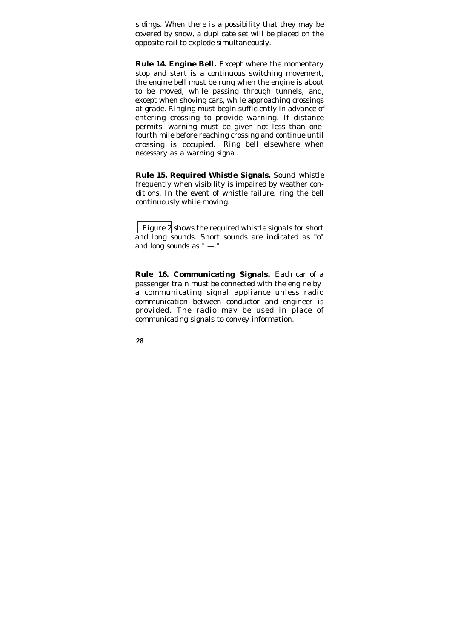sidings. When there is a possibility that they may be covered by snow, a duplicate set will be placed on the opposite rail to explode simultaneously.

**Rule 14. Engine Bell.** Except where the momentary stop and start is a continuous switching movement, the engine bell must be rung when the engine is about to be moved, while passing through tunnels, and, except when shoving cars, while approaching crossings at grade. Ringing must begin sufficiently in advance of entering crossing to provide warning. If distance permits, warning must be given not less than onefourth mile before reaching crossing and continue until crossing is occupied. Ring bell elsewhere when necessary as a warning signal.

**Rule 15. Required Whistle Signals.** Sound whistle frequently when visibility is impaired by weather conditions. In the event of whistle failure, ring the bell continuously while moving.

[Figure 2](#page-29-0) shows the required whistle signals for short and long sounds. Short sounds are indicated as "o" and long sounds as " —."

**Rule 16. Communicating Signals.** Each car of a passenger train must be connected with the engine by a communicating signal appliance unless radio communication between conductor and engineer is provided. The radio may be used in place of communicating signals to convey information.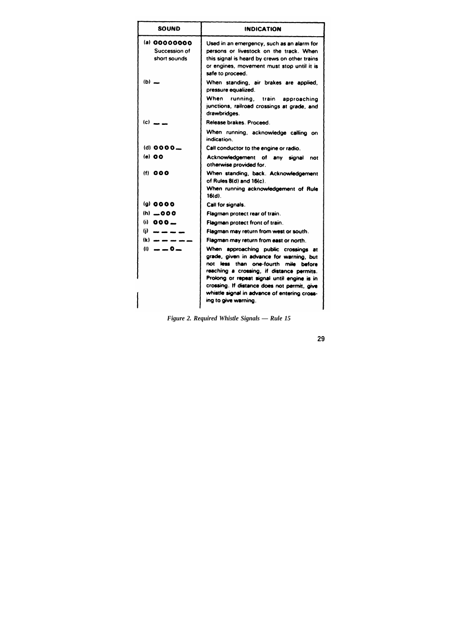<span id="page-29-0"></span>

| SOUND                                         | <b>INDICATION</b>                                                                                                                                                                                                                                                                                                                           |
|-----------------------------------------------|---------------------------------------------------------------------------------------------------------------------------------------------------------------------------------------------------------------------------------------------------------------------------------------------------------------------------------------------|
| (a) 00000000<br>Succession of<br>short sounds | Used in an emergency, such as an alarm for<br>persons or livestock on the track. When<br>this signal is heard by crews on other trains<br>or engines, movement must stop until it is<br>safe to proceed.                                                                                                                                    |
| $(b)$ $\equiv$                                | When standing, air brakes are applied,<br>pressure equalized.<br>When running, train approaching<br>junctions, railroad crossings at grade, and<br>drawbridges.                                                                                                                                                                             |
| $(c) = -$                                     | Release brakes. Proceed.                                                                                                                                                                                                                                                                                                                    |
|                                               | When running, acknowledge calling on<br>indication.                                                                                                                                                                                                                                                                                         |
| (d) $0000 -$                                  | Call conductor to the engine or radio.                                                                                                                                                                                                                                                                                                      |
| (e) 00                                        | Acknowledgement of any signal not<br>otherwise provided for.                                                                                                                                                                                                                                                                                |
| (f) 000                                       | When standing, back. Acknowledgement<br>of Rules 8(d) and 16(c).<br>When running acknowledgement of Rule<br>16(d).                                                                                                                                                                                                                          |
| $(a)$ 0000                                    | Call for signals.                                                                                                                                                                                                                                                                                                                           |
| $(h) - 000$                                   | Flagman protect rear of train.                                                                                                                                                                                                                                                                                                              |
| (i) $000 -$                                   | Flagman protect front of train.                                                                                                                                                                                                                                                                                                             |
| O).<br>-----                                  | Flagman may return from west or south.                                                                                                                                                                                                                                                                                                      |
| (k) — — —                                     | Flagman may return from east or north.                                                                                                                                                                                                                                                                                                      |
| $(1) - 0 - 0$                                 | When approaching public crossings at<br>grade, given in advance for warning, but<br>not less than one-fourth mile before<br>reaching a crossing, if distance permits.<br>Prolong or repeat signal until engine is in<br>crossing. If distance does not permit, give<br>whistle signal in advance of entering cross-<br>ing to give warning. |

*Figure 2. Required Whistle Signals — Rule 15*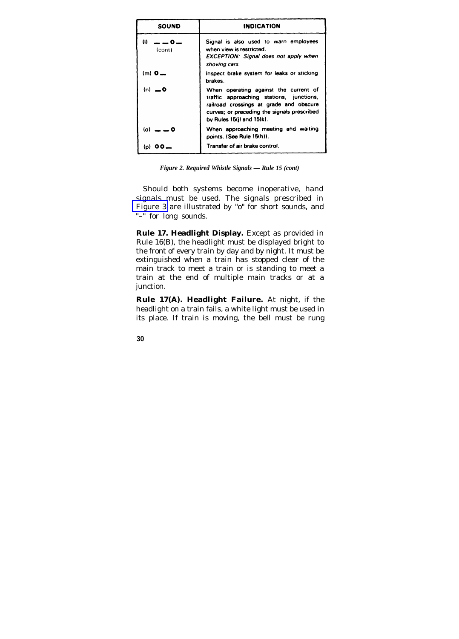| SOUND                                  | <b>INDICATION</b>                                                                                                                                                                                               |
|----------------------------------------|-----------------------------------------------------------------------------------------------------------------------------------------------------------------------------------------------------------------|
| $\langle \mathbf{0} \rangle$<br>(cont) | Signal is also used to warn employees<br>when view is restricted.<br><b>EXCEPTION: Signal does not apply when</b><br>shoving cars.                                                                              |
| (m) 0_                                 | Inspect brake system for leaks or sticking<br>brakes.                                                                                                                                                           |
| $(n) - Q$                              | When operating against the current of<br>traffic approaching stations, junctions,<br>railroad crossings at grade and obscure<br>curves; or preceding the signals prescribed<br>by Rules 15 $(i)$ and 15 $(k)$ . |
| $\omega = -0$                          | When approaching meeting and waiting<br>points. (See Rule 15(h)).                                                                                                                                               |
| (p)                                    | Transfer of air brake control.                                                                                                                                                                                  |

*Figure 2. Required Whistle Signals — Rule 15 (cont)*

Should both systems become inoperative, hand signals must be used. The signals prescribed in [Figure 3](#page-31-0) are illustrated by "o" for short sounds, and "–" for long sounds.

**Rule 17. Headlight Display.** Except as provided in Rule 16(B), the headlight must be displayed bright to the front of every train by day and by night. It must be extinguished when a train has stopped clear of the main track to meet a train or is standing to meet a train at the end of multiple main tracks or at a junction.

**Rule 17(A). Headlight Failure.** At night, if the headlight on a train fails, a white light must be used in its place. If train is moving, the bell must be rung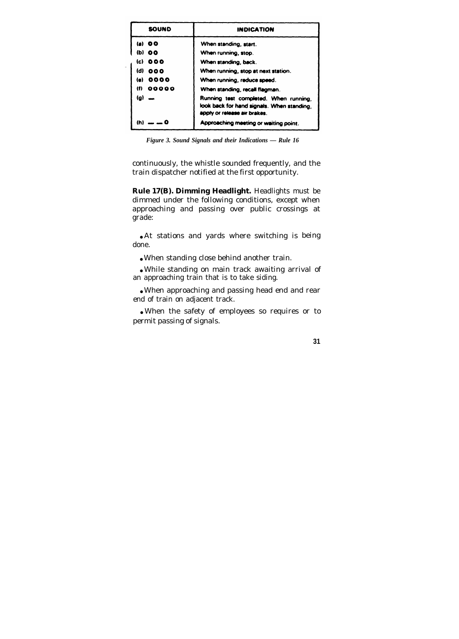<span id="page-31-0"></span>

| <b>SOUND</b> | <b>INDICATION</b>                                                                                                   |
|--------------|---------------------------------------------------------------------------------------------------------------------|
| (a) 00       | When standing, start.                                                                                               |
| $(b)$ 00     | When running, stop.                                                                                                 |
| $(c)$ 000    | When standing, back.                                                                                                |
| (d) 000      | When running, stop at next station.                                                                                 |
| 0000<br>(a)  | When running, reduce speed.                                                                                         |
| $(1)$ 00000  | When standing, recall flagman.                                                                                      |
| $\omega =$   | Running test completed. When running,<br>look back for hand signals. When standing,<br>apply or release air brakes. |
| (h)          | Approaching meeting or waiting point.                                                                               |

*Figure 3. Sound Signals and their Indications — Rule 16*

continuously, the whistle sounded frequently, and the train dispatcher notified at the first opportunity.

**Rule 17(B). Dimming Headlight.** Headlights must be dimmed under the following conditions, except when approaching and passing over public crossings at grade:

• At stations and yards where switching is being done.

● When standing close behind another train.

● While standing on main track awaiting arrival of an approaching train that is to take siding.

● When approaching and passing head end and rear end of train on adjacent track.

● When the safety of employees so requires or to permit passing of signals.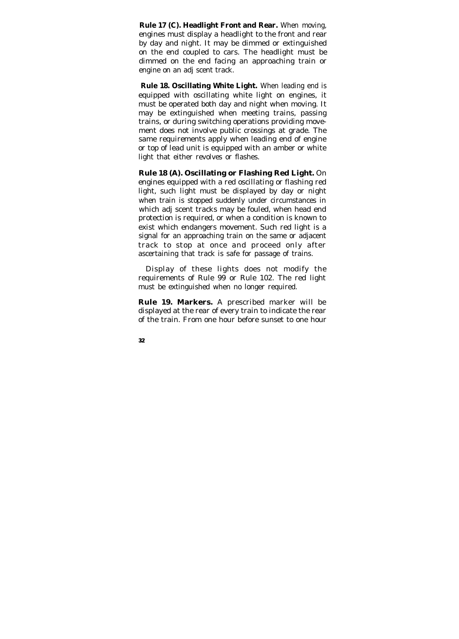**Rule 17 (C). Headlight Front and Rear.** When moving, engines must display a headlight to the front and rear by day and night. It may be dimmed or extinguished on the end coupled to cars. The headlight must be dimmed on the end facing an approaching train or engine on an adj scent track.

**Rule 18. Oscillating White Light.** When leading end is equipped with oscillating white light on engines, it must be operated both day and night when moving. It may be extinguished when meeting trains, passing trains, or during switching operations providing movement does not involve public crossings at grade. The same requirements apply when leading end of engine or top of lead unit is equipped with an amber or white light that either revolves or flashes.

**Rule 18 (A). Oscillating or Flashing Red Light.** On engines equipped with a red oscillating or flashing red light, such light must be displayed by day or night when train is stopped suddenly under circumstances in which adj scent tracks may be fouled, when head end protection is required, or when a condition is known to exist which endangers movement. Such red light is a signal for an approaching train on the same or adjacent track to stop at once and proceed only after ascertaining that track is safe for passage of trains.

Display of these lights does not modify the requirements of Rule 99 or Rule 102. The red light must be extinguished when no longer required.

**Rule 19. Markers.** A prescribed marker will be displayed at the rear of every train to indicate the rear of the train. From one hour before sunset to one hour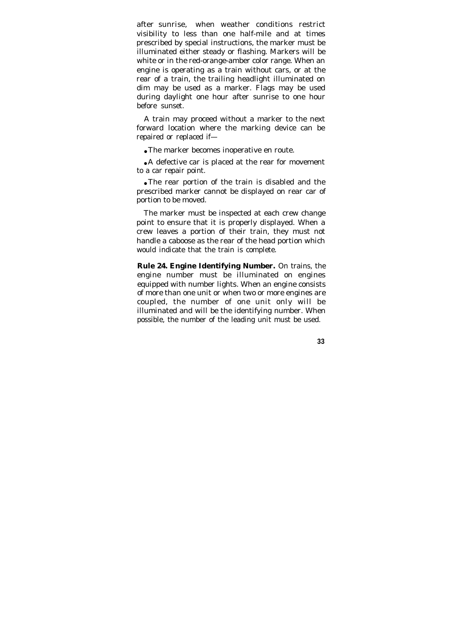after sunrise, when weather conditions restrict visibility to less than one half-mile and at times prescribed by special instructions, the marker must be illuminated either steady or flashing. Markers will be white or in the red-orange-amber color range. When an engine is operating as a train without cars, or at the rear of a train, the trailing headlight illuminated on dim may be used as a marker. Flags may be used during daylight one hour after sunrise to one hour before sunset.

A train may proceed without a marker to the next forward location where the marking device can be repaired or replaced if—

● The marker becomes inoperative en route.

• A defective car is placed at the rear for movement to a car repair point.

• The rear portion of the train is disabled and the prescribed marker cannot be displayed on rear car of portion to be moved.

The marker must be inspected at each crew change point to ensure that it is properly displayed. When a crew leaves a portion of their train, they must not handle a caboose as the rear of the head portion which would indicate that the train is complete.

**Rule 24. Engine Identifying Number.** On trains, the engine number must be illuminated on engines equipped with number lights. When an engine consists of more than one unit or when two or more engines are coupled, the number of one unit only will be illuminated and will be the identifying number. When possible, the number of the leading unit must be used.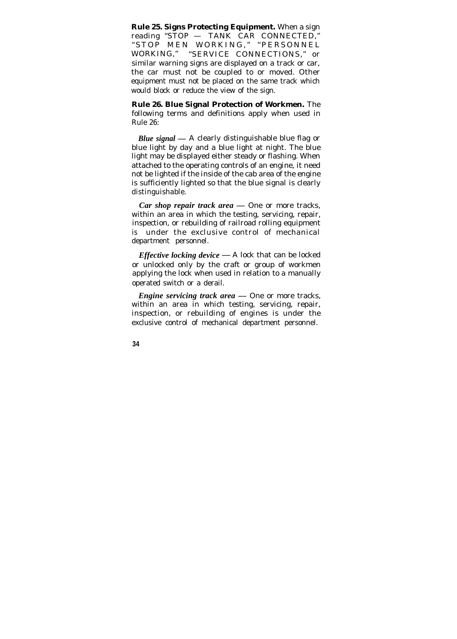**Rule 25. Signs Protecting Equipment.** When a sign reading "STOP — TANK CAR CONNECTED," "STOP MEN WORKING," "PERSONNEL WORKING," "SERVICE CONNECTIONS," or similar warning signs are displayed on a track or car, the car must not be coupled to or moved. Other equipment must not be placed on the same track which would block or reduce the view of the sign.

**Rule 26. Blue Signal Protection of Workmen.** The following terms and definitions apply when used in Rule 26:

*Blue signal —* A clearly distinguishable blue flag or blue light by day and a blue light at night. The blue light may be displayed either steady or flashing. When attached to the operating controls of an engine, it need not be lighted if the inside of the cab area of the engine is sufficiently lighted so that the blue signal is clearly distinguishable.

*Car shop repair track area —* One or more tracks, within an area in which the testing, servicing, repair, inspection, or rebuilding of railroad rolling equipment is under the exclusive control of mechanical department personnel.

*Effective locking device —* A lock that can be locked or unlocked only by the craft or group of workmen applying the lock when used in relation to a manually operated switch or a derail.

*Engine servicing track area —* One or more tracks, within an area in which testing, servicing, repair, inspection, or rebuilding of engines is under the exclusive control of mechanical department personnel.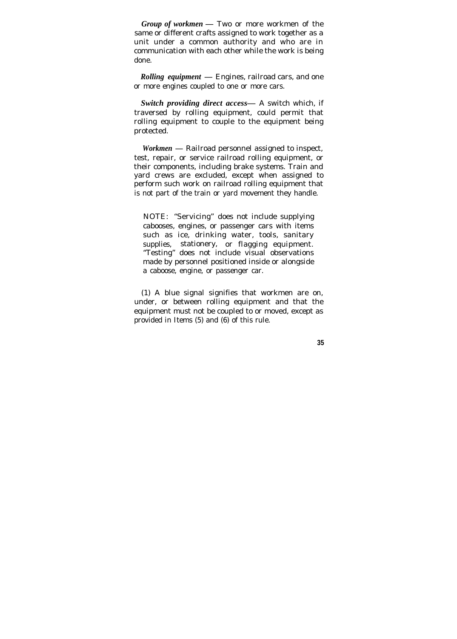*Group of workmen —* Two or more workmen of the same or different crafts assigned to work together as a unit under a common authority and who are in communication with each other while the work is being done.

*Rolling equipment —* Engines, railroad cars, and one or more engines coupled to one or more cars.

*Switch providing direct access—* A switch which, if traversed by rolling equipment, could permit that rolling equipment to couple to the equipment being protected.

*Workmen —* Railroad personnel assigned to inspect, test, repair, or service railroad rolling equipment, or their components, including brake systems. Train and yard crews are excluded, except when assigned to perform such work on railroad rolling equipment that is not part of the train or yard movement they handle.

NOTE: "Servicing" does not include supplying cabooses, engines, or passenger cars with items such as ice, drinking water, tools, sanitary supplies, stationery, or flagging equipment. "Testing" does not include visual observations made by personnel positioned inside or alongside a caboose, engine, or passenger car.

(1) A blue signal signifies that workmen are on, under, or between rolling equipment and that the equipment must not be coupled to or moved, except as provided in Items (5) and (6) of this rule.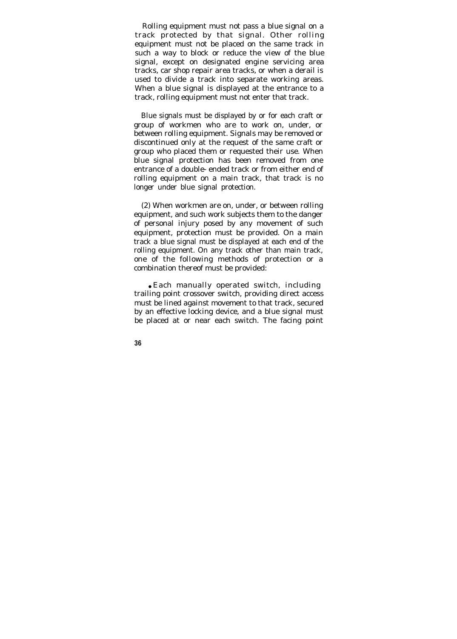Rolling equipment must not pass a blue signal on a track protected by that signal. Other rolling equipment must not be placed on the same track in such a way to block or reduce the view of the blue signal, except on designated engine servicing area tracks, car shop repair area tracks, or when a derail is used to divide a track into separate working areas. When a blue signal is displayed at the entrance to a track, rolling equipment must not enter that track.

Blue signals must be displayed by or for each craft or group of workmen who are to work on, under, or between rolling equipment. Signals may be removed or discontinued only at the request of the same craft or group who placed them or requested their use. When blue signal protection has been removed from one entrance of a double- ended track or from either end of rolling equipment on a main track, that track is no longer under blue signal protection.

(2) When workmen are on, under, or between rolling equipment, and such work subjects them to the danger of personal injury posed by any movement of such equipment, protection must be provided. On a main track a blue signal must be displayed at each end of the rolling equipment. On any track other than main track, one of the following methods of protection or a combination thereof must be provided:

• Each manually operated switch, including trailing point crossover switch, providing direct access must be lined against movement to that track, secured by an effective locking device, and a blue signal must be placed at or near each switch. The facing point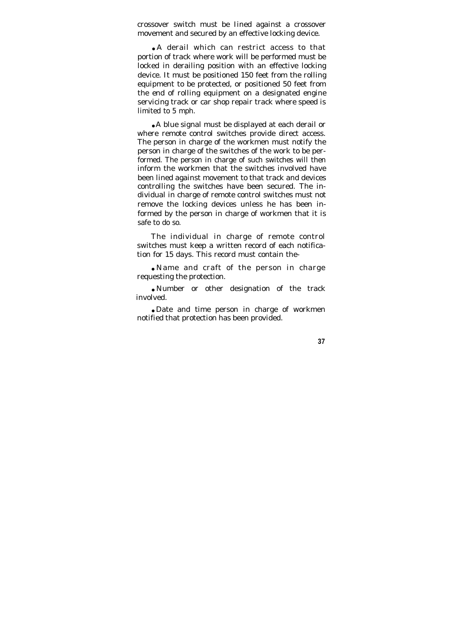crossover switch must be Iined against a crossover movement and secured by an effective locking device.

● A derail which can restrict access to that portion of track where work will be performed must be locked in derailing position with an effective locking device. It must be positioned 150 feet from the rolling equipment to be protected, or positioned 50 feet from the end of rolling equipment on a designated engine servicing track or car shop repair track where speed is limited to 5 mph.

● A blue signal must be displayed at each derail or where remote control switches provide direct access. The person in charge of the workmen must notify the person in charge of the switches of the work to be performed. The person in charge of such switches will then inform the workmen that the switches involved have been lined against movement to that track and devices controlling the switches have been secured. The individual in charge of remote control switches must not remove the locking devices unless he has been informed by the person in charge of workmen that it is safe to do so.

The individual in charge of remote control switches must keep a written record of each notification for 15 days. This record must contain the-

• Name and craft of the person in charge requesting the protection.

● Number or other designation of the track involved.

● Date and time person in charge of workmen notified that protection has been provided.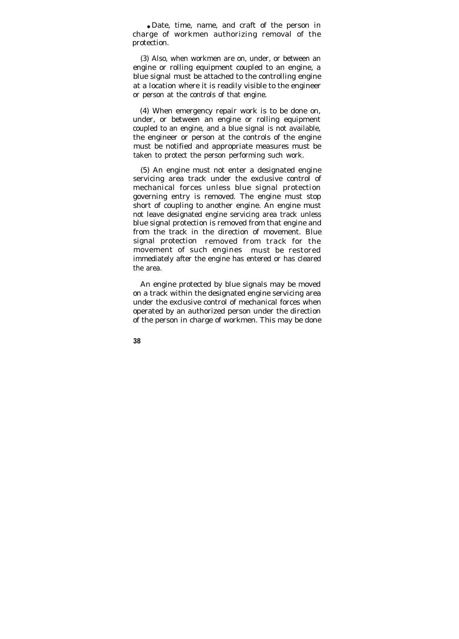● Date, time, name, and craft of the person in charge of workmen authorizing removal of the protection.

(3) Also, when workmen are on, under, or between an engine or rolling equipment coupled to an engine, a blue signal must be attached to the controlling engine at a location where it is readily visible to the engineer or person at the controls of that engine.

(4) When emergency repair work is to be done on, under, or between an engine or rolling equipment coupled to an engine, and a blue signal is not available, the engineer or person at the controls of the engine must be notified and appropriate measures must be taken to protect the person performing such work.

(5) An engine must not enter a designated engine servicing area track under the exclusive control of mechanical forces unless blue signal protection governing entry is removed. The engine must stop short of coupling to another engine. An engine must not leave designated engine servicing area track unless blue signal protection is removed from that engine and from the track in the direction of movement. Blue signal protection removed from track for the movement of such engines must be restored immediately after the engine has entered or has cleared the area.

An engine protected by blue signals may be moved on a track within the designated engine servicing area under the exclusive control of mechanical forces when operated by an authorized person under the direction of the person in charge of workmen. This may be done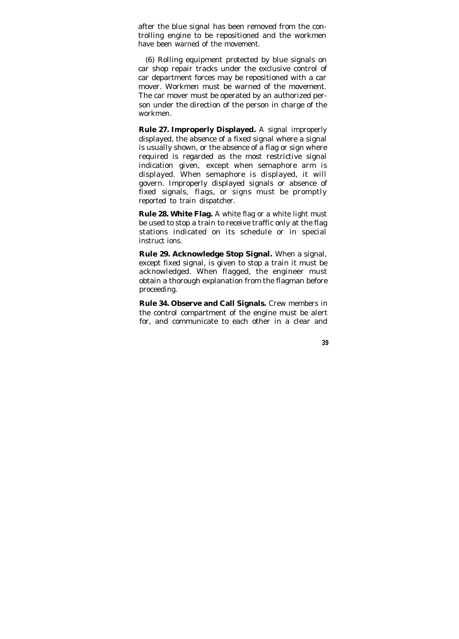after the blue signal has been removed from the controlling engine to be repositioned and the workmen have been warned of the movement.

(6) Rolling equipment protected by blue signals on car shop repair tracks under the exclusive control of car department forces may be repositioned with a car mover. Workmen must be warned of the movement. The car mover must be operated by an authorized person under the direction of the person in charge of the workmen.

**Rule 27. Improperly Displayed.** A signal improperly displayed, the absence of a fixed signal where a signal is usually shown, or the absence of a flag or sign where required is regarded as the most restrictive signal indication given, except when semaphore arm is displayed. When semaphore is displayed, it will govern. Improperly displayed signals or absence of fixed signals, flags, or signs must be promptly reported to train dispatcher.

**Rule 28. White Flag.** A white flag or a white light must be used to stop a train to receive traffic only at the flag stations indicated on its schedule or in special instruct ions.

**Rule 29. Acknowledge Stop Signal.** When a signal, except fixed signal, is given to stop a train it must be acknowledged. When flagged, the engineer must obtain a thorough explanation from the flagman before proceeding.

**Rule 34. Observe and Call Signals.** Crew members in the control compartment of the engine must be alert for, and communicate to each other in a clear and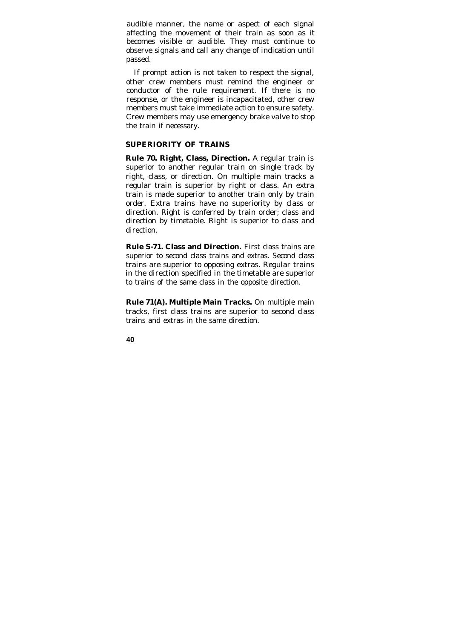audible manner, the name or aspect of each signal affecting the movement of their train as soon as it becomes visible or audible. They must continue to observe signals and call any change of indication until passed.

If prompt action is not taken to respect the signal, other crew members must remind the engineer or conductor of the rule requirement. If there is no response, or the engineer is incapacitated, other crew members must take immediate action to ensure safety. Crew members may use emergency brake valve to stop the train if necessary.

## **SUPERIORITY OF TRAINS**

**Rule 70. Right, Class, Direction.** A regular train is superior to another regular train on single track by right, class, or direction. On multiple main tracks a regular train is superior by right or class. An extra train is made superior to another train only by train order. Extra trains have no superiority by class or direction. Right is conferred by train order; class and direction by timetable. Right is superior to class and direction.

**Rule S-71. Class and Direction.** First class trains are superior to second class trains and extras. Second class trains are superior to opposing extras. Regular trains in the direction specified in the timetable are superior to trains of the same class in the opposite direction.

**Rule 71(A). Multiple Main Tracks.** On multiple main tracks, first class trains are superior to second class trains and extras in the same direction.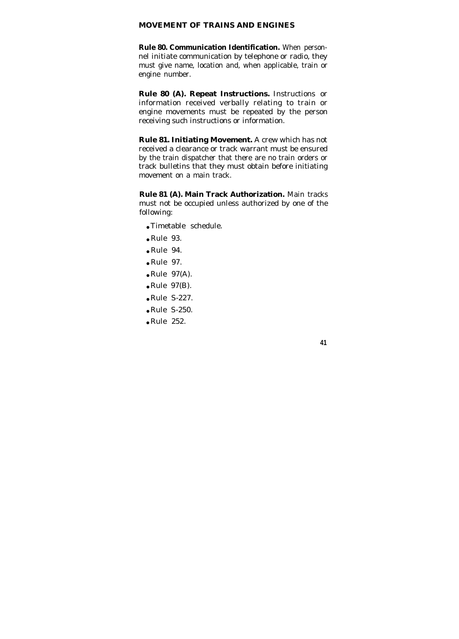## **MOVEMENT OF TRAINS AND ENGINES**

**Rule 80. Communication Identification.** When personnel initiate communication by telephone or radio, they must give name, location and, when applicable, train or engine number.

**Rule 80 (A). Repeat Instructions.** Instructions or information received verbally relating to train or engine movements must be repeated by the person receiving such instructions or information.

**Rule 81. Initiating Movement.** A crew which has not received a clearance or track warrant must be ensured by the train dispatcher that there are no train orders or track bulletins that they must obtain before initiating movement on a main track.

**Rule 81 (A). Main Track Authorization.** Main tracks must not be occupied unless authorized by one of the following:

- Timetable schedule.
- Rule 93.
- $\bullet$  Rule 94.
- Rule 97.
- $\bullet$  Rule 97(A).
- $\bullet$  Rule 97(B).
- Rule S-227.
- $\bullet$  Rule S-250.
- Rule 252.

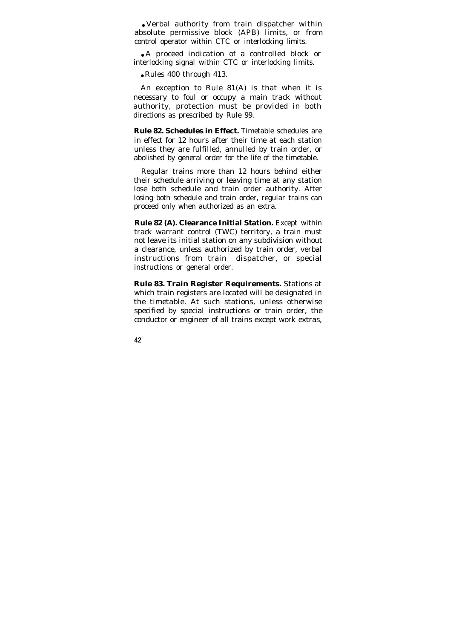● Verbal authority from train dispatcher within absolute permissive block (APB) limits, or from control operator within CTC or interlocking limits.

● A proceed indication of a controlled block or interlocking signal within CTC or interlocking limits.

● Rules 400 through 413.

An exception to Rule 81(A) is that when it is necessary to foul or occupy a main track without authority, protection must be provided in both directions as prescribed by Rule 99.

**Rule 82. Schedules in Effect.** Timetable schedules are in effect for 12 hours after their time at each station unless they are fulfilled, annulled by train order, or abolished by general order for the life of the timetable.

Regular trains more than 12 hours behind either their schedule arriving or leaving time at any station lose both schedule and train order authority. After losing both schedule and train order, regular trains can proceed only when authorized as an extra.

**Rule 82 (A). Clearance Initial Station.** Except within track warrant control (TWC) territory, a train must not leave its initial station on any subdivision without a clearance, unless authorized by train order, verbal instructions from train dispatcher, or special instructions or general order.

**Rule 83. Train Register Requirements.** Stations at which train registers are located will be designated in the timetable. At such stations, unless otherwise specified by special instructions or train order, the conductor or engineer of all trains except work extras,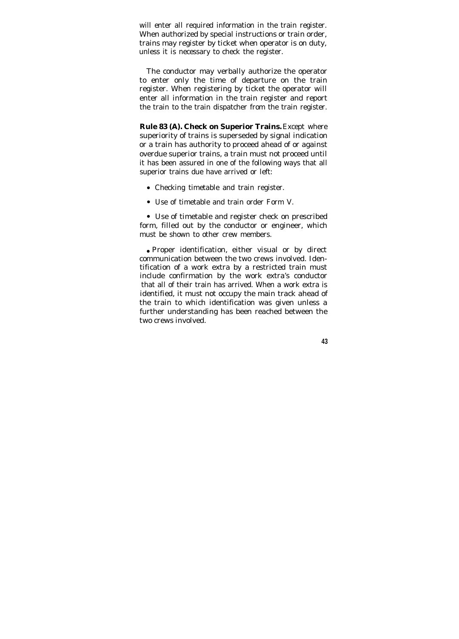will enter all required information in the train register. When authorized by special instructions or train order, trains may register by ticket when operator is on duty, unless it is necessary to check the register.

The conductor may verbally authorize the operator to enter only the time of departure on the train register. When registering by ticket the operator will enter all information in the train register and report the train to the train dispatcher from the train register.

**Rule 83 (A). Check on Superior Trains.** Except where superiority of trains is superseded by signal indication or a train has authority to proceed ahead of or against overdue superior trains, a train must not proceed until it has been assured in one of the following ways that all superior trains due have arrived or left:

- Checking timetable and train register.
- Use of timetable and train order Form V.

● Use of timetable and register check on prescribed form, filled out by the conductor or engineer, which must be shown to other crew members.

● Proper identification, either visual or by direct communication between the two crews involved. Identification of a work extra by a restricted train must include confirmation by the work extra's conductor that all of their train has arrived. When a work extra is identified, it must not occupy the main track ahead of the train to which identification was given unless a further understanding has been reached between the two crews involved.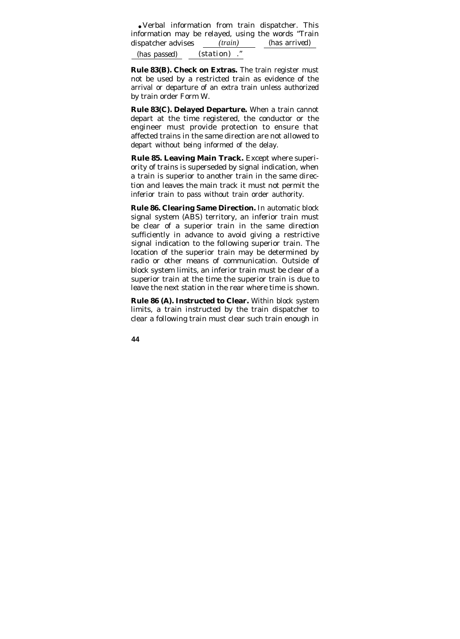● Verbal information from train dispatcher. This information may be relayed, using the words "Train dispatcher advises *(train) (has arrived) (has passed) (station) ."*

**Rule 83(B). Check on Extras.** The train register must not be used by a restricted train as evidence of the arrival or departure of an extra train unless authorized by train order Form W.

**Rule 83(C). Delayed Departure.** When a train cannot depart at the time registered, the conductor or the engineer must provide protection to ensure that affected trains in the same direction are not allowed to depart without being informed of the delay.

**Rule 85. Leaving Main Track.** Except where superiority of trains is superseded by signal indication, when a train is superior to another train in the same direction and leaves the main track it must not permit the inferior train to pass without train order authority.

**Rule 86. Clearing Same Direction.** In automatic block signal system (ABS) territory, an inferior train must be clear of a superior train in the same direction sufficiently in advance to avoid giving a restrictive signal indication to the following superior train. The location of the superior train may be determined by radio or other means of communication. Outside of block system limits, an inferior train must be clear of a superior train at the time the superior train is due to leave the next station in the rear where time is shown.

**Rule 86 (A). Instructed to Clear.** Within block system limits, a train instructed by the train dispatcher to clear a following train must clear such train enough in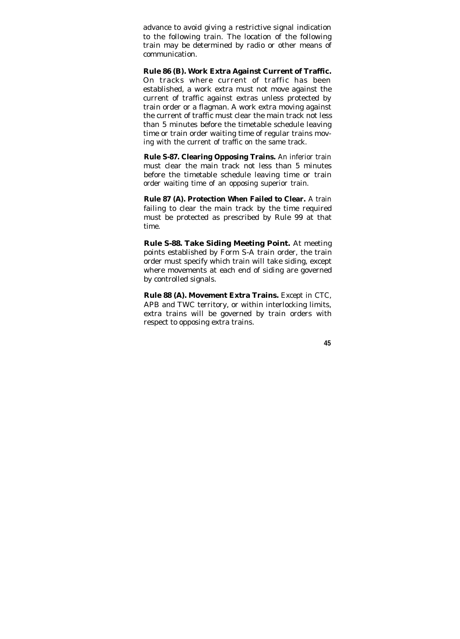advance to avoid giving a restrictive signal indication to the following train. The location of the following train may be determined by radio or other means of communication.

**Rule 86 (B). Work Extra Against Current of Traffic.** On tracks where current of traffic has been established, a work extra must not move against the current of traffic against extras unless protected by train order or a flagman. A work extra moving against the current of traffic must clear the main track not less than 5 minutes before the timetable schedule leaving time or train order waiting time of regular trains moving with the current of traffic on the same track.

**Rule S-87. Clearing Opposing Trains.** An inferior train must clear the main track not less than 5 minutes before the timetable schedule leaving time or train order waiting time of an opposing superior train.

**Rule 87 (A). Protection When Failed to Clear.** A train failing to clear the main track by the time required must be protected as prescribed by Rule 99 at that time.

**Rule S-88. Take Siding Meeting Point.** At meeting points established by Form S-A train order, the train order must specify which train will take siding, except where movements at each end of siding are governed by controlled signals.

**Rule 88 (A). Movement Extra Trains.** Except in CTC, APB and TWC territory, or within interlocking limits, extra trains will be governed by train orders with respect to opposing extra trains.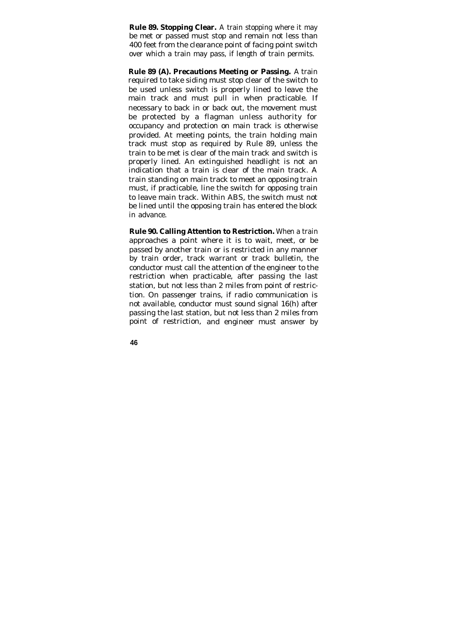**Rule 89. Stopping Clear.** A train stopping where it may be met or passed must stop and remain not less than 400 feet from the clearance point of facing point switch over which a train may pass, if length of train permits.

**Rule 89 (A). Precautions Meeting or Passing.** A train required to take siding must stop clear of the switch to be used unless switch is properly lined to leave the main track and must pull in when practicable. If necessary to back in or back out, the movement must be protected by a flagman unless authority for occupancy and protection on main track is otherwise provided. At meeting points, the train holding main track must stop as required by Rule 89, unless the train to be met is clear of the main track and switch is properly lined. An extinguished headlight is not an indication that a train is clear of the main track. A train standing on main track to meet an opposing train must, if practicable, line the switch for opposing train to leave main track. Within ABS, the switch must not be lined until the opposing train has entered the block in advance.

**Rule 90. Calling Attention to Restriction.** When a train approaches a point where it is to wait, meet, or be passed by another train or is restricted in any manner by train order, track warrant or track bulletin, the conductor must call the attention of the engineer to the restriction when practicable, after passing the last station, but not less than 2 miles from point of restriction. On passenger trains, if radio communication is not available, conductor must sound signal 16(h) after passing the last station, but not less than 2 miles from point of restriction, and engineer must answer by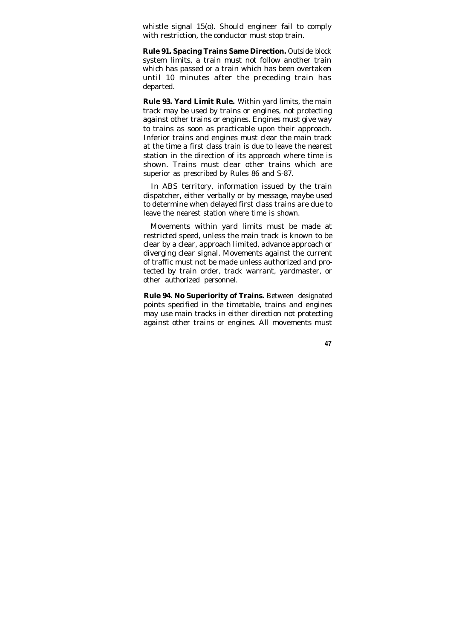whistle signal 15(o). Should engineer fail to comply with restriction, the conductor must stop train.

**Rule 91. Spacing Trains Same Direction.** Outside block system limits, a train must not follow another train which has passed or a train which has been overtaken until 10 minutes after the preceding train has departed.

**Rule 93. Yard Limit Rule.** Within yard limits, the main track may be used by trains or engines, not protecting against other trains or engines. Engines must give way to trains as soon as practicable upon their approach. Inferior trains and engines must clear the main track at the time a first class train is due to leave the nearest station in the direction of its approach where time is shown. Trains must clear other trains which are superior as prescribed by Rules 86 and S-87.

In ABS territory, information issued by the train dispatcher, either verbally or by message, maybe used to determine when delayed first class trains are due to leave the nearest station where time is shown.

Movements within yard limits must be made at restricted speed, unless the main track is known to be clear by a clear, approach limited, advance approach or diverging clear signal. Movements against the current of traffic must not be made unless authorized and protected by train order, track warrant, yardmaster, or other authorized personnel.

**Rule 94. No Superiority of Trains.** Between designated points specified in the timetable, trains and engines may use main tracks in either direction not protecting against other trains or engines. All movements must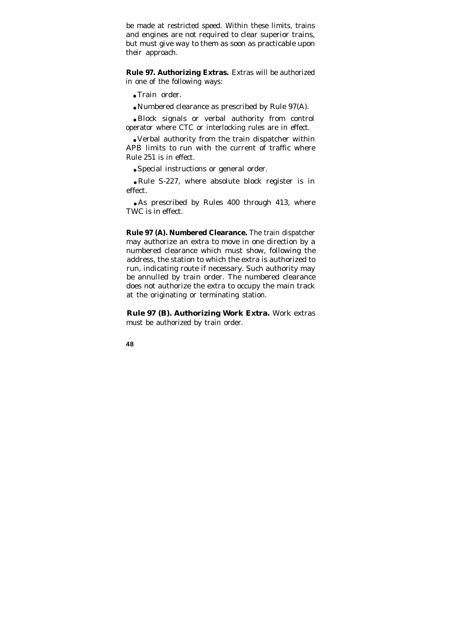be made at restricted speed. Within these limits, trains and engines are not required to clear superior trains, but must give way to them as soon as practicable upon their approach.

**Rule 97. Authorizing Extras.** Extras will be authorized in one of the following ways:

- Train order.
- Numbered clearance as prescribed by Rule 97(A).

● Block signals or verbal authority from control operator where CTC or interlocking rules are in effect.

● Verbal authority from the train dispatcher within APB limits to run with the current of traffic where Rule 251 is in effect.

● Special instructions or general order.

● Rule S-227, where absolute block register is in effect.

• As prescribed by Rules 400 through 413, where TWC is in effect.

**Rule 97 (A). Numbered Clearance.** The train dispatcher may authorize an extra to move in one direction by a numbered clearance which must show, following the address, the station to which the extra is authorized to run, indicating route if necessary. Such authority may be annulled by train order. The numbered clearance does not authorize the extra to occupy the main track at the originating or terminating station.

**Rule 97 (B). Authorizing Work Extra.** Work extras must be authorized by train order.

**48**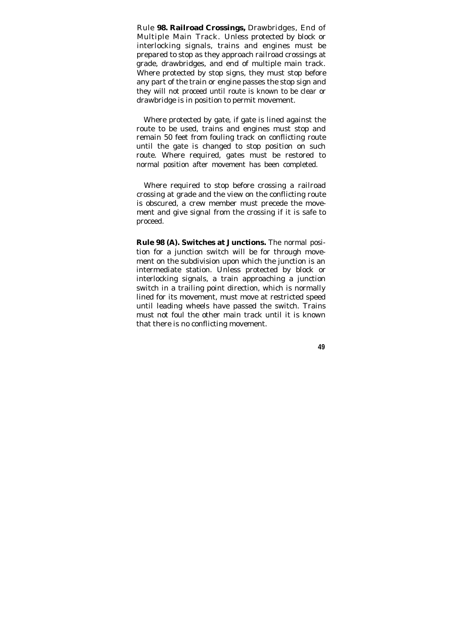Rule **98. Railroad Crossings,** Drawbridges, End of Multiple Main Track. Unless protected by block or interlocking signals, trains and engines must be prepared to stop as they approach railroad crossings at grade, drawbridges, and end of multiple main track. Where protected by stop signs, they must stop before any part of the train or engine passes the stop sign and they will not proceed until route is known to be clear or drawbridge is in position to permit movement.

Where protected by gate, if gate is lined against the route to be used, trains and engines must stop and remain 50 feet from fouling track on conflicting route until the gate is changed to stop position on such route. Where required, gates must be restored to normal position after movement has been completed.

Where required to stop before crossing a railroad crossing at grade and the view on the conflicting route is obscured, a crew member must precede the movement and give signal from the crossing if it is safe to proceed.

**Rule 98 (A). Switches at Junctions.** The normal position for a junction switch will be for through movement on the subdivision upon which the junction is an intermediate station. Unless protected by block or interlocking signals, a train approaching a junction switch in a trailing point direction, which is normally lined for its movement, must move at restricted speed until leading wheels have passed the switch. Trains must not foul the other main track until it is known that there is no conflicting movement.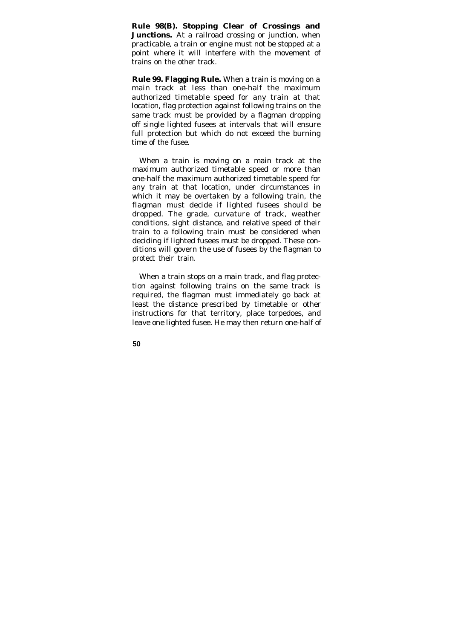**Rule 98(B). Stopping Clear of Crossings and Junctions.** At a railroad crossing or junction, when practicable, a train or engine must not be stopped at a point where it will interfere with the movement of trains on the other track.

**Rule 99. Flagging Rule.** When a train is moving on a main track at less than one-half the maximum authorized timetable speed for any train at that location, flag protection against following trains on the same track must be provided by a flagman dropping off single lighted fusees at intervals that will ensure full protection but which do not exceed the burning time of the fusee.

When a train is moving on a main track at the maximum authorized timetable speed or more than one-half the maximum authorized timetable speed for any train at that location, under circumstances in which it may be overtaken by a following train, the flagman must decide if lighted fusees should be dropped. The grade, curvature of track, weather conditions, sight distance, and relative speed of their train to a following train must be considered when deciding if lighted fusees must be dropped. These conditions will govern the use of fusees by the flagman to protect their train.

When a train stops on a main track, and flag protection against following trains on the same track is required, the flagman must immediately go back at least the distance prescribed by timetable or other instructions for that territory, place torpedoes, and leave one lighted fusee. He may then return one-half of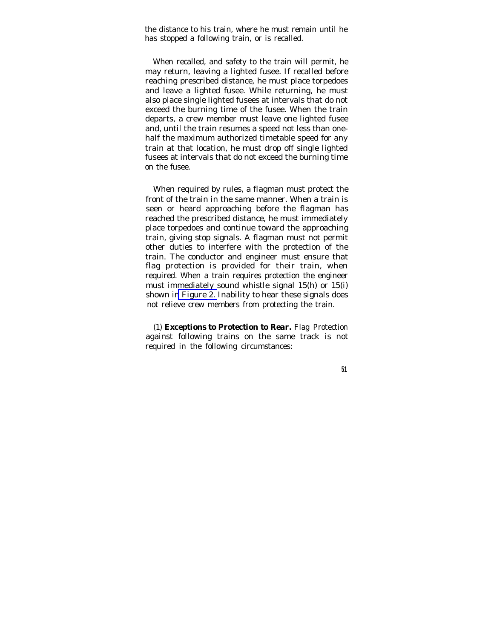the distance to his train, where he must remain until he has stopped a following train, or is recalled.

When recalled, and safety to the train will permit, he may return, leaving a lighted fusee. If recalled before reaching prescribed distance, he must place torpedoes and leave a lighted fusee. While returning, he must also place single lighted fusees at intervals that do not exceed the burning time of the fusee. When the train departs, a crew member must leave one lighted fusee and, until the train resumes a speed not less than onehalf the maximum authorized timetable speed for any train at that location, he must drop off single lighted fusees at intervals that do not exceed the burning time on the fusee.

When required by rules, a flagman must protect the front of the train in the same manner. When a train is seen or heard approaching before the flagman has reached the prescribed distance, he must immediately place torpedoes and continue toward the approaching train, giving stop signals. A flagman must not permit other duties to interfere with the protection of the train. The conductor and engineer must ensure that flag protection is provided for their train, when required. When a train requires protection the engineer must immediately sound whistle signal 15(h) or 15(i) shown i[n Figure 2.](#page-29-0) Inability to hear these signals does not relieve crew members from protecting the train.

(1) *Exceptions to Protection to Rear.* Flag Protection against following trains on the same track is not required in the following circumstances: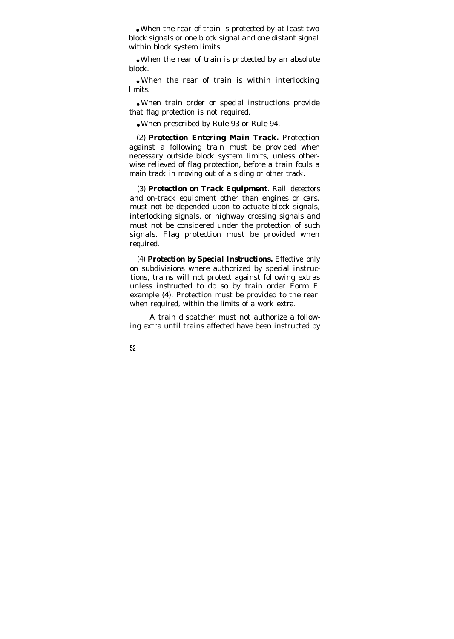● When the rear of train is protected by at least two block signals or one block signal and one distant signal within block system limits.

● When the rear of train is protected by an absolute block.

• When the rear of train is within interlocking limits.

● When train order or special instructions provide that flag protection is not required.

● When prescribed by Rule 93 or Rule 94.

(2) *Protection Entering Main Track.* Protection against a following train must be provided when necessary outside block system limits, unless otherwise relieved of flag protection, before a train fouls a main track in moving out of a siding or other track.

(3) *Protection on Track Equipment.* Rail detectors and on-track equipment other than engines or cars, must not be depended upon to actuate block signals, interlocking signals, or highway crossing signals and must not be considered under the protection of such signals. Flag protection must be provided when required.

(4) *Protection by Special Instructions.* Effective only on subdivisions where authorized by special instructions, trains will not protect against following extras unless instructed to do so by train order Form F example (4). Protection must be provided to the rear. when required, within the limits of a work extra.

A train dispatcher must not authorize a following extra until trains affected have been instructed by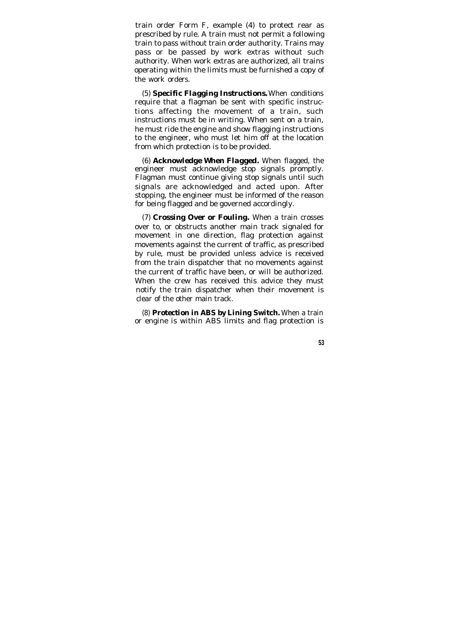train order Form F, example (4) to protect rear as prescribed by rule. A train must not permit a following train to pass without train order authority. Trains may pass or be passed by work extras without such authority. When work extras are authorized, all trains operating within the limits must be furnished a copy of the work orders.

(5) *Specific Flagging Instructions.* When conditions require that a flagman be sent with specific instructions affecting the movement of a train, such instructions must be in writing. When sent on a train, he must ride the engine and show flagging instructions to the engineer, who must let him off at the location from which protection is to be provided.

(6) *Acknowledge When Flagged.* When flagged, the engineer must acknowledge stop signals promptly. Flagman must continue giving stop signals until such signals are acknowledged and acted upon. After stopping, the engineer must be informed of the reason for being flagged and be governed accordingly.

(7) *Crossing Over or Fouling.* When a train crosses over to, or obstructs another main track signaled for movement in one direction, flag protection against movements against the current of traffic, as prescribed by rule, must be provided unless advice is received from the train dispatcher that no movements against the current of traffic have been, or will be authorized. When the crew has received this advice they must notify the train dispatcher when their movement is clear of the other main track.

(8) *Protection in ABS by Lining Switch.* When a train or engine is within ABS limits and flag protection is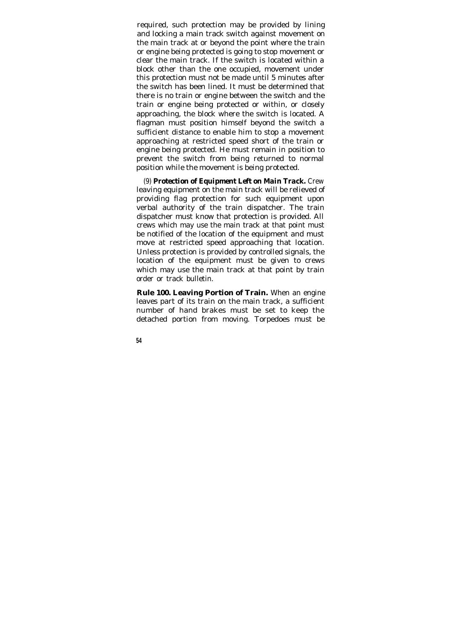required, such protection may be provided by lining and locking a main track switch against movement on the main track at or beyond the point where the train or engine being protected is going to stop movement or clear the main track. If the switch is located within a block other than the one occupied, movement under this protection must not be made until 5 minutes after the switch has been lined. It must be determined that there is no train or engine between the switch and the train or engine being protected or within, or closely approaching, the block where the switch is located. A flagman must position himself beyond the switch a sufficient distance to enable him to stop a movement approaching at restricted speed short of the train or engine being protected. He must remain in position to prevent the switch from being returned to normal position while the movement is being protected.

(9) *Protection of Equipment Left on Main Track.* Crew leaving equipment on the main track will be relieved of providing flag protection for such equipment upon verbal authority of the train dispatcher. The train dispatcher must know that protection is provided. All crews which may use the main track at that point must be notified of the location of the equipment and must move at restricted speed approaching that location. Unless protection is provided by controlled signals, the location of the equipment must be given to crews which may use the main track at that point by train order or track bulletin.

**Rule 100. Leaving Portion of Train.** When an engine leaves part of its train on the main track, a sufficient number of hand brakes must be set to keep the detached portion from moving. Torpedoes must be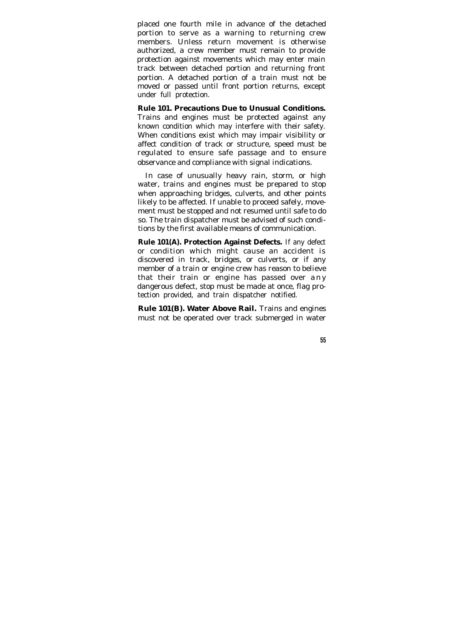placed one fourth mile in advance of the detached portion to serve as a warning to returning crew members. Unless return movement is otherwise authorized, a crew member must remain to provide protection against movements which may enter main track between detached portion and returning front portion. A detached portion of a train must not be moved or passed until front portion returns, except under full protection.

**Rule 101. Precautions Due to Unusual Conditions.** Trains and engines must be protected against any known condition which may interfere with their safety. When conditions exist which may impair visibility or affect condition of track or structure, speed must be regulated to ensure safe passage and to ensure observance and compliance with signal indications.

In case of unusually heavy rain, storm, or high water, trains and engines must be prepared to stop when approaching bridges, culverts, and other points likely to be affected. If unable to proceed safely, movement must be stopped and not resumed until safe to do so. The train dispatcher must be advised of such conditions by the first available means of communication.

**Rule 101(A). Protection Against Defects.** If any defect or condition which might cause an accident is discovered in track, bridges, or culverts, or if any member of a train or engine crew has reason to believe that their train or engine has passed over any dangerous defect, stop must be made at once, flag protection provided, and train dispatcher notified.

**Rule 101(B). Water Above Rail.** Trains and engines must not be operated over track submerged in water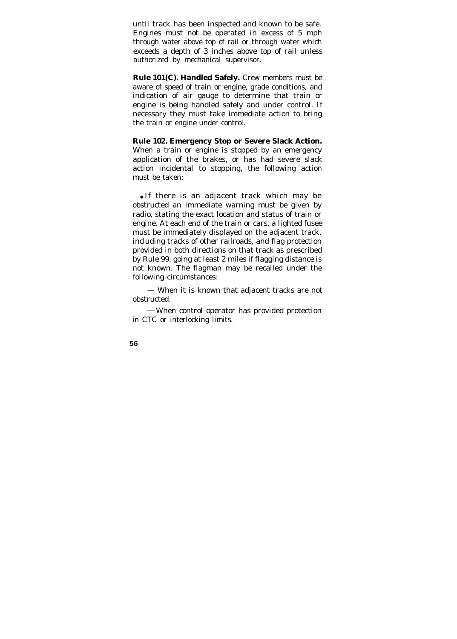until track has been inspected and known to be safe. Engines must not be operated in excess of 5 mph through water above top of rail or through water which exceeds a depth of 3 inches above top of rail unless authorized by mechanical supervisor.

**Rule 101(C). Handled Safely.** Crew members must be aware of speed of train or engine, grade conditions, and indication of air gauge to determine that train or engine is being handled safely and under control. If necessary they must take immediate action to bring the train or engine under control.

**Rule 102. Emergency Stop or Severe Slack Action.** When a train or engine is stopped by an emergency application of the brakes, or has had severe slack action incidental to stopping, the following action must be taken:

● If there is an adjacent track which may be obstructed an immediate warning must be given by radio, stating the exact location and status of train or engine. At each end of the train or cars, a lighted fusee must be immediately displayed on the adjacent track, including tracks of other railroads, and flag protection provided in both directions on that track as prescribed by Rule 99, going at least 2 miles if flagging distance is not known. The flagman may be recalled under the following circumstances:

— When it is known that adjacent tracks are not obstructed.

 When control operator has provided protection in CTC or interlocking limits.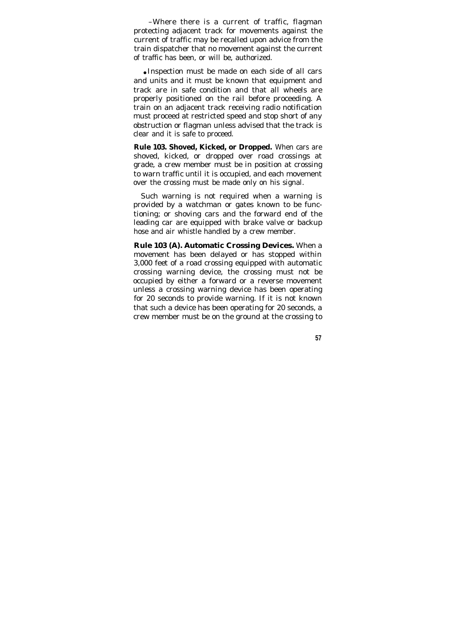–Where there is a current of traffic, flagman protecting adjacent track for movements against the current of traffic may be recalled upon advice from the train dispatcher that no movement against the current of traffic has been, or will be, authorized.

● Inspection must be made on each side of all cars and units and it must be known that equipment and track are in safe condition and that all wheels are properly positioned on the rail before proceeding. A train on an adjacent track receiving radio notification must proceed at restricted speed and stop short of any obstruction or flagman unless advised that the track is clear and it is safe to proceed.

**Rule 103. Shoved, Kicked, or Dropped.** When cars are shoved, kicked, or dropped over road crossings at grade, a crew member must be in position at crossing to warn traffic until it is occupied, and each movement over the crossing must be made only on his signal.

Such warning is not required when a warning is provided by a watchman or gates known to be functioning; or shoving cars and the forward end of the leading car are equipped with brake valve or backup hose and air whistle handled by a crew member.

**Rule 103 (A). Automatic Crossing Devices.** When a movement has been delayed or has stopped within 3,000 feet of a road crossing equipped with automatic crossing warning device, the crossing must not be occupied by either a forward or a reverse movement unless a crossing warning device has been operating for 20 seconds to provide warning. If it is not known that such a device has been operating for 20 seconds, a crew member must be on the ground at the crossing to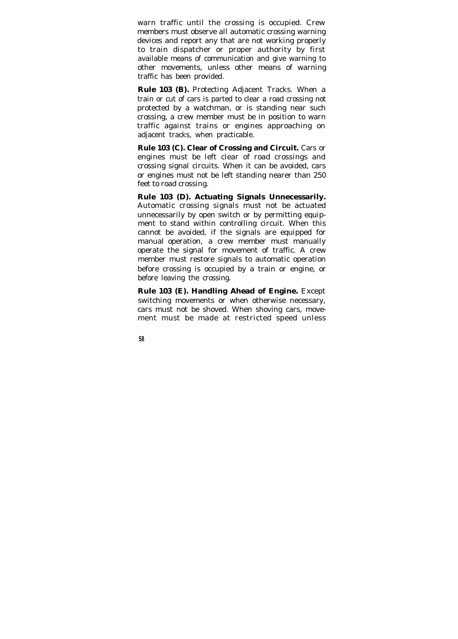warn traffic until the crossing is occupied. Crew members must observe all automatic crossing warning devices and report any that are not working properly to train dispatcher or proper authority by first available means of communication and give warning to other movements, unless other means of warning traffic has been provided.

**Rule 103 (B).** Protecting Adjacent Tracks. When a train or cut of cars is parted to clear a road crossing not protected by a watchman, or is standing near such crossing, a crew member must be in position to warn traffic against trains or engines approaching on adjacent tracks, when practicable.

**Rule 103 (C). Clear of Crossing and Circuit.** Cars or engines must be left clear of road crossings and crossing signal circuits. When it can be avoided, cars or engines must not be left standing nearer than 250 feet to road crossing.

**Rule 103 (D). Actuating Signals Unnecessarily.** Automatic crossing signals must not be actuated unnecessarily by open switch or by permitting equipment to stand within controlling circuit. When this cannot be avoided, if the signals are equipped for manual operation, a crew member must manually operate the signal for movement of traffic. A crew member must restore signals to automatic operation before crossing is occupied by a train or engine, or before leaving the crossing.

**Rule 103 (E). Handling Ahead of Engine.** Except switching movements or when otherwise necessary, cars must not be shoved. When shoving cars, movement must be made at restricted speed unless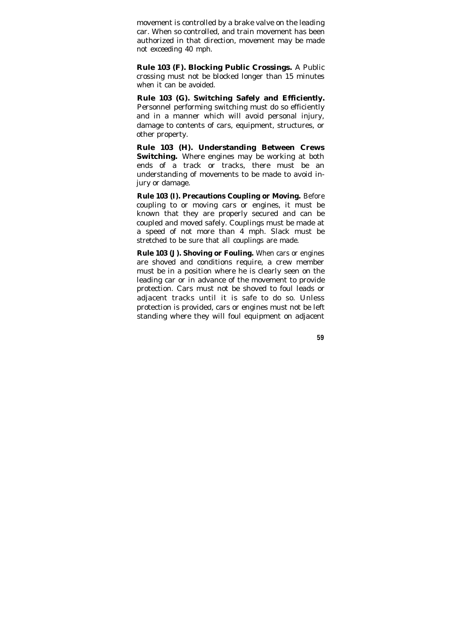movement is controlled by a brake valve on the leading car. When so controlled, and train movement has been authorized in that direction, movement may be made not exceeding 40 mph.

**Rule 103 (F). Blocking Public Crossings.** A Public crossing must not be blocked longer than 15 minutes when it can be avoided.

**Rule 103 (G). Switching Safely and Efficiently.** Personnel performing switching must do so efficiently and in a manner which will avoid personal injury, damage to contents of cars, equipment, structures, or other property.

**Rule 103 (H). Understanding Between Crews Switching.** Where engines may be working at both ends of a track or tracks, there must be an understanding of movements to be made to avoid injury or damage.

**Rule 103 (I). Precautions Coupling or Moving.** Before coupling to or moving cars or engines, it must be known that they are properly secured and can be coupled and moved safely. Couplings must be made at a speed of not more than 4 mph. Slack must be stretched to be sure that all couplings are made.

**Rule 103 (J). Shoving or Fouling.** When cars or engines are shoved and conditions require, a crew member must be in a position where he is clearly seen on the leading car or in advance of the movement to provide protection. Cars must not be shoved to foul leads or adjacent tracks until it is safe to do so. Unless protection is provided, cars or engines must not be left standing where they will foul equipment on adjacent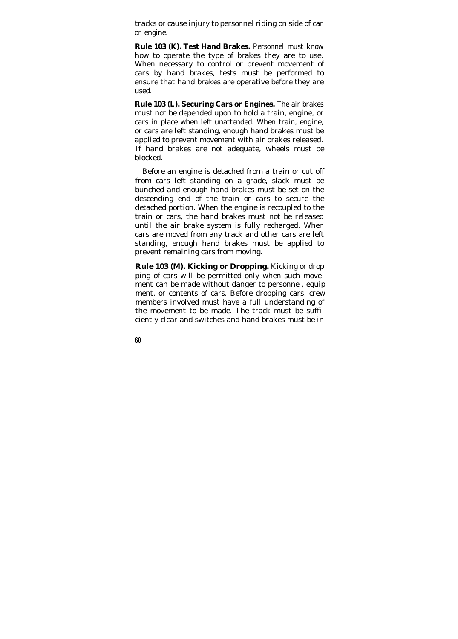tracks or cause injury to personnel riding on side of car or engine.

**Rule 103 (K). Test Hand Brakes.** Personnel must know how to operate the type of brakes they are to use. When necessary to control or prevent movement of cars by hand brakes, tests must be performed to ensure that hand brakes are operative before they are used.

**Rule 103 (L). Securing Cars or Engines.** The air brakes must not be depended upon to hold a train, engine, or cars in place when left unattended. When train, engine, or cars are left standing, enough hand brakes must be applied to prevent movement with air brakes released. If hand brakes are not adequate, wheels must be blocked.

Before an engine is detached from a train or cut off from cars left standing on a grade, slack must be bunched and enough hand brakes must be set on the descending end of the train or cars to secure the detached portion. When the engine is recoupled to the train or cars, the hand brakes must not be released until the air brake system is fully recharged. When cars are moved from any track and other cars are left standing, enough hand brakes must be applied to prevent remaining cars from moving.

**Rule 103 (M). Kicking or Dropping.** Kicking or drop ping of cars will be permitted only when such movement can be made without danger to personnel, equip ment, or contents of cars. Before dropping cars, crew members involved must have a full understanding of the movement to be made. The track must be sufficiently clear and switches and hand brakes must be in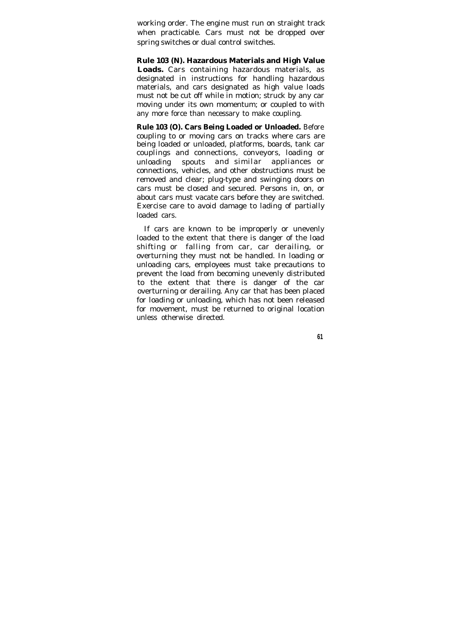working order. The engine must run on straight track when practicable. Cars must not be dropped over spring switches or dual control switches.

**Rule 103 (N). Hazardous Materials and High Value Loads.** Cars containing hazardous materials, as designated in instructions for handling hazardous materials, and cars designated as high value loads must not be cut off while in motion; struck by any car moving under its own momentum; or coupled to with any more force than necessary to make coupling.

**Rule 103 (O). Cars Being Loaded or Unloaded.** Before coupling to or moving cars on tracks where cars are being loaded or unloaded, platforms, boards, tank car couplings and connections, conveyors, loading or unloading spouts and similar appliances or connections, vehicles, and other obstructions must be removed and clear; plug-type and swinging doors on cars must be closed and secured. Persons in, on, or about cars must vacate cars before they are switched. Exercise care to avoid damage to lading of partially loaded cars.

If cars are known to be improperly or unevenly loaded to the extent that there is danger of the load shifting or falling from car, car derailing, or overturning they must not be handled. In loading or unloading cars, employees must take precautions to prevent the load from becoming unevenly distributed to the extent that there is danger of the car overturning or derailing. Any car that has been placed for loading or unloading, which has not been released for movement, must be returned to original location unless otherwise directed.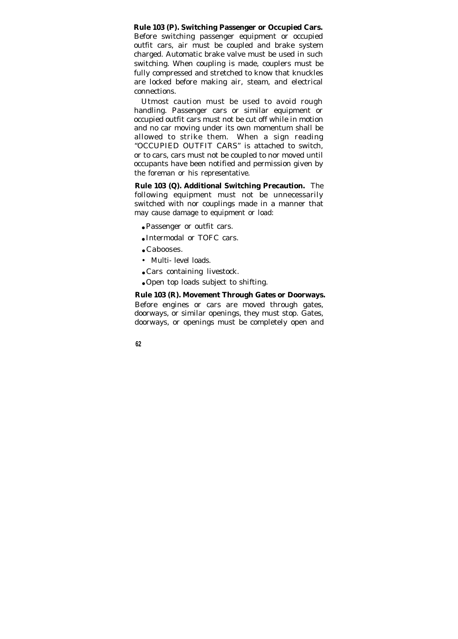**Rule 103 (P). Switching Passenger or Occupied Cars.** Before switching passenger equipment or occupied outfit cars, air must be coupled and brake system charged. Automatic brake valve must be used in such switching. When coupling is made, couplers must be fully compressed and stretched to know that knuckles are locked before making air, steam, and electrical connections.

Utmost caution must be used to avoid rough handling. Passenger cars or similar equipment or occupied outfit cars must not be cut off while in motion and no car moving under its own momentum shall be allowed to strike them. When a sign reading "OCCUPIED OUTFIT CARS" is attached to switch, or to cars, cars must not be coupled to nor moved until occupants have been notified and permission given by the foreman or his representative.

**Rule 103 (Q). Additional Switching Precaution.** The following equipment must not be unnecessarily switched with nor couplings made in a manner that may cause damage to equipment or load:

- Passenger or outfit cars.
- Intermodal or TOFC cars.
- Cabooses.
- Multi- level loads.
- Cars containing livestock.
- Open top loads subject to shifting.

**Rule 103 (R). Movement Through Gates or Doorways.** Before engines or cars are moved through gates, doorways, or similar openings, they must stop. Gates, doorways, or openings must be completely open and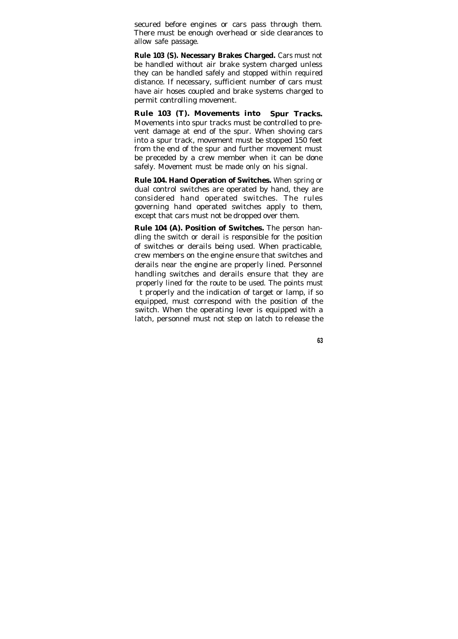secured before engines or cars pass through them. There must be enough overhead or side clearances to allow safe passage.

**Rule 103 (S). Necessary Brakes Charged.** Cars must not be handled without air brake system charged unless they can be handled safely and stopped within required distance. If necessary, sufficient number of cars must have air hoses coupled and brake systems charged to permit controlling movement.

**Rule 103 (T). Movements into Spur Tracks.** Movements into spur tracks must be controlled to prevent damage at end of the spur. When shoving cars into a spur track, movement must be stopped 150 feet from the end of the spur and further movement must be preceded by a crew member when it can be done safely. Movement must be made only on his signal.

**Rule 104. Hand Operation of Switches.** When spring or dual control switches are operated by hand, they are considered hand operated switches. The rules governing hand operated switches apply to them, except that cars must not be dropped over them.

**Rule 104 (A). Position of Switches.** The person handling the switch or derail is responsible for the position of switches or derails being used. When practicable, crew members on the engine ensure that switches and derails near the engine are properly lined. Personnel handling switches and derails ensure that they are properly lined for the route to be used. The points must t properly and the indication of target or lamp, if so equipped, must correspond with the position of the switch. When the operating lever is equipped with a latch, personnel must not step on latch to release the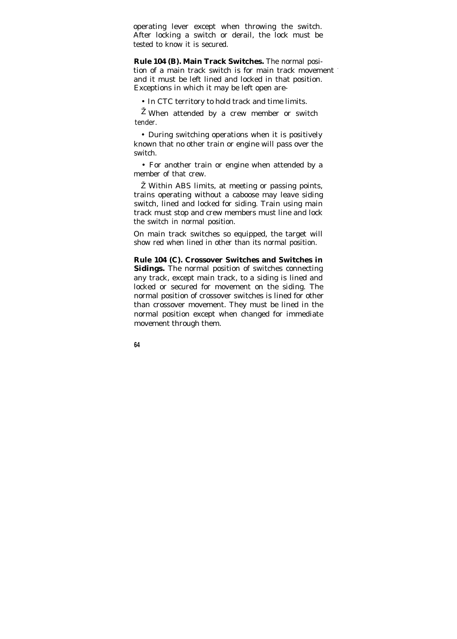operating lever except when throwing the switch. After locking a switch or derail, the lock must be tested to know it is secured.

**Rule 104 (B). Main Track Switches.** The normal position of a main track switch is for main track movement and it must be left lined and locked in that position. Exceptions in which it may be left open are-

• In CTC territory to hold track and time limits.

Ž When attended by a crew member or switch tender.

• During switching operations when it is positively known that no other train or engine will pass over the switch.

• For another train or engine when attended by a member of that crew.

Ž Within ABS limits, at meeting or passing points, trains operating without a caboose may leave siding switch, lined and locked for siding. Train using main track must stop and crew members must line and lock the switch in normal position.

On main track switches so equipped, the target will show red when lined in other than its normal position.

**Rule 104 (C). Crossover Switches and Switches in Sidings.** The normal position of switches connecting any track, except main track, to a siding is lined and locked or secured for movement on the siding. The normal position of crossover switches is lined for other than crossover movement. They must be lined in the normal position except when changed for immediate movement through them.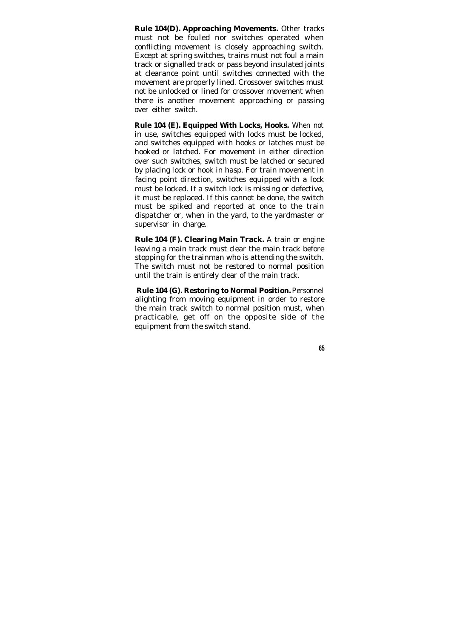**Rule 104(D). Approaching Movements.** Other tracks must not be fouled nor switches operated when conflicting movement is closely approaching switch. Except at spring switches, trains must not foul a main track or signalled track or pass beyond insulated joints at clearance point until switches connected with the movement are properly lined. Crossover switches must not be unlocked or lined for crossover movement when there is another movement approaching or passing over either switch.

**Rule 104 (E). Equipped With Locks, Hooks.** When not in use, switches equipped with locks must be locked, and switches equipped with hooks or latches must be hooked or latched. For movement in either direction over such switches, switch must be latched or secured by placing lock or hook in hasp. For train movement in facing point direction, switches equipped with a lock must be locked. If a switch lock is missing or defective, it must be replaced. If this cannot be done, the switch must be spiked and reported at once to the train dispatcher or, when in the yard, to the yardmaster or supervisor in charge.

**Rule 104 (F). Clearing Main Track.** A train or engine leaving a main track must clear the main track before stopping for the trainman who is attending the switch. The switch must not be restored to normal position until the train is entirely clear of the main track.

**Rule 104 (G). Restoring to Normal Position.** Personnel alighting from moving equipment in order to restore the main track switch to normal position must, when practicable, get off on the opposite side of the equipment from the switch stand.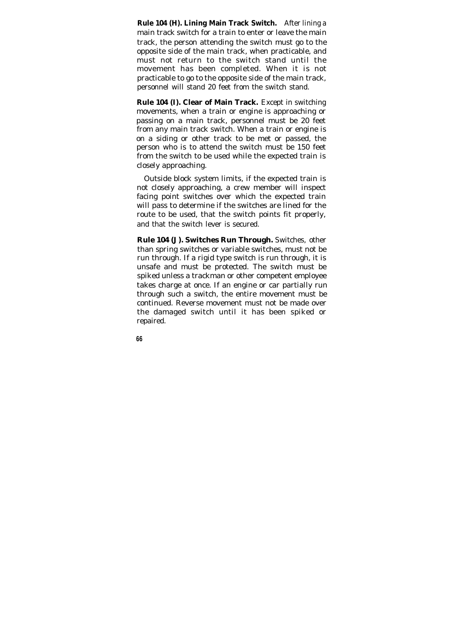**Rule 104 (H). Lining Main Track Switch.** After lining a main track switch for a train to enter or leave the main track, the person attending the switch must go to the opposite side of the main track, when practicable, and must not return to the switch stand until the movement has been completed. When it is not practicable to go to the opposite side of the main track, personnel will stand 20 feet from the switch stand.

**Rule 104 (I). Clear of Main Track.** Except in switching movements, when a train or engine is approaching or passing on a main track, personnel must be 20 feet from any main track switch. When a train or engine is on a siding or other track to be met or passed, the person who is to attend the switch must be 150 feet from the switch to be used while the expected train is closely approaching.

Outside block system limits, if the expected train is not closely approaching, a crew member will inspect facing point switches over which the expected train will pass to determine if the switches are lined for the route to be used, that the switch points fit properly, and that the switch lever is secured.

**Rule 104 (J). Switches Run Through.** Switches, other than spring switches or variable switches, must not be run through. If a rigid type switch is run through, it is unsafe and must be protected. The switch must be spiked unless a trackman or other competent employee takes charge at once. If an engine or car partially run through such a switch, the entire movement must be continued. Reverse movement must not be made over the damaged switch until it has been spiked or repaired.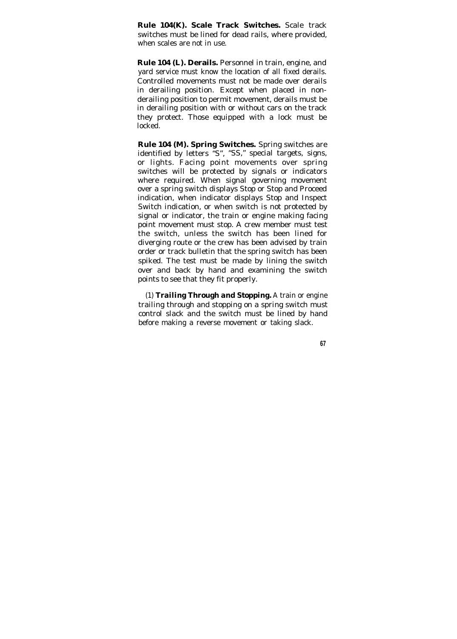**Rule 104(K). Scale Track Switches.** Scale track switches must be lined for dead rails, where provided, when scales are not in use.

**Rule 104 (L). Derails.** Personnel in train, engine, and yard service must know the location of all fixed derails. Controlled movements must not be made over derails in derailing position. Except when placed in nonderailing position to permit movement, derails must be in derailing position with or without cars on the track they protect. Those equipped with a lock must be locked.

**Rule 104 (M). Spring Switches.** Spring switches are identified by letters "S", "SS," special targets, signs, or lights. Facing point movements over spring switches will be protected by signals or indicators where required. When signal governing movement over a spring switch displays Stop or Stop and Proceed indication, when indicator displays Stop and Inspect Switch indication, or when switch is not protected by signal or indicator, the train or engine making facing point movement must stop. A crew member must test the switch, unless the switch has been lined for diverging route or the crew has been advised by train order or track bulletin that the spring switch has been spiked. The test must be made by lining the switch over and back by hand and examining the switch points to see that they fit properly.

(1) *Trailing Through and Stopping.* A train or engine trailing through and stopping on a spring switch must control slack and the switch must be lined by hand before making a reverse movement or taking slack.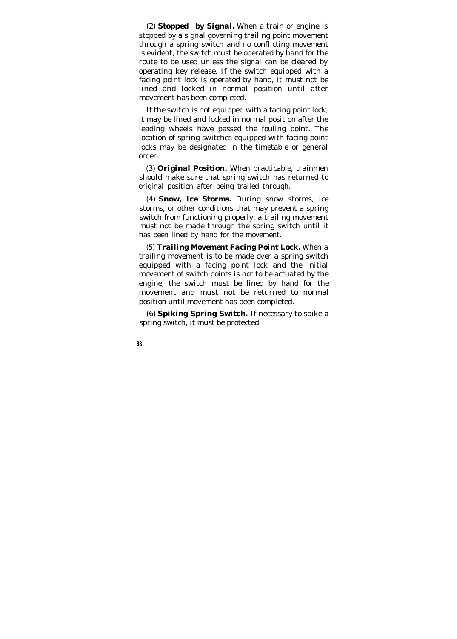(2) *Stopped by Signal.* When a train or engine is stopped by a signal governing trailing point movement through a spring switch and no conflicting movement is evident, the switch must be operated by hand for the route to be used unless the signal can be cleared by operating key release. If the switch equipped with a facing point lock is operated by hand, it must not be lined and locked in normal position until after movement has been completed.

If the switch is not equipped with a facing point lock, it may be lined and locked in normal position after the leading wheels have passed the fouling point. The location of spring switches equipped with facing point locks may be designated in the timetable or general order.

(3) *Original Position.* When practicable, trainmen should make sure that spring switch has returned to original position after being trailed through.

(4) *Snow, Ice Storms.* During snow storms, ice storms, or other conditions that may prevent a spring switch from functioning properly, a trailing movement must not be made through the spring switch until it has been lined by hand for the movement.

(5) *Trailing Movement Facing Point Lock.* When a trailing movement is to be made over a spring switch equipped with a facing point lock and the initial movement of switch points is not to be actuated by the engine, the switch must be lined by hand for the movement and must not be returned to normal position until movement has been completed.

(6) *Spiking Spring Switch.* If necessary to spike a spring switch, it must be protected.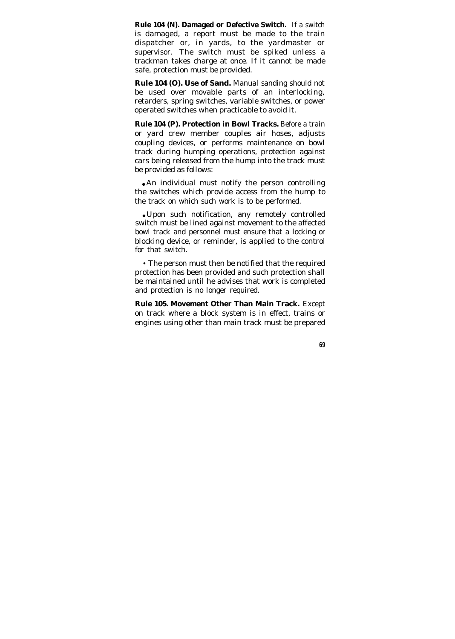**Rule 104 (N). Damaged or Defective Switch.** If a switch is damaged, a report must be made to the train dispatcher or, in yards, to the yardmaster or supervisor. The switch must be spiked unless a trackman takes charge at once. If it cannot be made safe, protection must be provided.

**Rule 104 (O). Use of Sand.** Manual sanding should not be used over movable parts of an interlocking, retarders, spring switches, variable switches, or power operated switches when practicable to avoid it.

**Rule 104 (P). Protection in Bowl Tracks.** Before a train or yard crew member couples air hoses, adjusts coupling devices, or performs maintenance on bowl track during humping operations, protection against cars being released from the hump into the track must be provided as follows:

● An individual must notify the person controlling the switches which provide access from the hump to the track on which such work is to be performed.

● Upon such notification, any remotely controlled switch must be lined against movement to the affected bowl track and personnel must ensure that a locking or blocking device, or reminder, is applied to the control for that switch.

• The person must then be notified that the required protection has been provided and such protection shall be maintained until he advises that work is completed and protection is no longer required.

**Rule 105. Movement Other Than Main Track.** Except on track where a block system is in effect, trains or engines using other than main track must be prepared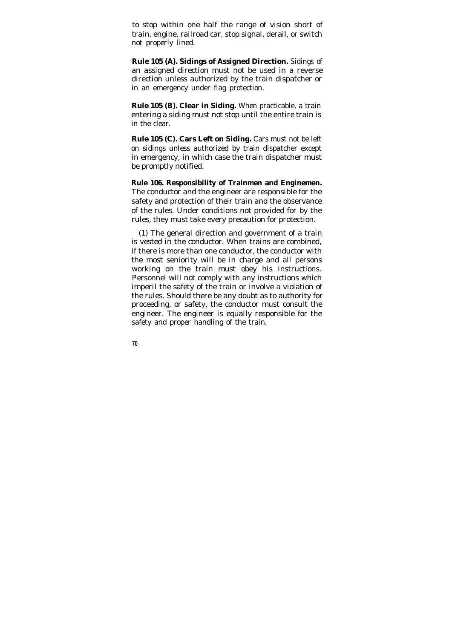to stop within one half the range of vision short of train, engine, railroad car, stop signal, derail, or switch not properly lined.

**Rule 105 (A). Sidings of Assigned Direction.** Sidings of an assigned direction must not be used in a reverse direction unless authorized by the train dispatcher or in an emergency under flag protection.

**Rule 105 (B). Clear in Siding.** When practicable, a train entering a siding must not stop until the entire train is in the clear.

**Rule 105 (C). Cars Left on Siding.** Cars must not be left on sidings unless authorized by train dispatcher except in emergency, in which case the train dispatcher must be promptly notified.

**Rule 106. Responsibility of Trainmen and Enginemen.** The conductor and the engineer are responsible for the safety and protection of their train and the observance of the rules. Under conditions not provided for by the rules, they must take every precaution for protection.

(1) The general direction and government of a train is vested in the conductor. When trains are combined, if there is more than one conductor, the conductor with the most seniority will be in charge and all persons working on the train must obey his instructions. Personnel will not comply with any instructions which imperil the safety of the train or involve a violation of the rules. Should there be any doubt as to authority for proceeding, or safety, the conductor must consult the engineer. The engineer is equally responsible for the safety and proper handling of the train.

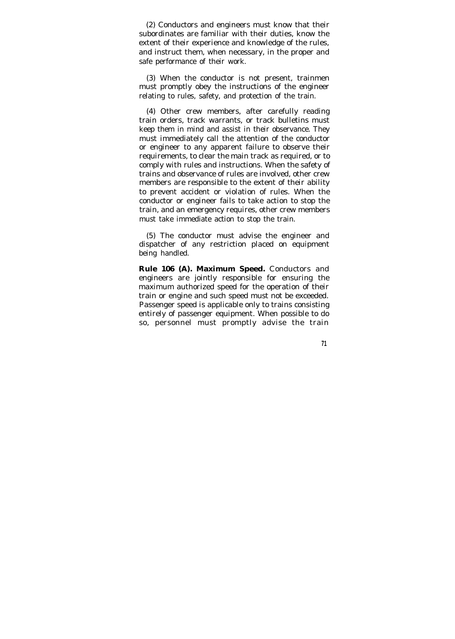(2) Conductors and engineers must know that their subordinates are familiar with their duties, know the extent of their experience and knowledge of the rules, and instruct them, when necessary, in the proper and safe performance of their work.

(3) When the conductor is not present, trainmen must promptly obey the instructions of the engineer relating to rules, safety, and protection of the train.

(4) Other crew members, after carefully reading train orders, track warrants, or track bulletins must keep them in mind and assist in their observance. They must immediately call the attention of the conductor or engineer to any apparent failure to observe their requirements, to clear the main track as required, or to comply with rules and instructions. When the safety of trains and observance of rules are involved, other crew members are responsible to the extent of their ability to prevent accident or violation of rules. When the conductor or engineer fails to take action to stop the train, and an emergency requires, other crew members must take immediate action to stop the train.

(5) The conductor must advise the engineer and dispatcher of any restriction placed on equipment being handled.

**Rule 106 (A). Maximum Speed.** Conductors and engineers are jointly responsible for ensuring the maximum authorized speed for the operation of their train or engine and such speed must not be exceeded. Passenger speed is applicable only to trains consisting entirely of passenger equipment. When possible to do so, personnel must promptly advise the train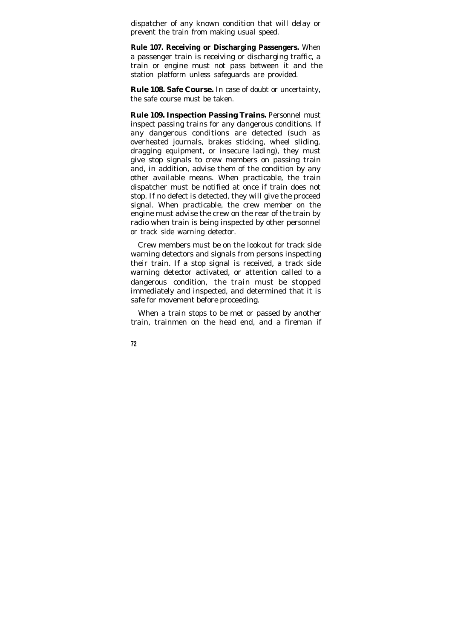dispatcher of any known condition that will delay or prevent the train from making usual speed.

**Rule 107. Receiving or Discharging Passengers.** When a passenger train is receiving or discharging traffic, a train or engine must not pass between it and the station platform unless safeguards are provided.

**Rule 108. Safe Course.** In case of doubt or uncertainty, the safe course must be taken.

**Rule 109. Inspection Passing Trains.** Personnel must inspect passing trains for any dangerous conditions. If any dangerous conditions are detected (such as overheated journals, brakes sticking, wheel sliding, dragging equipment, or insecure lading), they must give stop signals to crew members on passing train and, in addition, advise them of the condition by any other available means. When practicable, the train dispatcher must be notified at once if train does not stop. If no defect is detected, they will give the proceed signal. When practicable, the crew member on the engine must advise the crew on the rear of the train by radio when train is being inspected by other personnel or track side warning detector.

Crew members must be on the lookout for track side warning detectors and signals from persons inspecting their train. If a stop signal is received, a track side warning detector activated, or attention called to a dangerous condition, the train must be stopped immediately and inspected, and determined that it is safe for movement before proceeding.

When a train stops to be met or passed by another train, trainmen on the head end, and a fireman if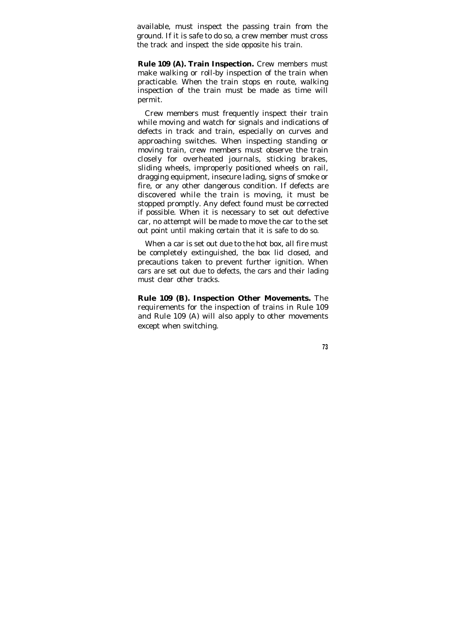available, must inspect the passing train from the ground. If it is safe to do so, a crew member must cross the track and inspect the side opposite his train.

**Rule 109 (A). Train Inspection.** Crew members must make walking or roll-by inspection of the train when practicable. When the train stops en route, walking inspection of the train must be made as time will permit.

Crew members must frequently inspect their train while moving and watch for signals and indications of defects in track and train, especially on curves and approaching switches. When inspecting standing or moving train, crew members must observe the train closely for overheated journals, sticking brakes, sliding wheels, improperly positioned wheels on rail, dragging equipment, insecure lading, signs of smoke or fire, or any other dangerous condition. If defects are discovered while the train is moving, it must be stopped promptly. Any defect found must be corrected if possible. When it is necessary to set out defective car, no attempt will be made to move the car to the set out point until making certain that it is safe to do so.

When a car is set out due to the hot box, all fire must be completely extinguished, the box lid closed, and precautions taken to prevent further ignition. When cars are set out due to defects, the cars and their lading must clear other tracks.

**Rule 109 (B). Inspection Other Movements.** The requirements for the inspection of trains in Rule 109 and Rule 109 (A) will also apply to other movements except when switching.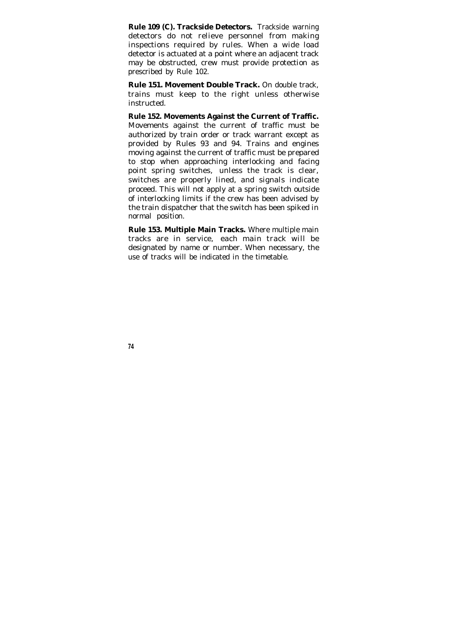**Rule 109 (C). Trackside Detectors.** Trackside warning detectors do not relieve personnel from making inspections required by rules. When a wide load detector is actuated at a point where an adjacent track may be obstructed, crew must provide protection as prescribed by Rule 102.

**Rule 151. Movement Double Track.** On double track, trains must keep to the right unless otherwise instructed.

**Rule 152. Movements Against the Current of Traffic.** Movements against the current of traffic must be authorized by train order or track warrant except as provided by Rules 93 and 94. Trains and engines moving against the current of traffic must be prepared to stop when approaching interlocking and facing point spring switches, unless the track is clear, switches are properly lined, and signals indicate proceed. This will not apply at a spring switch outside of interlocking limits if the crew has been advised by the train dispatcher that the switch has been spiked in normal position.

**Rule 153. Multiple Main Tracks.** Where multiple main tracks are in service, each main track will be designated by name or number. When necessary, the use of tracks will be indicated in the timetable.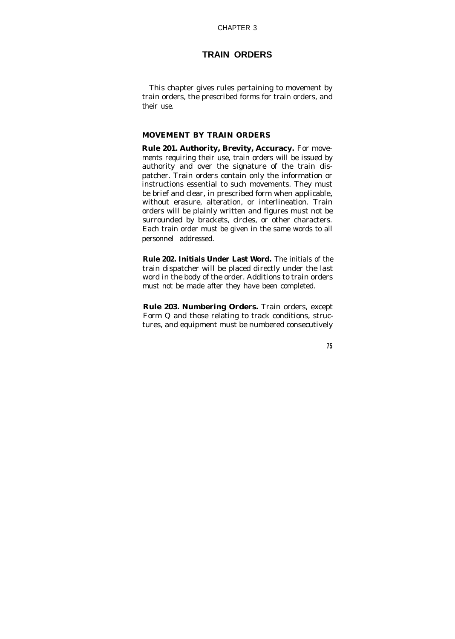#### CHAPTER 3

## **TRAIN ORDERS**

This chapter gives rules pertaining to movement by train orders, the prescribed forms for train orders, and their use.

## **MOVEMENT BY TRAIN ORDERS**

**Rule 201. Authority, Brevity, Accuracy.** For movements requiring their use, train orders will be issued by authority and over the signature of the train dispatcher. Train orders contain only the information or instructions essential to such movements. They must be brief and clear, in prescribed form when applicable, without erasure, alteration, or interlineation. Train orders will be plainly written and figures must not be surrounded by brackets, circles, or other characters. Each train order must be given in the same words to all personnel addressed.

**Rule 202. Initials Under Last Word.** The initials of the train dispatcher will be placed directly under the last word in the body of the order. Additions to train orders must not be made after they have been completed.

**Rule 203. Numbering Orders.** Train orders, except Form Q and those relating to track conditions, structures, and equipment must be numbered consecutively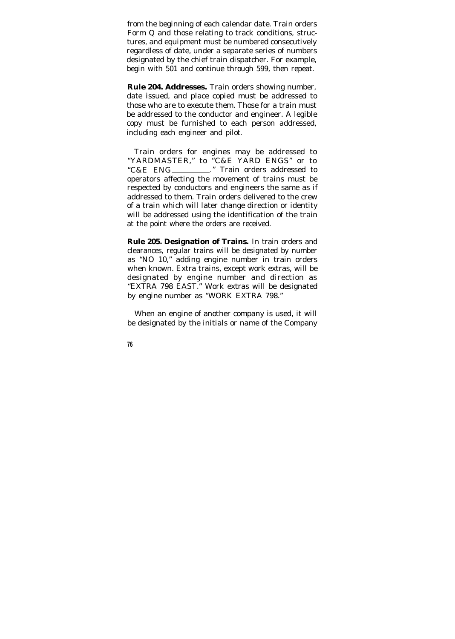from the beginning of each calendar date. Train orders Form Q and those relating to track conditions, structures, and equipment must be numbered consecutively regardless of date, under a separate series of numbers designated by the chief train dispatcher. For example, begin with 501 and continue through 599, then repeat.

**Rule 204. Addresses.** Train orders showing number, date issued, and place copied must be addressed to those who are to execute them. Those for a train must be addressed to the conductor and engineer. A legible copy must be furnished to each person addressed, including each engineer and pilot.

Train orders for engines may be addressed to "YARDMASTER," to "C&E YARD ENGS" or to "C&E ENG\_\_\_\_\_\_\_\_\_\_\_." Train orders addressed to operators affecting the movement of trains must be respected by conductors and engineers the same as if addressed to them. Train orders delivered to the crew of a train which will later change direction or identity will be addressed using the identification of the train at the point where the orders are received.

**Rule 205. Designation of Trains.** In train orders and clearances, regular trains will be designated by number as "NO 10," adding engine number in train orders when known. Extra trains, except work extras, will be designated by engine number and direction as "EXTRA 798 EAST." Work extras will be designated by engine number as "WORK EXTRA 798."

When an engine of another company is used, it will be designated by the initials or name of the Company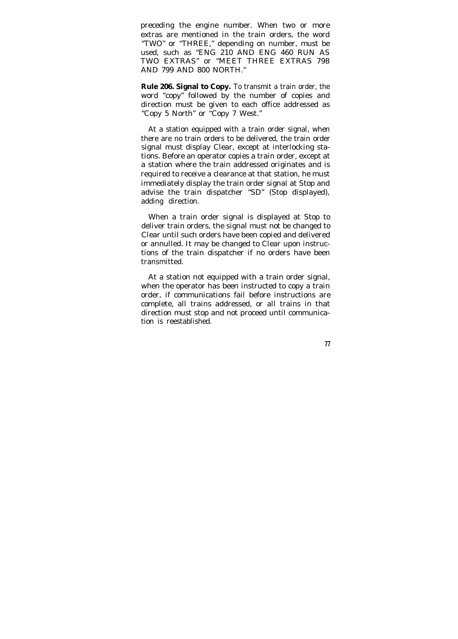preceding the engine number. When two or more extras are mentioned in the train orders, the word "TWO" or "THREE," depending on number, must be used, such as "ENG 210 AND ENG 460 RUN AS TWO EXTRAS" or "MEET THREE EXTRAS 798 AND 799 AND 800 NORTH."

**Rule 206. Signal to Copy.** To transmit a train order, the word "copy" followed by the number of copies and direction must be given to each office addressed as "Copy 5 North" or "Copy 7 West."

At a station equipped with a train order signal, when there are no train orders to be delivered, the train order signal must display Clear, except at interlocking stations. Before an operator copies a train order, except at a station where the train addressed originates and is required to receive a clearance at that station, he must immediately display the train order signal at Stop and advise the train dispatcher "SD" (Stop displayed), adding direction.

When a train order signal is displayed at Stop to deliver train orders, the signal must not be changed to Clear until such orders have been copied and delivered or annulled. It may be changed to Clear upon instructions of the train dispatcher if no orders have been transmitted.

At a station not equipped with a train order signal, when the operator has been instructed to copy a train order, if communications fail before instructions are complete, all trains addressed, or all trains in that direction must stop and not proceed until communication is reestablished.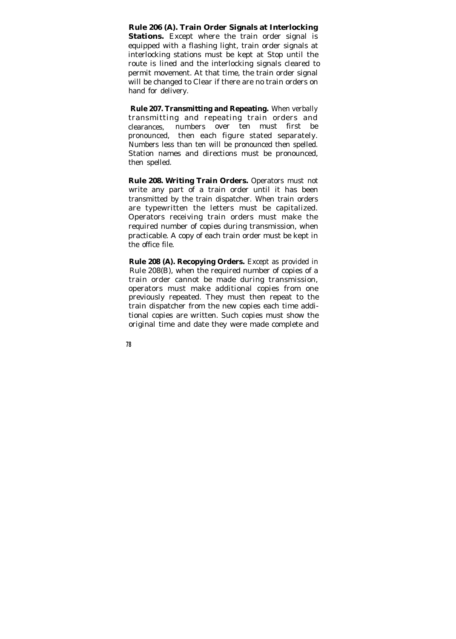**Rule 206 (A). Train Order Signals at Interlocking Stations.** Except where the train order signal is equipped with a flashing light, train order signals at interlocking stations must be kept at Stop until the route is lined and the interlocking signals cleared to permit movement. At that time, the train order signal will be changed to Clear if there are no train orders on hand for delivery.

**Rule 207. Transmitting and Repeating.** When verbally transmitting and repeating train orders and clearances, numbers over ten must first be pronounced, then each figure stated separately. Numbers less than ten will be pronounced then spelled. Station names and directions must be pronounced, then spelled.

**Rule 208. Writing Train Orders.** Operators must not write any part of a train order until it has been transmitted by the train dispatcher. When train orders are typewritten the letters must be capitalized. Operators receiving train orders must make the required number of copies during transmission, when practicable. A copy of each train order must be kept in the office file.

**Rule 208 (A). Recopying Orders.** Except as provided in Rule 208(B), when the required number of copies of a train order cannot be made during transmission, operators must make additional copies from one previously repeated. They must then repeat to the train dispatcher from the new copies each time additional copies are written. Such copies must show the original time and date they were made complete and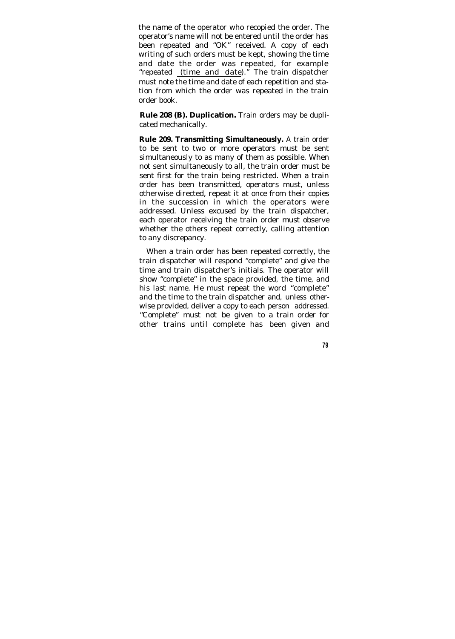the name of the operator who recopied the order. The operator's name will not be entered until the order has been repeated and "OK" received. A copy of each writing of such orders must be kept, showing the time and date the order was repeated, for example "repeated *(time and date)."* The train dispatcher must note the time and date of each repetition and station from which the order was repeated in the train order book.

**Rule 208 (B). Duplication.** Train orders may be duplicated mechanically.

**Rule 209. Transmitting Simultaneously.** A train order to be sent to two or more operators must be sent simultaneously to as many of them as possible. When not sent simultaneously to all, the train order must be sent first for the train being restricted. When a train order has been transmitted, operators must, unless otherwise directed, repeat it at once from their copies in the succession in which the operators were addressed. Unless excused by the train dispatcher, each operator receiving the train order must observe whether the others repeat correctly, calling attention to any discrepancy.

When a train order has been repeated correctly, the train dispatcher will respond "complete" and give the time and train dispatcher's initials. The operator will show "complete" in the space provided, the time, and his last name. He must repeat the word "complete" and the time to the train dispatcher and, unless otherwise provided, deliver a copy to each person addressed. "Complete" must not be given to a train order for other trains until complete has been given and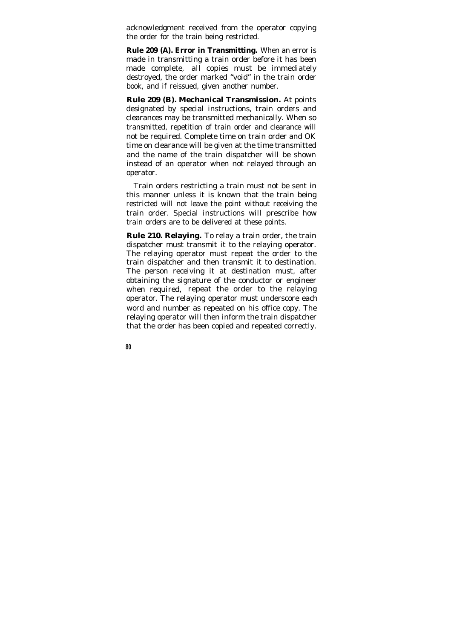acknowledgment received from the operator copying the order for the train being restricted.

**Rule 209 (A). Error in Transmitting.** When an error is made in transmitting a train order before it has been made complete, all copies must be immediately destroyed, the order marked "void" in the train order book, and if reissued, given another number.

**Rule 209 (B). Mechanical Transmission.** At points designated by special instructions, train orders and clearances may be transmitted mechanically. When so transmitted, repetition of train order and clearance will not be required. Complete time on train order and OK time on clearance will be given at the time transmitted and the name of the train dispatcher will be shown instead of an operator when not relayed through an operator.

Train orders restricting a train must not be sent in this manner unless it is known that the train being restricted will not leave the point without receiving the train order. Special instructions will prescribe how train orders are to be delivered at these points.

**Rule 210. Relaying.** To relay a train order, the train dispatcher must transmit it to the relaying operator. The relaying operator must repeat the order to the train dispatcher and then transmit it to destination. The person receiving it at destination must, after obtaining the signature of the conductor or engineer when required, repeat the order to the relaying operator. The relaying operator must underscore each word and number as repeated on his office copy. The relaying operator will then inform the train dispatcher that the order has been copied and repeated correctly.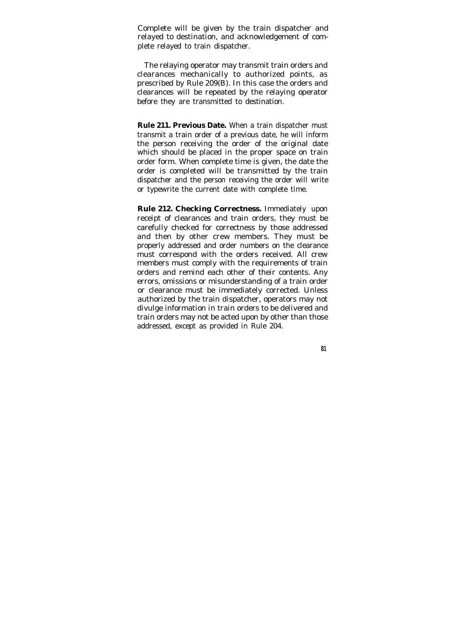Complete will be given by the train dispatcher and relayed to destination, and acknowledgement of complete relayed to train dispatcher.

The relaying operator may transmit train orders and clearances mechanically to authorized points, as prescribed by Rule 209(B). In this case the orders and clearances will be repeated by the relaying operator before they are transmitted to destination.

**Rule 211. Previous Date.** When a train dispatcher must transmit a train order of a previous date, he will inform the person receiving the order of the original date which should be placed in the proper space on train order form. When complete time is given, the date the order is completed will be transmitted by the train dispatcher and the person receiving the order will write or typewrite the current date with complete time.

**Rule 212. Checking Correctness.** Immediately upon receipt of clearances and train orders, they must be carefully checked for correctness by those addressed and then by other crew members. They must be properly addressed and order numbers on the clearance must correspond with the orders received. All crew members must comply with the requirements of train orders and remind each other of their contents. Any errors, omissions or misunderstanding of a train order or clearance must be immediately corrected. Unless authorized by the train dispatcher, operators may not divulge information in train orders to be delivered and train orders may not be acted upon by other than those addressed, except as provided in Rule 204.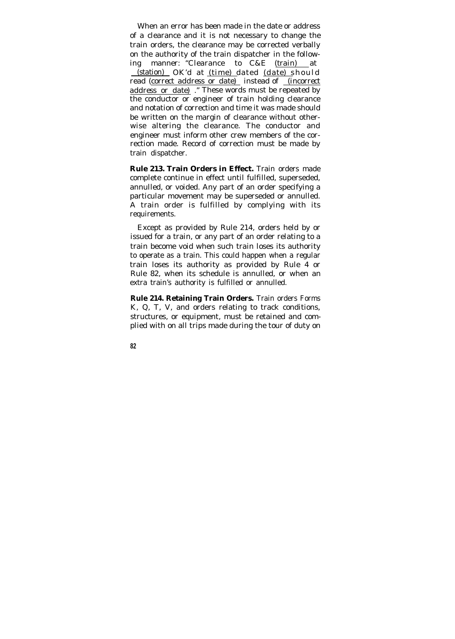When an error has been made in the date or address of a clearance and it is not necessary to change the train orders, the clearance may be corrected verbally on the authority of the train dispatcher in the following manner: "Clearance to C&E *(train)* at *(station)* OK'd at *(time)* dated *(date)* shoul d read *(correct address or date)* instead of *(incorrect address or date) ."* These words must be repeated by the conductor or engineer of train holding clearance and notation of correction and time it was made should be written on the margin of clearance without otherwise altering the clearance. The conductor and engineer must inform other crew members of the correction made. Record of correction must be made by train dispatcher.

**Rule 213. Train Orders in Effect.** Train orders made complete continue in effect until fulfilled, superseded, annulled, or voided. Any part of an order specifying a particular movement may be superseded or annulled. A train order is fulfilled by complying with its requirements.

Except as provided by Rule 214, orders held by or issued for a train, or any part of an order relating to a train become void when such train loses its authority to operate as a train. This could happen when a regular train loses its authority as provided by Rule 4 or Rule 82, when its schedule is annulled, or when an extra train's authority is fulfilled or annulled.

**Rule 214. Retaining Train Orders.** Train orders Forms K, Q, T, V, and orders relating to track conditions, structures, or equipment, must be retained and complied with on all trips made during the tour of duty on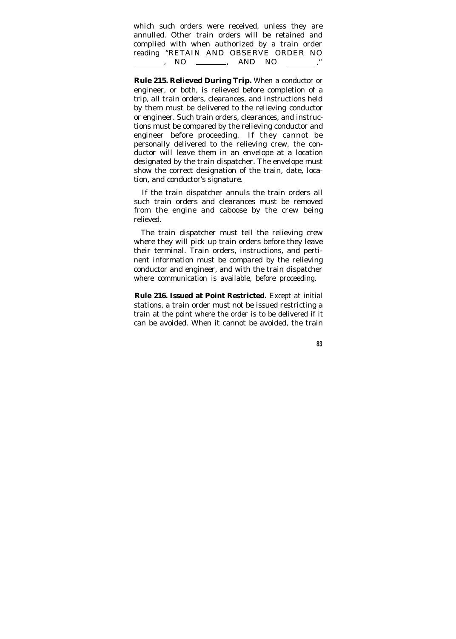which such orders were received, unless they are annulled. Other train orders will be retained and complied with when authorized by a train order reading "RETAIN AND OBSERVE ORDER NO  $\Box$ , NO  $\Box$ , AND NO  $\Box$ ."

**Rule 215. Relieved During Trip.** When a conductor or engineer, or both, is relieved before completion of a trip, all train orders, clearances, and instructions held by them must be delivered to the relieving conductor or engineer. Such train orders, clearances, and instructions must be compared by the relieving conductor and engineer before proceeding. If they cannot be personally delivered to the relieving crew, the conductor will leave them in an envelope at a location designated by the train dispatcher. The envelope must show the correct designation of the train, date, location, and conductor's signature.

If the train dispatcher annuls the train orders all such train orders and clearances must be removed from the engine and caboose by the crew being relieved.

The train dispatcher must tell the relieving crew where they will pick up train orders before they leave their terminal. Train orders, instructions, and pertinent information must be compared by the relieving conductor and engineer, and with the train dispatcher where communication is available, before proceeding.

**Rule 216. Issued at Point Restricted.** Except at initial stations, a train order must not be issued restricting a train at the point where the order is to be delivered if it can be avoided. When it cannot be avoided, the train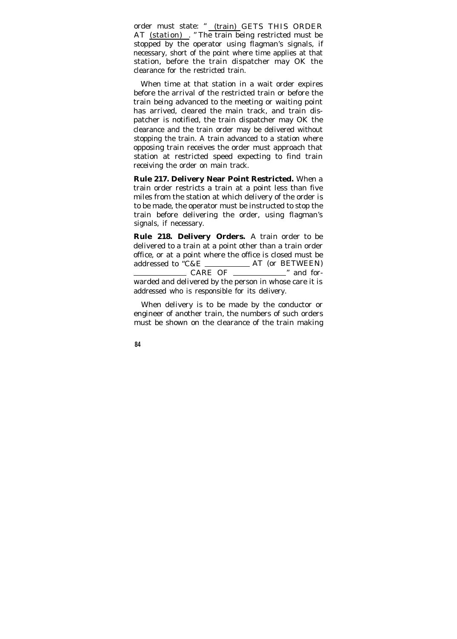order must state: " *(train)* GETS THIS ORDER AT *(station) . "* The train being restricted must be stopped by the operator using flagman's signals, if necessary, short of the point where time applies at that station, before the train dispatcher may OK the clearance for the restricted train.

When time at that station in a wait order expires before the arrival of the restricted train or before the train being advanced to the meeting or waiting point has arrived, cleared the main track, and train dispatcher is notified, the train dispatcher may OK the clearance and the train order may be delivered without stopping the train. A train advanced to a station where opposing train receives the order must approach that station at restricted speed expecting to find train receiving the order on main track.

**Rule 217. Delivery Near Point Restricted.** When a train order restricts a train at a point less than five miles from the station at which delivery of the order is to be made, the operator must be instructed to stop the train before delivering the order, using flagman's signals, if necessary.

**Rule 218. Delivery Orders.** A train order to be delivered to a train at a point other than a train order office, or at a point where the office is closed must be addressed to  $CAE$   $AT$  (or BETWEEN) CARE OF " and forwarded and delivered by the person in whose care it is addressed who is responsible for its delivery.

When delivery is to be made by the conductor or engineer of another train, the numbers of such orders must be shown on the clearance of the train making

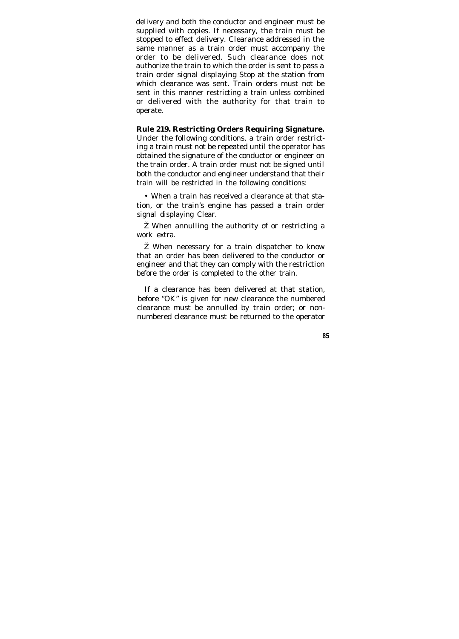delivery and both the conductor and engineer must be supplied with copies. If necessary, the train must be stopped to effect delivery. Clearance addressed in the same manner as a train order must accompany the order to be delivered. Such clearance does not authorize the train to which the order is sent to pass a train order signal displaying Stop at the station from which clearance was sent. Train orders must not be sent in this manner restricting a train unless combined or delivered with the authority for that train to operate.

## **Rule 219. Restricting Orders Requiring Signature.**

Under the following conditions, a train order restricting a train must not be repeated until the operator has obtained the signature of the conductor or engineer on the train order. A train order must not be signed until both the conductor and engineer understand that their train will be restricted in the following conditions:

• When a train has received a clearance at that station, or the train's engine has passed a train order signal displaying Clear.

Ž When annulling the authority of or restricting a work extra.

Ž When necessary for a train dispatcher to know that an order has been delivered to the conductor or engineer and that they can comply with the restriction before the order is completed to the other train.

If a clearance has been delivered at that station, before "OK" is given for new clearance the numbered clearance must be annulled by train order; or nonnumbered clearance must be returned to the operator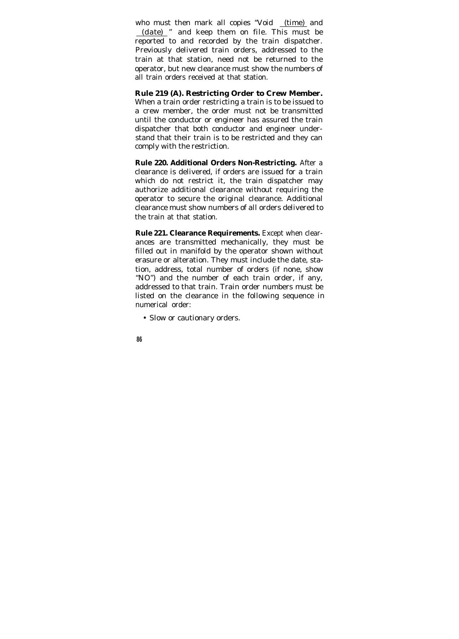who must then mark all copies "Void (time) and *(date) "* and keep them on file. This must be reported to and recorded by the train dispatcher. Previously delivered train orders, addressed to the train at that station, need not be returned to the operator, but new clearance must show the numbers of all train orders received at that station.

**Rule 219 (A). Restricting Order to Crew Member.** When a train order restricting a train is to be issued to a crew member, the order must not be transmitted until the conductor or engineer has assured the train dispatcher that both conductor and engineer understand that their train is to be restricted and they can comply with the restriction.

**Rule 220. Additional Orders Non-Restricting.** After a clearance is delivered, if orders are issued for a train which do not restrict it, the train dispatcher may authorize additional clearance without requiring the operator to secure the original clearance. Additional clearance must show numbers of all orders delivered to the train at that station.

**Rule 221. Clearance Requirements.** Except when clearances are transmitted mechanically, they must be filled out in manifold by the operator shown without erasure or alteration. They must include the date, station, address, total number of orders (if none, show "NO") and the number of each train order, if any, addressed to that train. Train order numbers must be listed on the clearance in the following sequence in numerical order:

• Slow or cautionary orders.

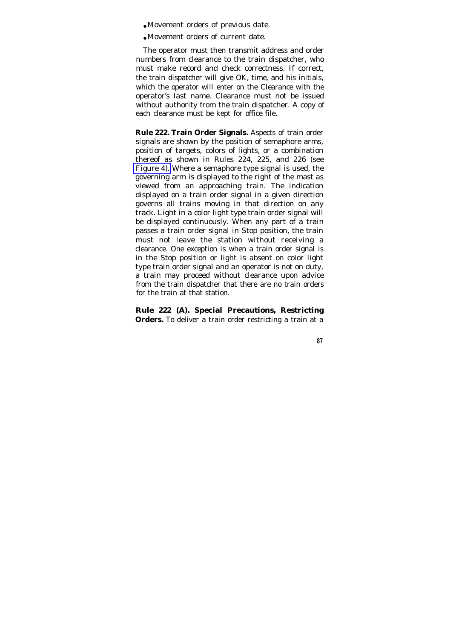- Movement orders of previous date.
- Movement orders of current date.

The operator must then transmit address and order numbers from clearance to the train dispatcher, who must make record and check correctness. If correct, the train dispatcher will give OK, time, and his initials, which the operator will enter on the Clearance with the operator's last name. Clearance must not be issued without authority from the train dispatcher. A copy of each clearance must be kept for office file.

**Rule 222. Train Order Signals.** Aspects of train order signals are shown by the position of semaphore arms, position of targets, colors of lights, or a combination thereof as shown in Rules 224, 225, and 226 (see [Figure 4\).](#page-89-0) Where a semaphore type signal is used, the governing arm is displayed to the right of the mast as viewed from an approaching train. The indication displayed on a train order signal in a given direction governs all trains moving in that direction on any track. Light in a color light type train order signal will be displayed continuously. When any part of a train passes a train order signal in Stop position, the train must not leave the station without receiving a clearance. One exception is when a train order signal is in the Stop position or light is absent on color light type train order signal and an operator is not on duty, a train may proceed without clearance upon advice from the train dispatcher that there are no train orders for the train at that station.

**Rule 222 (A). Special Precautions, Restricting Orders.** To deliver a train order restricting a train at a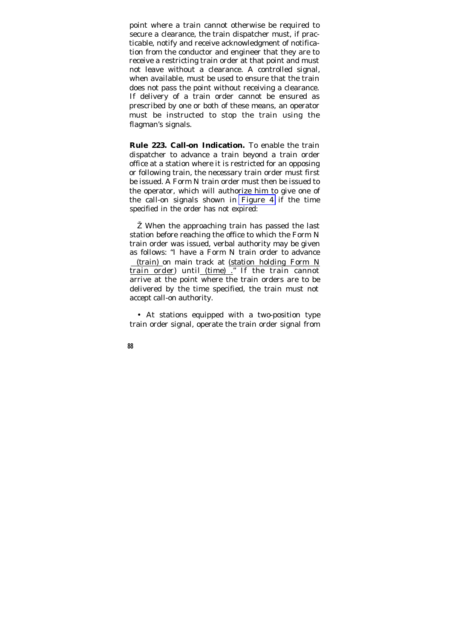point where a train cannot otherwise be required to secure a clearance, the train dispatcher must, if practicable, notify and receive acknowledgment of notification from the conductor and engineer that they are to receive a restricting train order at that point and must not leave without a clearance. A controlled signal, when available, must be used to ensure that the train does not pass the point without receiving a clearance. If delivery of a train order cannot be ensured as prescribed by one or both of these means, an operator must be instructed to stop the train using the flagman's signals.

**Rule 223. Call-on Indication.** To enable the train dispatcher to advance a train beyond a train order office at a station where it is restricted for an opposing or following train, the necessary train order must first be issued. A Form N train order must then be issued to the operator, which will authorize him to give one of the call-on signals shown in [Figure 4](#page-89-0) if the time specified in the order has not expired:

Ž When the approaching train has passed the last station before reaching the office to which the Form N train order was issued, verbal authority may be given as follows: "I have a Form N train order to advance *(train) on* main track at *(station holding Form N train order)* until *(time) ."* If the train cannot arrive at the point where the train orders are to be delivered by the time specified, the train must not accept call-on authority.

• At stations equipped with a two-position type train order signal, operate the train order signal from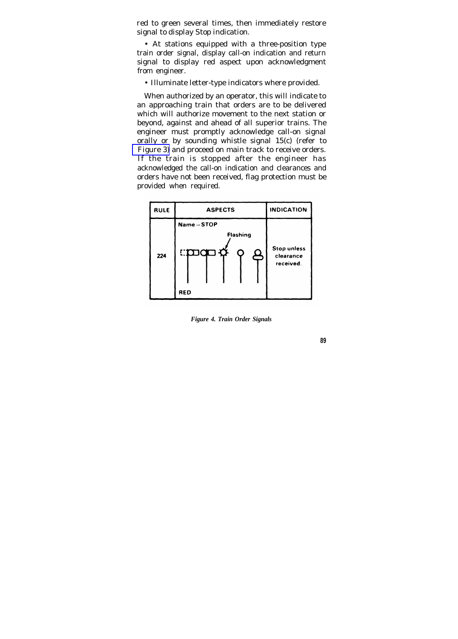<span id="page-89-0"></span>red to green several times, then immediately restore signal to display Stop indication.

• At stations equipped with a three-position type train order signal, display call-on indication and return signal to display red aspect upon acknowledgment from engineer.

• Illuminate letter-type indicators where provided.

When authorized by an operator, this will indicate to an approaching train that orders are to be delivered which will authorize movement to the next station or beyond, against and ahead of all superior trains. The engineer must promptly acknowledge call-on signal orally or by sounding whistle signal 15(c) (refer to [Figure 3\)](#page-14-0) and proceed on main track to receive orders. If the train is stopped after the engineer has acknowledged the call-on indication and clearances and orders have not been received, flag protection must be provided when required.

| <b>RULE</b> | <b>ASPECTS</b>                                            | <b>INDICATION</b>                            |  |  |
|-------------|-----------------------------------------------------------|----------------------------------------------|--|--|
| 224         | Name-STOP<br><b>Flashing</b><br><b>EDOO</b><br><b>RED</b> | <b>Stop unless</b><br>clearance<br>received. |  |  |

*Figure 4. Train Order Signals*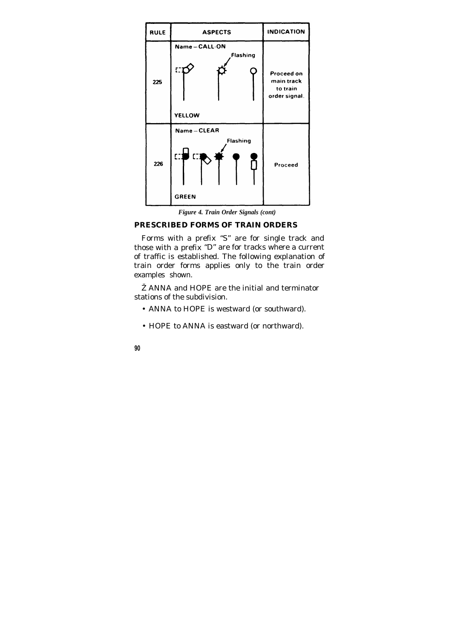

*Figure 4. Train Order Signals (cont)*

## **PRESCRIBED FORMS OF TRAIN ORDERS**

Forms with a prefix "S" are for single track and those with a prefix "D" are for tracks where a current of traffic is established. The following explanation of train order forms applies only to the train order examples shown.

Ž ANNA and HOPE are the initial and terminator stations of the subdivision.

- ANNA to HOPE is westward (or southward).
- HOPE to ANNA is eastward (or northward).

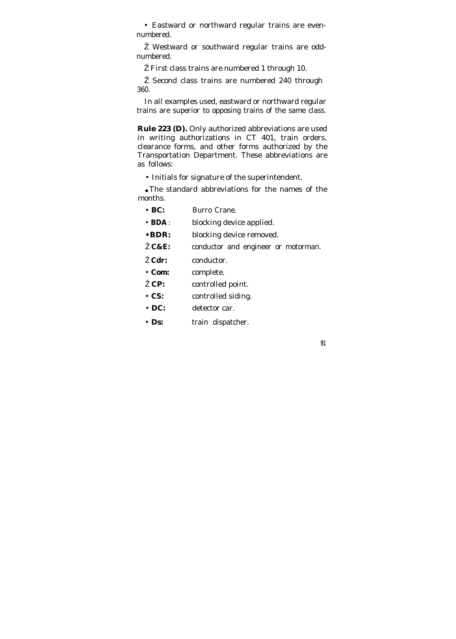• Eastward or northward regular trains are evennumbered.

Ž Westward or southward regular trains are oddnumbered.

Ž First class trains are numbered 1 through 10.

Ž Second class trains are numbered 240 through 360.

In all examples used, eastward or northward regular trains are superior to opposing trains of the same class.

**Rule 223 (D).** Only authorized abbreviations are used in writing authorizations in CT 401, train orders, clearance forms, and other forms authorized by the Transportation Department. These abbreviations are as follows:

• Initials for signature of the superintendent.

● The standard abbreviations for the names of the months.

| $\cdot$ BC: | Burro Crane. |
|-------------|--------------|
|             |              |

• **BDA** *:* blocking device applied.

*•BDR:* blocking device removed.

Ž *C&E:* conductor and engineer or motorman.

- *Ž Cdr:* conductor.
- *Com:* complete.
- *Ž CP:* controlled point.
- *CS:* controlled siding.
- *DC:* detector car.
- *Ds:* train dispatcher.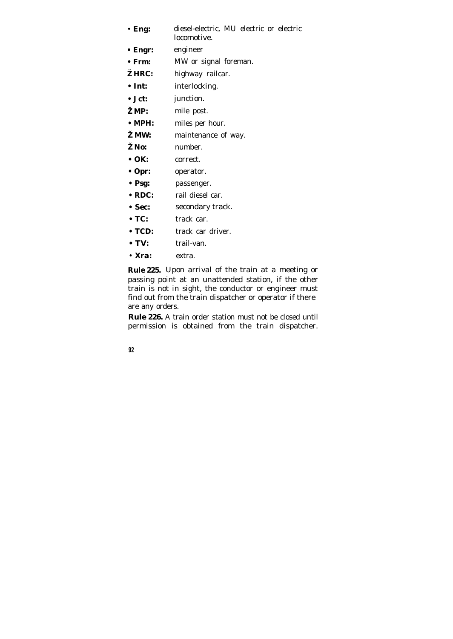- *Eng:* diesel-electric, MU electric or electric locomotive.
- *Engr:* engineer
- *Frm:* MW or signal foreman.
- **Ž** *HRC:* highway railcar.
- *Int:* interlocking.
- *Jct:* junction.
- **Ž** *MP:* mile post.
- *MPH:* miles per hour.
- *Ž MW:* maintenance of way.
- **Ž** *No:* number.
- *OK:* correct.
- *Opr:* operator.
- *Psg:* passenger.
- *RDC:* rail diesel car.
- *Sec:* secondary track.
- *TC:* track car.
- *TCD:* track car driver.
- *TV:* trail-van.
- *Xra:* extra.

**Rule 225.** Upon arrival of the train at a meeting or passing point at an unattended station, if the other train is not in sight, the conductor or engineer must find out from the train dispatcher or operator if there are any orders.

**Rule 226.** A train order station must not be closed until permission is obtained from the train dispatcher.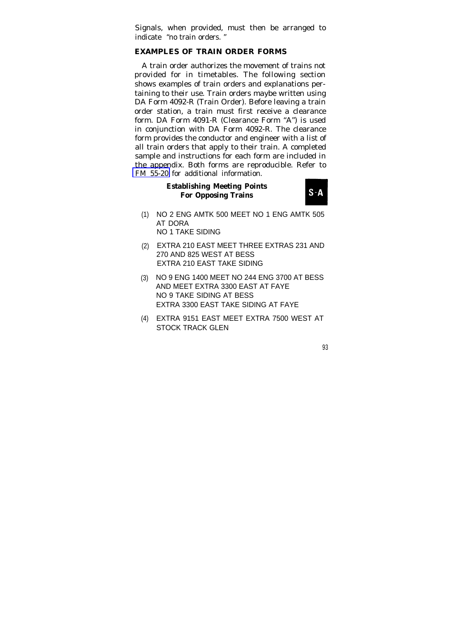Signals, when provided, must then be arranged to indicate "no train orders. "

#### **EXAMPLES OF TRAIN ORDER FORMS**

A train order authorizes the movement of trains not provided for in timetables. The following section shows examples of train orders and explanations pertaining to their use. Train orders maybe written using DA Form 4092-R (Train Order). Before leaving a train order station, a train must first receive a clearance form. DA Form 4091-R (Clearance Form "A") is used in conjunction with DA Form 4092-R. The clearance form provides the conductor and engineer with a list of all train orders that apply to their train. A completed sample and instructions for each form are included in the appendix. Both forms are reproducible. Refer to [FM 55-20](#page-0-0) for additional information.

## **Establishing Meeting Points For Opposing Trains**



- (1) NO 2 ENG AMTK 500 MEET NO 1 ENG AMTK 505 AT DORA NO 1 TAKE SIDING
- (2) EXTRA 210 EAST MEET THREE EXTRAS 231 AND 270 AND 825 WEST AT BESS EXTRA 210 EAST TAKE SIDING
- (3) NO 9 ENG 1400 MEET NO 244 ENG 3700 AT BESS AND MEET EXTRA 3300 EAST AT FAYE NO 9 TAKE SIDING AT BESS EXTRA 3300 EAST TAKE SIDING AT FAYE
- (4) EXTRA 9151 EAST MEET EXTRA 7500 WEST AT STOCK TRACK GLEN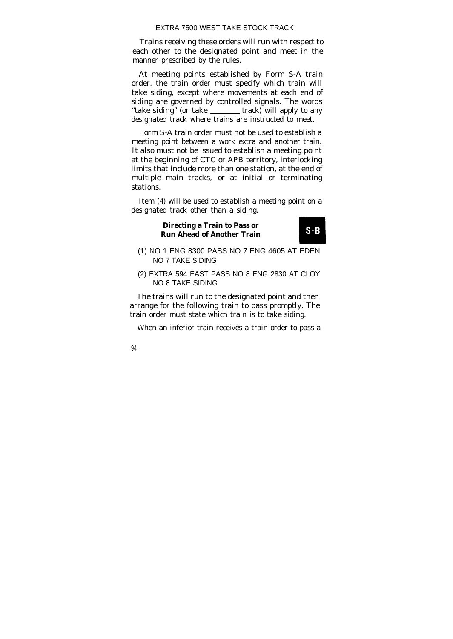### EXTRA 7500 WEST TAKE STOCK TRACK

Trains receiving these orders will run with respect to each other to the designated point and meet in the manner prescribed by the rules.

At meeting points established by Form S-A train order, the train order must specify which train will take siding, except where movements at each end of siding are governed by controlled signals. The words "take siding" (or take  $\frac{1}{\sqrt{1-\frac{1}{\sqrt{1-\frac{1}{\sqrt{1-\frac{1}{\sqrt{1-\frac{1}{\sqrt{1-\frac{1}{\sqrt{1-\frac{1}{\sqrt{1-\frac{1}{\sqrt{1-\frac{1}{\sqrt{1-\frac{1}{\sqrt{1-\frac{1}{\sqrt{1-\frac{1}{\sqrt{1-\frac{1}{\sqrt{1-\frac{1}{\sqrt{1-\frac{1}{\sqrt{1-\frac{1}{\sqrt{1-\frac{1}{\sqrt{1-\frac{1}{\sqrt{1-\frac{1}{\sqrt{1-\frac{1}{\sqrt{1-\frac{1}{\sqrt{1-\frac{1}{\sqrt{$ designated track where trains are instructed to meet.

Form S-A train order must not be used to establish a meeting point between a work extra and another train. It also must not be issued to establish a meeting point at the beginning of CTC or APB territory, interlocking limits that include more than one station, at the end of multiple main tracks, or at initial or terminating stations.

Item (4) will be used to establish a meeting point on a designated track other than a siding.

#### **Directing a Train to Pass or Run Ahead of Another Train**



- (1) NO 1 ENG 8300 PASS NO 7 ENG 4605 AT EDEN NO 7 TAKE SIDING
- (2) EXTRA 594 EAST PASS NO 8 ENG 2830 AT CLOY NO 8 TAKE SIDING

The trains will run to the designated point and then arrange for the following train to pass promptly. The train order must state which train is to take siding.

When an inferior train receives a train order to pass a

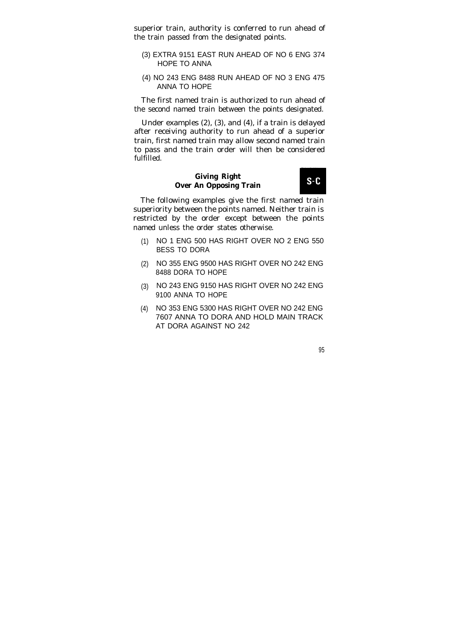superior train, authority is conferred to run ahead of the train passed from the designated points.

- (3) EXTRA 9151 EAST RUN AHEAD OF NO 6 ENG 374 HOPE TO ANNA
- (4) NO 243 ENG 8488 RUN AHEAD OF NO 3 ENG 475 ANNA TO HOPE

The first named train is authorized to run ahead of the second named train between the points designated.

Under examples (2), (3), and (4), if a train is delayed after receiving authority to run ahead of a superior train, first named train may allow second named train to pass and the train order will then be considered fulfilled.

## **Giving Right Over An Opposing Train**

The following examples give the first named train superiority between the points named. Neither train is restricted by the order except between the points named unless the order states otherwise.

- (1) NO 1 ENG 500 HAS RIGHT OVER NO 2 ENG 550 BESS TO DORA
- (2) NO 355 ENG 9500 HAS RIGHT OVER NO 242 ENG 8488 DORA TO HOPE
- (3) NO 243 ENG 9150 HAS RIGHT OVER NO 242 ENG 9100 ANNA TO HOPE
- (4) NO 353 ENG 5300 HAS RIGHT OVER NO 242 ENG 7607 ANNA TO DORA AND HOLD MAIN TRACK AT DORA AGAINST NO 242



 $S-C$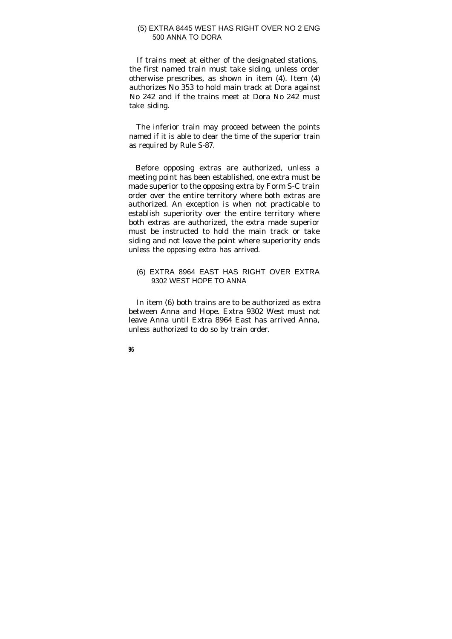## (5) EXTRA 8445 WEST HAS RIGHT OVER NO 2 ENG 500 ANNA TO DORA

If trains meet at either of the designated stations, the first named train must take siding, unless order otherwise prescribes, as shown in item (4). Item (4) authorizes No 353 to hold main track at Dora against No 242 and if the trains meet at Dora No 242 must take siding.

The inferior train may proceed between the points named if it is able to clear the time of the superior train as required by Rule S-87.

Before opposing extras are authorized, unless a meeting point has been established, one extra must be made superior to the opposing extra by Form S-C train order over the entire territory where both extras are authorized. An exception is when not practicable to establish superiority over the entire territory where both extras are authorized, the extra made superior must be instructed to hold the main track or take siding and not leave the point where superiority ends unless the opposing extra has arrived.

## (6) EXTRA 8964 EAST HAS RIGHT OVER EXTRA 9302 WEST HOPE TO ANNA

In item (6) both trains are to be authorized as extra between Anna and Hope. Extra 9302 West must not leave Anna until Extra 8964 East has arrived Anna, unless authorized to do so by train order.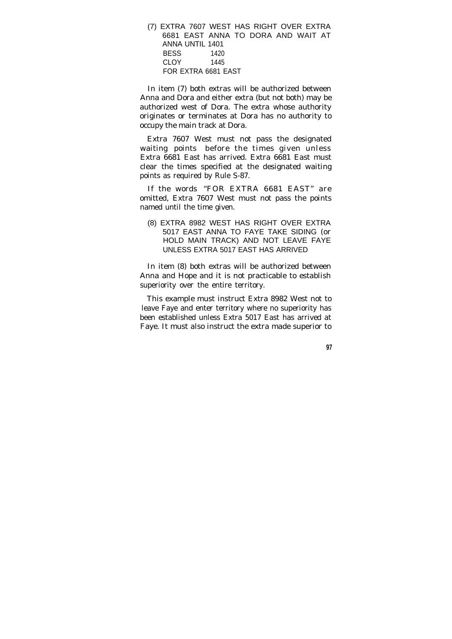(7) EXTRA 7607 WEST HAS RIGHT OVER EXTRA 6681 EAST ANNA TO DORA AND WAIT AT ANNA UNTIL 1401 BESS 1420 CLOY 1445 FOR EXTRA 6681 EAST

In item (7) both extras will be authorized between Anna and Dora and either extra (but not both) may be authorized west of Dora. The extra whose authority originates or terminates at Dora has no authority to occupy the main track at Dora.

Extra 7607 West must not pass the designated waiting points before the times given unless Extra 6681 East has arrived. Extra 6681 East must clear the times specified at the designated waiting points as required by Rule S-87.

If the words "FOR EXTRA 6681 EAST" are omitted, Extra 7607 West must not pass the points named until the time given.

(8) EXTRA 8982 WEST HAS RIGHT OVER EXTRA 5017 EAST ANNA TO FAYE TAKE SIDING (or HOLD MAIN TRACK) AND NOT LEAVE FAYE UNLESS EXTRA 5017 EAST HAS ARRIVED

In item (8) both extras will be authorized between Anna and Hope and it is not practicable to establish superiority over the entire territory.

This example must instruct Extra 8982 West not to leave Faye and enter territory where no superiority has been established unless Extra 5017 East has arrived at Faye. It must also instruct the extra made superior to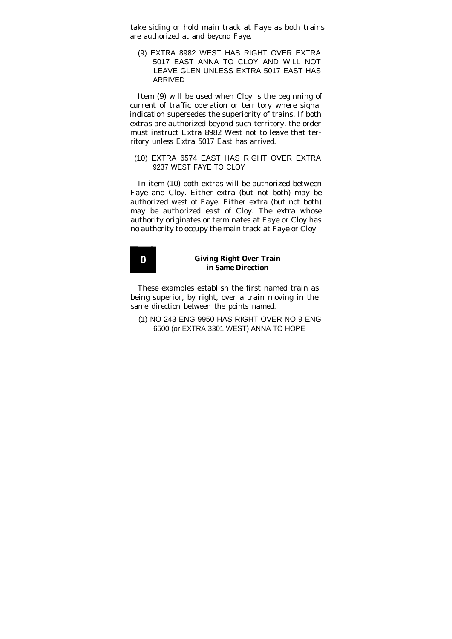take siding or hold main track at Faye as both trains are authorized at and beyond Faye.

(9) EXTRA 8982 WEST HAS RIGHT OVER EXTRA 5017 EAST ANNA TO CLOY AND WILL NOT LEAVE GLEN UNLESS EXTRA 5017 EAST HAS ARRIVED

Item (9) will be used when Cloy is the beginning of current of traffic operation or territory where signal indication supersedes the superiority of trains. If both extras are authorized beyond such territory, the order must instruct Extra 8982 West not to leave that territory unless Extra 5017 East has arrived.

## (10) EXTRA 6574 EAST HAS RIGHT OVER EXTRA 9237 WEST FAYE TO CLOY

In item (10) both extras will be authorized between Faye and Cloy. Either extra (but not both) may be authorized west of Faye. Either extra (but not both) may be authorized east of Cloy. The extra whose authority originates or terminates at Faye or Cloy has no authority to occupy the main track at Faye or Cloy.

# $\begin{array}{c} \n\end{array}$

## **Giving Right Over Train in Same Direction**

These examples establish the first named train as being superior, by right, over a train moving in the same direction between the points named.

(1) NO 243 ENG 9950 HAS RIGHT OVER NO 9 ENG 6500 (or EXTRA 3301 WEST) ANNA TO HOPE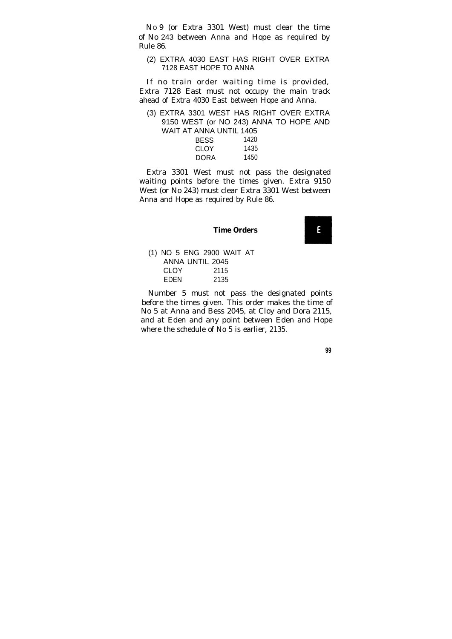NO 9 (or Extra 3301 West) must clear the time of No 243 between Anna and Hope as required by Rule 86.

## (2) EXTRA 4030 EAST HAS RIGHT OVER EXTRA 7128 EAST HOPE TO ANNA

If no train order waiting time is provided, Extra 7128 East must not occupy the main track ahead of Extra 4030 East between Hope and Anna.

| (3) EXTRA 3301 WEST HAS RIGHT OVER EXTRA |      |  |  |  |
|------------------------------------------|------|--|--|--|
| 9150 WEST (or NO 243) ANNA TO HOPE AND   |      |  |  |  |
| WAIT AT ANNA UNTIL 1405                  |      |  |  |  |
| <b>BESS</b>                              | 1420 |  |  |  |

| <b>טט</b> ם | 177 L V |
|-------------|---------|
| CLOY        | 1435    |
| DORA        | 1450    |

Extra 3301 West must not pass the designated waiting points before the times given. Extra 9150 West (or No 243) must clear Extra 3301 West between Anna and Hope as required by Rule 86.

#### **Time Orders**

(1) NO 5 ENG 2900 WAIT AT ANNA UNTIL 2045 CLOY 2115 EDEN 2135

Number 5 must not pass the designated points before the times given. This order makes the time of No 5 at Anna and Bess 2045, at Cloy and Dora 2115, and at Eden and any point between Eden and Hope where the schedule of No 5 is earlier, 2135.

**99**

 $\mathbf{E}$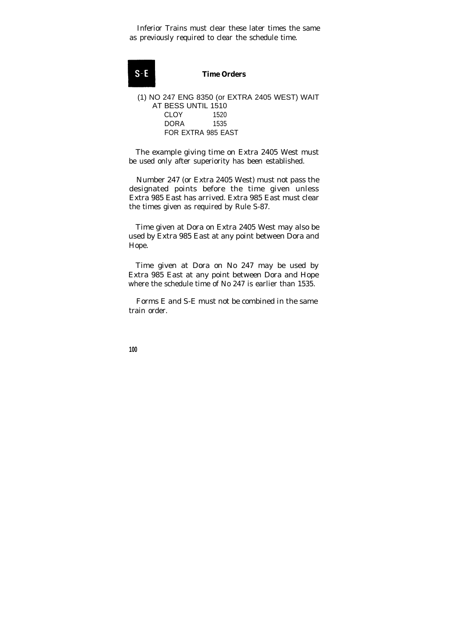Inferior Trains must clear these later times the same as previously required to clear the schedule time.



#### **Time Orders**

(1) NO 247 ENG 8350 (or EXTRA 2405 WEST) WAIT AT BESS UNTIL 1510 CLOY 1520 DORA 1535 FOR EXTRA 985 EAST

The example giving time on Extra 2405 West must be used only after superiority has been established.

Number 247 (or Extra 2405 West) must not pass the designated points before the time given unless Extra 985 East has arrived. Extra 985 East must clear the times given as required by Rule S-87.

Time given at Dora on Extra 2405 West may also be used by Extra 985 East at any point between Dora and Hope.

Time given at Dora on No 247 may be used by Extra 985 East at any point between Dora and Hope where the schedule time of No 247 is earlier than 1535.

Forms E and S-E must not be combined in the same train order.

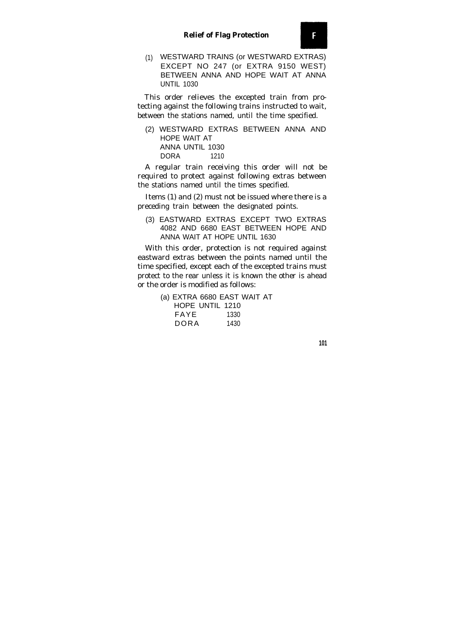(1) WESTWARD TRAINS (or WESTWARD EXTRAS) EXCEPT NO 247 (or EXTRA 9150 WEST) BETWEEN ANNA AND HOPE WAIT AT ANNA UNTIL 1030

This order relieves the excepted train from protecting against the following trains instructed to wait, between the stations named, until the time specified.

(2) WESTWARD EXTRAS BETWEEN ANNA AND HOPE WAIT AT ANNA UNTIL 1030 DORA 1210

A regular train receiving this order will not be required to protect against following extras between the stations named until the times specified.

Items (1) and (2) must not be issued where there is a preceding train between the designated points.

(3) EASTWARD EXTRAS EXCEPT TWO EXTRAS 4082 AND 6680 EAST BETWEEN HOPE AND ANNA WAIT AT HOPE UNTIL 1630

With this order, protection is not required against eastward extras between the points named until the time specified, except each of the excepted trains must protect to the rear unless it is known the other is ahead or the order is modified as follows:

> (a) EXTRA 6680 EAST WAIT AT HOPE UNTIL 1210 FAYE 1330 DORA 1430

> > **101**

F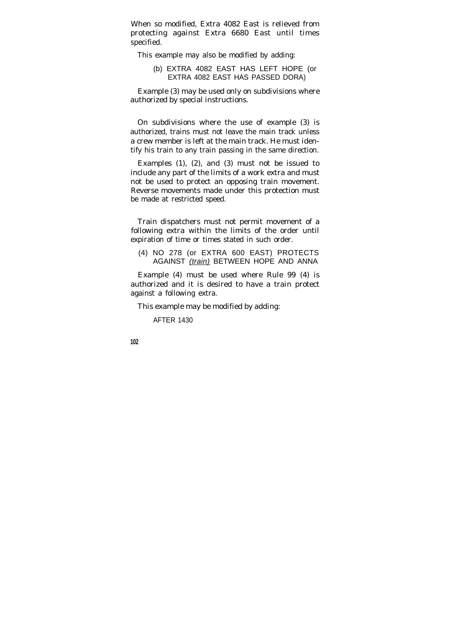When so modified, Extra 4082 East is relieved from protecting against Extra 6680 East until times specified.

This example may also be modified by adding:

(b) EXTRA 4082 EAST HAS LEFT HOPE (or EXTRA 4082 EAST HAS PASSED DORA)

Example (3) may be used only on subdivisions where authorized by special instructions.

On subdivisions where the use of example (3) is authorized, trains must not leave the main track unless a crew member is left at the main track. He must identify his train to any train passing in the same direction.

Examples (1), (2), and (3) must not be issued to include any part of the limits of a work extra and must not be used to protect an opposing train movement. Reverse movements made under this protection must be made at restricted speed.

Train dispatchers must not permit movement of a following extra within the limits of the order until expiration of time or times stated in such order.

(4) NO 278 (or EXTRA 600 EAST) PROTECTS AGAINST (train) BETWEEN HOPE AND ANNA

Example (4) must be used where Rule 99 (4) is authorized and it is desired to have a train protect against a following extra.

This example may be modified by adding:

AFTER 1430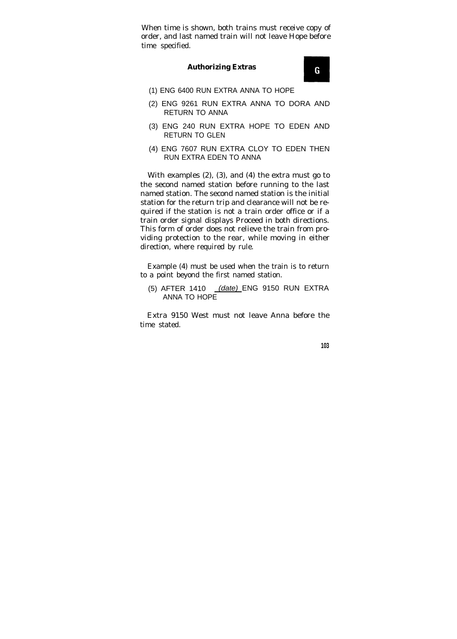When time is shown, both trains must receive copy of order, and last named train will not leave Hope before time specified.

#### **Authorizing Extras**

## G

- (1) ENG 6400 RUN EXTRA ANNA TO HOPE
- (2) ENG 9261 RUN EXTRA ANNA TO DORA AND RETURN TO ANNA
- (3) ENG 240 RUN EXTRA HOPE TO EDEN AND RETURN TO GLEN
- (4) ENG 7607 RUN EXTRA CLOY TO EDEN THEN RUN EXTRA EDEN TO ANNA

With examples (2), (3), and (4) the extra must go to the second named station before running to the last named station. The second named station is the initial station for the return trip and clearance will not be required if the station is not a train order office or if a train order signal displays Proceed in both directions. This form of order does not relieve the train from providing protection to the rear, while moving in either direction, where required by rule.

Example (4) must be used when the train is to return to a point beyond the first named station.

(5) AFTER 1410 *(date)* ENG 9150 RUN EXTRA ANNA TO HOPE

Extra 9150 West must not leave Anna before the time stated.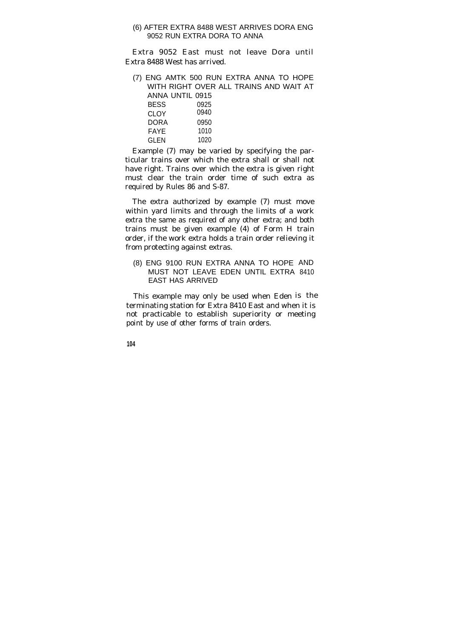#### (6) AFTER EXTRA 8488 WEST ARRIVES DORA ENG 9052 RUN EXTRA DORA TO ANNA

Extra 9052 East must not leave Dora until Extra 8488 West has arrived.

(7) ENG AMTK 500 RUN EXTRA ANNA TO HOPE WITH RIGHT OVER ALL TRAINS AND WAIT AT ANNA UNTIL 0915 BESS 0925 CLOY 0940 DORA 0950 FAYE 1010 GLEN 1020

Example (7) may be varied by specifying the particular trains over which the extra shall or shall not have right. Trains over which the extra is given right must clear the train order time of such extra as required by Rules 86 and S-87.

The extra authorized by example (7) must move within yard limits and through the limits of a work extra the same as required of any other extra; and both trains must be given example (4) of Form H train order, if the work extra holds a train order relieving it from protecting against extras.

(8) ENG 9100 RUN EXTRA ANNA TO HOPE AND MUST NOT LEAVE EDEN UNTIL EXTRA 8410 EAST HAS ARRIVED

This example may only be used when Eden is the terminating station for Extra 8410 East and when it is not practicable to establish superiority or meeting point by use of other forms of train orders.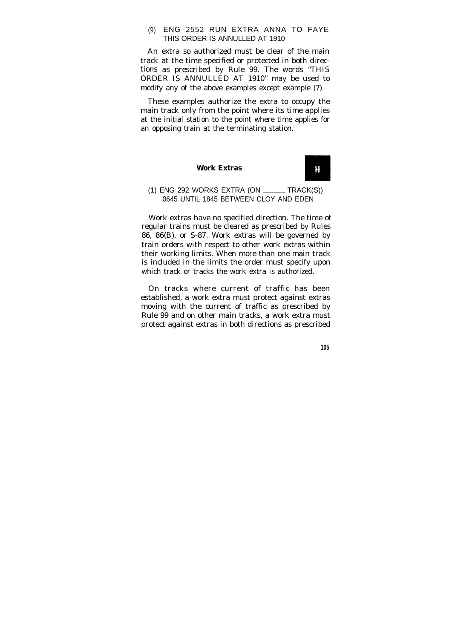#### (9) ENG 2552 RUN EXTRA ANNA TO FAYE THIS ORDER IS ANNULLED AT 1910

An extra so authorized must be clear of the main track at the time specified or protected in both directions as prescribed by Rule 99. The words "THIS ORDER IS ANNULLED AT 1910" may be used to modify any of the above examples except example (7).

These examples authorize the extra to occupy the main track only from the point where its time applies at the initial station to the point where time applies for an opposing train at the terminating station.

## **Work Extras**

#### (1) ENG 292 WORKS EXTRA (ON \_\_\_\_\_\_ TRACK(S)) 0645 UNTIL 1845 BETWEEN CLOY AND EDEN

Work extras have no specified direction. The time of regular trains must be cleared as prescribed by Rules 86, 86(B), or S-87. Work extras will be governed by train orders with respect to other work extras within their working limits. When more than one main track is included in the limits the order must specify upon which track or tracks the work extra is authorized.

On tracks where current of traffic has been established, a work extra must protect against extras moving with the current of traffic as prescribed by Rule 99 and on other main tracks, a work extra must protect against extras in both directions as prescribed

**105**

H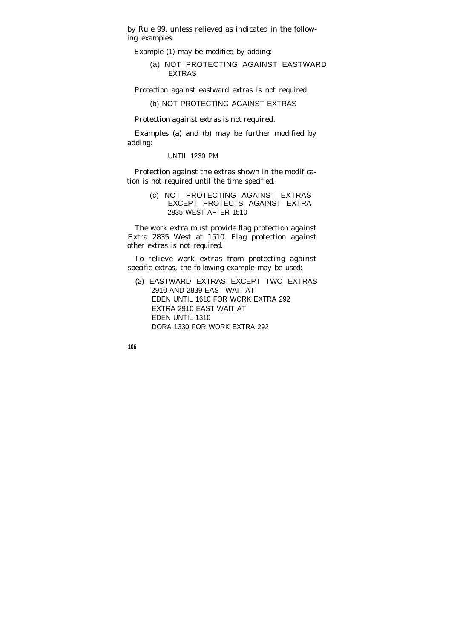by Rule 99, unless relieved as indicated in the following examples:

Example (1) may be modified by adding:

(a) NOT PROTECTING AGAINST EASTWARD EXTRAS

Protection against eastward extras is not required.

(b) NOT PROTECTING AGAINST EXTRAS

Protection against extras is not required.

Examples (a) and (b) may be further modified by adding:

## UNTIL 1230 PM

Protection against the extras shown in the modification is not required until the time specified.

> (c) NOT PROTECTING AGAINST EXTRAS EXCEPT PROTECTS AGAINST EXTRA 2835 WEST AFTER 1510

The work extra must provide flag protection against Extra 2835 West at 1510. Flag protection against other extras is not required.

To relieve work extras from protecting against specific extras, the following example may be used:

(2) EASTWARD EXTRAS EXCEPT TWO EXTRAS 2910 AND 2839 EAST WAIT AT EDEN UNTIL 1610 FOR WORK EXTRA 292 EXTRA 2910 EAST WAIT AT EDEN UNTIL 1310 DORA 1330 FOR WORK EXTRA 292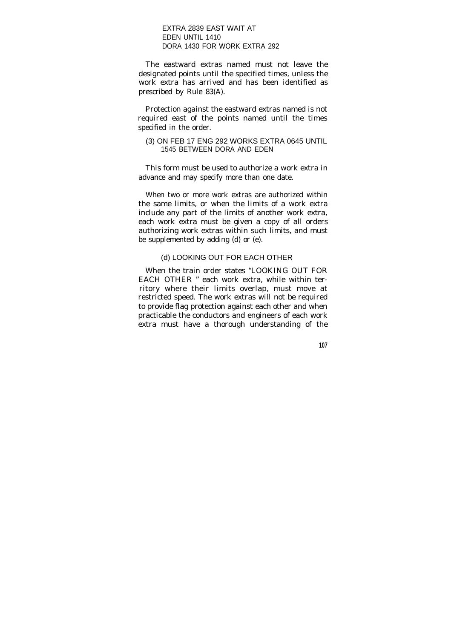## EXTRA 2839 EAST WAIT AT EDEN UNTIL 1410 DORA 1430 FOR WORK EXTRA 292

The eastward extras named must not leave the designated points until the specified times, unless the work extra has arrived and has been identified as prescribed by Rule 83(A).

Protection against the eastward extras named is not required east of the points named until the times specified in the order.

#### (3) ON FEB 17 ENG 292 WORKS EXTRA 0645 UNTIL 1545 BETWEEN DORA AND EDEN

This form must be used to authorize a work extra in advance and may specify more than one date.

When two or more work extras are authorized within the same limits, or when the limits of a work extra include any part of the limits of another work extra, each work extra must be given a copy of all orders authorizing work extras within such limits, and must be supplemented by adding (d) or (e).

## (d) LOOKING OUT FOR EACH OTHER

When the train order states "LOOKING OUT FOR EACH OTHER " each work extra, while within territory where their limits overlap, must move at restricted speed. The work extras will not be required to provide flag protection against each other and when practicable the conductors and engineers of each work extra must have a thorough understanding of the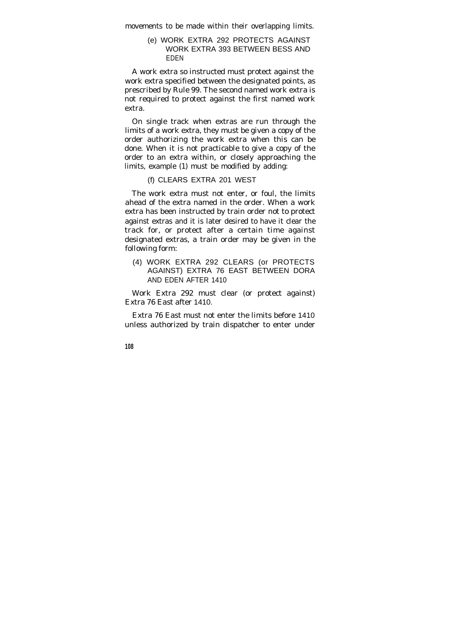movements to be made within their overlapping limits.

#### (e) WORK EXTRA 292 PROTECTS AGAINST WORK EXTRA 393 BETWEEN BESS AND EDEN

A work extra so instructed must protect against the work extra specified between the designated points, as prescribed by Rule 99. The second named work extra is not required to protect against the first named work extra.

On single track when extras are run through the limits of a work extra, they must be given a copy of the order authorizing the work extra when this can be done. When it is not practicable to give a copy of the order to an extra within, or closely approaching the limits, example (1) must be modified by adding:

#### (f) CLEARS EXTRA 201 WEST

The work extra must not enter, or foul, the limits ahead of the extra named in the order. When a work extra has been instructed by train order not to protect against extras and it is later desired to have it clear the track for, or protect after a certain time against designated extras, a train order may be given in the following form:

(4) WORK EXTRA 292 CLEARS (or PROTECTS AGAINST) EXTRA 76 EAST BETWEEN DORA AND EDEN AFTER 1410

Work Extra 292 must clear (or protect against) Extra 76 East after 1410.

Extra 76 East must not enter the limits before 1410 unless authorized by train dispatcher to enter under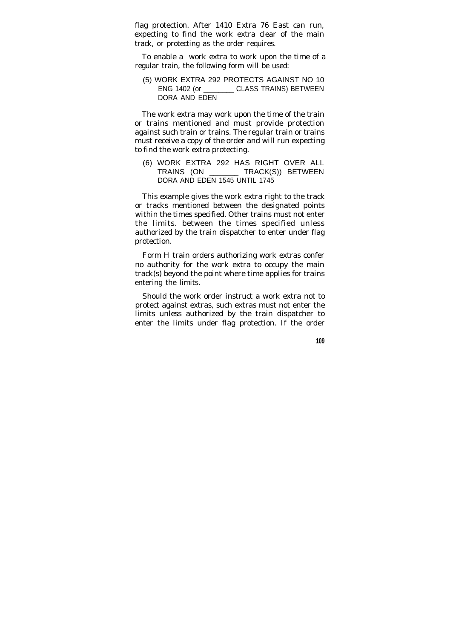flag protection. After 1410 Extra 76 East can run, expecting to find the work extra clear of the main track, or protecting as the order requires.

To enable a work extra to work upon the time of a regular train, the following form will be used:

(5) WORK EXTRA 292 PROTECTS AGAINST NO 10 ENG 1402 (or \_\_\_\_\_\_\_\_ CLASS TRAINS) BETWEEN DORA AND EDEN

The work extra may work upon the time of the train or trains mentioned and must provide protection against such train or trains. The regular train or trains must receive a copy of the order and will run expecting to find the work extra protecting.

(6) WORK EXTRA 292 HAS RIGHT OVER ALL TRAINS (ON \_\_\_\_\_\_\_ TRACK(S)) BETWEEN DORA AND EDEN 1545 UNTIL 1745

This example gives the work extra right to the track or tracks mentioned between the designated points within the times specified. Other trains must not enter the limits. between the times specified unless authorized by the train dispatcher to enter under flag protection.

Form H train orders authorizing work extras confer no authority for the work extra to occupy the main track(s) beyond the point where time applies for trains entering the limits.

Should the work order instruct a work extra not to protect against extras, such extras must not enter the limits unless authorized by the train dispatcher to enter the limits under flag protection. If the order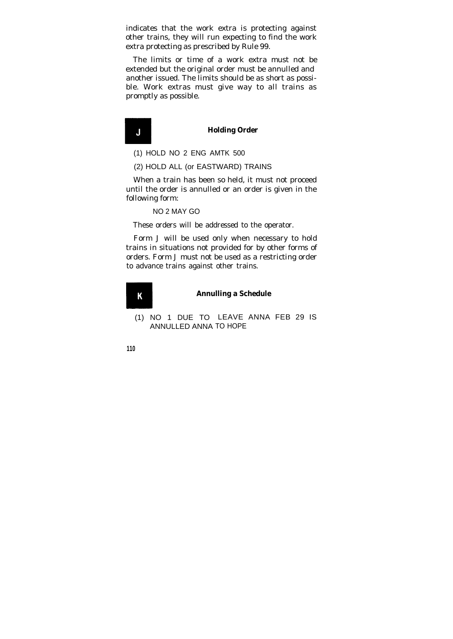indicates that the work extra is protecting against other trains, they will run expecting to find the work extra protecting as prescribed by Rule 99.

The limits or time of a work extra must not be extended but the original order must be annulled and another issued. The limits should be as short as possible. Work extras must give way to all trains as promptly as possible.

#### **Holding Order**

(1) HOLD NO 2 ENG AMTK 500

(2) HOLD ALL (or EASTWARD) TRAINS

When a train has been so held, it must not proceed until the order is annulled or an order is given in the following form:

NO 2 MAY GO

These orders will be addressed to the operator.

Form J will be used only when necessary to hold trains in situations not provided for by other forms of orders. Form J must not be used as a restricting order to advance trains against other trains.

К

 $\mathsf J$ 

**Annulling a Schedule**

(1) NO 1 DUE TO LEAVE ANNA FEB 29 IS ANNULLED ANNA TO HOPE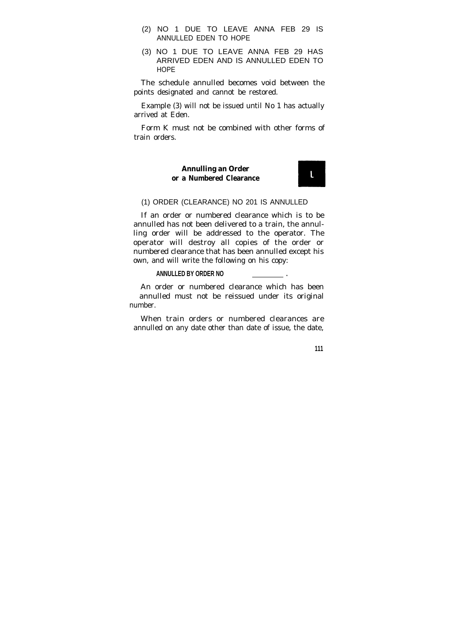- (2) NO 1 DUE TO LEAVE ANNA FEB 29 IS ANNULLED EDEN TO HOPE
- (3) NO 1 DUE TO LEAVE ANNA FEB 29 HAS ARRIVED EDEN AND IS ANNULLED EDEN TO HOPE

The schedule annulled becomes void between the points designated and cannot be restored.

Example (3) will not be issued until No 1 has actually arrived at Eden.

Form K must not be combined with other forms of train orders.

#### **Annulling an Order or a Numbered Clearance**



#### (1) ORDER (CLEARANCE) NO 201 IS ANNULLED

If an order or numbered clearance which is to be annulled has not been delivered to a train, the annulling order will be addressed to the operator. The operator will destroy all copies of the order or numbered clearance that has been annulled except his own, and will write the following on his copy:

#### **ANNULLED BY ORDER NO .**

An order or numbered clearance which has been annulled must not be reissued under its original number.

When train orders or numbered clearances are annulled on any date other than date of issue, the date,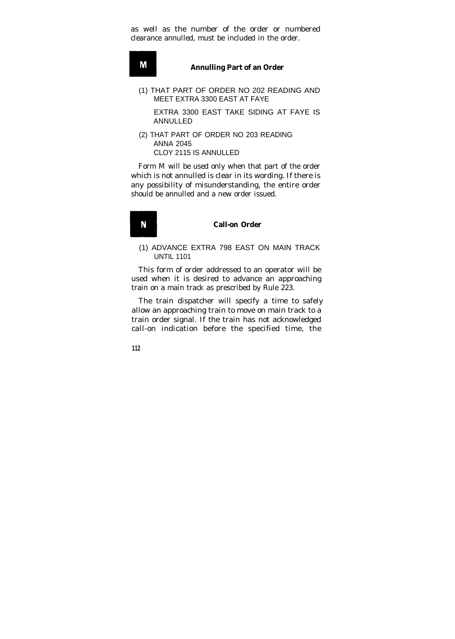as well as the number of the order or numbered clearance annulled, must be included in the order.

# M

#### **Annulling Part of an Order**

(1) THAT PART OF ORDER NO 202 READING AND MEET EXTRA 3300 EAST AT FAYE

EXTRA 3300 EAST TAKE SIDING AT FAYE IS ANNULLED

(2) THAT PART OF ORDER NO 203 READING ANNA 2045 CLOY 2115 IS ANNULLED

Form M will be used only when that part of the order which is not annulled is clear in its wording. If there is any possibility of misunderstanding, the entire order should be annulled and a new order issued.

#### **Call-on Order**

#### (1) ADVANCE EXTRA 798 EAST ON MAIN TRACK UNTIL 1101

This form of order addressed to an operator will be used when it is desired to advance an approaching train on a main track as prescribed by Rule 223.

The train dispatcher will specify a time to safely allow an approaching train to move on main track to a train order signal. If the train has not acknowledged call-on indication before the specified time, the

**112**

N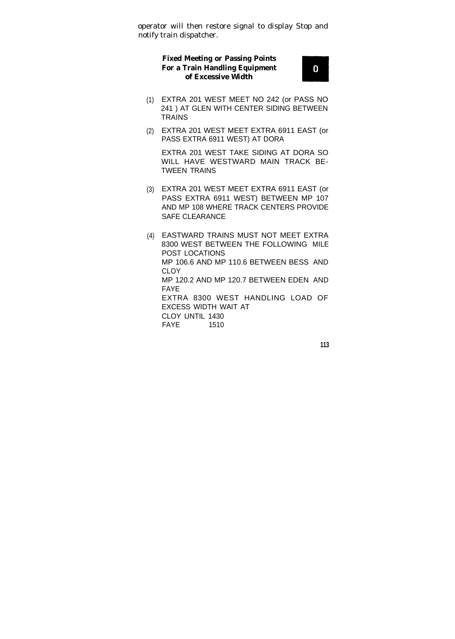operator will then restore signal to display Stop and notify train dispatcher.

#### **Fixed Meeting or Passing Points For a Train Handling Equipment of Excessive Width**

- $\mathbf 0$
- (1) EXTRA 201 WEST MEET NO 242 (or PASS NO 241 ) AT GLEN WITH CENTER SIDING BETWEEN **TRAINS**
- (2) EXTRA 201 WEST MEET EXTRA 6911 EAST (or PASS EXTRA 6911 WEST) AT DORA

EXTRA 201 WEST TAKE SIDING AT DORA SO WILL HAVE WESTWARD MAIN TRACK BE-TWEEN TRAINS

- (3) EXTRA 201 WEST MEET EXTRA 6911 EAST (or PASS EXTRA 6911 WEST) BETWEEN MP 107 AND MP 108 WHERE TRACK CENTERS PROVIDE SAFE CLEARANCE
- (4) EASTWARD TRAINS MUST NOT MEET EXTRA 8300 WEST BETWEEN THE FOLLOWING MILE POST LOCATIONS MP 106.6 AND MP 110.6 BETWEEN BESS AND **CLOY** MP 120.2 AND MP 120.7 BETWEEN EDEN AND FAYE EXTRA 8300 WEST HANDLING LOAD OF EXCESS WIDTH WAIT AT CLOY UNTIL 1430 FAYE 1510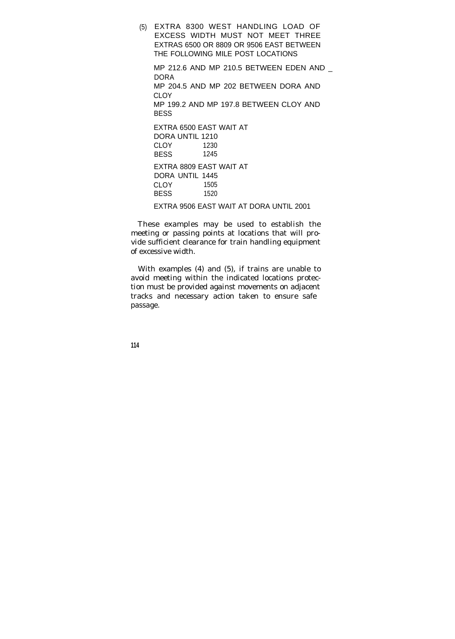EXCESS WIDTH MUST NOT MEET THREE EXTRAS 6500 OR 8809 OR 9506 EAST BETWEEN THE FOLLOWING MILE POST LOCATIONS MP 212.6 AND MP 210.5 BETWEEN EDEN AND \_ DORA MP 204.5 AND MP 202 BETWEEN DORA AND **CLOY** MP 199.2 AND MP 197.8 BETWEEN CLOY AND BESS EXTRA 6500 EAST WAIT AT DORA UNTIL 1210 CLOY 1230 BESS 1245 EXTRA 8809 EAST WAIT AT DORA UNTIL 1445 CLOY 1505 BESS 1520 EXTRA 9506 EAST WAIT AT DORA UNTIL 2001

(5) EXTRA 8300 WEST HANDLING LOAD OF

These examples may be used to establish the meeting or passing points at locations that will provide sufficient clearance for train handling equipment of excessive width.

With examples (4) and (5), if trains are unable to avoid meeting within the indicated locations protection must be provided against movements on adjacent tracks and necessary action taken to ensure safe passage.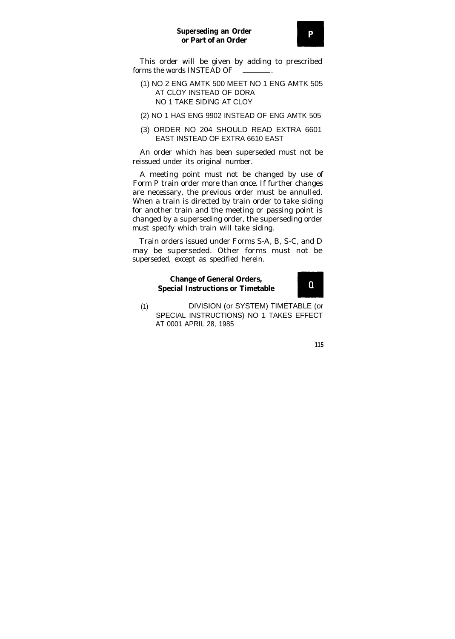#### **Superseding an Order or Part of an Order**



This order will be given by adding to prescribed forms the words INSTEAD OF .

- (1) NO 2 ENG AMTK 500 MEET NO 1 ENG AMTK 505 AT CLOY INSTEAD OF DORA NO 1 TAKE SIDING AT CLOY
- (2) NO 1 HAS ENG 9902 INSTEAD OF ENG AMTK 505
- (3) ORDER NO 204 SHOULD READ EXTRA 6601 EAST INSTEAD OF EXTRA 6610 EAST

An order which has been superseded must not be reissued under its original number.

A meeting point must not be changed by use of Form P train order more than once. If further changes are necessary, the previous order must be annulled. When a train is directed by train order to take siding for another train and the meeting or passing point is changed by a superseding order, the superseding order must specify which train will take siding.

Train orders issued under Forms S-A, B, S-C, and D may be superseded. Other forms must not be superseded, except as specified herein.

#### **Change of General Orders, Special Instructions or Timetable**



(1) DIVISION (or SYSTEM) TIMETABLE (or SPECIAL INSTRUCTIONS) NO 1 TAKES EFFECT AT 0001 APRIL 28, 1985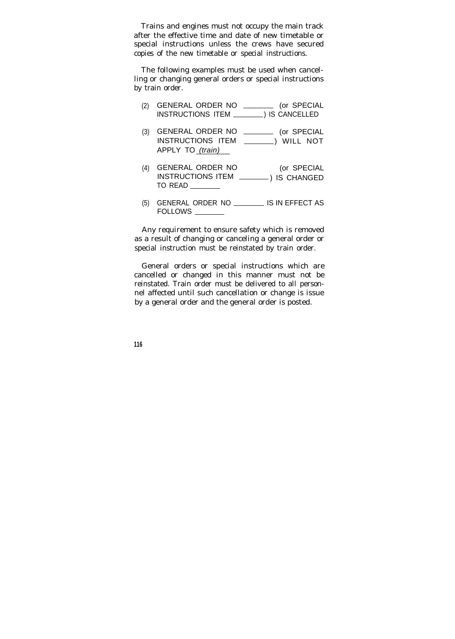Trains and engines must not occupy the main track after the effective time and date of new timetable or special instructions unless the crews have secured copies of the new timetable or special instructions.

The following examples must be used when cancelling or changing general orders or special instructions by train order.

- (2) GENERAL ORDER NO \_\_\_\_\_\_\_\_\_\_ (or SPECIAL INSTRUCTIONS ITEM \_\_\_\_\_\_\_\_) IS CANCELLED
- (3) GENERAL ORDER NO \_\_\_\_\_\_\_\_\_\_ (or SPECIAL INSTRUCTIONS ITEM  $\_\_\_\_\_\_\_\_\$ ) WILL NOT APPLY TO (train)
- (4) GENERAL ORDER NO GENERAL ORDER NO (or SPECIAL INSTRUCTIONS ITEM  $\quad$  ) IS CHANGED TO READ
- (5) GENERAL ORDER NO \_\_\_\_\_\_\_\_\_\_ IS IN EFFECT AS FOLLOWS

Any requirement to ensure safety which is removed as a result of changing or canceling a general order or special instruction must be reinstated by train order.

General orders or special instructions which are cancelled or changed in this manner must not be reinstated. Train order must be delivered to all personnel affected until such cancellation or change is issue by a general order and the general order is posted.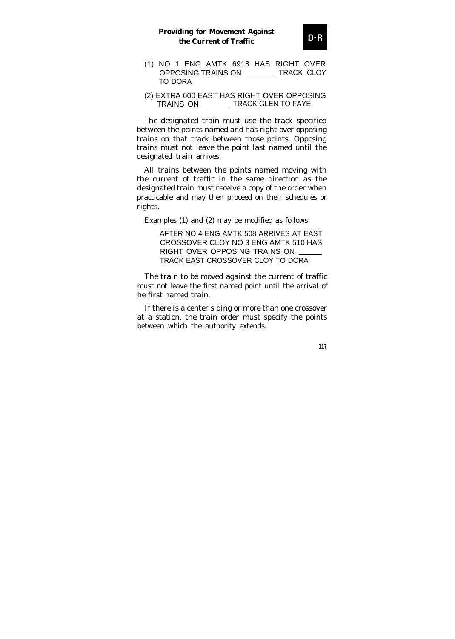#### **Providing for Movement Against the Current of Traffic**

- (1) NO 1 ENG AMTK 6918 HAS RIGHT OVER OPPOSING TRAINS ON \_\_\_\_\_\_\_\_\_ TRACK CLOY TO DORA
- (2) EXTRA 600 EAST HAS RIGHT OVER OPPOSING TRAINS ON \_\_\_\_\_\_\_\_\_ TRACK GLEN TO FAYE

The designated train must use the track specified between the points named and has right over opposing trains on that track between those points. Opposing trains must not leave the point last named until the designated train arrives.

All trains between the points named moving with the current of traffic in the same direction as the designated train must receive a copy of the order when practicable and may then proceed on their schedules or rights.

Examples (1) and (2) may be modified as follows:

AFTER NO 4 ENG AMTK 508 ARRIVES AT EAST CROSSOVER CLOY NO 3 ENG AMTK 510 HAS RIGHT OVER OPPOSING TRAINS ON TRACK EAST CROSSOVER CLOY TO DORA

The train to be moved against the current of traffic must not leave the first named point until the arrival of he first named train.

If there is a center siding or more than one crossover at a station, the train order must specify the points between which the authority extends.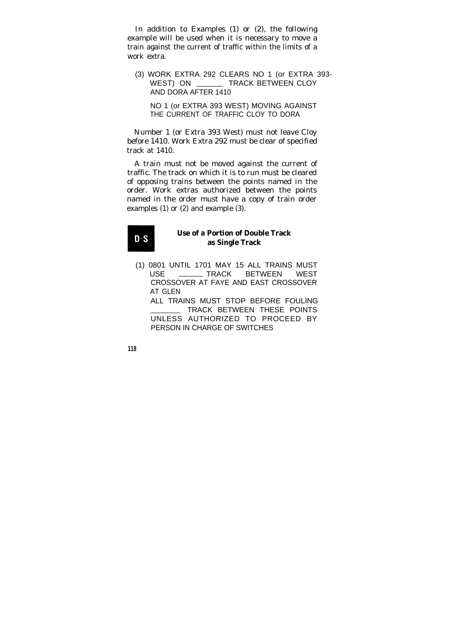In addition to Examples (1) or (2), the following example will be used when it is necessary to move a train against the current of traffic within the limits of a work extra.

(3) WORK EXTRA 292 CLEARS NO 1 (or EXTRA 393- WEST) ON **TRACK BETWEEN CLOY** AND DORA AFTER 1410

NO 1 (or EXTRA 393 WEST) MOVING AGAINST THE CURRENT OF TRAFFIC CLOY TO DORA

Number 1 (or Extra 393 West) must not leave Cloy before 1410. Work Extra 292 must be clear of specified track at 1410.

A train must not be moved against the current of traffic. The track on which it is to run must be cleared of opposing trains between the points named in the order. Work extras authorized between the points named in the order must have a copy of train order examples (1) or (2) and example (3).



#### **Use of a Portion of Double Track as Single Track**

(1) 0801 UNTIL 1701 MAY 15 ALL TRAINS MUST USE \_\_\_\_\_\_\_\_ TRACK BETWEEN WEST CROSSOVER AT FAYE AND EAST CROSSOVER AT GLEN ALL TRAINS MUST STOP BEFORE FOULING

TRACK BETWEEN THESE POINTS UNLESS AUTHORIZED TO PROCEED BY PERSON IN CHARGE OF SWITCHES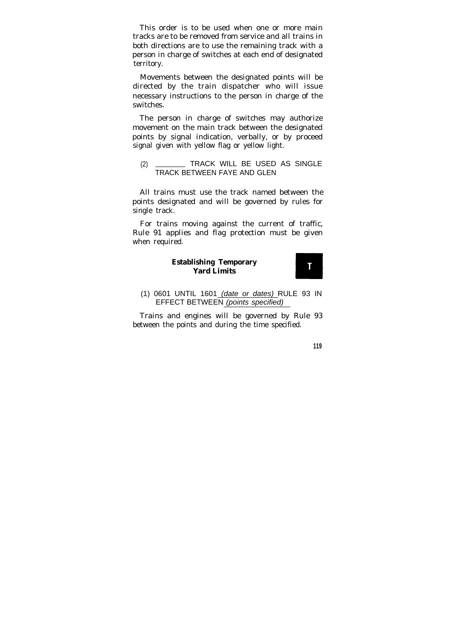This order is to be used when one or more main tracks are to be removed from service and all trains in both directions are to use the remaining track with a person in charge of switches at each end of designated territory.

Movements between the designated points will be directed by the train dispatcher who will issue necessary instructions to the person in charge of the switches.

The person in charge of switches may authorize movement on the main track between the designated points by signal indication, verbally, or by proceed signal given with yellow flag or yellow light.

## (2) \_\_\_\_\_\_\_\_\_ TRACK WILL BE USED AS SINGLE TRACK BETWEEN FAYE AND GLEN

All trains must use the track named between the points designated and will be governed by rules for single track.

For trains moving against the current of traffic, Rule 91 applies and flag protection must be given when required.

#### **Establishing Temporary Yard Limits**



(1) 0601 UNTIL 1601 (date or dates) RULE 93 IN EFFECT BETWEEN (points specified)

Trains and engines will be governed by Rule 93 between the points and during the time specified.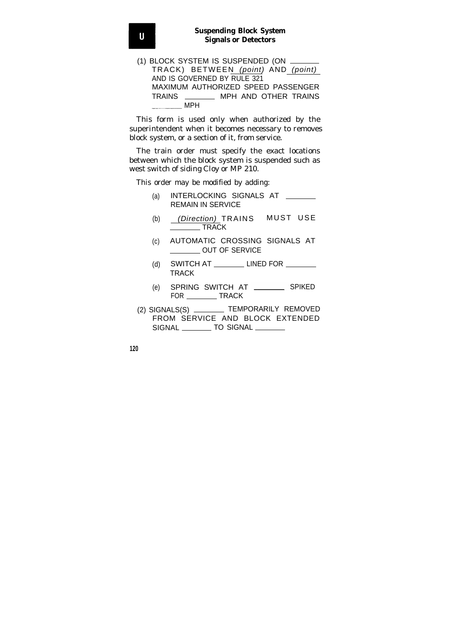(1) BLOCK SYSTEM IS SUSPENDED (ON TRACK) BETWEEN (point) AND (point) AND IS GOVERNED BY RULE 321 MAXIMUM AUTHORIZED SPEED PASSENGER TRAINS \_\_\_\_\_\_\_\_\_ MPH AND OTHER TRAINS  $\overline{\phantom{0}}$  MPH

This form is used only when authorized by the superintendent when it becomes necessary to removes block system, or a section of it, from service.

The train order must specify the exact locations between which the block system is suspended such as west switch of siding Cloy or MP 210.

This order may be modified by adding:

- (a) INTERLOCKING SIGNALS AT REMAIN IN SERVICE
- (b) (Direction) TRAINS MUST USE **NACK** TRACK
- (c) AUTOMATIC CROSSING SIGNALS AT **NUT OF SERVICE**
- (d) SWITCH AT \_\_\_\_\_\_\_\_\_\_ LINED FOR \_\_\_\_ **TRACK**
- (e) SPRING SWITCH AT \_\_\_\_\_\_\_\_\_ SPIKED FOR \_\_\_\_\_\_\_\_\_\_\_ TRACK
- (2) SIGNALS(S) \_\_\_\_\_\_\_\_ TEMPORARILY REMOVED FROM SERVICE AND BLOCK EXTENDED SIGNAL \_\_\_\_\_\_\_\_\_ TO SIGNAL \_\_\_\_\_\_\_

**120**

U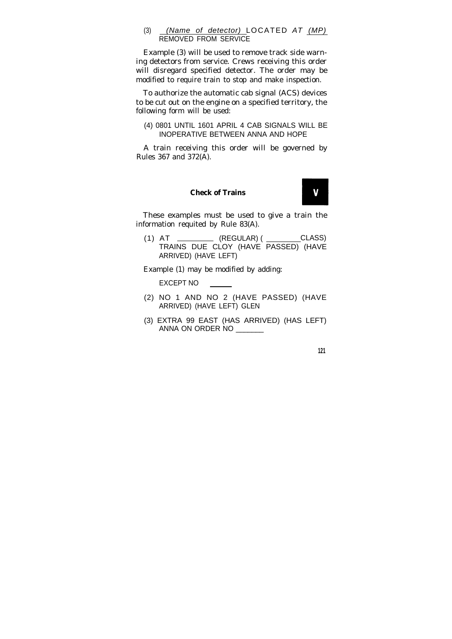#### (3) (Name of detector) LOCATED AT (MP) REMOVED FROM SERVICE

Example (3) will be used to remove track side warning detectors from service. Crews receiving this order will disregard specified detector. The order may be modified to require train to stop and make inspection.

To authorize the automatic cab signal (ACS) devices to be cut out on the engine on a specified territory, the following form will be used:

(4) 0801 UNTIL 1601 APRIL 4 CAB SIGNALS WILL BE INOPERATIVE BETWEEN ANNA AND HOPE

A train receiving this order will be governed by Rules 367 and 372(A).

#### **Check of Trains**



These examples must be used to give a train the information requited by Rule 83(A).

 $(1)$  AT  $\qquad \qquad$  (REGULAR) ( $\qquad \qquad$  CLASS) TRAINS DUE CLOY (HAVE PASSED) (HAVE ARRIVED) (HAVE LEFT)

Example (1) may be modified by adding:

EXCEPT NO

- (2) NO 1 AND NO 2 (HAVE PASSED) (HAVE ARRIVED) (HAVE LEFT) GLEN
- (3) EXTRA 99 EAST (HAS ARRIVED) (HAS LEFT) ANNA ON ORDER NO \_\_\_\_\_\_\_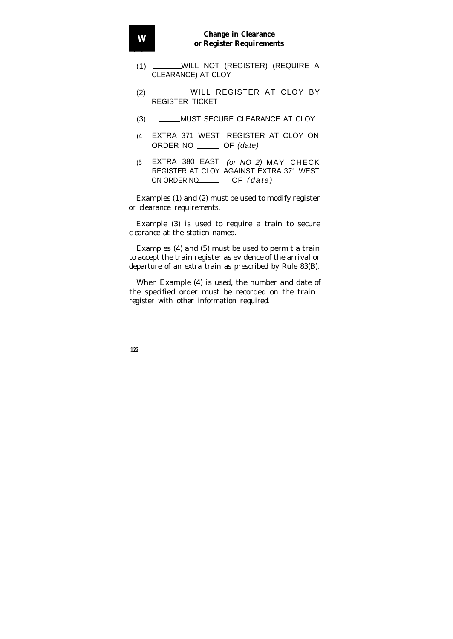#### **Change in Clearance or Register Requirements**

- (1) WILL NOT (REGISTER) (REQUIRE A CLEARANCE) AT CLOY
- (2) WILL REGISTER AT CLOY BY REGISTER TICKET
- (3) \_\_\_\_\_\_MUST SECURE CLEARANCE AT CLOY
- (4 EXTRA 371 WEST REGISTER AT CLOY ON ORDER NO \_\_\_\_\_\_\_ OF <u>(date)</u>
- (5 EXTRA 380 EAST REGISTER AT CLOY ON ORDER NO \_\_\_\_\_ \_\_ OF (date) (or NO 2) MAY CHECK AGAINST EXTRA 371 WEST

Examples (1) and (2) must be used to modify register or clearance requirements.

Example (3) is used to require a train to secure clearance at the station named.

Examples (4) and (5) must be used to permit a train to accept the train register as evidence of the arrival or departure of an extra train as prescribed by Rule 83(B).

When Example (4) is used, the number and date of the specified order must be recorded on the train register with other information required.

**122**

## W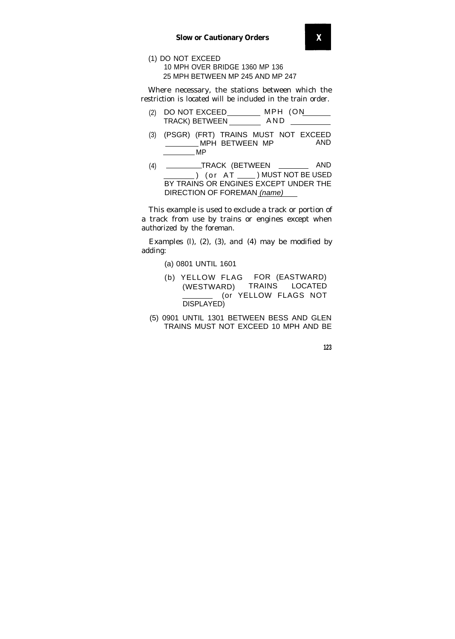- (1) DO NOT EXCEED
	- 10 MPH OVER BRIDGE 1360 MP 136 25 MPH BETWEEN MP 245 AND MP 247

Where necessary, the stations between which the restriction is located will be included in the train order.

- (2) DO NOT EXCEED\_\_\_\_\_\_\_\_\_\_ MPH (ON TRACK) BETWEEN AND
- (3) (PSGR) (FRT) TRAINS MUST NOT EXCEED MPH BETWEEN MP AND  $M$ P
- (4) \_TRACK (BETWEEN \_\_\_\_\_\_\_\_\_ AND ) (or AT \_\_\_\_\_ ) MUST NOT BE USED BY TRAINS OR ENGINES EXCEPT UNDER THE DIRECTION OF FOREMAN (name)

This example is used to exclude a track or portion of a track from use by trains or engines except when authorized by the foreman.

Examples (l), (2), (3), and (4) may be modified by adding:

- (a) 0801 UNTIL 1601
- (b) YELLOW FLAG FOR (EASTWARD) (WESTWARD) LOCATED (or YELLOW FLAGS NOT DISPLAYED)
- (5) 0901 UNTIL 1301 BETWEEN BESS AND GLEN TRAINS MUST NOT EXCEED 10 MPH AND BE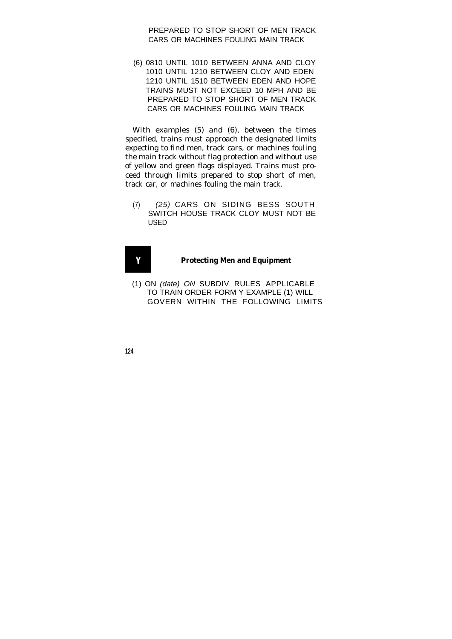PREPARED TO STOP SHORT OF MEN TRACK CARS OR MACHINES FOULING MAIN TRACK

(6) 0810 UNTIL 1010 BETWEEN ANNA AND CLOY 1010 UNTIL 1210 BETWEEN CLOY AND EDEN 1210 UNTIL 1510 BETWEEN EDEN AND HOPE TRAINS MUST NOT EXCEED 10 MPH AND BE PREPARED TO STOP SHORT OF MEN TRACK CARS OR MACHINES FOULING MAIN TRACK

With examples (5) and (6), between the times specified, trains must approach the designated limits expecting to find men, track cars, or machines fouling the main track without flag protection and without use of yellow and green flags displayed. Trains must proceed through limits prepared to stop short of men, track car, or machines fouling the main track.

(7) (25) CARS ON SIDING BESS SOUTH SWITCH HOUSE TRACK CLOY MUST NOT BE USED



#### **Protecting Men and Equipment**

(1) ON (date) ON SUBDIV RULES APPLICABLE TO TRAIN ORDER FORM Y EXAMPLE (1) WILL GOVERN WITHIN THE FOLLOWING LIMITS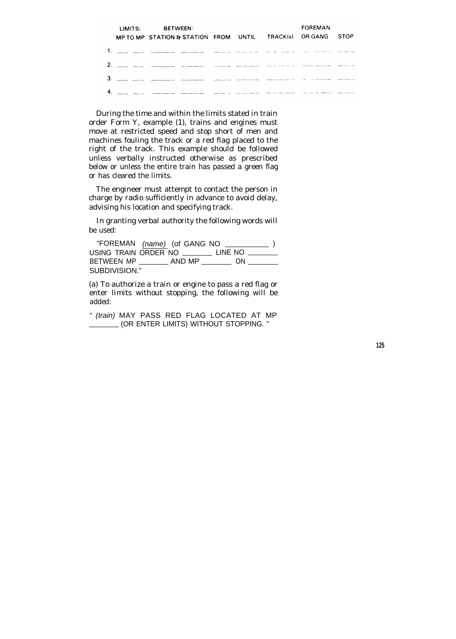|  | LIMITS: BETWEEN:<br>MP TO MP STATION & STATION FROM UNTIL TRACK(s) OR GANG |  | <b>FOREMAN</b> | <b>STOP</b> |
|--|----------------------------------------------------------------------------|--|----------------|-------------|
|  | <u>1. Le seu comme comme comme ma</u>                                      |  |                |             |
|  |                                                                            |  |                |             |
|  |                                                                            |  |                |             |
|  | .<br>1980 - Jan Jawa Barton, masonalainen kirjailija (k. 1900)             |  |                |             |

During the time and within the limits stated in train order Form Y, example (1), trains and engines must move at restricted speed and stop short of men and machines fouling the track or a red flag placed to the right of the track. This example should be followed unless verbally instructed otherwise as prescribed below or unless the entire train has passed a green flag or has cleared the limits.

The engineer must attempt to contact the person in charge by radio sufficiently in advance to avoid delay, advising his location and specifying track.

In granting verbal authority the following words will be used:

|               | USING TRAIN ORDER NO LINE NO              |  |
|---------------|-------------------------------------------|--|
|               | BETWEEN MP __________ AND MP _________ ON |  |
| SUBDIVISION." |                                           |  |

(a) To authorize a train or engine to pass a red flag or enter limits without stopping, the following will be added:

" (train) MAY PASS RED FLAG LOCATED AT MP (OR ENTER LIMITS) WITHOUT STOPPING. "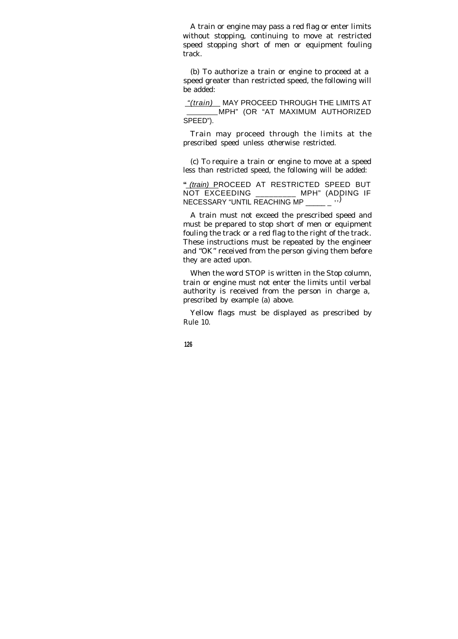A train or engine may pass a red flag or enter limits without stopping, continuing to move at restricted speed stopping short of men or equipment fouling track.

(b) To authorize a train or engine to proceed at a speed greater than restricted speed, the following will be added:

"(train) MAY PROCEED THROUGH THE LIMITS AT MPH" (OR "AT MAXIMUM AUTHORIZED SPEED").

Train may proceed through the limits at the prescribed speed unless otherwise restricted.

(c) TO require a train or engine to move at a speed less than restricted speed, the following will be added:

**"** (train) PROCEED AT RESTRICTED SPEED BUT NOT EXCEEDING \_\_\_\_\_\_\_\_\_ MPH" (ADDING IF<br>NECESSARY "UNTIL REACHING MP ,,) NECESSARY "UNTIL REACHING MP

A train must not exceed the prescribed speed and must be prepared to stop short of men or equipment fouling the track or a red flag to the right of the track. These instructions must be repeated by the engineer and "OK" received from the person giving them before they are acted upon.

When the word STOP is written in the Stop column, train or engine must not enter the limits until verbal authority is received from the person in charge a, prescribed by example (a) above.

Yellow flags must be displayed as prescribed by Rule 10.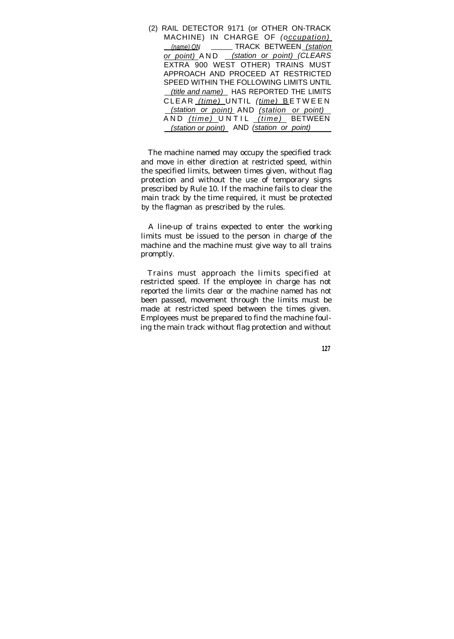(2) RAIL DETECTOR 9171 (or OTHER ON-TRACK MACHINE) IN CHARGE OF (occupation) (name) ON \_\_\_\_\_\_\_ TRACK BETWEEN (station or point) AND (station or point) (CLEARS EXTRA 900 WEST OTHER) TRAINS MUST APPROACH AND PROCEED AT RESTRICTED SPEED WITHIN THE FOLLOWING LIMITS UNTIL (title and name) HAS REPORTED THE LIMITS CLEAR (time) UNTIL (time) BETWEE N (station or point) AND (station or point) AND (time) UNTIL (time) BETWEEN (station or point) AND (station or point)

The machine named may occupy the specified track and move in either direction at restricted speed, within the specified limits, between times given, without flag protection and without the use of temporary signs prescribed by Rule 10. If the machine fails to clear the main track by the time required, it must be protected by the flagman as prescribed by the rules.

A line-up of trains expected to enter the working limits must be issued to the person in charge of the machine and the machine must give way to all trains promptly.

Trains must approach the limits specified at restricted speed. If the employee in charge has not reported the limits clear or the machine named has not been passed, movement through the limits must be made at restricted speed between the times given. Employees must be prepared to find the machine fouling the main track without flag protection and without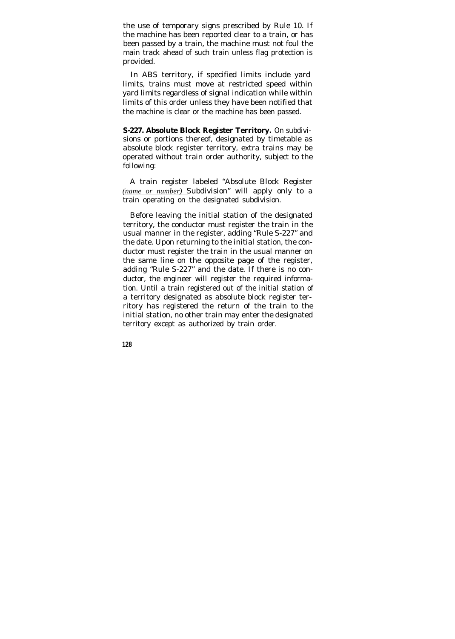the use of temporary signs prescribed by Rule 10. If the machine has been reported clear to a train, or has been passed by a train, the machine must not foul the main track ahead of such train unless flag protection is provided.

In ABS territory, if specified limits include yard limits, trains must move at restricted speed within yard limits regardless of signal indication while within limits of this order unless they have been notified that the machine is clear or the machine has been passed.

**S-227. Absolute Block Register Territory.** On subdivisions or portions thereof, designated by timetable as absolute block register territory, extra trains may be operated without train order authority, subject to the following:

A train register labeled "Absolute Block Register *(name or number)* Subdivision" will apply only to a train operating on the designated subdivision.

Before leaving the initial station of the designated territory, the conductor must register the train in the usual manner in the register, adding "Rule S-227" and the date. Upon returning to the initial station, the conductor must register the train in the usual manner on the same line on the opposite page of the register, adding "Rule S-227" and the date. If there is no conductor, the engineer will register the required information. Until a train registered out of the initial station of a territory designated as absolute block register territory has registered the return of the train to the initial station, no other train may enter the designated territory except as authorized by train order.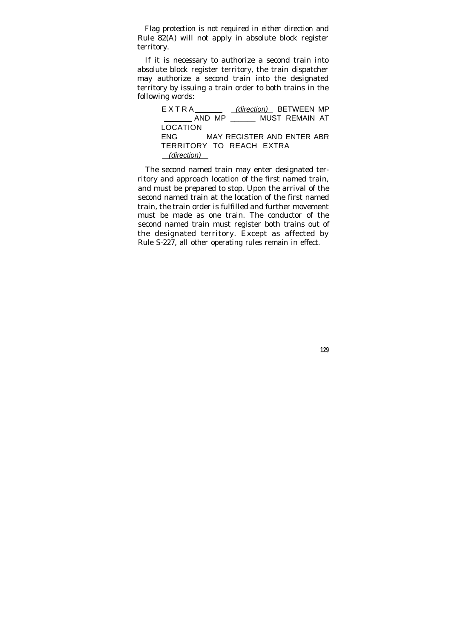Flag protection is not required in either direction and Rule 82(A) will not apply in absolute block register territory.

If it is necessary to authorize a second train into absolute block register territory, the train dispatcher may authorize a second train into the designated territory by issuing a train order to both trains in the following words:

| EXTRA ________ (direction) BETWEEN MP   |  |  |  |
|-----------------------------------------|--|--|--|
| _________ AND MP _______ MUST REMAIN AT |  |  |  |
| LOCATION                                |  |  |  |
| ENG MAY REGISTER AND ENTER ABR          |  |  |  |
| TERRITORY TO REACH EXTRA                |  |  |  |
| (direction)                             |  |  |  |

The second named train may enter designated territory and approach location of the first named train, and must be prepared to stop. Upon the arrival of the second named train at the location of the first named train, the train order is fulfilled and further movement must be made as one train. The conductor of the second named train must register both trains out of the designated territory. Except as affected by Rule S-227, all other operating rules remain in effect.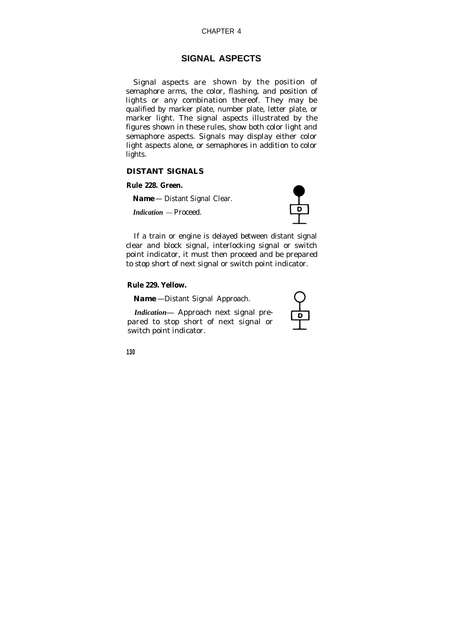#### CHAPTER 4

## **SIGNAL ASPECTS**

Signal aspects are shown by the position of semaphore arms, the color, flashing, and position of lights or any combination thereof. They may be qualified by marker plate, number plate, letter plate, or marker light. The signal aspects illustrated by the figures shown in these rules, show both color light and semaphore aspects. Signals may display either color light aspects alone, or semaphores in addition to color lights.

#### **DISTANT SIGNALS**

#### **Rule 228. Green.**

*Name* — Distant Signal Clear.

*Indication —* Proceed.



If a train or engine is delayed between distant signal clear and block signal, interlocking signal or switch point indicator, it must then proceed and be prepared to stop short of next signal or switch point indicator.

#### **Rule 229. Yellow.**

*Name* —Distant Signal Approach.

|  | <i>Indication</i> — Approach next signal pre- |  |  |  |
|--|-----------------------------------------------|--|--|--|
|  | pared to stop short of next signal or         |  |  |  |
|  | switch point indicator.                       |  |  |  |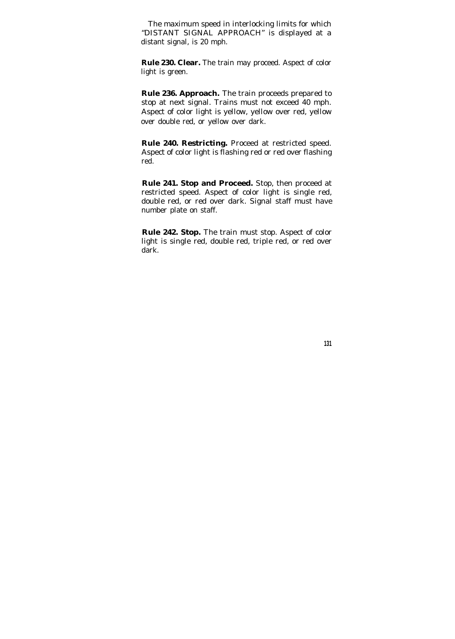The maximum speed in interlocking limits for which "DISTANT SIGNAL APPROACH" is displayed at a distant signal, is 20 mph.

**Rule 230. Clear.** The train may proceed. Aspect of color light is green.

**Rule 236. Approach.** The train proceeds prepared to stop at next signal. Trains must not exceed 40 mph. Aspect of color light is yellow, yellow over red, yellow over double red, or yellow over dark.

**Rule 240. Restricting.** Proceed at restricted speed. Aspect of color light is flashing red or red over flashing red.

**Rule 241. Stop and Proceed.** Stop, then proceed at restricted speed. Aspect of color light is single red, double red, or red over dark. Signal staff must have number plate on staff.

**Rule 242. Stop.** The train must stop. Aspect of color light is single red, double red, triple red, or red over dark.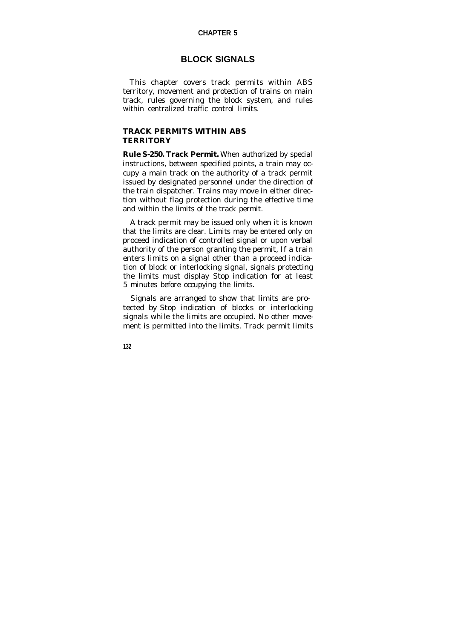#### **CHAPTER 5**

### **BLOCK SIGNALS**

This chapter covers track permits within ABS territory, movement and protection of trains on main track, rules governing the block system, and rules within centralized traffic control limits.

#### **TRACK PERMITS WITHIN ABS TERRITORY**

**Rule S-250. Track Permit.** When authorized by special instructions, between specified points, a train may occupy a main track on the authority of a track permit issued by designated personnel under the direction of the train dispatcher. Trains may move in either direction without flag protection during the effective time and within the limits of the track permit.

A track permit may be issued only when it is known that the limits are clear. Limits may be entered only on proceed indication of controlled signal or upon verbal authority of the person granting the permit, If a train enters limits on a signal other than a proceed indication of block or interlocking signal, signals protecting the limits must display Stop indication for at least 5 minutes before occupying the limits.

Signals are arranged to show that limits are protected by Stop indication of blocks or interlocking signals while the limits are occupied. No other movement is permitted into the limits. Track permit limits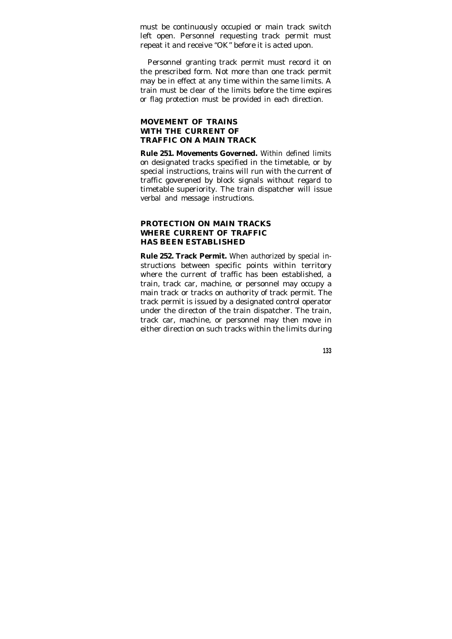must be continuously occupied or main track switch left open. Personnel requesting track permit must repeat it and receive "OK" before it is acted upon.

Personnel granting track permit must record it on the prescribed form. Not more than one track permit may be in effect at any time within the same limits. A train must be clear of the limits before the time expires or flag protection must be provided in each direction.

#### **MOVEMENT OF TRAINS WITH THE CURRENT OF TRAFFIC ON A MAIN TRACK**

**Rule 251. Movements Governed.** Within defined limits on designated tracks specified in the timetable, or by special instructions, trains will run with the current of traffic goverened by block signals without regard to timetable superiority. The train dispatcher will issue verbal and message instructions.

#### **PROTECTION ON MAIN TRACKS WHERE CURRENT OF TRAFFIC HAS BEEN ESTABLISHED**

**Rule 252. Track Permit.** When authorized by special instructions between specific points within territory where the current of traffic has been established, a train, track car, machine, or personnel may occupy a main track or tracks on authority of track permit. The track permit is issued by a designated control operator under the directon of the train dispatcher. The train, track car, machine, or personnel may then move in either direction on such tracks within the limits during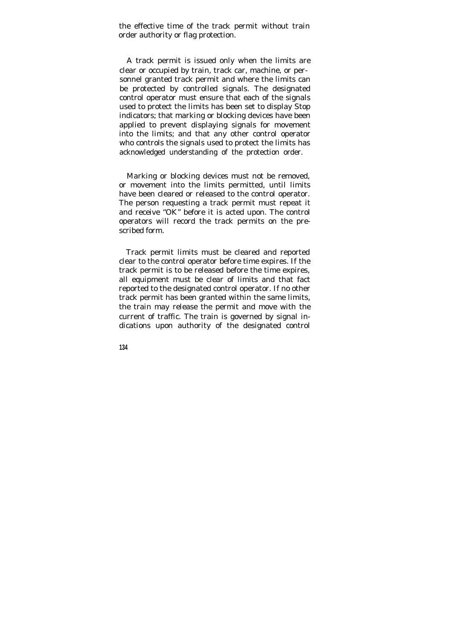the effective time of the track permit without train order authority or flag protection.

A track permit is issued only when the limits are clear or occupied by train, track car, machine, or personnel granted track permit and where the limits can be protected by controlled signals. The designated control operator must ensure that each of the signals used to protect the limits has been set to display Stop indicators; that marking or blocking devices have been applied to prevent displaying signals for movement into the limits; and that any other control operator who controls the signals used to protect the limits has acknowledged understanding of the protection order.

Marking or blocking devices must not be removed, or movement into the limits permitted, until limits have been cleared or released to the control operator. The person requesting a track permit must repeat it and receive "OK" before it is acted upon. The control operators will record the track permits on the prescribed form.

Track permit limits must be cleared and reported clear to the control operator before time expires. If the track permit is to be released before the time expires, all equipment must be clear of limits and that fact reported to the designated control operator. If no other track permit has been granted within the same limits, the train may release the permit and move with the current of traffic. The train is governed by signal indications upon authority of the designated control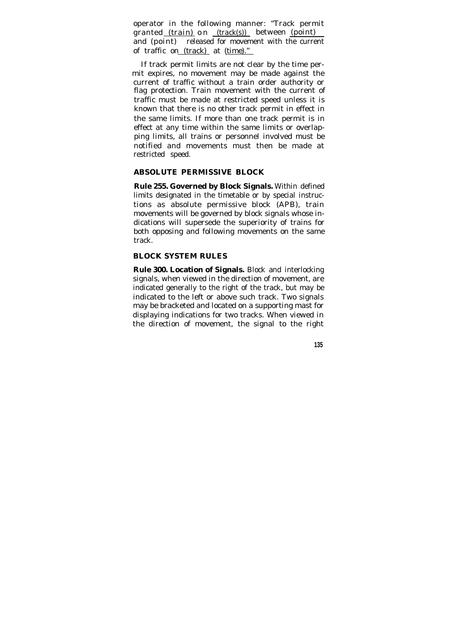operator in the following manner: "Track permit granted *(train)* o n *(track(s))* between *(point)* and *(point)* released for movement with the current of traffic on *(track)* at *(time)."*

If track permit limits are not clear by the time per mit expires, no movement may be made against the current of traffic without a train order authority or flag protection. Train movement with the current of traffic must be made at restricted speed unless it is known that there is no other track permit in effect in the same limits. If more than one track permit is in effect at any time within the same limits or overlapping limits, all trains or personnel involved must be notified and movements must then be made at restricted speed.

#### **ABSOLUTE PERMISSIVE BLOCK**

**Rule 255. Governed by Block Signals.** Within defined limits designated in the timetable or by special instructions as absolute permissive block (APB), train movements will be governed by block signals whose indications will supersede the superiority of trains for both opposing and following movements on the same track.

#### **BLOCK SYSTEM RULES**

**Rule 300. Location of Signals.** Block and interlocking signals, when viewed in the direction of movement, are indicated generally to the right of the track, but may be indicated to the left or above such track. Two signals may be bracketed and located on a supporting mast for displaying indications for two tracks. When viewed in the direction of movement, the signal to the right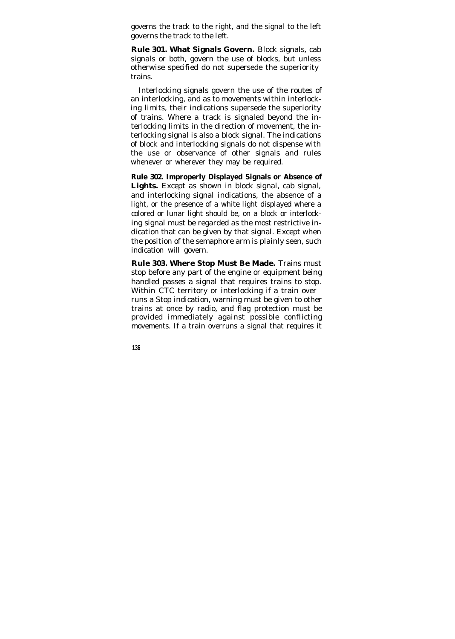governs the track to the right, and the signal to the left governs the track to the left.

**Rule 301. What Signals Govern.** Block signals, cab signals or both, govern the use of blocks, but unless otherwise specified do not supersede the superiority trains.

Interlocking signals govern the use of the routes of an interlocking, and as to movements within interlocking limits, their indications supersede the superiority of trains. Where a track is signaled beyond the interlocking limits in the direction of movement, the interlocking signal is also a block signal. The indications of block and interlocking signals do not dispense with the use or observance of other signals and rules whenever or wherever they may be required.

**Rule 302. Improperly Displayed Signals or Absence of** Lights. Except as shown in block signal, cab signal, and interlocking signal indications, the absence of a light, or the presence of a white light displayed where a colored or lunar light should be, on a block or interlocking signal must be regarded as the most restrictive indication that can be given by that signal. Except when the position of the semaphore arm is plainly seen, such indication will govern.

**Rule 303. Where Stop Must Be Made.** Trains must stop before any part of the engine or equipment being handled passes a signal that requires trains to stop. Within CTC territory or interlocking if a train over runs a Stop indication, warning must be given to other trains at once by radio, and flag protection must be provided immediately against possible conflicting movements. If a train overruns a signal that requires it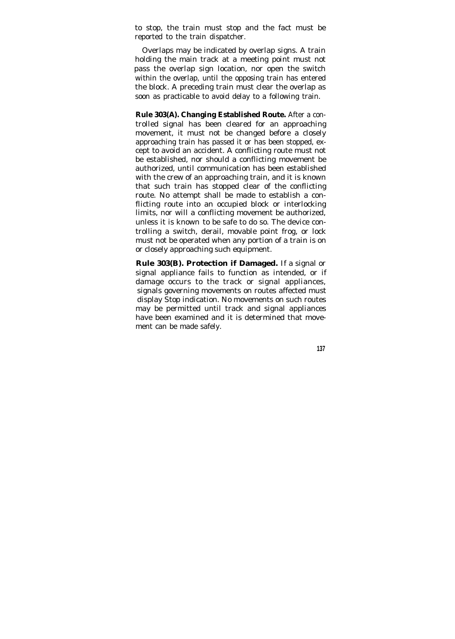to stop, the train must stop and the fact must be reported to the train dispatcher.

Overlaps may be indicated by overlap signs. A train holding the main track at a meeting point must not pass the overlap sign location, nor open the switch within the overlap, until the opposing train has entered the block. A preceding train must clear the overlap as soon as practicable to avoid delay to a following train.

**Rule 303(A). Changing Established Route.** After a controlled signal has been cleared for an approaching movement, it must not be changed before a closely approaching train has passed it or has been stopped, except to avoid an accident. A conflicting route must not be established, nor should a conflicting movement be authorized, until communication has been established with the crew of an approaching train, and it is known that such train has stopped clear of the conflicting route. No attempt shall be made to establish a conflicting route into an occupied block or interlocking limits, nor will a conflicting movement be authorized, unless it is known to be safe to do so. The device controlling a switch, derail, movable point frog, or lock must not be operated when any portion of a train is on or closely approaching such equipment.

**Rule 303(B). Protection if Damaged.** If a signal or signal appliance fails to function as intended, or if damage occurs to the track or signal appliances, signals governing movements on routes affected must display Stop indication. No movements on such routes may be permitted until track and signal appliances have been examined and it is determined that movement can be made safely.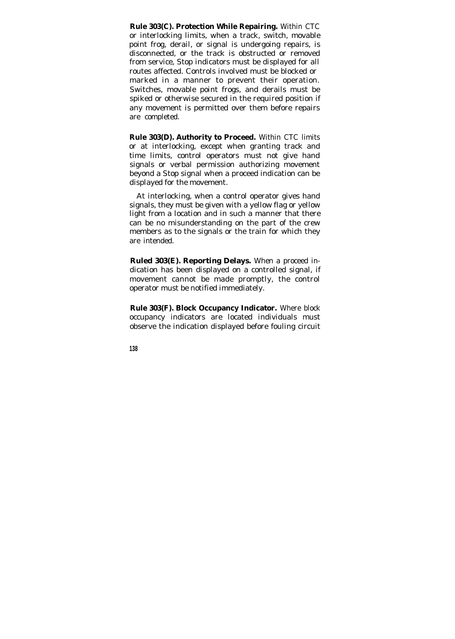**Rule 303(C). Protection While Repairing.** Within CTC or interlocking limits, when a track, switch, movable point frog, derail, or signal is undergoing repairs, is disconnected, or the track is obstructed or removed from service, Stop indicators must be displayed for all routes affected. Controls involved must be blocked or marked in a manner to prevent their operation. Switches, movable point frogs, and derails must be spiked or otherwise secured in the required position if any movement is permitted over them before repairs are completed.

**Rule 303(D). Authority to Proceed.** Within CTC limits or at interlocking, except when granting track and time limits, control operators must not give hand signals or verbal permission authorizing movement beyond a Stop signal when a proceed indication can be displayed for the movement.

At interlocking, when a control operator gives hand signals, they must be given with a yellow flag or yellow light from a location and in such a manner that there can be no misunderstanding on the part of the crew members as to the signals or the train for which they are intended.

**Ruled 303(E). Reporting Delays.** When a proceed indication has been displayed on a controlled signal, if movement cannot be made promptly, the control operator must be notified immediately.

**Rule 303(F). Block Occupancy Indicator.** Where block occupancy indicators are located individuals must observe the indication displayed before fouling circuit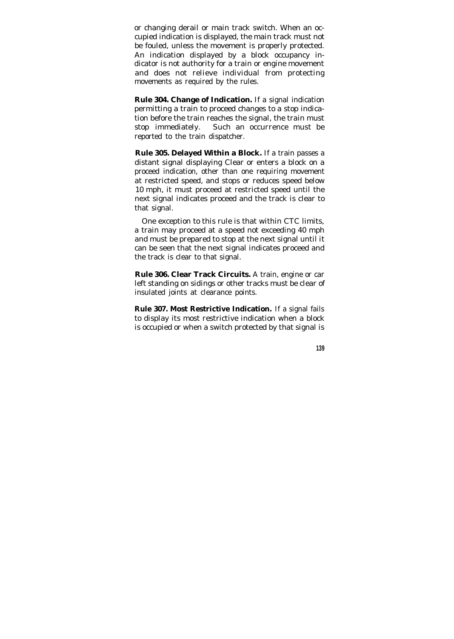or changing derail or main track switch. When an occupied indication is displayed, the main track must not be fouled, unless the movement is properly protected. An indication displayed by a block occupancy indicator is not authority for a train or engine movement and does not relieve individual from protecting movements as required by the rules.

**Rule 304. Change of Indication.** If a signal indication permitting a train to proceed changes to a stop indication before the train reaches the signal, the train must stop immediately. Such an occurrence must be reported to the train dispatcher.

**Rule 305. Delayed Within a Block.** If a train passes a distant signal displaying Clear or enters a block on a proceed indication, other than one requiring movement at restricted speed, and stops or reduces speed below 10 mph, it must proceed at restricted speed until the next signal indicates proceed and the track is clear to that signal.

One exception to this rule is that within CTC limits, a train may proceed at a speed not exceeding 40 mph and must be prepared to stop at the next signal until it can be seen that the next signal indicates proceed and the track is clear to that signal.

**Rule 306. Clear Track Circuits.** A train, engine or car left standing on sidings or other tracks must be clear of insulated joints at clearance points.

**Rule 307. Most Restrictive Indication.** If a signal fails to display its most restrictive indication when a block is occupied or when a switch protected by that signal is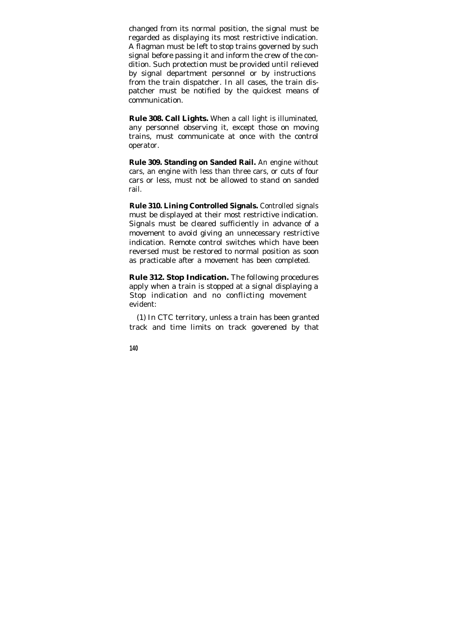changed from its normal position, the signal must be regarded as displaying its most restrictive indication. A flagman must be left to stop trains governed by such signal before passing it and inform the crew of the condition. Such protection must be provided until relieved by signal department personnel or by instructions from the train dispatcher. In all cases, the train dispatcher must be notified by the quickest means of communication.

**Rule 308. Call Lights.** When a call light is illuminated, any personnel observing it, except those on moving trains, must communicate at once with the control operator.

**Rule 309. Standing on Sanded Rail.** An engine without cars, an engine with less than three cars, or cuts of four cars or less, must not be allowed to stand on sanded rail.

**Rule 310. Lining Controlled Signals.** Controlled signals must be displayed at their most restrictive indication. Signals must be cleared sufficiently in advance of a movement to avoid giving an unnecessary restrictive indication. Remote control switches which have been reversed must be restored to normal position as soon as practicable after a movement has been completed.

**Rule 312. Stop Indication.** The following procedures apply when a train is stopped at a signal displaying a Stop indication and no conflicting movement evident:

(1) In CTC territory, unless a train has been granted track and time limits on track goverened by that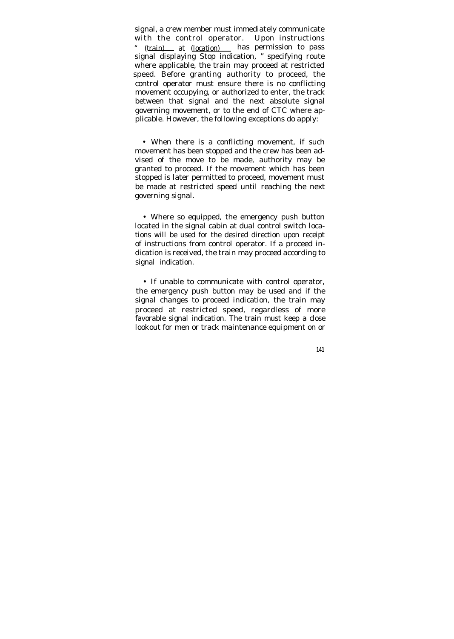signal, a crew member must immediately communicate with the control operator. Upon instructions (train) at *(location)* has permission to pass signal displaying Stop indication, " specifying route where applicable, the train may proceed at restricted speed. Before granting authority to proceed, the control operator must ensure there is no conflicting movement occupying, or authorized to enter, the track between that signal and the next absolute signal governing movement, or to the end of CTC where applicable. However, the following exceptions do apply:

• When there is a conflicting movement, if such movement has been stopped and the crew has been advised of the move to be made, authority may be granted to proceed. If the movement which has been stopped is later permitted to proceed, movement must be made at restricted speed until reaching the next governing signal.

• Where so equipped, the emergency push button located in the signal cabin at dual control switch locations will be used for the desired direction upon receipt of instructions from control operator. If a proceed indication is received, the train may proceed according to signal indication.

• If unable to communicate with control operator, the emergency push button may be used and if the signal changes to proceed indication, the train may proceed at restricted speed, regardless of more favorable signal indication. The train must keep a close lookout for men or track maintenance equipment on or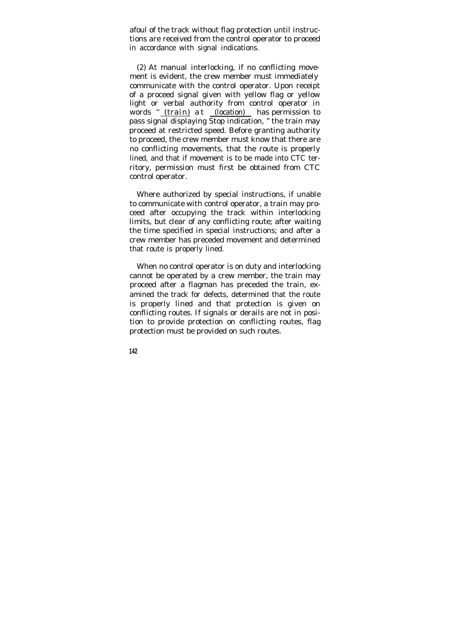afoul of the track without flag protection until instructions are received from the control operator to proceed in accordance with signal indications.

(2) At manual interlocking, if no conflicting movement is evident, the crew member must immediately communicate with the control operator. Upon receipt of a proceed signal given with yellow flag or yellow light or verbal authority from control operator in words '' *(train)* a t *(location)* has permission to pass signal displaying Stop indication, " the train may proceed at restricted speed. Before granting authority to proceed, the crew member must know that there are no conflicting movements, that the route is properly lined, and that if movement is to be made into CTC territory, permission must first be obtained from CTC control operator.

Where authorized by special instructions, if unable to communicate with control operator, a train may proceed after occupying the track within interlocking limits, but clear of any conflicting route; after waiting the time specified in special instructions; and after a crew member has preceded movement and determined that route is properly lined.

When no control operator is on duty and interlocking cannot be operated by a crew member, the train may proceed after a flagman has preceded the train, examined the track for defects, determined that the route is properly lined and that protection is given on conflicting routes. If signals or derails are not in position to provide protection on conflicting routes, flag protection must be provided on such routes.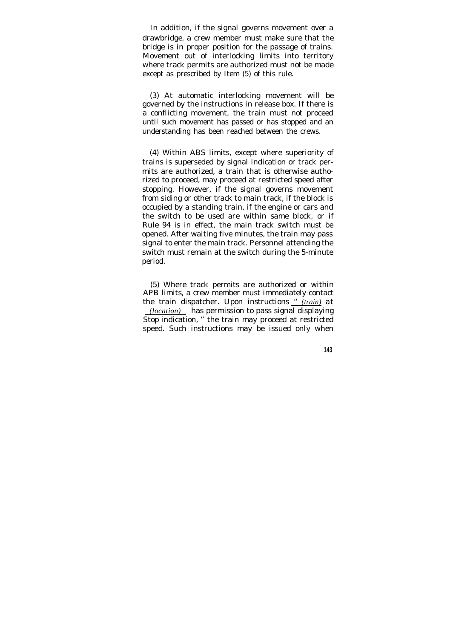In addition, if the signal governs movement over a drawbridge, a crew member must make sure that the bridge is in proper position for the passage of trains. Movement out of interlocking limits into territory where track permits are authorized must not be made except as prescribed by Item (5) of this rule.

(3) At automatic interlocking movement will be governed by the instructions in release box. If there is a conflicting movement, the train must not proceed until such movement has passed or has stopped and an understanding has been reached between the crews.

(4) Within ABS limits, except where superiority of trains is superseded by signal indication or track permits are authorized, a train that is otherwise authorized to proceed, may proceed at restricted speed after stopping. However, if the signal governs movement from siding or other track to main track, if the block is occupied by a standing train, if the engine or cars and the switch to be used are within same block, or if Rule 94 is in effect, the main track switch must be opened. After waiting five minutes, the train may pass signal to enter the main track. Personnel attending the switch must remain at the switch during the 5-minute period.

(5) Where track permits are authorized or within APB limits, a crew member must immediately contact the train dispatcher. Upon instructions '' *(train)* at *(location)* has permission to pass signal displaying Stop indication, " the train may proceed at restricted speed. Such instructions may be issued only when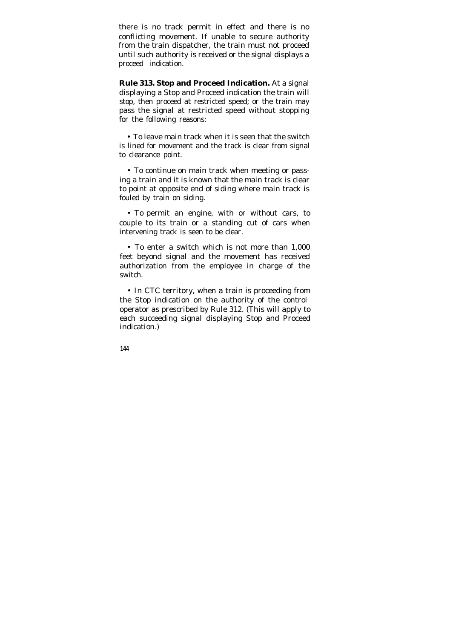there is no track permit in effect and there is no conflicting movement. If unable to secure authority from the train dispatcher, the train must not proceed until such authority is received or the signal displays a proceed indication.

**Rule 313. Stop and Proceed Indication.** At a signal displaying a Stop and Proceed indication the train will stop, then proceed at restricted speed; or the train may pass the signal at restricted speed without stopping for the following reasons:

• To leave main track when it is seen that the switch is lined for movement and the track is clear from signal to clearance point.

• To continue on main track when meeting or passing a train and it is known that the main track is clear to point at opposite end of siding where main track is fouled by train on siding.

• To permit an engine, with or without cars, to couple to its train or a standing cut of cars when intervening track is seen to be clear.

• To enter a switch which is not more than 1,000 feet beyond signal and the movement has received authorization from the employee in charge of the switch.

• In CTC territory, when a train is proceeding from the Stop indication on the authority of the control operator as prescribed by Rule 312. (This will apply to each succeeding signal displaying Stop and Proceed indication.)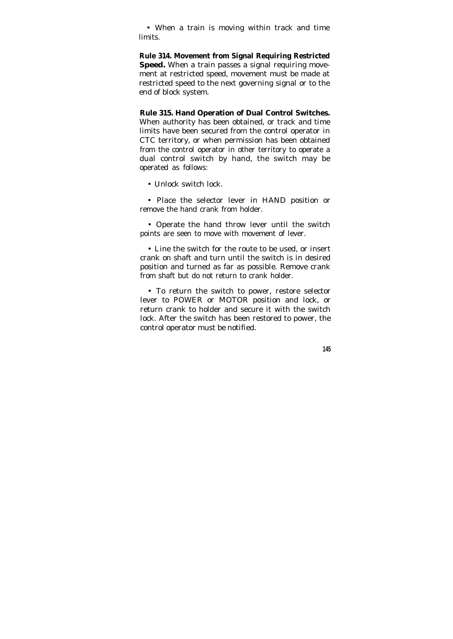• When a train is moving within track and time limits.

**Rule 314. Movement from Signal Requiring Restricted Speed.** When a train passes a signal requiring movement at restricted speed, movement must be made at restricted speed to the next governing signal or to the end of block system.

**Rule 315. Hand Operation of Dual Control Switches.** When authority has been obtained, or track and time limits have been secured from the control operator in CTC territory, or when permission has been obtained from the control operator in other territory to operate a dual control switch by hand, the switch may be operated as follows:

• Unlock switch lock.

• Place the selector lever in HAND position or remove the hand crank from holder.

• Operate the hand throw lever until the switch points are seen to move with movement of lever.

• Line the switch for the route to be used, or insert crank on shaft and turn until the switch is in desired position and turned as far as possible. Remove crank from shaft but do not return to crank holder.

• To return the switch to power, restore selector lever to POWER or MOTOR position and lock, or return crank to holder and secure it with the switch lock. After the switch has been restored to power, the control operator must be notified.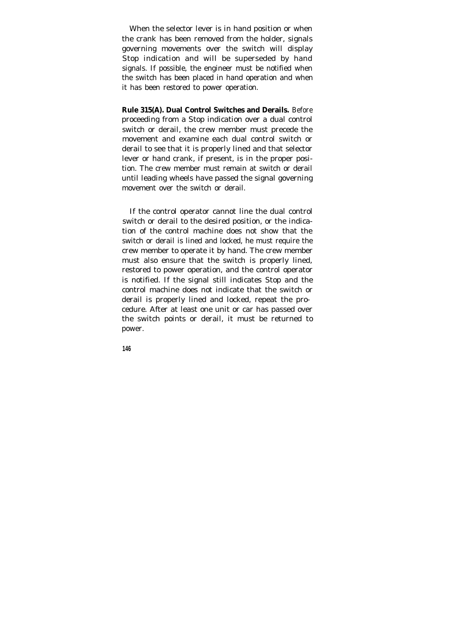When the selector lever is in hand position or when the crank has been removed from the holder, signals governing movements over the switch will display Stop indication and will be superseded by hand signals. If possible, the engineer must be notified when the switch has been placed in hand operation and when it has been restored to power operation.

**Rule 315(A). Dual Control Switches and Derails.** Before proceeding from a Stop indication over a dual control switch or derail, the crew member must precede the movement and examine each dual control switch or derail to see that it is properly lined and that selector lever or hand crank, if present, is in the proper position. The crew member must remain at switch or derail until leading wheels have passed the signal governing movement over the switch or derail.

If the control operator cannot line the dual control switch or derail to the desired position, or the indication of the control machine does not show that the switch or derail is lined and locked, he must require the crew member to operate it by hand. The crew member must also ensure that the switch is properly lined, restored to power operation, and the control operator is notified. If the signal still indicates Stop and the control machine does not indicate that the switch or derail is properly lined and locked, repeat the procedure. After at least one unit or car has passed over the switch points or derail, it must be returned to power.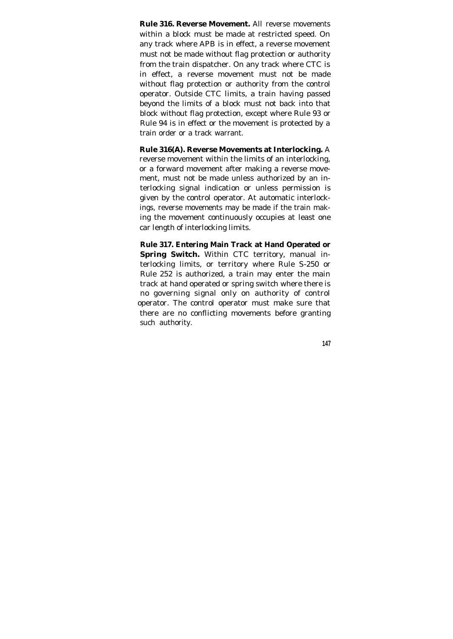**Rule 316. Reverse Movement.** All reverse movements within a block must be made at restricted speed. On any track where APB is in effect, a reverse movement must not be made without flag protection or authority from the train dispatcher. On any track where CTC is in effect, a reverse movement must not be made without flag protection or authority from the control operator. Outside CTC limits, a train having passed beyond the limits of a block must not back into that block without flag protection, except where Rule 93 or Rule 94 is in effect or the movement is protected by a train order or a track warrant.

**Rule 316(A). Reverse Movements at Interlocking.** A reverse movement within the limits of an interlocking, or a forward movement after making a reverse movement, must not be made unless authorized by an interlocking signal indication or unless permission is given by the control operator. At automatic interlockings, reverse movements may be made if the train making the movement continuously occupies at least one car length of interlocking limits.

**Rule 317. Entering Main Track at Hand Operated or Spring Switch.** Within CTC territory, manual interlocking limits, or territory where Rule S-250 or Rule 252 is authorized, a train may enter the main track at hand operated or spring switch where there is no governing signal only on authority of control operator. The control operator must make sure that there are no conflicting movements before granting such authority.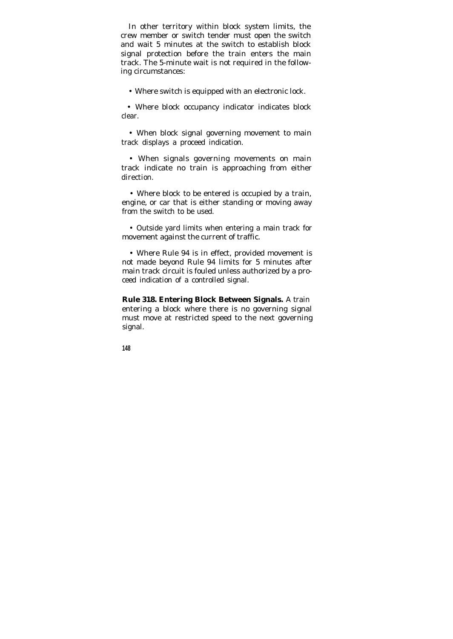In other territory within block system limits, the crew member or switch tender must open the switch and wait 5 minutes at the switch to establish block signal protection before the train enters the main track. The 5-minute wait is not required in the following circumstances:

• Where switch is equipped with an electronic lock.

• Where block occupancy indicator indicates block clear.

• When block signal governing movement to main track displays a proceed indication.

• When signals governing movements on main track indicate no train is approaching from either direction.

• Where block to be entered is occupied by a train, engine, or car that is either standing or moving away from the switch to be used.

• Outside yard limits when entering a main track for movement against the current of traffic.

• Where Rule 94 is in effect, provided movement is not made beyond Rule 94 limits for 5 minutes after main track circuit is fouled unless authorized by a proceed indication of a controlled signal.

**Rule 318. Entering Block Between Signals.** A train entering a block where there is no governing signal must move at restricted speed to the next governing signal.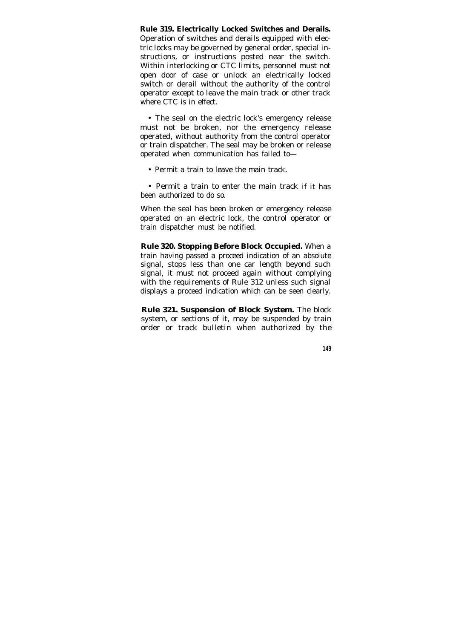**Rule 319. Electrically Locked Switches and Derails.** Operation of switches and derails equipped with electric locks may be governed by general order, special instructions, or instructions posted near the switch. Within interlocking or CTC limits, personnel must not open door of case or unlock an electrically locked switch or derail without the authority of the control operator except to leave the main track or other track where CTC is in effect.

• The seal on the electric lock's emergency release must not be broken, nor the emergency release operated, without authority from the control operator or train dispatcher. The seal may be broken or release operated when communication has failed to—

• Permit a train to leave the main track.

• Permit a train to enter the main track if it has been authorized to do so.

When the seal has been broken or emergency release operated on an electric lock, the control operator or train dispatcher must be notified.

**Rule 320. Stopping Before Block Occupied.** When a train having passed a proceed indication of an absolute signal, stops less than one car length beyond such signal, it must not proceed again without complying with the requirements of Rule 312 unless such signal displays a proceed indication which can be seen clearly.

**Rule 321. Suspension of Block System.** The block system, or sections of it, may be suspended by train order or track bulletin when authorized by the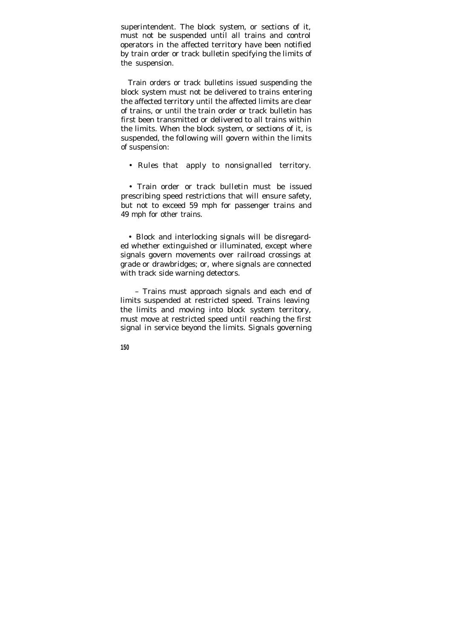superintendent. The block system, or sections of it, must not be suspended until all trains and control operators in the affected territory have been notified by train order or track bulletin specifying the limits of the suspension.

Train orders or track bulletins issued suspending the block system must not be delivered to trains entering the affected territory until the affected limits are clear of trains, or until the train order or track bulletin has first been transmitted or delivered to all trains within the limits. When the block system, or sections of it, is suspended, the following will govern within the limits of suspension:

• Rules that apply to nonsignalled territory.

• Train order or track bulletin must be issued prescribing speed restrictions that will ensure safety, but not to exceed 59 mph for passenger trains and 49 mph for other trains.

• Block and interlocking signals will be disregarded whether extinguished or illuminated, except where signals govern movements over railroad crossings at grade or drawbridges; or, where signals are connected with track side warning detectors.

– Trains must approach signals and each end of limits suspended at restricted speed. Trains leaving the limits and moving into block system territory, must move at restricted speed until reaching the first signal in service beyond the limits. Signals governing

| ÷ |              |              |
|---|--------------|--------------|
|   | I<br>×<br>۰. | I<br>٠<br>۰. |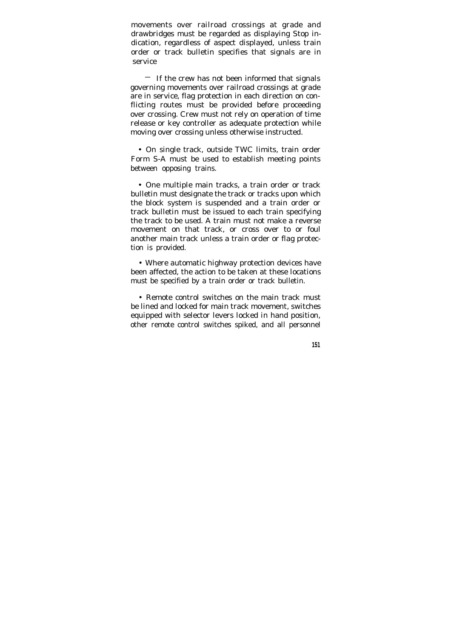movements over railroad crossings at grade and drawbridges must be regarded as displaying Stop indication, regardless of aspect displayed, unless train order or track bulletin specifies that signals are in service

— If the crew has not been informed that signals governing movements over railroad crossings at grade are in service, flag protection in each direction on conflicting routes must be provided before proceeding over crossing. Crew must not rely on operation of time release or key controller as adequate protection while moving over crossing unless otherwise instructed.

• On single track, outside TWC limits, train order Form S-A must be used to establish meeting points between opposing trains.

• One multiple main tracks, a train order or track bulletin must designate the track or tracks upon which the block system is suspended and a train order or track bulletin must be issued to each train specifying the track to be used. A train must not make a reverse movement on that track, or cross over to or foul another main track unless a train order or flag protection is provided.

• Where automatic highway protection devices have been affected, the action to be taken at these locations must be specified by a train order or track bulletin.

• Remote control switches on the main track must be lined and locked for main track movement, switches equipped with selector levers locked in hand position, other remote control switches spiked, and all personnel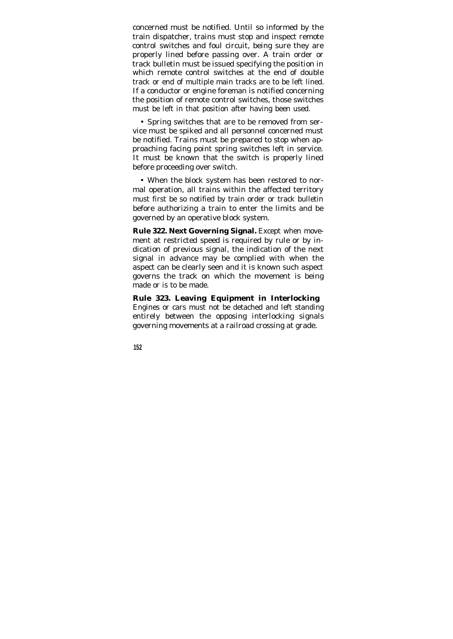concerned must be notified. Until so informed by the train dispatcher, trains must stop and inspect remote control switches and foul circuit, being sure they are properly lined before passing over. A train order or track bulletin must be issued specifying the position in which remote control switches at the end of double track or end of multiple main tracks are to be left lined. If a conductor or engine foreman is notified concerning the position of remote control switches, those switches must be left in that position after having been used.

• Spring switches that are to be removed from service must be spiked and all personnel concerned must be notified. Trains must be prepared to stop when approaching facing point spring switches left in service. It must be known that the switch is properly lined before proceeding over switch.

• When the block system has been restored to normal operation, all trains within the affected territory must first be so notified by train order or track bulletin before authorizing a train to enter the limits and be governed by an operative block system.

**Rule 322. Next Governing Signal.** Except when movement at restricted speed is required by rule or by indication of previous signal, the indication of the next signal in advance may be complied with when the aspect can be clearly seen and it is known such aspect governs the track on which the movement is being made or is to be made.

**Rule 323. Leaving Equipment in Interlocking** Engines or cars must not be detached and left standing entirely between the opposing interlocking signals governing movements at a railroad crossing at grade.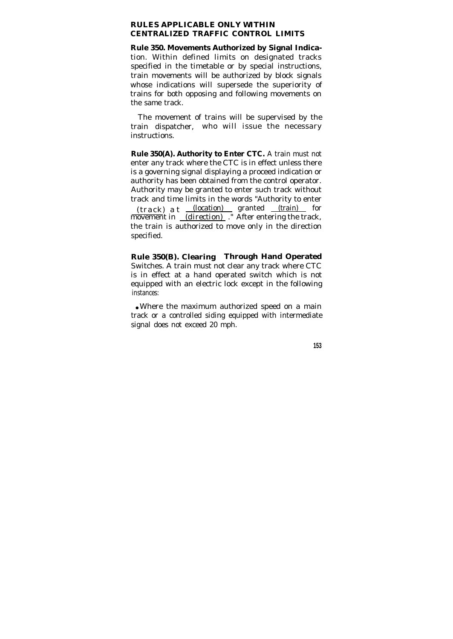### **RULES APPLICABLE ONLY WITHIN CENTRALIZED TRAFFIC CONTROL LIMITS**

**Rule 350. Movements Authorized by Signal Indica**tion. Within defined limits on designated tracks specified in the timetable or by special instructions, train movements will be authorized by block signals whose indications will supersede the superiority of trains for both opposing and following movements on the same track.

The movement of trains will be supervised by the train dispatcher, who will issue the necessary instructions.

**Rule 350(A). Authority to Enter CTC.** A train must not enter any track where the CTC is in effect unless there is a governing signal displaying a proceed indication or authority has been obtained from the control operator. Authority may be granted to enter such track without track and time limits in the words "Authority to enter (*track*) a t <u>(location)</u> granted <u>(*train*)</u> for movement in *(direction)* ." After entering the track, the train is authorized to move only in the direction specified.

**Rule 350(B). Clearing Through Hand Operated** Switches. A train must not clear any track where CTC is in effect at a hand operated switch which is not equipped with an electric lock except in the following instances:

• Where the maximum authorized speed on a main track or a controlled siding equipped with intermediate signal does not exceed 20 mph.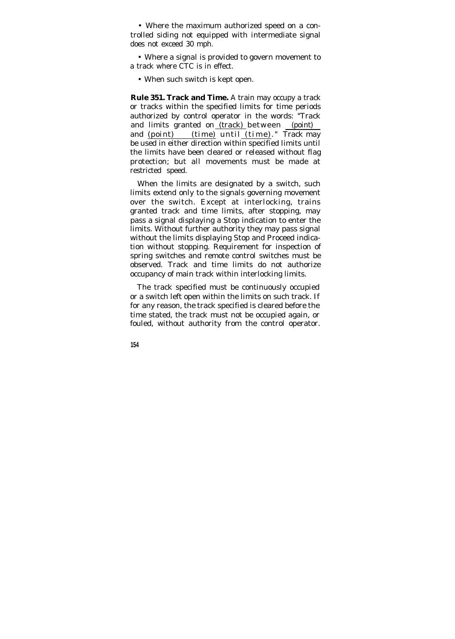• Where the maximum authorized speed on a controlled siding not equipped with intermediate signal does not exceed 30 mph.

• Where a signal is provided to govern movement to a track where CTC is in effect.

• When such switch is kept open.

**Rule 351. Track and Time.** A train may occupy a track or tracks within the specified limits for time periods authorized by control operator in the words: "Track and limits granted on *(track)* between *(point)* and *(point) (time)* until *(time). "* Track may be used in either direction within specified limits until the limits have been cleared or released without flag protection; but all movements must be made at restricted speed.

When the limits are designated by a switch, such limits extend only to the signals governing movement over the switch. Except at interlocking, trains granted track and time limits, after stopping, may pass a signal displaying a Stop indication to enter the limits. Without further authority they may pass signal without the limits displaying Stop and Proceed indication without stopping. Requirement for inspection of spring switches and remote control switches must be observed. Track and time limits do not authorize occupancy of main track within interlocking limits.

The track specified must be continuously occupied or a switch left open within the limits on such track. If for any reason, the track specified is cleared before the time stated, the track must not be occupied again, or fouled, without authority from the control operator.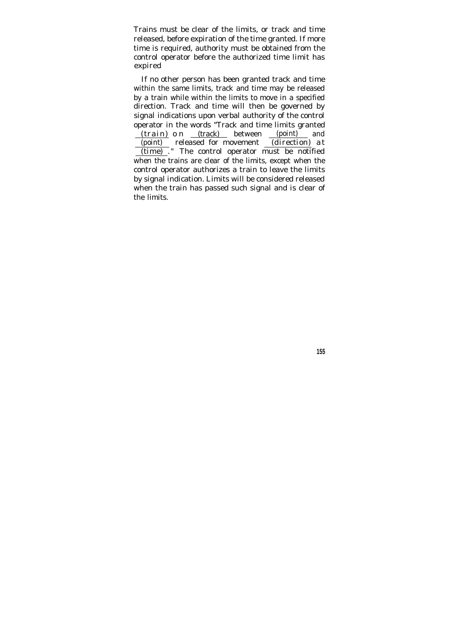Trains must be clear of the limits, or track and time released, before expiration of the time granted. If more time is required, authority must be obtained from the control operator before the authorized time limit has expired

If no other person has been granted track and time within the same limits, track and time may be released by a train while within the limits to move in a specified direction. Track and time will then be governed by signal indications upon verbal authority of the control operator in the words "Track and time limits granted *(train)* o n *(track)* between *(point)* and *(point)* released for movement *(direction)* at *(time)* ." The control operator must be notified when the trains are clear of the limits, except when the control operator authorizes a train to leave the limits by signal indication. Limits will be considered released when the train has passed such signal and is clear of the limits.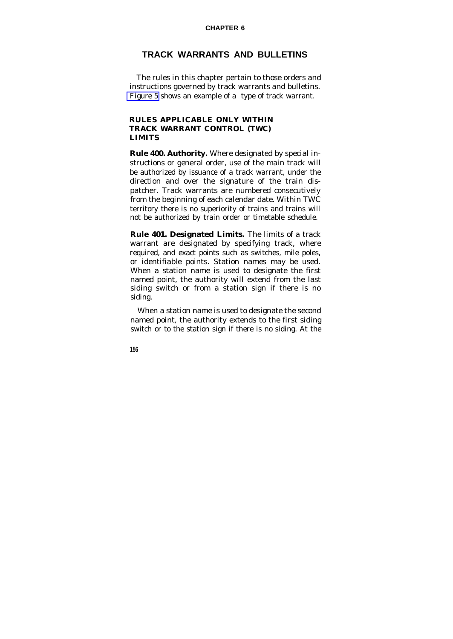# **TRACK WARRANTS AND BULLETINS**

The rules in this chapter pertain to those orders and instructions governed by track warrants and bulletins. [Figure 5](#page-158-0) shows an example of a type of track warrant.

### **RULES APPLICABLE ONLY WITHIN TRACK WARRANT CONTROL (TWC) LIMITS**

**Rule 400. Authority.** Where designated by special instructions or general order, use of the main track will be authorized by issuance of a track warrant, under the direction and over the signature of the train dispatcher. Track warrants are numbered consecutively from the beginning of each calendar date. Within TWC territory there is no superiority of trains and trains will not be authorized by train order or timetable schedule.

**Rule 401. Designated Limits.** The limits of a track warrant are designated by specifying track, where required, and exact points such as switches, mile poles, or identifiable points. Station names may be used. When a station name is used to designate the first named point, the authority will extend from the last siding switch or from a station sign if there is no siding.

When a station name is used to designate the second named point, the authority extends to the first siding switch or to the station sign if there is no siding. At the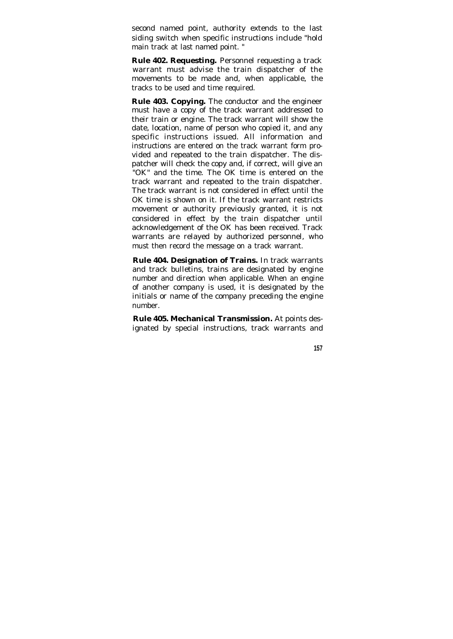second named point, authority extends to the last siding switch when specific instructions include "hold main track at last named point. "

**Rule 402. Requesting.** Personnel requesting a track warrant must advise the train dispatcher of the movements to be made and, when applicable, the tracks to be used and time required.

**Rule 403. Copying.** The conductor and the engineer must have a copy of the track warrant addressed to their train or engine. The track warrant will show the date, location, name of person who copied it, and any specific instructions issued. All information and instructions are entered on the track warrant form provided and repeated to the train dispatcher. The dispatcher will check the copy and, if correct, will give an "OK" and the time. The OK time is entered on the track warrant and repeated to the train dispatcher. The track warrant is not considered in effect until the OK time is shown on it. If the track warrant restricts movement or authority previously granted, it is not considered in effect by the train dispatcher until acknowledgement of the OK has been received. Track warrants are relayed by authorized personnel, who must then record the message on a track warrant.

**Rule 404. Designation of Trains.** In track warrants and track bulletins, trains are designated by engine number and direction when applicable. When an engine of another company is used, it is designated by the initials or name of the company preceding the engine number.

**Rule 405. Mechanical Transmission.** At points designated by special instructions, track warrants and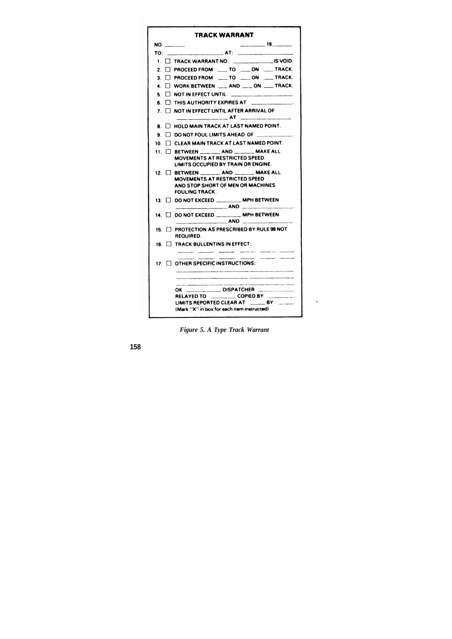<span id="page-158-0"></span>

|              | <b>TRACK WARRANT</b>                                                                                                                                                                            |  |  |
|--------------|-------------------------------------------------------------------------------------------------------------------------------------------------------------------------------------------------|--|--|
| NO. _______  |                                                                                                                                                                                                 |  |  |
| το:          |                                                                                                                                                                                                 |  |  |
| 1.           | [ ] TRACK WARRANT NO. ___________________IS VOID.                                                                                                                                               |  |  |
| $\mathbf{2}$ | PROCEED FROM _____ TO _____ ON _____ TRACK.                                                                                                                                                     |  |  |
| 3.           | PROCEED FROM _____ TO _____ ON ____ TRACK.                                                                                                                                                      |  |  |
| 4.           | WORK BETWEEN ____ AND ____ ON ____ TRACK.                                                                                                                                                       |  |  |
| 5.           | $\Box$ NOT IN EFFECT UNTIL                                                                                                                                                                      |  |  |
| 6.           | THIS AUTHORITY EXPIRES AT                                                                                                                                                                       |  |  |
|              | $7.$ $\Box$ NOT IN EFFECT UNTIL AFTER ARRIVAL OF<br>$\overline{\phantom{a}}$ $\overline{\phantom{a}}$ $\overline{\phantom{a}}$ $\overline{\phantom{a}}$                                         |  |  |
| 8.           | <b>THOLD MAIN TRACK AT LAST NAMED POINT.</b>                                                                                                                                                    |  |  |
|              | $\bf 9$ $\Box$ do not foul limits ahead of $\Box$                                                                                                                                               |  |  |
| 10.          | CLEAR MAIN TRACK AT LAST NAMED POINT.                                                                                                                                                           |  |  |
|              | 11. BETWEEN ___ __ AND ___ ___ MAKE ALL<br><b>MOVEMENTS AT RESTRICTED SPEED.</b><br>LIMITS OCCUPIED BY TRAIN OR ENGINE.                                                                         |  |  |
|              | 12. OBETWEEN AND ______ MAKE ALL<br>MOVEMENTS AT RESTRICTED SPEED<br>AND STOP SHORT OF MEN OR MACHINES<br><b>FOULING TRACK.</b>                                                                 |  |  |
|              | 13. [ ] DO NOT EXCEED _________ MPH BETWEEN<br>$\overline{\phantom{a}}$ AND $\overline{\phantom{a}}$                                                                                            |  |  |
|              | 14. DO NOT EXCEED ________ MPH BETWEEN<br>$\blacksquare$ $\blacksquare$ $\blacksquare$ $\blacksquare$ $\blacksquare$ $\blacksquare$ $\blacksquare$ $\blacksquare$ $\blacksquare$ $\blacksquare$ |  |  |
|              | 15. <b>EXPROTECTION AS PRESCRIBED BY RULE 99 NOT</b><br><b>REQUIRED.</b>                                                                                                                        |  |  |
|              | 16 <b>TRACK BULLENTINS IN EFFECT:</b><br><u>a se construir anno 1980 anno 1980 anno 1980 anno 1980 anno 1980 anno 1980 anno 1980 anno 1980 anno 1980 anno 1</u>                                 |  |  |
|              | 17. IT OTHER SPECIFIC INSTRUCTIONS:                                                                                                                                                             |  |  |
|              | $\frac{1}{2}$ DISPATCHER<br>ОΚ                                                                                                                                                                  |  |  |
|              | RELAYED TO ____________ COPIED BY _______<br>LIMITS REPORTED CLEAR AT _______ BY                                                                                                                |  |  |
|              | (Mark "X" in box for each item instructed)                                                                                                                                                      |  |  |

*Figure 5. A Type Track Warrant*

Ń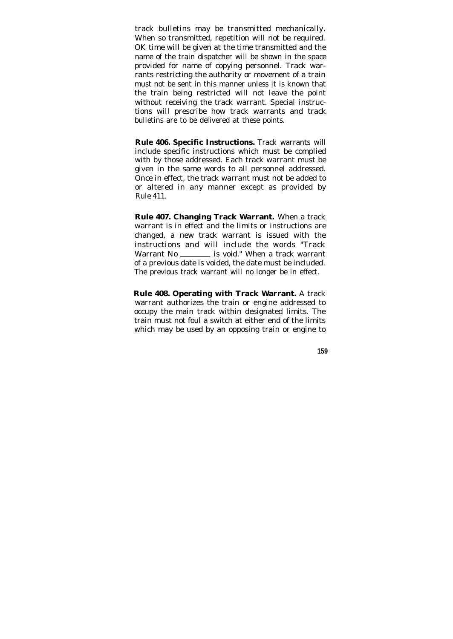track bulletins may be transmitted mechanically. When so transmitted, repetition will not be required. OK time will be given at the time transmitted and the name of the train dispatcher will be shown in the space provided for name of copying personnel. Track warrants restricting the authority or movement of a train must not be sent in this manner unless it is known that the train being restricted will not leave the point without receiving the track warrant. Special instructions will prescribe how track warrants and track bulletins are to be delivered at these points.

**Rule 406. Specific Instructions.** Track warrants will include specific instructions which must be complied with by those addressed. Each track warrant must be given in the same words to all personnel addressed. Once in effect, the track warrant must not be added to or altered in any manner except as provided by Rule 411.

**Rule 407. Changing Track Warrant.** When a track warrant is in effect and the limits or instructions are changed, a new track warrant is issued with the instructions and will include the words "Track Warrant No \_\_\_\_\_\_\_\_\_ is void." When a track warrant of a previous date is voided, the date must be included. The previous track warrant will no longer be in effect.

**Rule 408. Operating with Track Warrant.** A track warrant authorizes the train or engine addressed to occupy the main track within designated limits. The train must not foul a switch at either end of the limits which may be used by an opposing train or engine to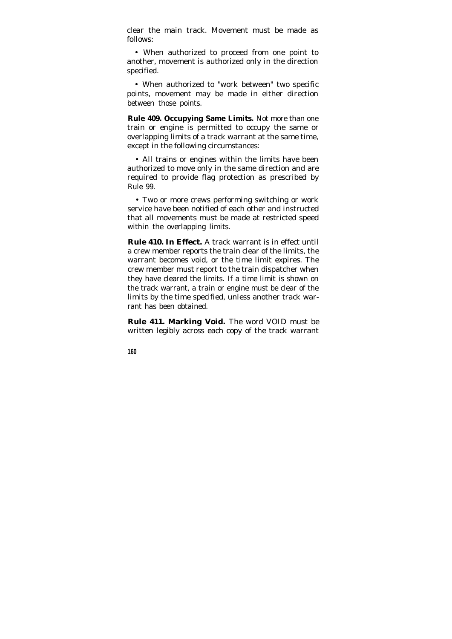clear the main track. Movement must be made as follows:

• When authorized to proceed from one point to another, movement is authorized only in the direction specified.

• When authorized to "work between" two specific points, movement may be made in either direction between those points.

**Rule 409. Occupying Same Limits.** Not more than one train or engine is permitted to occupy the same or overlapping limits of a track warrant at the same time, except in the following circumstances:

• All trains or engines within the limits have been authorized to move only in the same direction and are required to provide flag protection as prescribed by Rule 99.

• Two or more crews performing switching or work service have been notified of each other and instructed that all movements must be made at restricted speed within the overlapping limits.

**Rule 410. In Effect.** A track warrant is in effect until a crew member reports the train clear of the limits, the warrant becomes void, or the time limit expires. The crew member must report to the train dispatcher when they have cleared the limits. If a time limit is shown on the track warrant, a train or engine must be clear of the limits by the time specified, unless another track warrant has been obtained.

**Rule 411. Marking Void.** The word VOID must be written legibly across each copy of the track warrant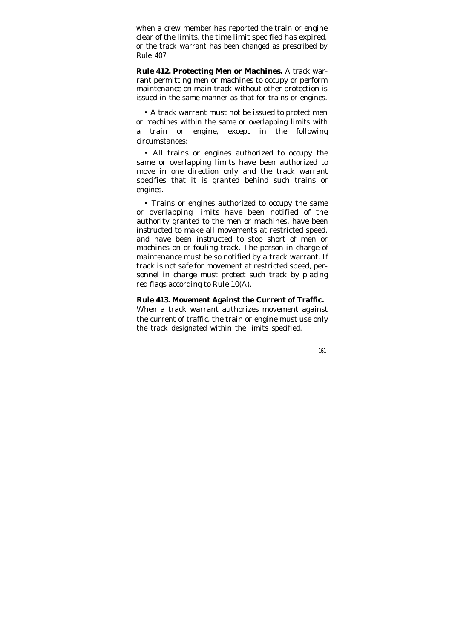when a crew member has reported the train or engine clear of the limits, the time limit specified has expired, or the track warrant has been changed as prescribed by Rule 407.

**Rule 412. Protecting Men or Machines.** A track warrant permitting men or machines to occupy or perform maintenance on main track without other protection is issued in the same manner as that for trains or engines.

• A track warrant must not be issued to protect men or machines within the same or overlapping limits with a train or engine, except in the following circumstances:

• All trains or engines authorized to occupy the same or overlapping limits have been authorized to move in one direction only and the track warrant specifies that it is granted behind such trains or engines.

• Trains or engines authorized to occupy the same or overlapping limits have been notified of the authority granted to the men or machines, have been instructed to make all movements at restricted speed, and have been instructed to stop short of men or machines on or fouling track. The person in charge of maintenance must be so notified by a track warrant. If track is not safe for movement at restricted speed, personnel in charge must protect such track by placing red flags according to Rule 10(A).

# **Rule 413. Movement Against the Current of Traffic.**

When a track warrant authorizes movement against the current of traffic, the train or engine must use only the track designated within the limits specified.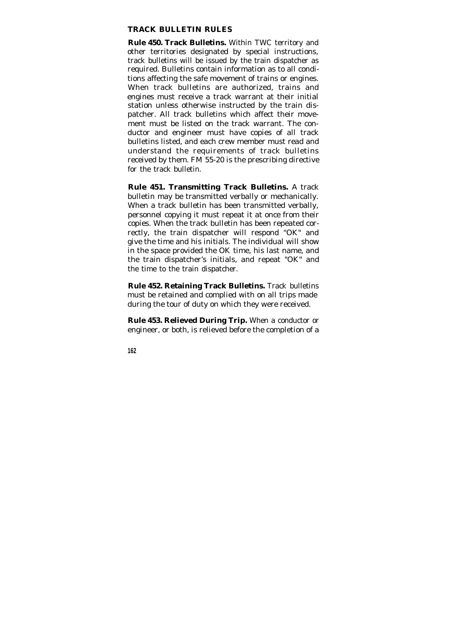#### **TRACK BULLETIN RULES**

**Rule 450. Track Bulletins.** Within TWC territory and other territories designated by special instructions, track bulletins will be issued by the train dispatcher as required. Bulletins contain information as to all conditions affecting the safe movement of trains or engines. When track bulletins are authorized, trains and engines must receive a track warrant at their initial station unless otherwise instructed by the train dispatcher. All track bulletins which affect their movement must be listed on the track warrant. The conductor and engineer must have copies of all track bulletins listed, and each crew member must read and understand the requirements of track bulletins received by them. FM 55-20 is the prescribing directive for the track bulletin.

**Rule 451. Transmitting Track Bulletins.** A track bulletin may be transmitted verbally or mechanically. When a track bulletin has been transmitted verbally, personnel copying it must repeat it at once from their copies. When the track bulletin has been repeated correctly, the train dispatcher will respond "OK" and give the time and his initials. The individual will show in the space provided the OK time, his last name, and the train dispatcher's initials, and repeat "OK" and the time to the train dispatcher.

**Rule 452. Retaining Track Bulletins.** Track bulletins must be retained and complied with on all trips made during the tour of duty on which they were received.

**Rule 453. Relieved During Trip.** When a conductor or engineer, or both, is relieved before the completion of a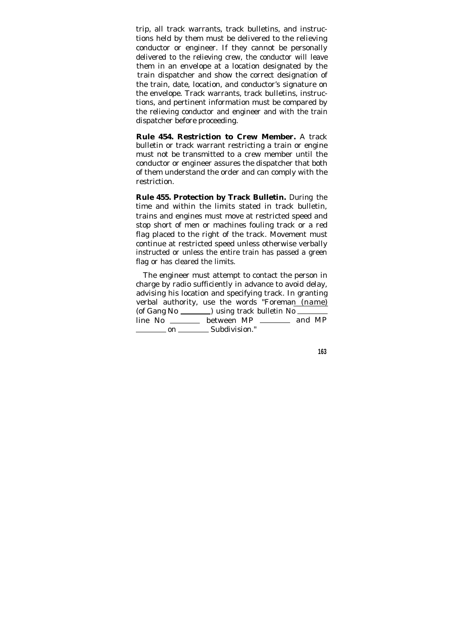trip, all track warrants, track bulletins, and instructions held by them must be delivered to the relieving conductor or engineer. If they cannot be personally delivered to the relieving crew, the conductor will leave them in an envelope at a location designated by the train dispatcher and show the correct designation of the train, date, location, and conductor's signature on the envelope. Track warrants, track bulletins, instructions, and pertinent information must be compared by the relieving conductor and engineer and with the train dispatcher before proceeding.

**Rule 454. Restriction to Crew Member.** A track bulletin or track warrant restricting a train or engine must not be transmitted to a crew member until the conductor or engineer assures the dispatcher that both of them understand the order and can comply with the restriction.

**Rule 455. Protection by Track Bulletin.** During the time and within the limits stated in track bulletin, trains and engines must move at restricted speed and stop short of men or machines fouling track or a red flag placed to the right of the track. Movement must continue at restricted speed unless otherwise verbally instructed or unless the entire train has passed a green flag or has cleared the limits.

The engineer must attempt to contact the person in charge by radio sufficiently in advance to avoid delay, advising his location and specifying track. In granting verbal authority, use the words "Foreman *(name)* (of Gang No ) using track bulletin No line No \_\_\_\_\_\_\_\_ between MP \_\_\_\_\_\_\_ and MP on \_\_\_\_\_\_\_\_\_ Subdivision."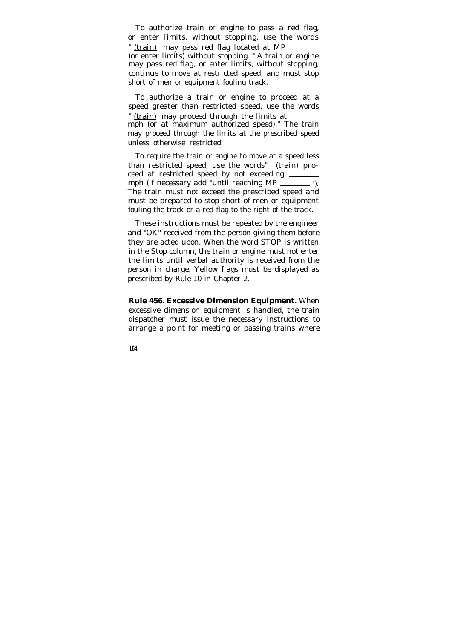To authorize train or engine to pass a red flag, or enter limits, without stopping, use the words " *(train)* may pass red flag located at MP (or enter limits) without stopping. " A train or engine may pass red flag, or enter limits, without stopping, continue to move at restricted speed, and must stop short of men or equipment fouling track.

To authorize a train or engine to proceed at a speed greater than restricted speed, use the words " *(train)* may proceed through the limits at mph (or at maximum authorized speed)." The train may proceed through the limits at the prescribed speed unless otherwise restricted.

To require the train or engine to move at a speed less than restricted speed, use the words" *(train)* proceed at restricted speed by not exceeding mph (if necessary add "until reaching  $MP$   $\_\_\_\_\$ "). The train must not exceed the prescribed speed and must be prepared to stop short of men or equipment fouling the track or a red flag to the right of the track.

These instructions must be repeated by the engineer and "OK" received from the person giving them before they are acted upon. When the word STOP is written in the Stop column, the train or engine must not enter the limits until verbal authority is received from the person in charge. Yellow flags must be displayed as prescribed by Rule 10 in Chapter 2.

**Rule 456. Excessive Dimension Equipment.** When excessive dimension equipment is handled, the train dispatcher must issue the necessary instructions to arrange a point for meeting or passing trains where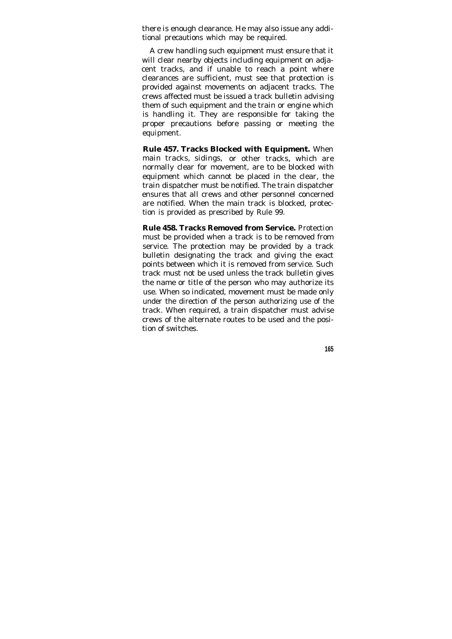there is enough clearance. He may also issue any additional precautions which may be required.

A crew handling such equipment must ensure that it will clear nearby objects including equipment on adjacent tracks, and if unable to reach a point where clearances are sufficient, must see that protection is provided against movements on adjacent tracks. The crews affected must be issued a track bulletin advising them of such equipment and the train or engine which is handling it. They are responsible for taking the proper precautions before passing or meeting the equipment.

**Rule 457. Tracks Blocked with Equipment.** When main tracks, sidings, or other tracks, which are normally clear for movement, are to be blocked with equipment which cannot be placed in the clear, the train dispatcher must be notified. The train dispatcher ensures that all crews and other personnel concerned are notified. When the main track is blocked, protection is provided as prescribed by Rule 99.

**Rule 458. Tracks Removed from Service.** Protection must be provided when a track is to be removed from service. The protection may be provided by a track bulletin designating the track and giving the exact points between which it is removed from service. Such track must not be used unless the track bulletin gives the name or title of the person who may authorize its use. When so indicated, movement must be made only under the direction of the person authorizing use of the track. When required, a train dispatcher must advise crews of the alternate routes to be used and the position of switches.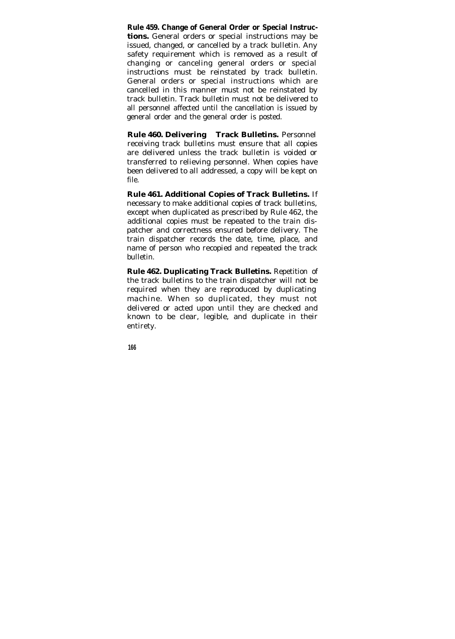**Rule 459. Change of General Order or Special Instructions.** General orders or special instructions may be issued, changed, or cancelled by a track bulletin. Any safety requirement which is removed as a result of changing or canceling general orders or special instructions must be reinstated by track bulletin. General orders or special instructions which are cancelled in this manner must not be reinstated by track bulletin. Track bulletin must not be delivered to all personnel affected until the cancellation is issued by general order and the general order is posted.

**Rule 460. Delivering Track Bulletins.** Personnel receiving track bulletins must ensure that all copies are delivered unless the track bulletin is voided or transferred to relieving personnel. When copies have been delivered to all addressed, a copy will be kept on file.

**Rule 461. Additional Copies of Track Bulletins.** If necessary to make additional copies of track bulletins, except when duplicated as prescribed by Rule 462, the additional copies must be repeated to the train dispatcher and correctness ensured before delivery. The train dispatcher records the date, time, place, and name of person who recopied and repeated the track bulletin.

**Rule 462. Duplicating Track Bulletins.** Repetition of the track bulletins to the train dispatcher will not be required when they are reproduced by duplicating machine. When so duplicated, they must not delivered or acted upon until they are checked and known to be clear, legible, and duplicate in their entirety.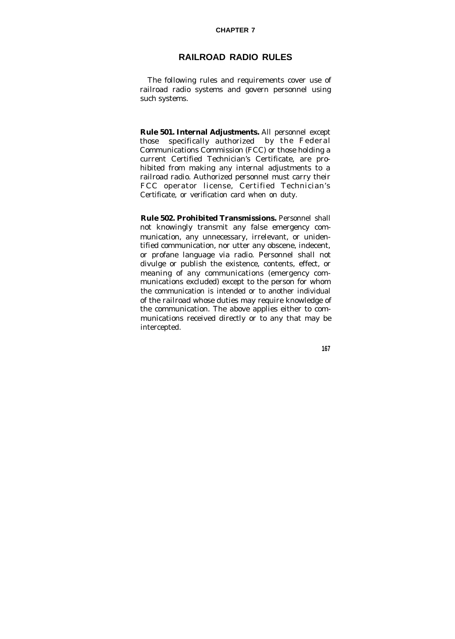#### **CHAPTER 7**

# **RAILROAD RADIO RULES**

The following rules and requirements cover use of railroad radio systems and govern personnel using such systems.

**Rule 501. Internal Adjustments.** All personnel except those specifically authorized by the Federal Communications Commission (FCC) or those holding a current Certified Technician's Certificate, are prohibited from making any internal adjustments to a railroad radio. Authorized personnel must carry their FCC operator license, Certified Technician's Certificate, or verification card when on duty.

**Rule 502. Prohibited Transmissions.** Personnel shall not knowingly transmit any false emergency communication, any unnecessary, irrelevant, or unidentified communication, nor utter any obscene, indecent, or profane language via radio. Personnel shall not divulge or publish the existence, contents, effect, or meaning of any communications (emergency communications excluded) except to the person for whom the communication is intended or to another individual of the railroad whose duties may require knowledge of the communication. The above applies either to communications received directly or to any that may be intercepted.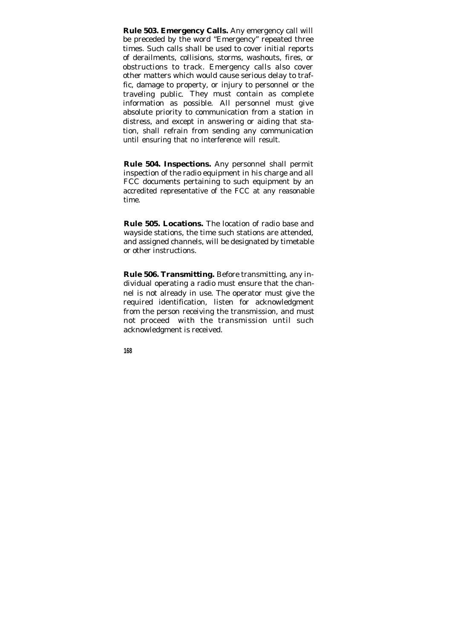**Rule 503. Emergency Calls.** Any emergency call will be preceded by the word "Emergency" repeated three times. Such calls shall be used to cover initial reports of derailments, collisions, storms, washouts, fires, or obstructions to track. Emergency calls also cover other matters which would cause serious delay to traffic, damage to property, or injury to personnel or the traveling public. They must contain as complete information as possible. All personnel must give absolute priority to communication from a station in distress, and except in answering or aiding that station, shall refrain from sending any communication until ensuring that no interference will result.

**Rule 504. Inspections.** Any personnel shall permit inspection of the radio equipment in his charge and all FCC documents pertaining to such equipment by an accredited representative of the FCC at any reasonable time.

**Rule 505. Locations.** The location of radio base and wayside stations, the time such stations are attended, and assigned channels, will be designated by timetable or other instructions.

**Rule 506. Transmitting.** Before transmitting, any individual operating a radio must ensure that the channel is not already in use. The operator must give the required identification, listen for acknowledgment from the person receiving the transmission, and must not proceed with the transmission until such acknowledgment is received.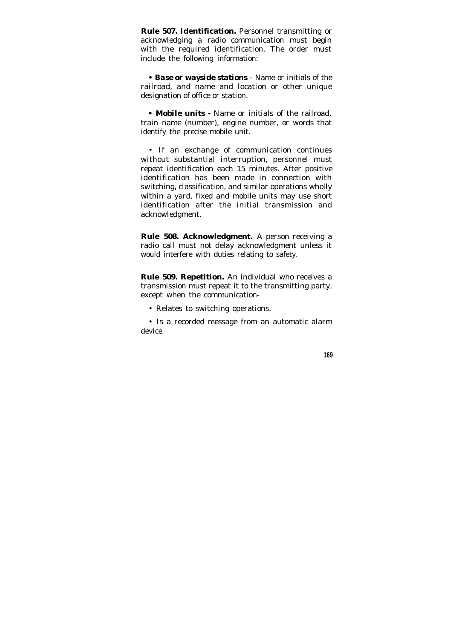**Rule 507. Identification.** Personnel transmitting or acknowledging a radio communication must begin with the required identification. The order must include the following information:

*• Base or wayside stations* - Name or initials of the railroad, and name and location or other unique designation of office or station.

*• Mobile units -* Name or initials of the railroad, train name (number), engine number, or words that identify the precise mobile unit.

• If an exchange of communication continues without substantial interruption, personnel must repeat identification each 15 minutes. After positive identification has been made in connection with switching, classification, and similar operations wholly within a yard, fixed and mobile units may use short identification after the initial transmission and acknowledgment.

**Rule 508. Acknowledgment.** A person receiving a radio call must not delay acknowledgment unless it would interfere with duties relating to safety.

**Rule 509. Repetition.** An individual who receives a transmission must repeat it to the transmitting party, except when the communication-

• Relates to switching operations.

• Is a recorded message from an automatic alarm device.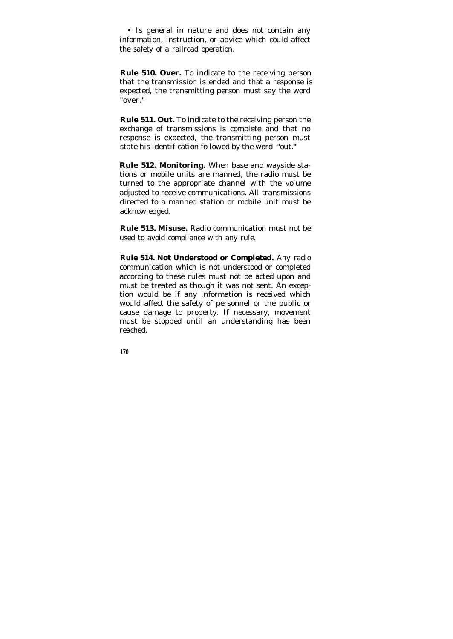• Is general in nature and does not contain any information, instruction, or advice which could affect the safety of a railroad operation.

**Rule 510. Over.** To indicate to the receiving person that the transmission is ended and that a response is expected, the transmitting person must say the word "over."

**Rule 511. Out.** To indicate to the receiving person the exchange of transmissions is complete and that no response is expected, the transmitting person must state his identification followed by the word "out."

**Rule 512. Monitoring.** When base and wayside stations or mobile units are manned, the radio must be turned to the appropriate channel with the volume adjusted to receive communications. All transmissions directed to a manned station or mobile unit must be acknowledged.

**Rule 513. Misuse.** Radio communication must not be used to avoid compliance with any rule.

**Rule 514. Not Understood or Completed.** Any radio communication which is not understood or completed according to these rules must not be acted upon and must be treated as though it was not sent. An exception would be if any information is received which would affect the safety of personnel or the public or cause damage to property. If necessary, movement must be stopped until an understanding has been reached.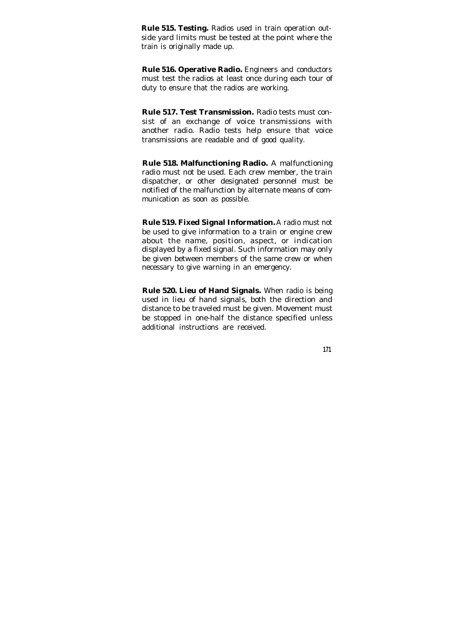**Rule 515. Testing.** Radios used in train operation outside yard limits must be tested at the point where the train is originally made up.

**Rule 516. Operative Radio.** Engineers and conductors must test the radios at least once during each tour of duty to ensure that the radios are working.

**Rule 517. Test Transmission.** Radio tests must consist of an exchange of voice transmissions with another radio. Radio tests help ensure that voice transmissions are readable and of good quality.

**Rule 518. Malfunctioning Radio.** A malfunctioning radio must not be used. Each crew member, the train dispatcher, or other designated personnel must be notified of the malfunction by alternate means of communication as soon as possible.

**Rule 519. Fixed Signal Information.** A radio must not be used to give information to a train or engine crew about the name, position, aspect, or indication displayed by a fixed signal. Such information may only be given between members of the same crew or when necessary to give warning in an emergency.

**Rule 520. Lieu of Hand Signals.** When radio is being used in lieu of hand signals, both the direction and distance to be traveled must be given. Movement must be stopped in one-half the distance specified unless additional instructions are received.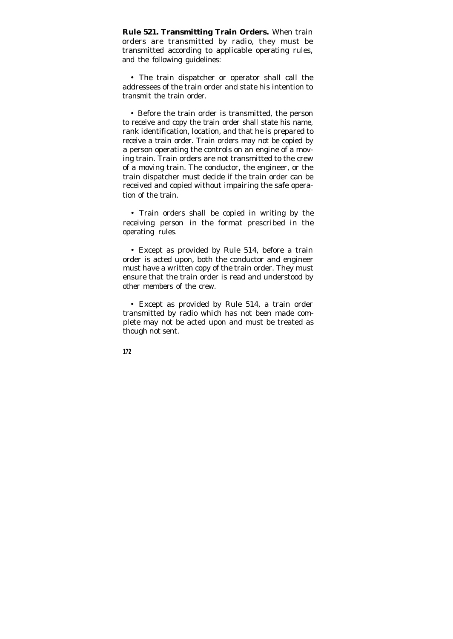**Rule 521. Transmitting Train Orders.** When train orders are transmitted by radio, they must be transmitted according to applicable operating rules, and the following guidelines:

• The train dispatcher or operator shall call the addressees of the train order and state his intention to transmit the train order.

• Before the train order is transmitted, the person to receive and copy the train order shall state his name, rank identification, location, and that he is prepared to receive a train order. Train orders may not be copied by a person operating the controls on an engine of a moving train. Train orders are not transmitted to the crew of a moving train. The conductor, the engineer, or the train dispatcher must decide if the train order can be received and copied without impairing the safe operation of the train.

• Train orders shall be copied in writing by the receiving person in the format prescribed in the operating rules.

• Except as provided by Rule 514, before a train order is acted upon, both the conductor and engineer must have a written copy of the train order. They must ensure that the train order is read and understood by other members of the crew.

• Except as provided by Rule 514, a train order transmitted by radio which has not been made complete may not be acted upon and must be treated as though not sent.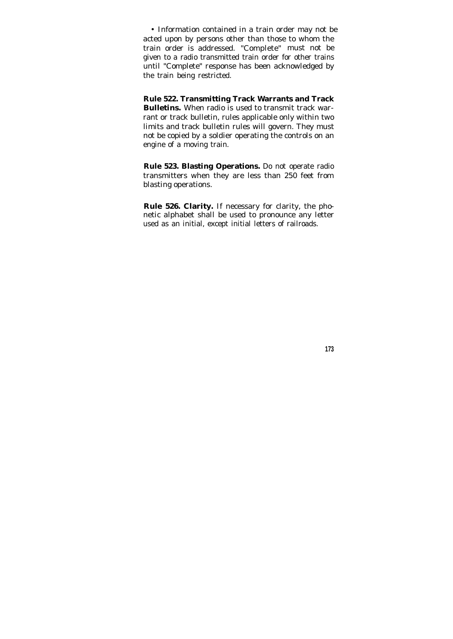• Information contained in a train order may not be acted upon by persons other than those to whom the train order is addressed. "Complete" must not be given to a radio transmitted train order for other trains until "Complete" response has been acknowledged by the train being restricted.

**Rule 522. Transmitting Track Warrants and Track Bulletins.** When radio is used to transmit track warrant or track bulletin, rules applicable only within two limits and track bulletin rules will govern. They must not be copied by a soldier operating the controls on an engine of a moving train.

**Rule 523. Blasting Operations.** Do not operate radio transmitters when they are less than 250 feet from blasting operations.

**Rule 526. Clarity.** If necessary for clarity, the phonetic alphabet shall be used to pronounce any letter used as an initial, except initial letters of railroads.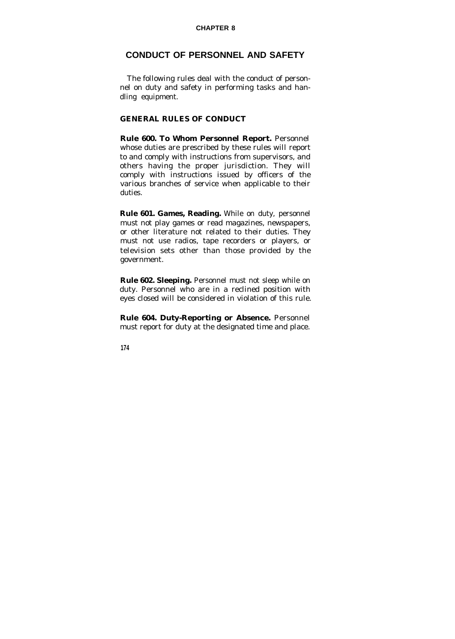### **CHAPTER 8**

# **CONDUCT OF PERSONNEL AND SAFETY**

The following rules deal with the conduct of personnel on duty and safety in performing tasks and handling equipment.

### **GENERAL RULES OF CONDUCT**

**Rule 600. To Whom Personnel Report.** Personnel whose duties are prescribed by these rules will report to and comply with instructions from supervisors, and others having the proper jurisdiction. They will comply with instructions issued by officers of the various branches of service when applicable to their duties.

**Rule 601. Games, Reading.** While on duty, personnel must not play games or read magazines, newspapers, or other literature not related to their duties. They must not use radios, tape recorders or players, or television sets other than those provided by the government.

**Rule 602. Sleeping.** Personnel must not sleep while on duty. Personnel who are in a reclined position with eyes closed will be considered in violation of this rule.

**Rule 604. Duty-Reporting or Absence.** Personnel must report for duty at the designated time and place.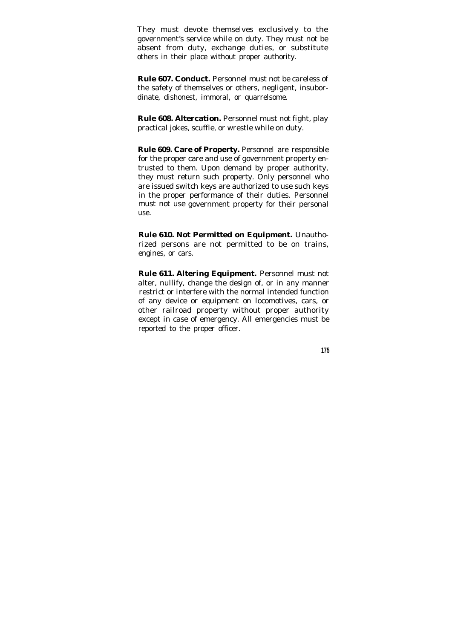They must devote themselves exclusively to the government's service while on duty. They must not be absent from duty, exchange duties, or substitute others in their place without proper authority.

**Rule 607. Conduct.** Personnel must not be careless of the safety of themselves or others, negligent, insubordinate, dishonest, immoral, or quarrelsome.

**Rule 608. Altercation.** Personnel must not fight, play practical jokes, scuffle, or wrestle while on duty.

**Rule 609. Care of Property.** Personnel are responsible for the proper care and use of government property entrusted to them. Upon demand by proper authority, they must return such property. Only personnel who are issued switch keys are authorized to use such keys in the proper performance of their duties. Personnel must not use government property for their personal use.

**Rule 610. Not Permitted on Equipment.** Unauthorized persons are not permitted to be on trains, engines, or cars.

**Rule 611. Altering Equipment.** Personnel must not alter, nullify, change the design of, or in any manner restrict or interfere with the normal intended function of any device or equipment on locomotives, cars, or other railroad property without proper authority except in case of emergency. All emergencies must be reported to the proper officer.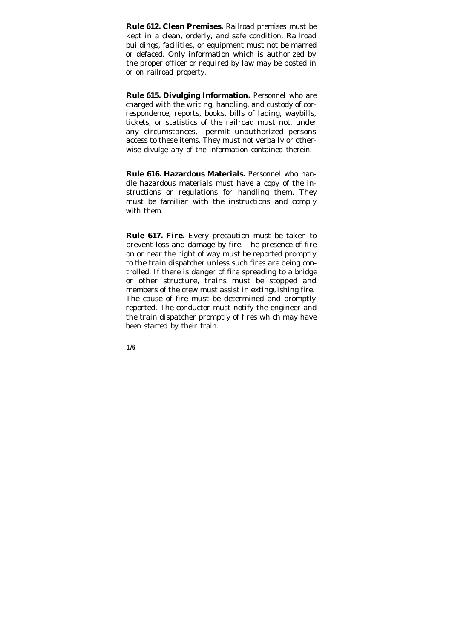**Rule 612. Clean Premises.** Railroad premises must be kept in a clean, orderly, and safe condition. Railroad buildings, facilities, or equipment must not be marred or defaced. Only information which is authorized by the proper officer or required by law may be posted in or on railroad property.

**Rule 615. Divulging Information.** Personnel who are charged with the writing, handling, and custody of correspondence, reports, books, bills of lading, waybills, tickets, or statistics of the railroad must not, under any circumstances, permit unauthorized persons access to these items. They must not verbally or otherwise divulge any of the information contained therein.

**Rule 616. Hazardous Materials.** Personnel who handle hazardous materials must have a copy of the instructions or regulations for handling them. They must be familiar with the instructions and comply with them.

**Rule 617. Fire.** Every precaution must be taken to prevent loss and damage by fire. The presence of fire on or near the right of way must be reported promptly to the train dispatcher unless such fires are being controlled. If there is danger of fire spreading to a bridge or other structure, trains must be stopped and members of the crew must assist in extinguishing fire. The cause of fire must be determined and promptly reported. The conductor must notify the engineer and the train dispatcher promptly of fires which may have been started by their train.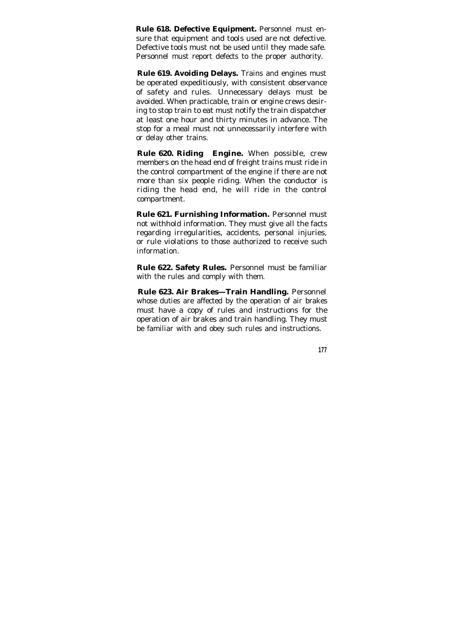**Rule 618. Defective Equipment.** Personnel must ensure that equipment and tools used are not defective. Defective tools must not be used until they made safe. Personnel must report defects to the proper authority.

**Rule 619. Avoiding Delays.** Trains and engines must be operated expeditiously, with consistent observance of safety and rules. Unnecessary delays must be avoided. When practicable, train or engine crews desiring to stop train to eat must notify the train dispatcher at least one hour and thirty minutes in advance. The stop for a meal must not unnecessarily interfere with or delay other trains.

**Rule 620. Riding Engine.** When possible, crew members on the head end of freight trains must ride in the control compartment of the engine if there are not more than six people riding. When the conductor is riding the head end, he will ride in the control compartment.

**Rule 621. Furnishing Information.** Personnel must not withhold information. They must give all the facts regarding irregularities, accidents, personal injuries, or rule violations to those authorized to receive such information.

**Rule 622. Safety Rules.** Personnel must be familiar with the rules and comply with them.

**Rule 623. Air Brakes—Train Handling.** Personnel whose duties are affected by the operation of air brakes must have a copy of rules and instructions for the operation of air brakes and train handling. They must be familiar with and obey such rules and instructions.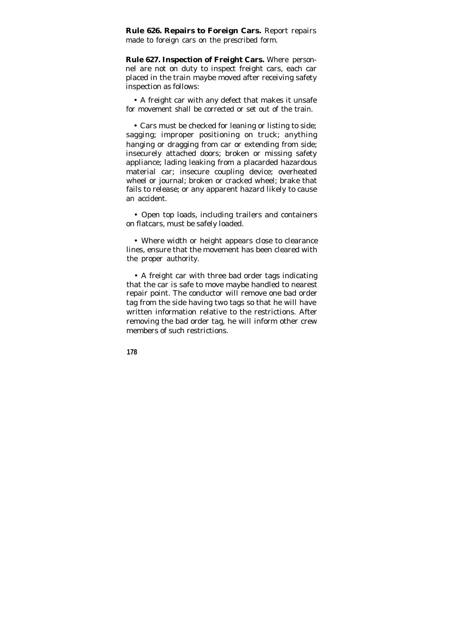**Rule 626. Repairs to Foreign Cars.** Report repairs made to foreign cars on the prescribed form.

**Rule 627. Inspection of Freight Cars.** Where personnel are not on duty to inspect freight cars, each car placed in the train maybe moved after receiving safety inspection as follows:

• A freight car with any defect that makes it unsafe for movement shall be corrected or set out of the train.

• Cars must be checked for leaning or listing to side; sagging; improper positioning on truck; anything hanging or dragging from car or extending from side; insecurely attached doors; broken or missing safety appliance; lading leaking from a placarded hazardous material car; insecure coupling device; overheated wheel or journal; broken or cracked wheel; brake that fails to release; or any apparent hazard likely to cause an accident.

• Open top loads, including trailers and containers on flatcars, must be safely loaded.

• Where width or height appears close to clearance lines, ensure that the movement has been cleared with the proper authority.

• A freight car with three bad order tags indicating that the car is safe to move maybe handled to nearest repair point. The conductor will remove one bad order tag from the side having two tags so that he will have written information relative to the restrictions. After removing the bad order tag, he will inform other crew members of such restrictions.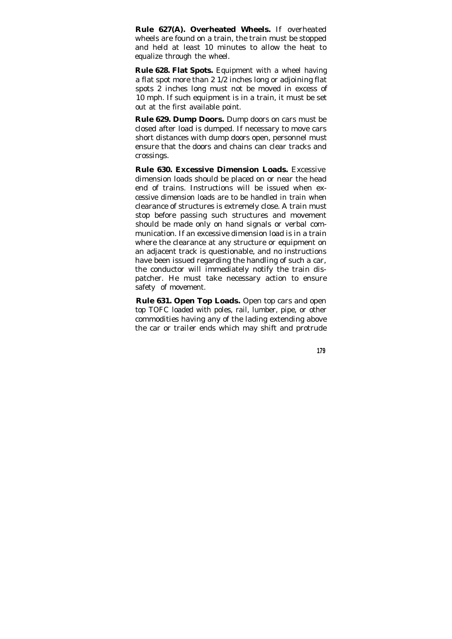**Rule 627(A). Overheated Wheels.** If overheated wheels are found on a train, the train must be stopped and held at least 10 minutes to allow the heat to equalize through the wheel.

**Rule 628. Flat Spots.** Equipment with a wheel having a flat spot more than 2 1/2 inches long or adjoining flat spots 2 inches long must not be moved in excess of 10 mph. If such equipment is in a train, it must be set out at the first available point.

**Rule 629. Dump Doors.** Dump doors on cars must be closed after load is dumped. If necessary to move cars short distances with dump doors open, personnel must ensure that the doors and chains can clear tracks and crossings.

**Rule 630. Excessive Dimension Loads.** Excessive dimension loads should be placed on or near the head end of trains. Instructions will be issued when excessive dimension loads are to be handled in train when clearance of structures is extremely close. A train must stop before passing such structures and movement should be made only on hand signals or verbal communication. If an excessive dimension load is in a train where the clearance at any structure or equipment on an adjacent track is questionable, and no instructions have been issued regarding the handling of such a car, the conductor will immediately notify the train dispatcher. He must take necessary action to ensure safety of movement.

**Rule 631. Open Top Loads.** Open top cars and open top TOFC loaded with poles, rail, lumber, pipe, or other commodities having any of the lading extending above the car or trailer ends which may shift and protrude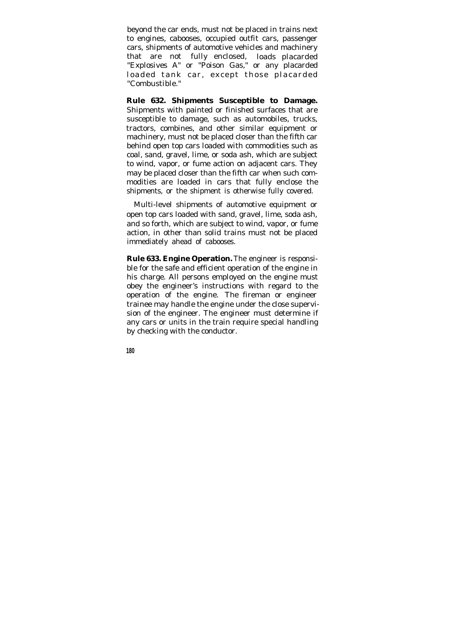beyond the car ends, must not be placed in trains next to engines, cabooses, occupied outfit cars, passenger cars, shipments of automotive vehicles and machinery that are not fully enclosed, loads placarded "Explosives A" or "Poison Gas," or any placarded loaded tank car, except those placarded "Combustible."

**Rule 632. Shipments Susceptible to Damage.** Shipments with painted or finished surfaces that are susceptible to damage, such as automobiles, trucks, tractors, combines, and other similar equipment or machinery, must not be placed closer than the fifth car behind open top cars loaded with commodities such as coal, sand, gravel, lime, or soda ash, which are subject to wind, vapor, or fume action on adjacent cars. They may be placed closer than the fifth car when such commodities are loaded in cars that fully enclose the shipments, or the shipment is otherwise fully covered.

Multi-level shipments of automotive equipment or open top cars loaded with sand, gravel, lime, soda ash, and so forth, which are subject to wind, vapor, or fume action, in other than solid trains must not be placed immediately ahead of cabooses.

**Rule 633. Engine Operation.** The engineer is responsible for the safe and efficient operation of the engine in his charge. All persons employed on the engine must obey the engineer's instructions with regard to the operation of the engine. The fireman or engineer trainee may handle the engine under the close supervision of the engineer. The engineer must determine if any cars or units in the train require special handling by checking with the conductor.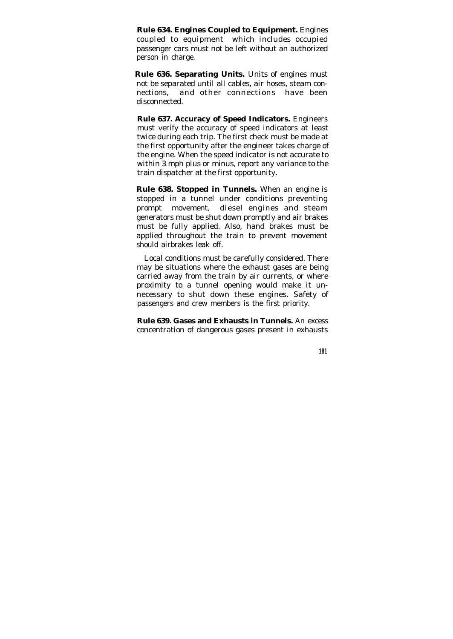**Rule 634. Engines Coupled to Equipment.** Engines coupled to equipment which includes occupied passenger cars must not be left without an authorized person in charge.

**Rule 636. Separating Units.** Units of engines must not be separated until all cables, air hoses, steam connections, and other connections have been disconnected.

**Rule 637. Accuracy of Speed Indicators.** Engineers must verify the accuracy of speed indicators at least twice during each trip. The first check must be made at the first opportunity after the engineer takes charge of the engine. When the speed indicator is not accurate to within 3 mph plus or minus, report any variance to the train dispatcher at the first opportunity.

**Rule 638. Stopped in Tunnels.** When an engine is stopped in a tunnel under conditions preventing prompt movement, diesel engines and steam generators must be shut down promptly and air brakes must be fully applied. Also, hand brakes must be applied throughout the train to prevent movement should airbrakes leak off.

Local conditions must be carefully considered. There may be situations where the exhaust gases are being carried away from the train by air currents, or where proximity to a tunnel opening would make it unnecessary to shut down these engines. Safety of passengers and crew members is the first priority.

**Rule 639. Gases and Exhausts in Tunnels.** An excess concentration of dangerous gases present in exhausts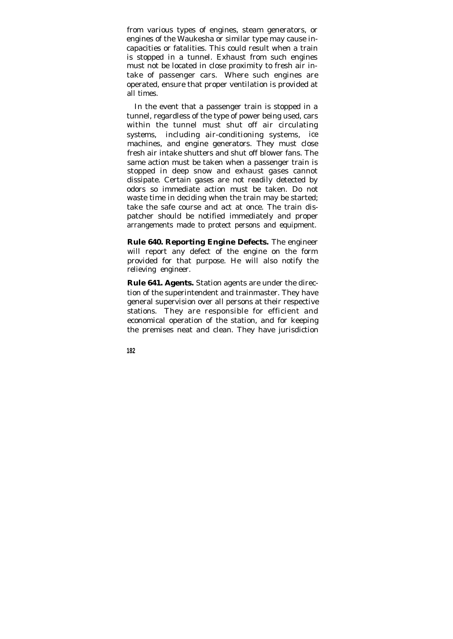from various types of engines, steam generators, or engines of the Waukesha or similar type may cause incapacities or fatalities. This could result when a train is stopped in a tunnel. Exhaust from such engines must not be located in close proximity to fresh air intake of passenger cars. Where such engines are operated, ensure that proper ventilation is provided at all times.

In the event that a passenger train is stopped in a tunnel, regardless of the type of power being used, cars within the tunnel must shut off air circulating systems, including air-conditioning systems, ice machines, and engine generators. They must close fresh air intake shutters and shut off blower fans. The same action must be taken when a passenger train is stopped in deep snow and exhaust gases cannot dissipate. Certain gases are not readily detected by odors so immediate action must be taken. Do not waste time in deciding when the train may be started; take the safe course and act at once. The train dispatcher should be notified immediately and proper arrangements made to protect persons and equipment.

**Rule 640. Reporting Engine Defects.** The engineer will report any defect of the engine on the form provided for that purpose. He will also notify the relieving engineer.

**Rule 641. Agents.** Station agents are under the direction of the superintendent and trainmaster. They have general supervision over all persons at their respective stations. They are responsible for efficient and economical operation of the station, and for keeping the premises neat and clean. They have jurisdiction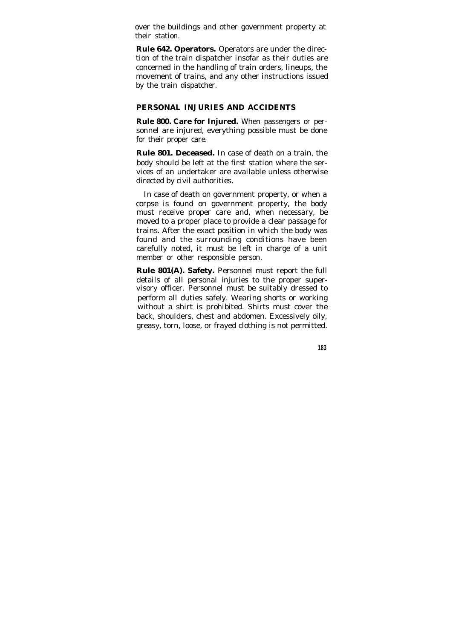over the buildings and other government property at their station.

**Rule 642. Operators.** Operators are under the direction of the train dispatcher insofar as their duties are concerned in the handling of train orders, lineups, the movement of trains, and any other instructions issued by the train dispatcher.

#### **PERSONAL INJURIES AND ACCIDENTS**

**Rule 800. Care for Injured.** When passengers or personnel are injured, everything possible must be done for their proper care.

**Rule 801. Deceased.** In case of death on a train, the body should be left at the first station where the services of an undertaker are available unless otherwise directed by civil authorities.

In case of death on government property, or when a corpse is found on government property, the body must receive proper care and, when necessary, be moved to a proper place to provide a clear passage for trains. After the exact position in which the body was found and the surrounding conditions have been carefully noted, it must be left in charge of a unit member or other responsible person.

**Rule 801(A). Safety.** Personnel must report the full details of all personal injuries to the proper supervisory officer. Personnel must be suitably dressed to perform all duties safely. Wearing shorts or working without a shirt is prohibited. Shirts must cover the back, shoulders, chest and abdomen. Excessively oily, greasy, torn, loose, or frayed clothing is not permitted.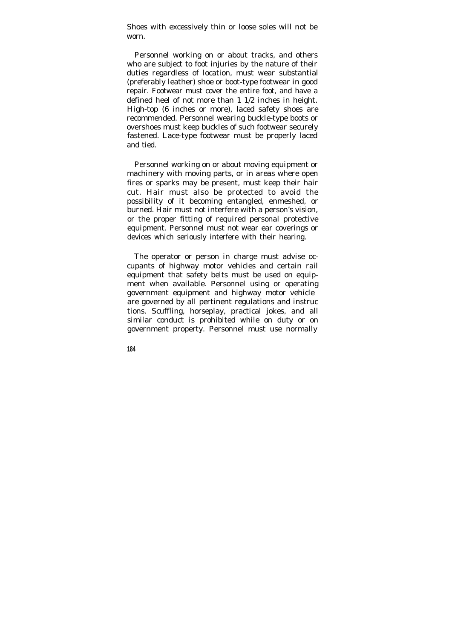Shoes with excessively thin or loose soles will not be worn.

Personnel working on or about tracks, and others who are subject to foot injuries by the nature of their duties regardless of location, must wear substantial (preferably leather) shoe or boot-type footwear in good repair. Footwear must cover the entire foot, and have a defined heel of not more than 1 1/2 inches in height. High-top (6 inches or more), laced safety shoes are recommended. Personnel wearing buckle-type boots or overshoes must keep buckles of such footwear securely fastened. Lace-type footwear must be properly laced and tied.

Personnel working on or about moving equipment or machinery with moving parts, or in areas where open fires or sparks may be present, must keep their hair cut. Hair must also be protected to avoid the possibility of it becoming entangled, enmeshed, or burned. Hair must not interfere with a person's vision, or the proper fitting of required personal protective equipment. Personnel must not wear ear coverings or devices which seriously interfere with their hearing.

The operator or person in charge must advise occupants of highway motor vehicles and certain rail equipment that safety belts must be used on equipment when available. Personnel using or operating government equipment and highway motor vehicle are governed by all pertinent regulations and instruc tions. Scuffling, horseplay, practical jokes, and all similar conduct is prohibited while on duty or on government property. Personnel must use normally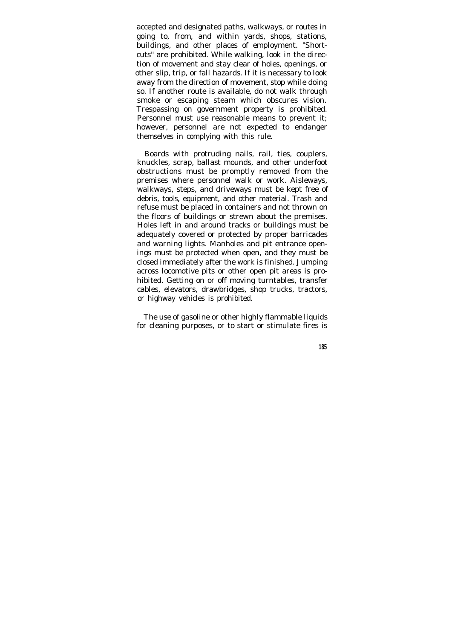accepted and designated paths, walkways, or routes in going to, from, and within yards, shops, stations, buildings, and other places of employment. "Shortcuts" are prohibited. While walking, look in the direction of movement and stay clear of holes, openings, or other slip, trip, or fall hazards. If it is necessary to look away from the direction of movement, stop while doing so. If another route is available, do not walk through smoke or escaping steam which obscures vision. Trespassing on government property is prohibited. Personnel must use reasonable means to prevent it; however, personnel are not expected to endanger themselves in complying with this rule.

Boards with protruding nails, rail, ties, couplers, knuckles, scrap, ballast mounds, and other underfoot obstructions must be promptly removed from the premises where personnel walk or work. Aisleways, walkways, steps, and driveways must be kept free of debris, tools, equipment, and other material. Trash and refuse must be placed in containers and not thrown on the floors of buildings or strewn about the premises. Holes left in and around tracks or buildings must be adequately covered or protected by proper barricades and warning lights. Manholes and pit entrance openings must be protected when open, and they must be closed immediately after the work is finished. Jumping across locomotive pits or other open pit areas is prohibited. Getting on or off moving turntables, transfer cables, elevators, drawbridges, shop trucks, tractors, or highway vehicles is prohibited.

The use of gasoline or other highly flammable liquids for cleaning purposes, or to start or stimulate fires is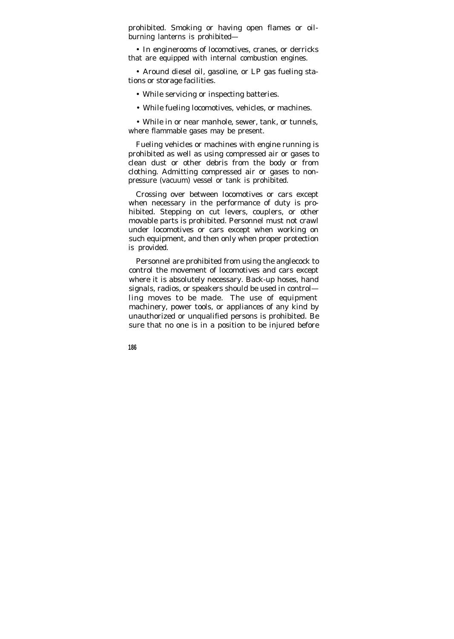prohibited. Smoking or having open flames or oilburning lanterns is prohibited—

• In enginerooms of locomotives, cranes, or derricks that are equipped with internal combustion engines.

• Around diesel oil, gasoline, or LP gas fueling stations or storage facilities.

- While servicing or inspecting batteries.
- While fueling locomotives, vehicles, or machines.

• While in or near manhole, sewer, tank, or tunnels, where flammable gases may be present.

Fueling vehicles or machines with engine running is prohibited as well as using compressed air or gases to clean dust or other debris from the body or from clothing. Admitting compressed air or gases to nonpressure (vacuum) vessel or tank is prohibited.

Crossing over between locomotives or cars except when necessary in the performance of duty is prohibited. Stepping on cut levers, couplers, or other movable parts is prohibited. Personnel must not crawl under locomotives or cars except when working on such equipment, and then only when proper protection is provided.

Personnel are prohibited from using the anglecock to control the movement of locomotives and cars except where it is absolutely necessary. Back-up hoses, hand signals, radios, or speakers should be used in control ling moves to be made. The use of equipment machinery, power tools, or appliances of any kind by unauthorized or unqualified persons is prohibited. Be sure that no one is in a position to be injured before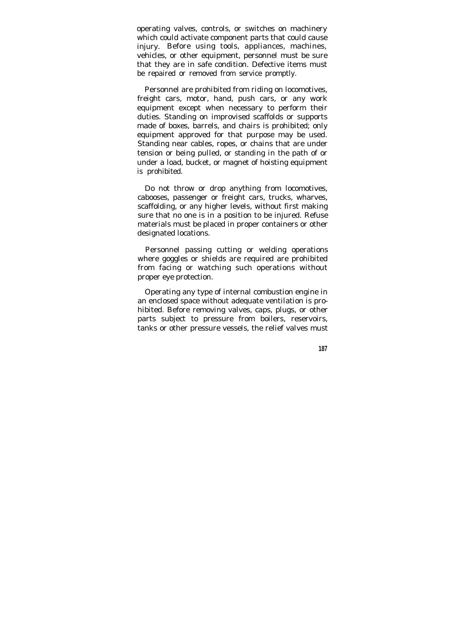operating valves, controls, or switches on machinery which could activate component parts that could cause injury. Before using tools, appliances, machines, vehicles, or other equipment, personnel must be sure that they are in safe condition. Defective items must be repaired or removed from service promptly.

Personnel are prohibited from riding on locomotives, freight cars, motor, hand, push cars, or any work equipment except when necessary to perform their duties. Standing on improvised scaffolds or supports made of boxes, barrels, and chairs is prohibited; only equipment approved for that purpose may be used. Standing near cables, ropes, or chains that are under tension or being pulled, or standing in the path of or under a load, bucket, or magnet of hoisting equipment is prohibited.

Do not throw or drop anything from locomotives, cabooses, passenger or freight cars, trucks, wharves, scaffolding, or any higher levels, without first making sure that no one is in a position to be injured. Refuse materials must be placed in proper containers or other designated locations.

Personnel passing cutting or welding operations where goggles or shields are required are prohibited from facing or watching such operations without proper eye protection.

Operating any type of internal combustion engine in an enclosed space without adequate ventilation is prohibited. Before removing valves, caps, plugs, or other parts subject to pressure from boilers, reservoirs, tanks or other pressure vessels, the relief valves must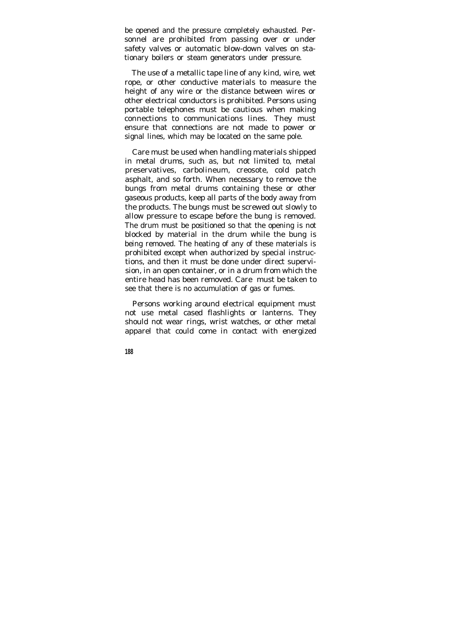be opened and the pressure completely exhausted. Personnel are prohibited from passing over or under safety valves or automatic blow-down valves on stationary boilers or steam generators under pressure.

The use of a metallic tape line of any kind, wire, wet rope, or other conductive materials to measure the height of any wire or the distance between wires or other electrical conductors is prohibited. Persons using portable telephones must be cautious when making connections to communications lines. They must ensure that connections are not made to power or signal lines, which may be located on the same pole.

Care must be used when handling materials shipped in metal drums, such as, but not limited to, metal preservatives, carbolineum, creosote, cold patch asphalt, and so forth. When necessary to remove the bungs from metal drums containing these or other gaseous products, keep all parts of the body away from the products. The bungs must be screwed out slowly to allow pressure to escape before the bung is removed. The drum must be positioned so that the opening is not blocked by material in the drum while the bung is being removed. The heating of any of these materials is prohibited except when authorized by special instructions, and then it must be done under direct supervision, in an open container, or in a drum from which the entire head has been removed. Care must be taken to see that there is no accumulation of gas or fumes.

Persons working around electrical equipment must not use metal cased flashlights or lanterns. They should not wear rings, wrist watches, or other metal apparel that could come in contact with energized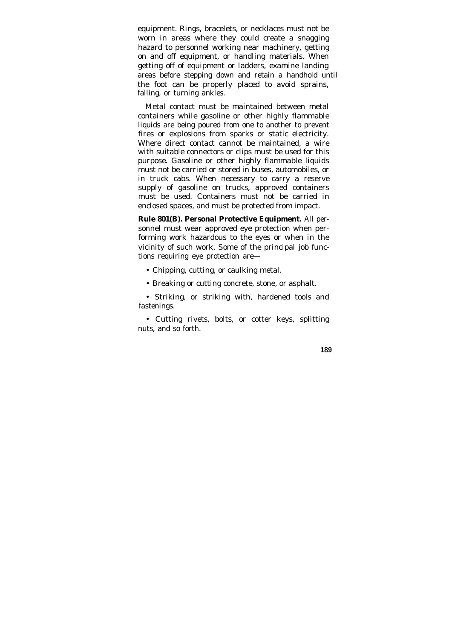equipment. Rings, bracelets, or necklaces must not be worn in areas where they could create a snagging hazard to personnel working near machinery, getting on and off equipment, or handling materials. When getting off of equipment or ladders, examine landing areas before stepping down and retain a handhold until the foot can be properly placed to avoid sprains, falling, or turning ankles.

Metal contact must be maintained between metal containers while gasoline or other highly flammable liquids are being poured from one to another to prevent fires or explosions from sparks or static electricity. Where direct contact cannot be maintained, a wire with suitable connectors or clips must be used for this purpose. Gasoline or other highly flammable liquids must not be carried or stored in buses, automobiles, or in truck cabs. When necessary to carry a reserve supply of gasoline on trucks, approved containers must be used. Containers must not be carried in enclosed spaces, and must be protected from impact.

**Rule 801(B). Personal Protective Equipment.** All personnel must wear approved eye protection when performing work hazardous to the eyes or when in the vicinity of such work. Some of the principal job functions requiring eye protection are—

- Chipping, cutting, or caulking metal.
- Breaking or cutting concrete, stone, or asphalt.

• Striking, or striking with, hardened tools and fastenings.

• Cutting rivets, bolts, or cotter keys, splitting nuts, and so forth.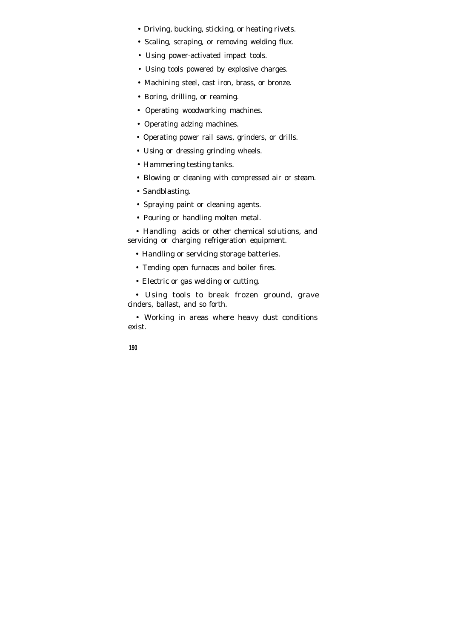- Driving, bucking, sticking, or heating rivets.
- Scaling, scraping, or removing welding flux.
- Using power-activated impact tools.
- Using tools powered by explosive charges.
- Machining steel, cast iron, brass, or bronze.
- Boring, drilling, or reaming.
- Operating woodworking machines.
- Operating adzing machines.
- Operating power rail saws, grinders, or drills.
- Using or dressing grinding wheels.
- Hammering testing tanks.
- Blowing or cleaning with compressed air or steam.
- Sandblasting.
- Spraying paint or cleaning agents.
- Pouring or handling molten metal.

• Handling acids or other chemical solutions, and servicing or charging refrigeration equipment.

- Handling or servicing storage batteries.
- Tending open furnaces and boiler fires.
- Electric or gas welding or cutting.

• Using tools to break frozen ground, grave cinders, ballast, and so forth.

• Working in areas where heavy dust conditions exist.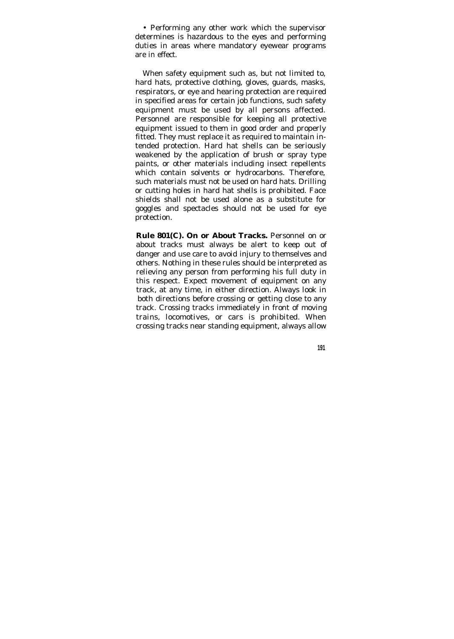• Performing any other work which the supervisor determines is hazardous to the eyes and performing duties in areas where mandatory eyewear programs are in effect.

When safety equipment such as, but not limited to, hard hats, protective clothing, gloves, guards, masks, respirators, or eye and hearing protection are required in specified areas for certain job functions, such safety equipment must be used by all persons affected. Personnel are responsible for keeping all protective equipment issued to them in good order and properly fitted. They must replace it as required to maintain intended protection. Hard hat shells can be seriously weakened by the application of brush or spray type paints, or other materials including insect repellents which contain solvents or hydrocarbons. Therefore, such materials must not be used on hard hats. Drilling or cutting holes in hard hat shells is prohibited. Face shields shall not be used alone as a substitute for goggles and spectacles should not be used for eye protection.

**Rule 801(C). On or About Tracks.** Personnel on or about tracks must always be alert to keep out of danger and use care to avoid injury to themselves and others. Nothing in these rules should be interpreted as relieving any person from performing his full duty in this respect. Expect movement of equipment on any track, at any time, in either direction. Always look in both directions before crossing or getting close to any track. Crossing tracks immediately in front of moving trains, locomotives, or cars is prohibited. When crossing tracks near standing equipment, always allow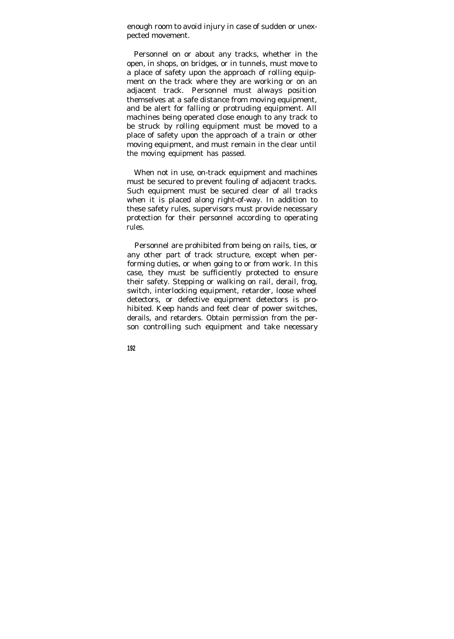enough room to avoid injury in case of sudden or unexpected movement.

Personnel on or about any tracks, whether in the open, in shops, on bridges, or in tunnels, must move to a place of safety upon the approach of rolling equipment on the track where they are working or on an adjacent track. Personnel must always position themselves at a safe distance from moving equipment, and be alert for falling or protruding equipment. All machines being operated close enough to any track to be struck by rolling equipment must be moved to a place of safety upon the approach of a train or other moving equipment, and must remain in the clear until the moving equipment has passed.

When not in use, on-track equipment and machines must be secured to prevent fouling of adjacent tracks. Such equipment must be secured clear of all tracks when it is placed along right-of-way. In addition to these safety rules, supervisors must provide necessary protection for their personnel according to operating rules.

Personnel are prohibited from being on rails, ties, or any other part of track structure, except when performing duties, or when going to or from work. In this case, they must be sufficiently protected to ensure their safety. Stepping or walking on rail, derail, frog, switch, interlocking equipment, retarder, loose wheel detectors, or defective equipment detectors is prohibited. Keep hands and feet clear of power switches, derails, and retarders. Obtain permission from the person controlling such equipment and take necessary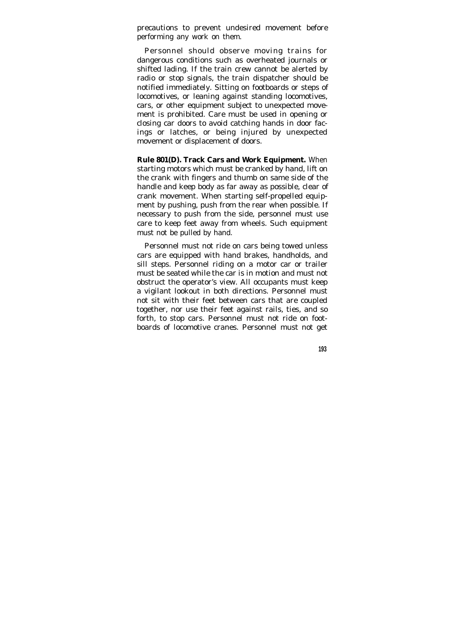precautions to prevent undesired movement before performing any work on them.

Personnel should observe moving trains for dangerous conditions such as overheated journals or shifted lading. If the train crew cannot be alerted by radio or stop signals, the train dispatcher should be notified immediately. Sitting on footboards or steps of locomotives, or leaning against standing locomotives, cars, or other equipment subject to unexpected movement is prohibited. Care must be used in opening or closing car doors to avoid catching hands in door facings or latches, or being injured by unexpected movement or displacement of doors.

**Rule 801(D). Track Cars and Work Equipment.** When starting motors which must be cranked by hand, lift on the crank with fingers and thumb on same side of the handle and keep body as far away as possible, clear of crank movement. When starting self-propelled equipment by pushing, push from the rear when possible. If necessary to push from the side, personnel must use care to keep feet away from wheels. Such equipment must not be pulled by hand.

Personnel must not ride on cars being towed unless cars are equipped with hand brakes, handholds, and sill steps. Personnel riding on a motor car or trailer must be seated while the car is in motion and must not obstruct the operator's view. All occupants must keep a vigilant lookout in both directions. Personnel must not sit with their feet between cars that are coupled together, nor use their feet against rails, ties, and so forth, to stop cars. Personnel must not ride on footboards of locomotive cranes. Personnel must not get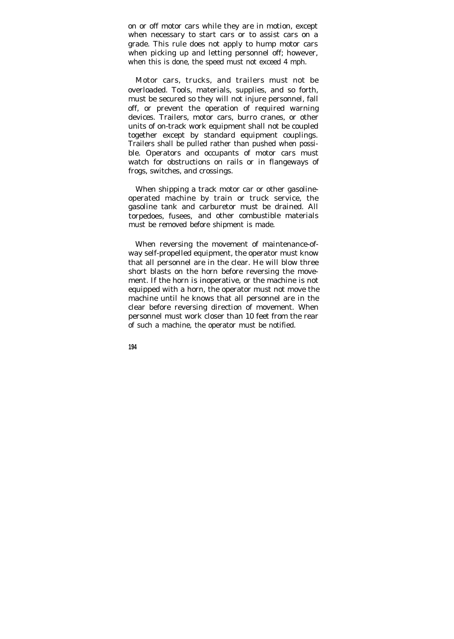on or off motor cars while they are in motion, except when necessary to start cars or to assist cars on a grade. This rule does not apply to hump motor cars when picking up and letting personnel off; however, when this is done, the speed must not exceed 4 mph.

Motor cars, trucks, and trailers must not be overloaded. Tools, materials, supplies, and so forth, must be secured so they will not injure personnel, fall off, or prevent the operation of required warning devices. Trailers, motor cars, burro cranes, or other units of on-track work equipment shall not be coupled together except by standard equipment couplings. Trailers shall be pulled rather than pushed when possible. Operators and occupants of motor cars must watch for obstructions on rails or in flangeways of frogs, switches, and crossings.

When shipping a track motor car or other gasolineoperated machine by train or truck service, the gasoline tank and carburetor must be drained. All torpedoes, fusees, and other combustible materials must be removed before shipment is made.

When reversing the movement of maintenance-ofway self-propelled equipment, the operator must know that all personnel are in the clear. He will blow three short blasts on the horn before reversing the movement. If the horn is inoperative, or the machine is not equipped with a horn, the operator must not move the machine until he knows that all personnel are in the clear before reversing direction of movement. When personnel must work closer than 10 feet from the rear of such a machine, the operator must be notified.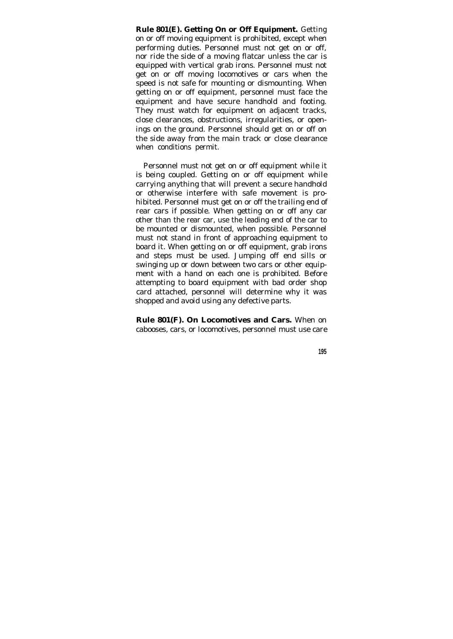**Rule 801(E). Getting On or Off Equipment.** Getting on or off moving equipment is prohibited, except when performing duties. Personnel must not get on or off, nor ride the side of a moving flatcar unless the car is equipped with vertical grab irons. Personnel must not get on or off moving locomotives or cars when the speed is not safe for mounting or dismounting. When getting on or off equipment, personnel must face the equipment and have secure handhold and footing. They must watch for equipment on adjacent tracks, close clearances, obstructions, irregularities, or openings on the ground. Personnel should get on or off on the side away from the main track or close clearance when conditions permit.

Personnel must not get on or off equipment while it is being coupled. Getting on or off equipment while carrying anything that will prevent a secure handhold or otherwise interfere with safe movement is prohibited. Personnel must get on or off the trailing end of rear cars if possible. When getting on or off any car other than the rear car, use the leading end of the car to be mounted or dismounted, when possible. Personnel must not stand in front of approaching equipment to board it. When getting on or off equipment, grab irons and steps must be used. Jumping off end sills or swinging up or down between two cars or other equipment with a hand on each one is prohibited. Before attempting to board equipment with bad order shop card attached, personnel will determine why it was shopped and avoid using any defective parts.

**Rule 801(F). On Locomotives and Cars.** When on cabooses, cars, or locomotives, personnel must use care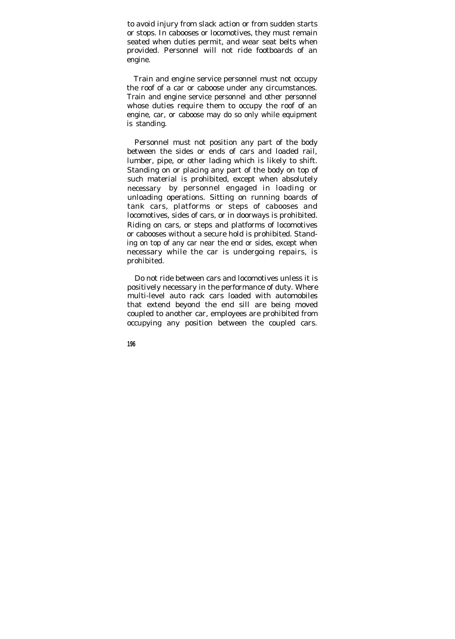to avoid injury from slack action or from sudden starts or stops. In cabooses or locomotives, they must remain seated when duties permit, and wear seat belts when provided. Personnel will not ride footboards of an engine.

Train and engine service personnel must not occupy the roof of a car or caboose under any circumstances. Train and engine service personnel and other personnel whose duties require them to occupy the roof of an engine, car, or caboose may do so only while equipment is standing.

Personnel must not position any part of the body between the sides or ends of cars and loaded rail, lumber, pipe, or other lading which is likely to shift. Standing on or placing any part of the body on top of such material is prohibited, except when absolutely necessary by personnel engaged in loading or unloading operations. Sitting on running boards of tank cars, platforms or steps of cabooses and locomotives, sides of cars, or in doorways is prohibited. Riding on cars, or steps and platforms of locomotives or cabooses without a secure hold is prohibited. Standing on top of any car near the end or sides, except when necessary while the car is undergoing repairs, is prohibited.

Do not ride between cars and locomotives unless it is positively necessary in the performance of duty. Where multi-level auto rack cars loaded with automobiles that extend beyond the end sill are being moved coupled to another car, employees are prohibited from occupying any position between the coupled cars.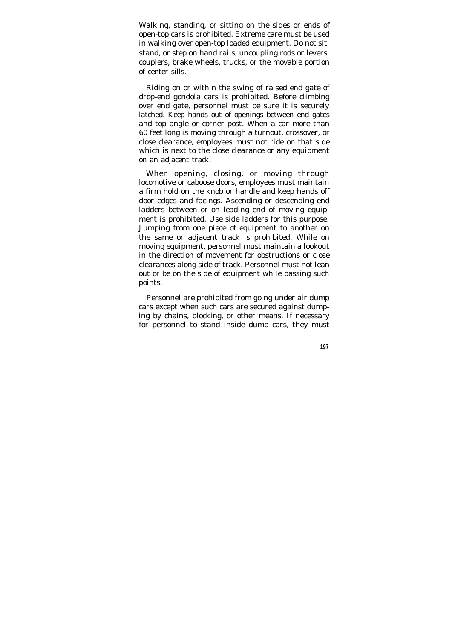Walking, standing, or sitting on the sides or ends of open-top cars is prohibited. Extreme care must be used in walking over open-top loaded equipment. Do not sit, stand, or step on hand rails, uncoupling rods or levers, couplers, brake wheels, trucks, or the movable portion of center sills.

Riding on or within the swing of raised end gate of drop-end gondola cars is prohibited. Before climbing over end gate, personnel must be sure it is securely latched. Keep hands out of openings between end gates and top angle or corner post. When a car more than 60 feet long is moving through a turnout, crossover, or close clearance, employees must not ride on that side which is next to the close clearance or any equipment on an adjacent track.

When opening, closing, or moving through locomotive or caboose doors, employees must maintain a firm hold on the knob or handle and keep hands off door edges and facings. Ascending or descending end ladders between or on leading end of moving equipment is prohibited. Use side ladders for this purpose. Jumping from one piece of equipment to another on the same or adjacent track is prohibited. While on moving equipment, personnel must maintain a lookout in the direction of movement for obstructions or close clearances along side of track. Personnel must not lean out or be on the side of equipment while passing such points.

Personnel are prohibited from going under air dump cars except when such cars are secured against dumping by chains, blocking, or other means. If necessary for personnel to stand inside dump cars, they must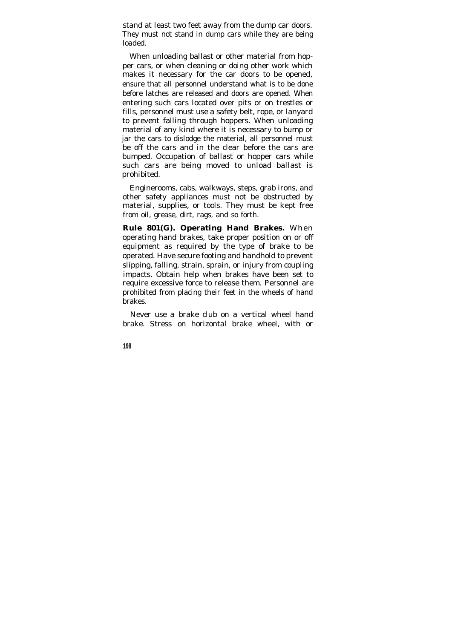stand at least two feet away from the dump car doors. They must not stand in dump cars while they are being loaded.

When unloading ballast or other material from hopper cars, or when cleaning or doing other work which makes it necessary for the car doors to be opened, ensure that all personnel understand what is to be done before latches are released and doors are opened. When entering such cars located over pits or on trestles or fills, personnel must use a safety belt, rope, or lanyard to prevent falling through hoppers. When unloading material of any kind where it is necessary to bump or jar the cars to dislodge the material, all personnel must be off the cars and in the clear before the cars are bumped. Occupation of ballast or hopper cars while such cars are being moved to unload ballast is prohibited.

Enginerooms, cabs, walkways, steps, grab irons, and other safety appliances must not be obstructed by material, supplies, or tools. They must be kept free from oil, grease, dirt, rags, and so forth.

**Rule 801(G). Operating Hand Brakes.** When operating hand brakes, take proper position on or off equipment as required by the type of brake to be operated. Have secure footing and handhold to prevent slipping, falling, strain, sprain, or injury from coupling impacts. Obtain help when brakes have been set to require excessive force to release them. Personnel are prohibited from placing their feet in the wheels of hand brakes.

Never use a brake club on a vertical wheel hand brake. Stress on horizontal brake wheel, with or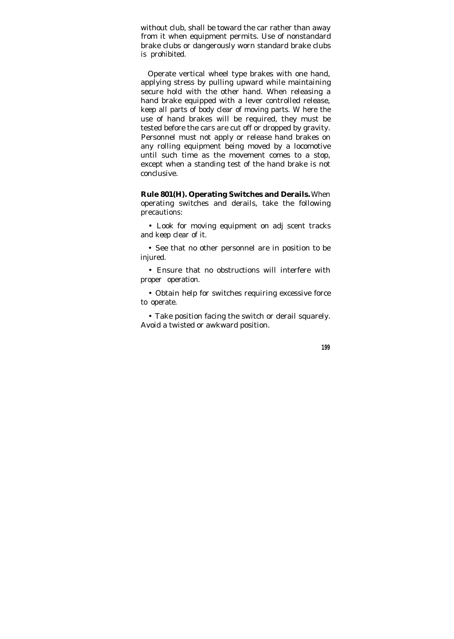without club, shall be toward the car rather than away from it when equipment permits. Use of nonstandard brake clubs or dangerously worn standard brake clubs is prohibited.

Operate vertical wheel type brakes with one hand, applying stress by pulling upward while maintaining secure hold with the other hand. When releasing a hand brake equipped with a lever controlled release, keep all parts of body clear of moving parts. W here the use of hand brakes will be required, they must be tested before the cars are cut off or dropped by gravity. Personnel must not apply or release hand brakes on any rolling equipment being moved by a locomotive until such time as the movement comes to a stop, except when a standing test of the hand brake is not conclusive.

**Rule 801(H). Operating Switches and Derails.** When operating switches and derails, take the following precautions:

• Look for moving equipment on adj scent tracks and keep clear of it.

• See that no other personnel are in position to be injured.

• Ensure that no obstructions will interfere with proper operation.

• Obtain help for switches requiring excessive force to operate.

• Take position facing the switch or derail squarely. Avoid a twisted or awkward position.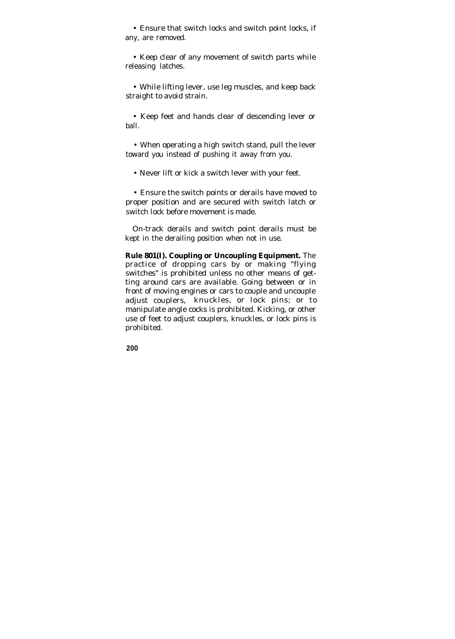• Ensure that switch locks and switch point locks, if any, are removed.

• Keep clear of any movement of switch parts while releasing latches.

• While lifting lever, use leg muscles, and keep back straight to avoid strain.

• Keep feet and hands clear of descending lever or ball.

• When operating a high switch stand, pull the lever toward you instead of pushing it away from you.

• Never lift or kick a switch lever with your feet.

• Ensure the switch points or derails have moved to proper position and are secured with switch latch or switch lock before movement is made.

On-track derails and switch point derails must be kept in the derailing position when not in use.

**Rule 801(I). Coupling or Uncoupling Equipment.** The practice of dropping cars by or making "flying switches" is prohibited unless no other means of getting around cars are available. Going between or in front of moving engines or cars to couple and uncouple adjust couplers, knuckles, or lock pins; or to manipulate angle cocks is prohibited. Kicking, or other use of feet to adjust couplers, knuckles, or lock pins is prohibited.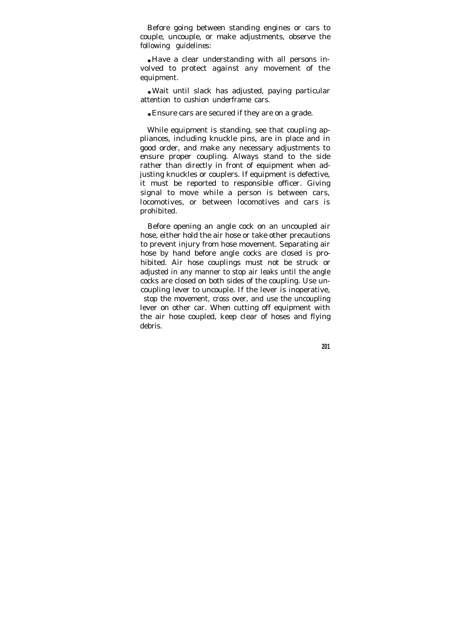Before going between standing engines or cars to couple, uncouple, or make adjustments, observe the following guidelines:

● Have a clear understanding with all persons involved to protect against any movement of the equipment.

● Wait until slack has adjusted, paying particular attention to cushion underframe cars.

• Ensure cars are secured if they are on a grade.

While equipment is standing, see that coupling appliances, including knuckle pins, are in place and in good order, and make any necessary adjustments to ensure proper coupling. Always stand to the side rather than directly in front of equipment when adjusting knuckles or couplers. If equipment is defective, it must be reported to responsible officer. Giving signal to move while a person is between cars, locomotives, or between locomotives and cars is prohibited.

Before opening an angle cock on an uncoupled air hose, either hold the air hose or take other precautions to prevent injury from hose movement. Separating air hose by hand before angle cocks are closed is prohibited. Air hose couplings must not be struck or adjusted in any manner to stop air leaks until the angle cocks are closed on both sides of the coupling. Use uncoupling lever to uncouple. If the lever is inoperative, stop the movement, cross over, and use the uncoupling lever on other car. When cutting off equipment with the air hose coupled, keep clear of hoses and flying debris.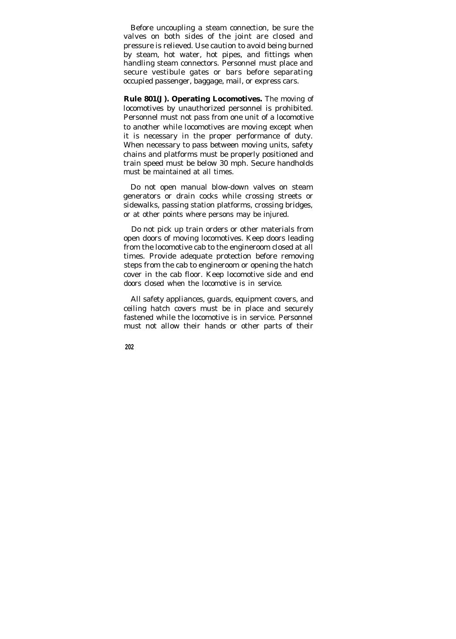Before uncoupling a steam connection, be sure the valves on both sides of the joint are closed and pressure is relieved. Use caution to avoid being burned by steam, hot water, hot pipes, and fittings when handling steam connectors. Personnel must place and secure vestibule gates or bars before separating occupied passenger, baggage, mail, or express cars.

**Rule 801(J). Operating Locomotives.** The moving of locomotives by unauthorized personnel is prohibited. Personnel must not pass from one unit of a locomotive to another while locomotives are moving except when it is necessary in the proper performance of duty. When necessary to pass between moving units, safety chains and platforms must be properly positioned and train speed must be below 30 mph. Secure handholds must be maintained at all times.

Do not open manual blow-down valves on steam generators or drain cocks while crossing streets or sidewalks, passing station platforms, crossing bridges, or at other points where persons may be injured.

Do not pick up train orders or other materials from open doors of moving locomotives. Keep doors leading from the locomotive cab to the engineroom closed at all times. Provide adequate protection before removing steps from the cab to engineroom or opening the hatch cover in the cab floor. Keep locomotive side and end doors closed when the locomotive is in service.

All safety appliances, guards, equipment covers, and ceiling hatch covers must be in place and securely fastened while the locomotive is in service. Personnel must not allow their hands or other parts of their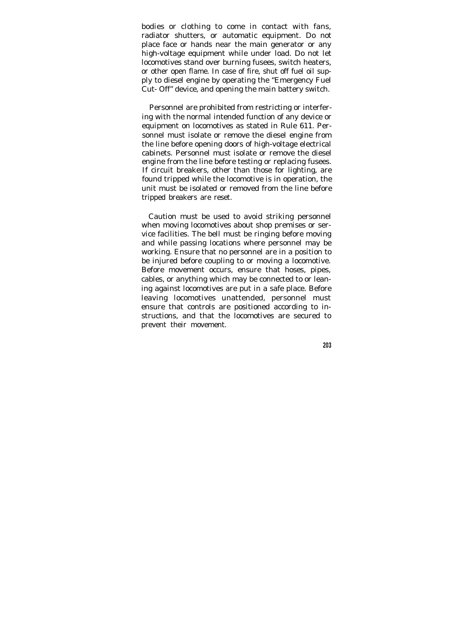bodies or clothing to come in contact with fans, radiator shutters, or automatic equipment. Do not place face or hands near the main generator or any high-voltage equipment while under load. Do not let locomotives stand over burning fusees, switch heaters, or other open flame. In case of fire, shut off fuel oil supply to diesel engine by operating the "Emergency Fuel Cut- Off" device, and opening the main battery switch.

Personnel are prohibited from restricting or interfering with the normal intended function of any device or equipment on locomotives as stated in Rule 611. Personnel must isolate or remove the diesel engine from the line before opening doors of high-voltage electrical cabinets. Personnel must isolate or remove the diesel engine from the line before testing or replacing fusees. If circuit breakers, other than those for lighting, are found tripped while the locomotive is in operation, the unit must be isolated or removed from the line before tripped breakers are reset.

Caution must be used to avoid striking personnel when moving locomotives about shop premises or service facilities. The bell must be ringing before moving and while passing locations where personnel may be working. Ensure that no personnel are in a position to be injured before coupling to or moving a locomotive. Before movement occurs, ensure that hoses, pipes, cables, or anything which may be connected to or leaning against locomotives are put in a safe place. Before leaving locomotives unattended, personnel must ensure that controls are positioned according to instructions, and that the locomotives are secured to prevent their movement.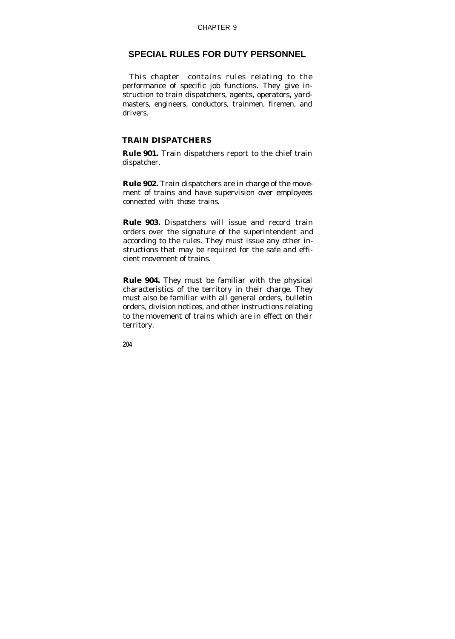# **SPECIAL RULES FOR DUTY PERSONNEL**

This chapter contains rules relating to the performance of specific job functions. They give instruction to train dispatchers, agents, operators, yardmasters, engineers, conductors, trainmen, firemen, and drivers.

#### **TRAIN DISPATCHERS**

**Rule 901.** Train dispatchers report to the chief train dispatcher.

**Rule 902.** Train dispatchers are in charge of the movement of trains and have supervision over employees connected with those trains.

**Rule 903.** Dispatchers will issue and record train orders over the signature of the superintendent and according to the rules. They must issue any other instructions that may be required for the safe and efficient movement of trains.

**Rule 904.** They must be familiar with the physical characteristics of the territory in their charge. They must also be familiar with all general orders, bulletin orders, division notices, and other instructions relating to the movement of trains which are in effect on their territory.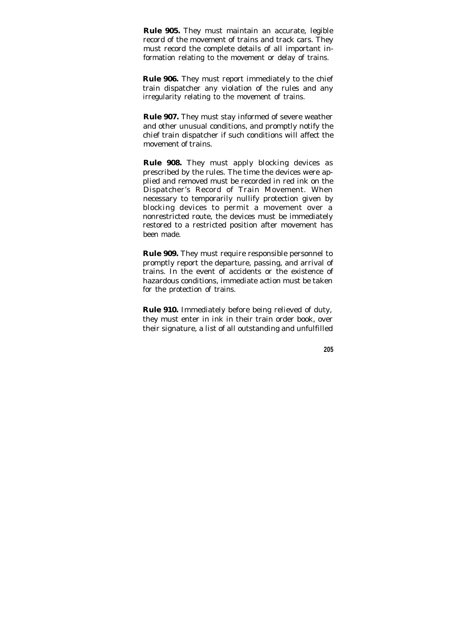**Rule 905.** They must maintain an accurate, legible record of the movement of trains and track cars. They must record the complete details of all important information relating to the movement or delay of trains.

**Rule 906.** They must report immediately to the chief train dispatcher any violation of the rules and any irregularity relating to the movement of trains.

**Rule 907.** They must stay informed of severe weather and other unusual conditions, and promptly notify the chief train dispatcher if such conditions will affect the movement of trains.

**Rule 908.** They must apply blocking devices as prescribed by the rules. The time the devices were applied and removed must be recorded in red ink on the Dispatcher's Record of Train Movement. When necessary to temporarily nullify protection given by blocking devices to permit a movement over a nonrestricted route, the devices must be immediately restored to a restricted position after movement has been made.

**Rule 909.** They must require responsible personnel to promptly report the departure, passing, and arrival of trains. In the event of accidents or the existence of hazardous conditions, immediate action must be taken for the protection of trains.

**Rule 910.** Immediately before being relieved of duty, they must enter in ink in their train order book, over their signature, a list of all outstanding and unfulfilled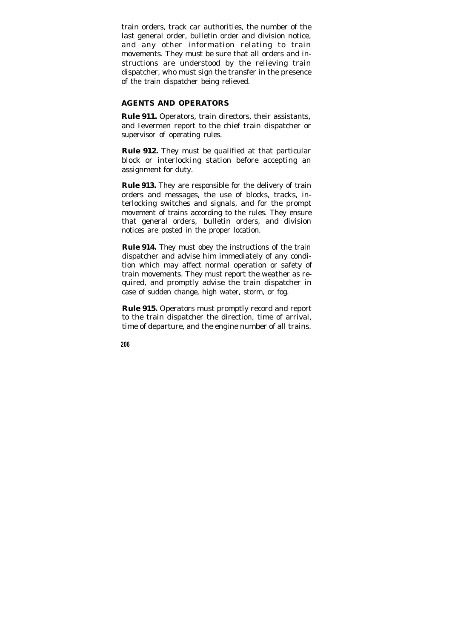train orders, track car authorities, the number of the last general order, bulletin order and division notice, and any other information relating to train movements. They must be sure that all orders and instructions are understood by the relieving train dispatcher, who must sign the transfer in the presence of the train dispatcher being relieved.

#### **AGENTS AND OPERATORS**

**Rule 911.** Operators, train directors, their assistants, and Ievermen report to the chief train dispatcher or supervisor of operating rules.

**Rule 912.** They must be qualified at that particular block or interlocking station before accepting an assignment for duty.

**Rule 913.** They are responsible for the delivery of train orders and messages, the use of blocks, tracks, interlocking switches and signals, and for the prompt movement of trains according to the rules. They ensure that general orders, bulletin orders, and division notices are posted in the proper location.

**Rule 914.** They must obey the instructions of the train dispatcher and advise him immediately of any condition which may affect normal operation or safety of train movements. They must report the weather as required, and promptly advise the train dispatcher in case of sudden change, high water, storm, or fog.

**Rule 915.** Operators must promptly record and report to the train dispatcher the direction, time of arrival, time of departure, and the engine number of all trains.

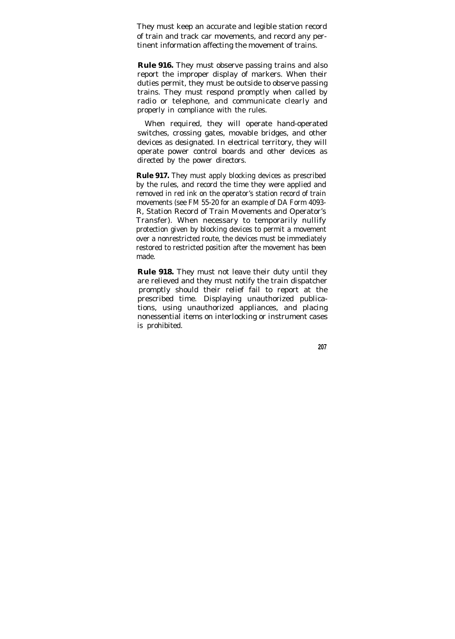They must keep an accurate and legible station record of train and track car movements, and record any pertinent information affecting the movement of trains.

**Rule 916.** They must observe passing trains and also report the improper display of markers. When their duties permit, they must be outside to observe passing trains. They must respond promptly when called by radio or telephone, and communicate clearly and properly in compliance with the rules.

When required, they will operate hand-operated switches, crossing gates, movable bridges, and other devices as designated. In electrical territory, they will operate power control boards and other devices as directed by the power directors.

**Rule 917.** They must apply blocking devices as prescribed by the rules, and record the time they were applied and removed in red ink on the operator's station record of train movements (see FM 55-20 for an example of DA Form 4093- R, Station Record of Train Movements and Operator's Transfer). When necessary to temporarily nullify protection given by blocking devices to permit a movement over a nonrestricted route, the devices must be immediately restored to restricted position after the movement has been made.

**Rule 918.** They must not leave their duty until they are relieved and they must notify the train dispatcher promptly should their relief fail to report at the prescribed time. Displaying unauthorized publications, using unauthorized appliances, and placing nonessential items on interlocking or instrument cases is prohibited.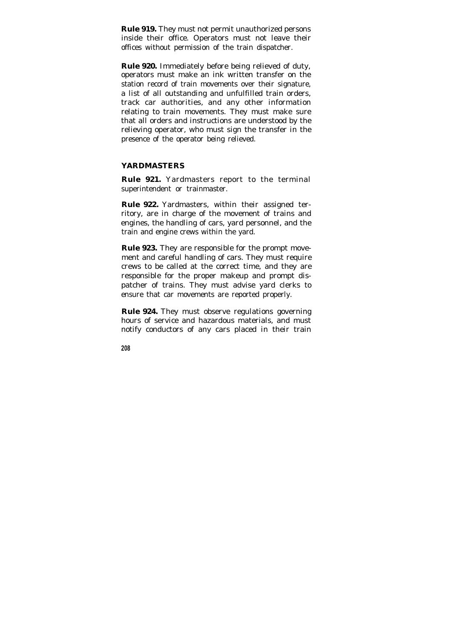**Rule 919.** They must not permit unauthorized persons inside their office. Operators must not leave their offices without permission of the train dispatcher.

**Rule 920.** Immediately before being relieved of duty, operators must make an ink written transfer on the station record of train movements over their signature, a list of all outstanding and unfulfilled train orders, track car authorities, and any other information relating to train movements. They must make sure that all orders and instructions are understood by the relieving operator, who must sign the transfer in the presence of the operator being relieved.

### **YARDMASTERS**

**Rule 921.** Yardmasters report to the terminal superintendent or trainmaster.

**Rule 922.** Yardmasters, within their assigned territory, are in charge of the movement of trains and engines, the handling of cars, yard personnel, and the train and engine crews within the yard.

**Rule 923.** They are responsible for the prompt movement and careful handling of cars. They must require crews to be called at the correct time, and they are responsible for the proper makeup and prompt dispatcher of trains. They must advise yard clerks to ensure that car movements are reported properly.

**Rule 924.** They must observe regulations governing hours of service and hazardous materials, and must notify conductors of any cars placed in their train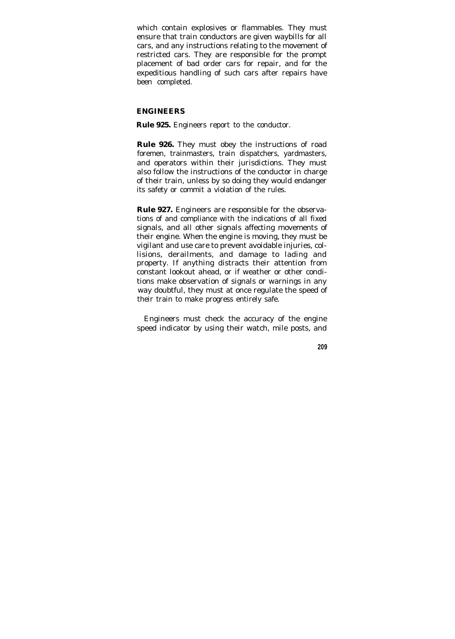which contain explosives or flammables. They must ensure that train conductors are given waybills for all cars, and any instructions relating to the movement of restricted cars. They are responsible for the prompt placement of bad order cars for repair, and for the expeditious handling of such cars after repairs have been completed.

#### **ENGINEERS**

**Rule 925.** Engineers report to the conductor.

**Rule 926.** They must obey the instructions of road foremen, trainmasters, train dispatchers, yardmasters, and operators within their jurisdictions. They must also follow the instructions of the conductor in charge of their train, unless by so doing they would endanger its safety or commit a violation of the rules.

**Rule 927.** Engineers are responsible for the observations of and compliance with the indications of all fixed signals, and all other signals affecting movements of their engine. When the engine is moving, they must be vigilant and use care to prevent avoidable injuries, collisions, derailments, and damage to lading and property. If anything distracts their attention from constant lookout ahead, or if weather or other conditions make observation of signals or warnings in any way doubtful, they must at once regulate the speed of their train to make progress entirely safe.

Engineers must check the accuracy of the engine speed indicator by using their watch, mile posts, and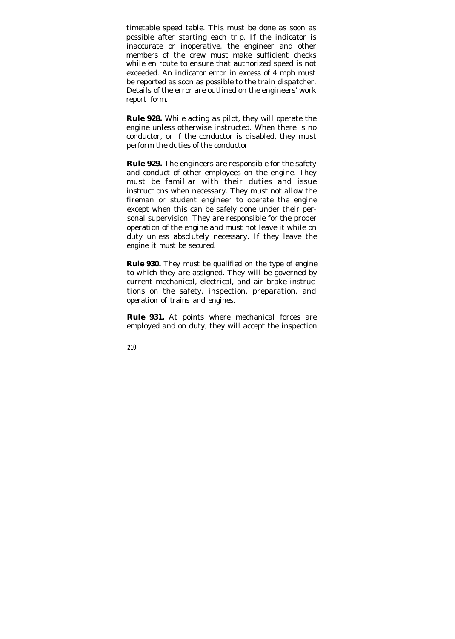timetable speed table. This must be done as soon as possible after starting each trip. If the indicator is inaccurate or inoperative, the engineer and other members of the crew must make sufficient checks while en route to ensure that authorized speed is not exceeded. An indicator error in excess of 4 mph must be reported as soon as possible to the train dispatcher. Details of the error are outlined on the engineers' work report form.

**Rule 928.** While acting as pilot, they will operate the engine unless otherwise instructed. When there is no conductor, or if the conductor is disabled, they must perform the duties of the conductor.

**Rule 929.** The engineers are responsible for the safety and conduct of other employees on the engine. They must be familiar with their duties and issue instructions when necessary. They must not allow the fireman or student engineer to operate the engine except when this can be safely done under their personal supervision. They are responsible for the proper operation of the engine and must not leave it while on duty unless absolutely necessary. If they leave the engine it must be secured.

**Rule 930.** They must be qualified on the type of engine to which they are assigned. They will be governed by current mechanical, electrical, and air brake instructions on the safety, inspection, preparation, and operation of trains and engines.

**Rule 931.** At points where mechanical forces are employed and on duty, they will accept the inspection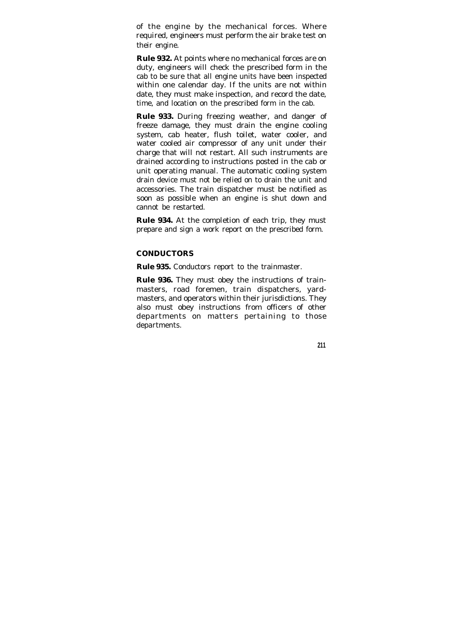of the engine by the mechanical forces. Where required, engineers must perform the air brake test on their engine.

**Rule 932.** At points where no mechanical forces are on duty, engineers will check the prescribed form in the cab to be sure that all engine units have been inspected within one calendar day. If the units are not within date, they must make inspection, and record the date, time, and location on the prescribed form in the cab.

**Rule 933.** During freezing weather, and danger of freeze damage, they must drain the engine cooling system, cab heater, flush toilet, water cooler, and water cooled air compressor of any unit under their charge that will not restart. All such instruments are drained according to instructions posted in the cab or unit operating manual. The automatic cooling system drain device must not be relied on to drain the unit and accessories. The train dispatcher must be notified as soon as possible when an engine is shut down and cannot be restarted.

**Rule 934.** At the completion of each trip, they must prepare and sign a work report on the prescribed form.

### **CONDUCTORS**

**Rule 935.** Conductors report to the trainmaster.

**Rule 936.** They must obey the instructions of trainmasters, road foremen, train dispatchers, yardmasters, and operators within their jurisdictions. They also must obey instructions from officers of other departments on matters pertaining to those departments.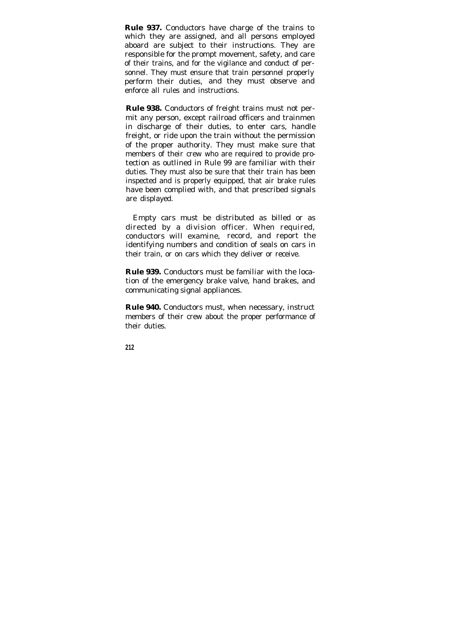**Rule 937.** Conductors have charge of the trains to which they are assigned, and all persons employed aboard are subject to their instructions. They are responsible for the prompt movement, safety, and care of their trains, and for the vigilance and conduct of personnel. They must ensure that train personnel properly perform their duties, and they must observe and enforce all rules and instructions.

**Rule 938.** Conductors of freight trains must not permit any person, except railroad officers and trainmen in discharge of their duties, to enter cars, handle freight, or ride upon the train without the permission of the proper authority. They must make sure that members of their crew who are required to provide protection as outlined in Rule 99 are familiar with their duties. They must also be sure that their train has been inspected and is properly equipped, that air brake rules have been complied with, and that prescribed signals are displayed.

Empty cars must be distributed as billed or as directed by a division officer. When required, conductors will examine, record, and report the identifying numbers and condition of seals on cars in their train, or on cars which they deliver or receive.

**Rule 939.** Conductors must be familiar with the location of the emergency brake valve, hand brakes, and communicating signal appliances.

**Rule 940.** Conductors must, when necessary, instruct members of their crew about the proper performance of their duties.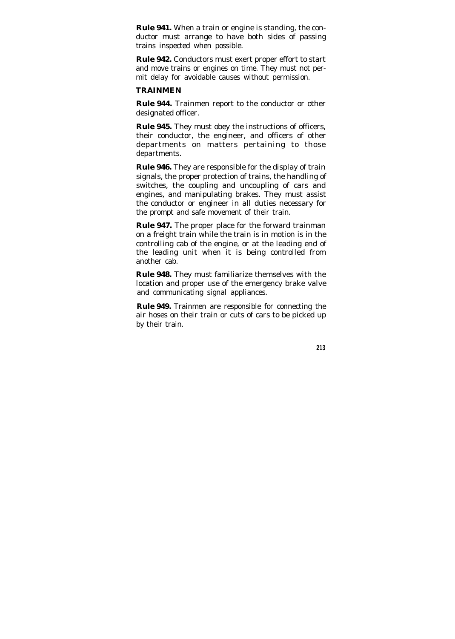**Rule 941.** When a train or engine is standing, the conductor must arrange to have both sides of passing trains inspected when possible.

**Rule 942.** Conductors must exert proper effort to start and move trains or engines on time. They must not permit delay for avoidable causes without permission.

## **TRAINMEN**

**Rule 944.** Trainmen report to the conductor or other designated officer.

**Rule 945.** They must obey the instructions of officers, their conductor, the engineer, and officers of other departments on matters pertaining to those departments.

**Rule 946.** They are responsible for the display of train signals, the proper protection of trains, the handling of switches, the coupling and uncoupling of cars and engines, and manipulating brakes. They must assist the conductor or engineer in all duties necessary for the prompt and safe movement of their train.

**Rule 947.** The proper place for the forward trainman on a freight train while the train is in motion is in the controlling cab of the engine, or at the leading end of the leading unit when it is being controlled from another cab.

**Rule 948.** They must familiarize themselves with the location and proper use of the emergency brake valve and communicating signal appliances.

**Rule 949.** Trainmen are responsible for connecting the air hoses on their train or cuts of cars to be picked up by their train.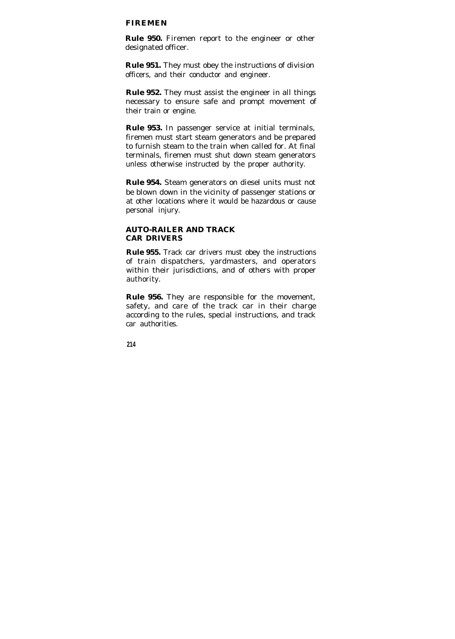### **FIREMEN**

**Rule 950.** Firemen report to the engineer or other designated officer.

**Rule 951.** They must obey the instructions of division officers, and their conductor and engineer.

**Rule 952.** They must assist the engineer in all things necessary to ensure safe and prompt movement of their train or engine.

**Rule 953.** In passenger service at initial terminals, firemen must start steam generators and be prepared to furnish steam to the train when called for. At final terminals, firemen must shut down steam generators unless otherwise instructed by the proper authority.

**Rule 954.** Steam generators on diesel units must not be blown down in the vicinity of passenger stations or at other locations where it would be hazardous or cause personal injury.

### **AUTO-RAILER AND TRACK CAR DRIVERS**

**Rule 955.** Track car drivers must obey the instructions of train dispatchers, yardmasters, and operators within their jurisdictions, and of others with proper authority.

**Rule 956.** They are responsible for the movement, safety, and care of the track car in their charge according to the rules, special instructions, and track car authorities.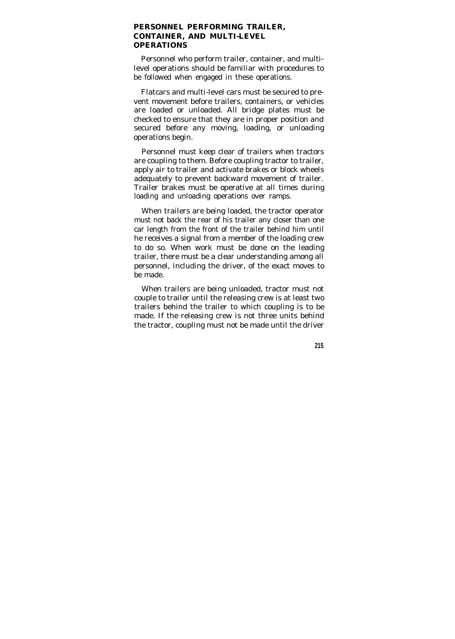### **PERSONNEL PERFORMING TRAILER, CONTAINER, AND MULTI-LEVEL OPERATIONS**

Personnel who perform trailer, container, and multilevel operations should be familiar with procedures to be followed when engaged in these operations.

Flatcars and multi-level cars must be secured to prevent movement before trailers, containers, or vehicles are loaded or unloaded. All bridge plates must be checked to ensure that they are in proper position and secured before any moving, loading, or unloading operations begin.

Personnel must keep clear of trailers when tractors are coupling to them. Before coupling tractor to trailer, apply air to trailer and activate brakes or block wheels adequately to prevent backward movement of trailer. Trailer brakes must be operative at all times during loading and unloading operations over ramps.

When trailers are being loaded, the tractor operator must not back the rear of his trailer any closer than one car length from the front of the trailer behind him until he receives a signal from a member of the loading crew to do so. When work must be done on the leading trailer, there must be a clear understanding among all personnel, including the driver, of the exact moves to be made.

When trailers are being unloaded, tractor must not couple to trailer until the releasing crew is at least two trailers behind the trailer to which coupling is to be made. If the releasing crew is not three units behind the tractor, coupling must not be made until the driver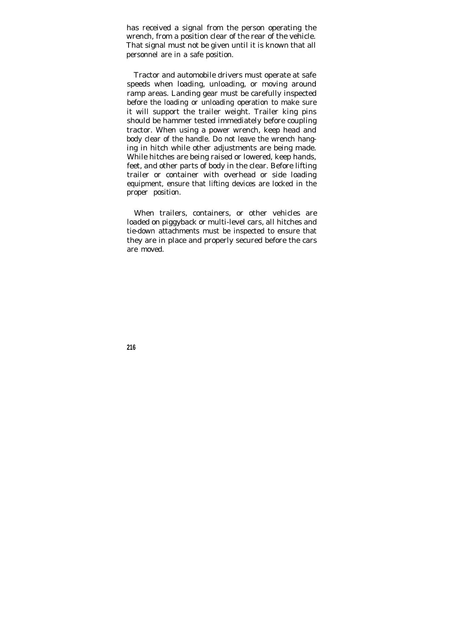has received a signal from the person operating the wrench, from a position clear of the rear of the vehicle. That signal must not be given until it is known that all personnel are in a safe position.

Tractor and automobile drivers must operate at safe speeds when loading, unloading, or moving around ramp areas. Landing gear must be carefully inspected before the loading or unloading operation to make sure it will support the trailer weight. Trailer king pins should be hammer tested immediately before coupling tractor. When using a power wrench, keep head and body clear of the handle. Do not leave the wrench hanging in hitch while other adjustments are being made. While hitches are being raised or lowered, keep hands, feet, and other parts of body in the clear. Before lifting trailer or container with overhead or side loading equipment, ensure that lifting devices are locked in the proper position.

When trailers, containers, or other vehicles are loaded on piggyback or multi-level cars, all hitches and tie-down attachments must be inspected to ensure that they are in place and properly secured before the cars are moved.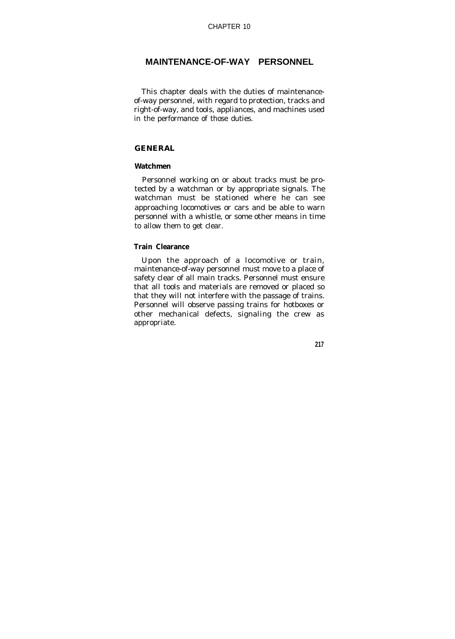# **MAINTENANCE-OF-WAY PERSONNEL**

This chapter deals with the duties of maintenanceof-way personnel, with regard to protection, tracks and right-of-way, and tools, appliances, and machines used in the performance of those duties.

# **GENERAL**

### **Watchmen**

Personnel working on or about tracks must be protected by a watchman or by appropriate signals. The watchman must be stationed where he can see approaching locomotives or cars and be able to warn personnel with a whistle, or some other means in time to allow them to get clear.

#### **Train Clearance**

Upon the approach of a locomotive or train, maintenance-of-way personnel must move to a place of safety clear of all main tracks. Personnel must ensure that all tools and materials are removed or placed so that they will not interfere with the passage of trains. Personnel will observe passing trains for hotboxes or other mechanical defects, signaling the crew as appropriate.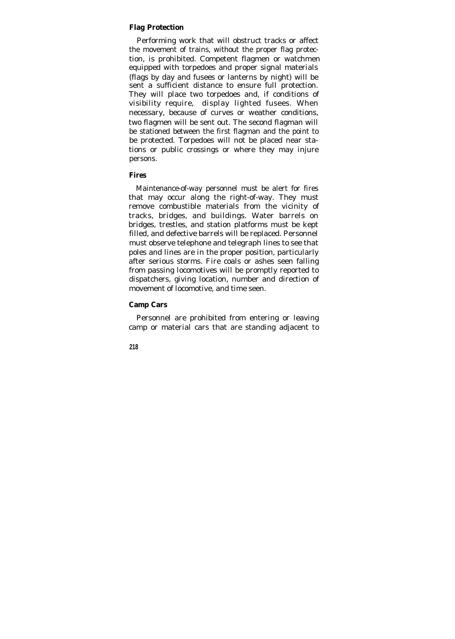#### **Flag Protection**

Performing work that will obstruct tracks or affect the movement of trains, without the proper flag protection, is prohibited. Competent flagmen or watchmen equipped with torpedoes and proper signal materials (flags by day and fusees or lanterns by night) will be sent a sufficient distance to ensure full protection. They will place two torpedoes and, if conditions of visibility require, display lighted fusees. When necessary, because of curves or weather conditions, two flagmen will be sent out. The second flagman will be stationed between the first flagman and the point to be protected. Torpedoes will not be placed near stations or public crossings or where they may injure persons.

#### **Fires**

Maintenance-of-way personnel must be alert for fires that may occur along the right-of-way. They must remove combustible materials from the vicinity of tracks, bridges, and buildings. Water barrels on bridges, trestles, and station platforms must be kept filled, and defective barrels will be replaced. Personnel must observe telephone and telegraph lines to see that poles and lines are in the proper position, particularly after serious storms. Fire coals or ashes seen falling from passing locomotives will be promptly reported to dispatchers, giving location, number and direction of movement of locomotive, and time seen.

#### **Camp Cars**

Personnel are prohibited from entering or leaving camp or material cars that are standing adjacent to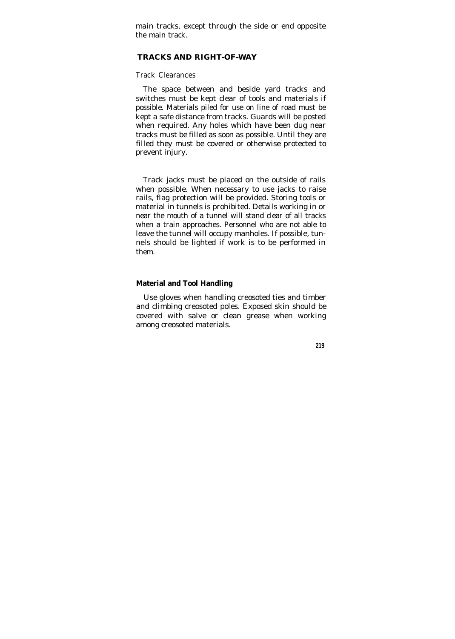main tracks, except through the side or end opposite the main track.

### **TRACKS AND RIGHT-OF-WAY**

# Track Clearances

The space between and beside yard tracks and switches must be kept clear of tools and materials if possible. Materials piled for use on line of road must be kept a safe distance from tracks. Guards will be posted when required. Any holes which have been dug near tracks must be filled as soon as possible. Until they are filled they must be covered or otherwise protected to prevent injury.

Track jacks must be placed on the outside of rails when possible. When necessary to use jacks to raise rails, flag protection will be provided. Storing tools or material in tunnels is prohibited. Details working in or near the mouth of a tunnel will stand clear of all tracks when a train approaches. Personnel who are not able to leave the tunnel will occupy manholes. If possible, tunnels should be lighted if work is to be performed in them.

### **Material and Tool Handling**

Use gloves when handling creosoted ties and timber and climbing creosoted poles. Exposed skin should be covered with salve or clean grease when working among creosoted materials.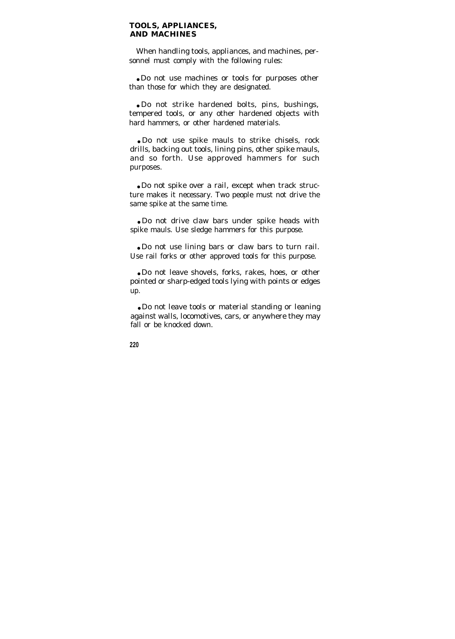### **TOOLS, APPLIANCES, AND MACHINES**

When handling tools, appliances, and machines, personnel must comply with the following rules:

● Do not use machines or tools for purposes other than those for which they are designated.

● Do not strike hardened bolts, pins, bushings, tempered tools, or any other hardened objects with hard hammers, or other hardened materials.

● Do not use spike mauls to strike chisels, rock drills, backing out tools, lining pins, other spike mauls, and so forth. Use approved hammers for such purposes.

● Do not spike over a rail, except when track structure makes it necessary. Two people must not drive the same spike at the same time.

● Do not drive claw bars under spike heads with spike mauls. Use sledge hammers for this purpose.

● Do not use lining bars or claw bars to turn rail. Use rail forks or other approved tools for this purpose.

● Do not leave shovels, forks, rakes, hoes, or other pointed or sharp-edged tools lying with points or edges up.

● Do not leave tools or material standing or leaning against walls, locomotives, cars, or anywhere they may fall or be knocked down.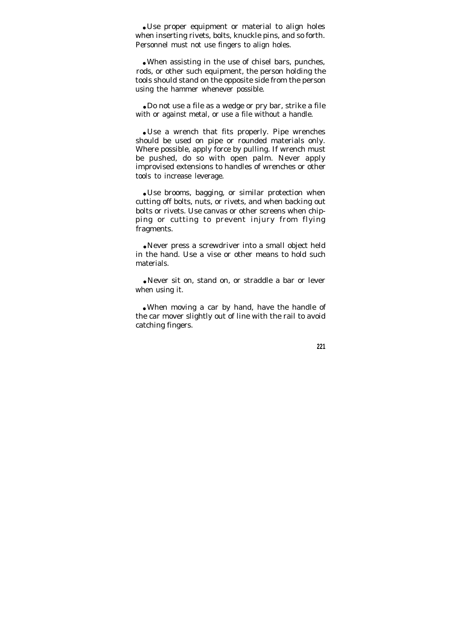● Use proper equipment or material to align holes when inserting rivets, bolts, knuckle pins, and so forth. Personnel must not use fingers to align holes.

● When assisting in the use of chisel bars, punches, rods, or other such equipment, the person holding the tools should stand on the opposite side from the person using the hammer whenever possible.

● Do not use a file as a wedge or pry bar, strike a file with or against metal, or use a file without a handle.

● Use a wrench that fits properly. Pipe wrenches should be used on pipe or rounded materials only. Where possible, apply force by pulling. If wrench must be pushed, do so with open palm. Never apply improvised extensions to handles of wrenches or other tools to increase leverage.

● Use brooms, bagging, or similar protection when cutting off bolts, nuts, or rivets, and when backing out bolts or rivets. Use canvas or other screens when chipping or cutting to prevent injury from flying fragments.

● Never press a screwdriver into a small object held in the hand. Use a vise or other means to hold such materials.

● Never sit on, stand on, or straddle a bar or lever when using it.

● When moving a car by hand, have the handle of the car mover slightly out of line with the rail to avoid catching fingers.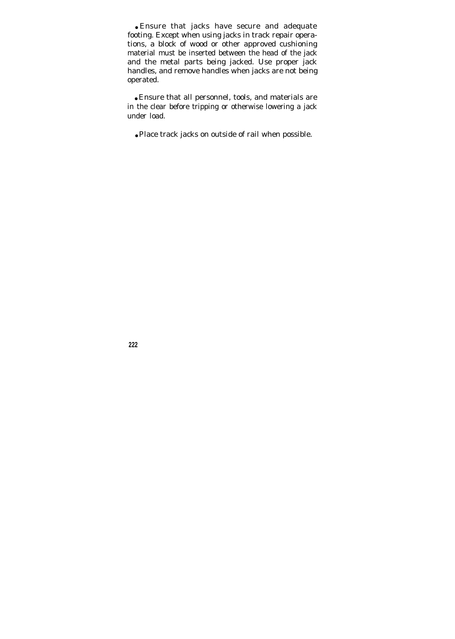● Ensure that jacks have secure and adequate footing. Except when using jacks in track repair operations, a block of wood or other approved cushioning material must be inserted between the head of the jack and the metal parts being jacked. Use proper jack handles, and remove handles when jacks are not being operated.

● Ensure that all personnel, tools, and materials are in the clear before tripping or otherwise lowering a jack under load.

● Place track jacks on outside of rail when possible.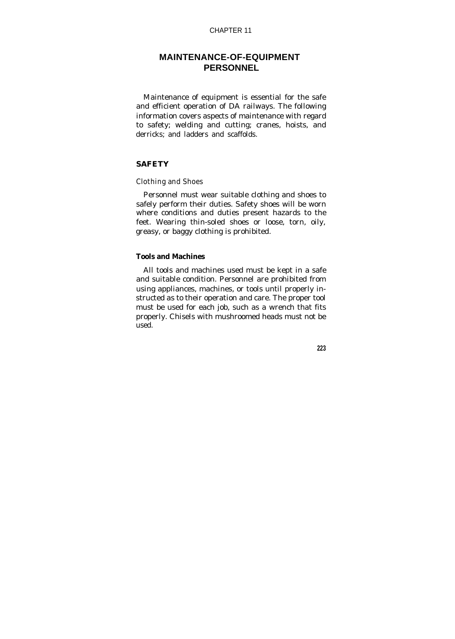# **MAINTENANCE-OF-EQUIPMENT PERSONNEL**

Maintenance of equipment is essential for the safe and efficient operation of DA railways. The following information covers aspects of maintenance with regard to safety; welding and cutting; cranes, hoists, and derricks; and ladders and scaffolds.

## **SAFETY**

### Clothing and Shoes

Personnel must wear suitable clothing and shoes to safely perform their duties. Safety shoes will be worn where conditions and duties present hazards to the feet. Wearing thin-soled shoes or loose, torn, oily, greasy, or baggy clothing is prohibited.

# **Tools and Machines**

All tools and machines used must be kept in a safe and suitable condition. Personnel are prohibited from using appliances, machines, or tools until properly instructed as to their operation and care. The proper tool must be used for each job, such as a wrench that fits properly. Chisels with mushroomed heads must not be used.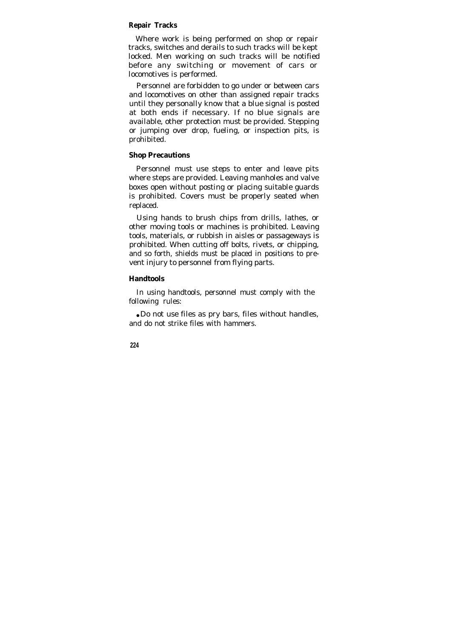#### **Repair Tracks**

Where work is being performed on shop or repair tracks, switches and derails to such tracks will be kept locked. Men working on such tracks will be notified before any switching or movement of cars or locomotives is performed.

Personnel are forbidden to go under or between cars and locomotives on other than assigned repair tracks until they personally know that a blue signal is posted at both ends if necessary. If no blue signals are available, other protection must be provided. Stepping or jumping over drop, fueling, or inspection pits, is prohibited.

#### **Shop Precautions**

Personnel must use steps to enter and leave pits where steps are provided. Leaving manholes and valve boxes open without posting or placing suitable guards is prohibited. Covers must be properly seated when replaced.

Using hands to brush chips from drills, lathes, or other moving tools or machines is prohibited. Leaving tools, materials, or rubbish in aisles or passageways is prohibited. When cutting off bolts, rivets, or chipping, and so forth, shields must be placed in positions to prevent injury to personnel from flying parts.

#### **Handtools**

In using handtools, personnel must comply with the following rules:

● Do not use files as pry bars, files without handles, and do not strike files with hammers.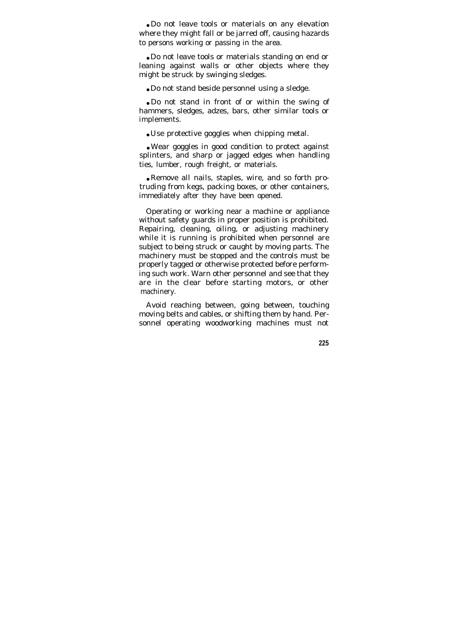● Do not leave tools or materials on any elevation where they might fall or be jarred off, causing hazards to persons working or passing in the area.

● Do not leave tools or materials standing on end or leaning against walls or other objects where they might be struck by swinging sledges.

● Do not stand beside personnel using a sledge.

● Do not stand in front of or within the swing of hammers, sledges, adzes, bars, other similar tools or implements.

● Use protective goggles when chipping metal.

● Wear goggles in good condition to protect against splinters, and sharp or jagged edges when handling ties, lumber, rough freight, or materials.

● Remove all nails, staples, wire, and so forth protruding from kegs, packing boxes, or other containers, immediately after they have been opened.

Operating or working near a machine or appliance without safety guards in proper position is prohibited. Repairing, cleaning, oiling, or adjusting machinery while it is running is prohibited when personnel are subject to being struck or caught by moving parts. The machinery must be stopped and the controls must be properly tagged or otherwise protected before performing such work. Warn other personnel and see that they are in the clear before starting motors, or other machinery.

Avoid reaching between, going between, touching moving belts and cables, or shifting them by hand. Personnel operating woodworking machines must not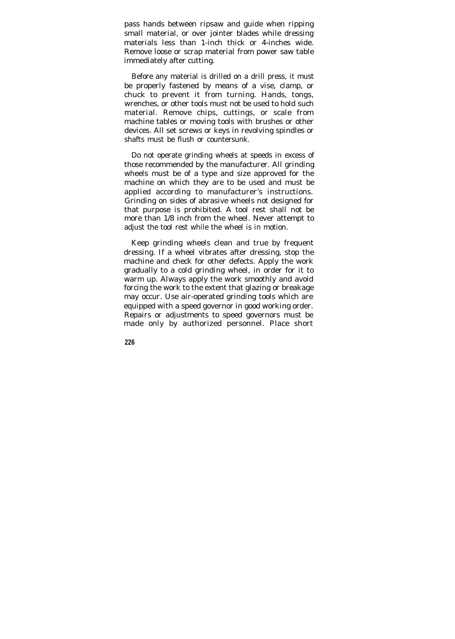pass hands between ripsaw and guide when ripping small material, or over jointer blades while dressing materials less than 1-inch thick or 4-inches wide. Remove loose or scrap material from power saw table immediately after cutting.

Before any material is drilled on a drill press, it must be properly fastened by means of a vise, clamp, or chuck to prevent it from turning. Hands, tongs, wrenches, or other tools must not be used to hold such material. Remove chips, cuttings, or scale from machine tables or moving tools with brushes or other devices. All set screws or keys in revolving spindles or shafts must be flush or countersunk.

Do not operate grinding wheels at speeds in excess of those recommended by the manufacturer. All grinding wheels must be of a type and size approved for the machine on which they are to be used and must be applied according to manufacturer's instructions. Grinding on sides of abrasive wheels not designed for that purpose is prohibited. A tool rest shall not be more than 1/8 inch from the wheel. Never attempt to adjust the tool rest while the wheel is in motion.

Keep grinding wheels clean and true by frequent dressing. If a wheel vibrates after dressing, stop the machine and check for other defects. Apply the work gradually to a cold grinding wheel, in order for it to warm up. Always apply the work smoothly and avoid forcing the work to the extent that glazing or breakage may occur. Use air-operated grinding tools which are equipped with a speed governor in good working order. Repairs or adjustments to speed governors must be made only by authorized personnel. Place short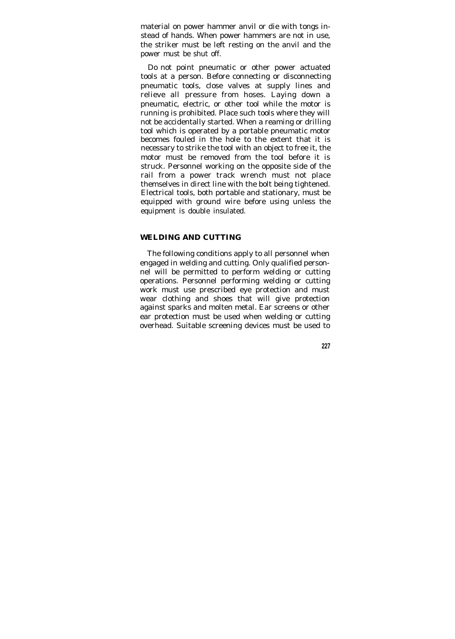material on power hammer anvil or die with tongs instead of hands. When power hammers are not in use, the striker must be left resting on the anvil and the power must be shut off.

Do not point pneumatic or other power actuated tools at a person. Before connecting or disconnecting pneumatic tools, close valves at supply lines and relieve all pressure from hoses. Laying down a pneumatic, electric, or other tool while the motor is running is prohibited. Place such tools where they will not be accidentally started. When a reaming or drilling tool which is operated by a portable pneumatic motor becomes fouled in the hole to the extent that it is necessary to strike the tool with an object to free it, the motor must be removed from the tool before it is struck. Personnel working on the opposite side of the rail from a power track wrench must not place themselves in direct line with the bolt being tightened. Electrical tools, both portable and stationary, must be equipped with ground wire before using unless the equipment is double insulated.

## **WELDING AND CUTTING**

The following conditions apply to all personnel when engaged in welding and cutting. Only qualified personnel will be permitted to perform welding or cutting operations. Personnel performing welding or cutting work must use prescribed eye protection and must wear clothing and shoes that will give protection against sparks and molten metal. Ear screens or other ear protection must be used when welding or cutting overhead. Suitable screening devices must be used to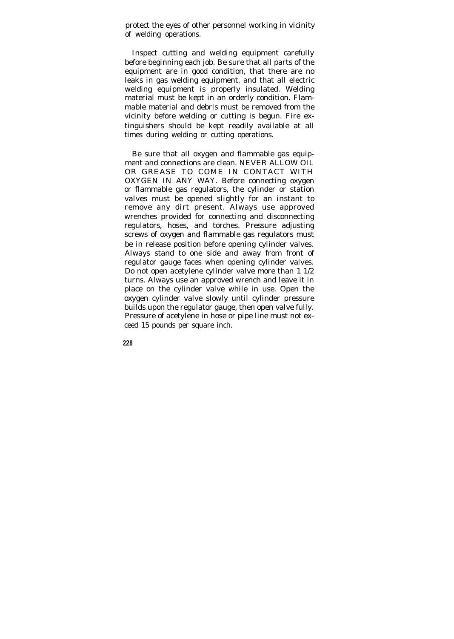protect the eyes of other personnel working in vicinity of welding operations.

Inspect cutting and welding equipment carefully before beginning each job. Be sure that all parts of the equipment are in good condition, that there are no leaks in gas welding equipment, and that all electric welding equipment is properly insulated. Welding material must be kept in an orderly condition. Flammable material and debris must be removed from the vicinity before welding or cutting is begun. Fire extinguishers should be kept readily available at all times during welding or cutting operations.

Be sure that all oxygen and flammable gas equipment and connections are clean. NEVER ALLOW OIL OR GREASE TO COME IN CONTACT WITH OXYGEN IN ANY WAY. Before connecting oxygen or flammable gas regulators, the cylinder or station valves must be opened slightly for an instant to remove any dirt present. Always use approved wrenches provided for connecting and disconnecting regulators, hoses, and torches. Pressure adjusting screws of oxygen and flammable gas regulators must be in release position before opening cylinder valves. Always stand to one side and away from front of regulator gauge faces when opening cylinder valves. Do not open acetylene cylinder valve more than 1 1/2 turns. Always use an approved wrench and leave it in place on the cylinder valve while in use. Open the oxygen cylinder valve slowly until cylinder pressure builds upon the regulator gauge, then open valve fully. Pressure of acetylene in hose or pipe line must not exceed 15 pounds per square inch.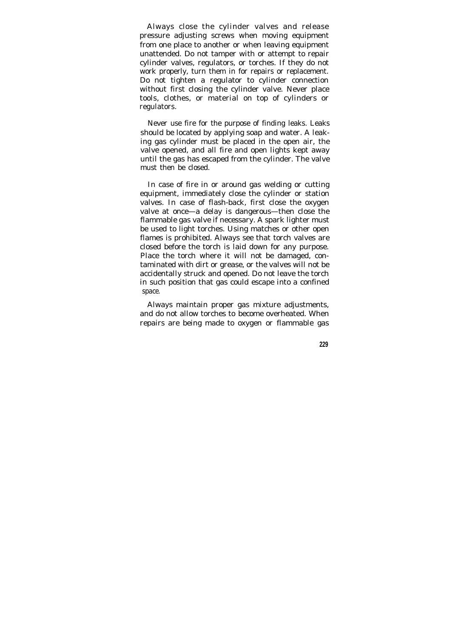Always close the cylinder valves and release pressure adjusting screws when moving equipment from one place to another or when leaving equipment unattended. Do not tamper with or attempt to repair cylinder valves, regulators, or torches. If they do not work properly, turn them in for repairs or replacement. Do not tighten a regulator to cylinder connection without first closing the cylinder valve. Never place tools, clothes, or material on top of cylinders or regulators.

Never use fire for the purpose of finding leaks. Leaks should be located by applying soap and water. A leaking gas cylinder must be placed in the open air, the valve opened, and all fire and open lights kept away until the gas has escaped from the cylinder. The valve must then be closed.

In case of fire in or around gas welding or cutting equipment, immediately close the cylinder or station valves. In case of flash-back, first close the oxygen valve at once—a delay is dangerous—then close the flammable gas valve if necessary. A spark lighter must be used to light torches. Using matches or other open flames is prohibited. Always see that torch valves are closed before the torch is laid down for any purpose. Place the torch where it will not be damaged, contaminated with dirt or grease, or the valves will not be accidentally struck and opened. Do not leave the torch in such position that gas could escape into a confined space.

Always maintain proper gas mixture adjustments, and do not allow torches to become overheated. When repairs are being made to oxygen or flammable gas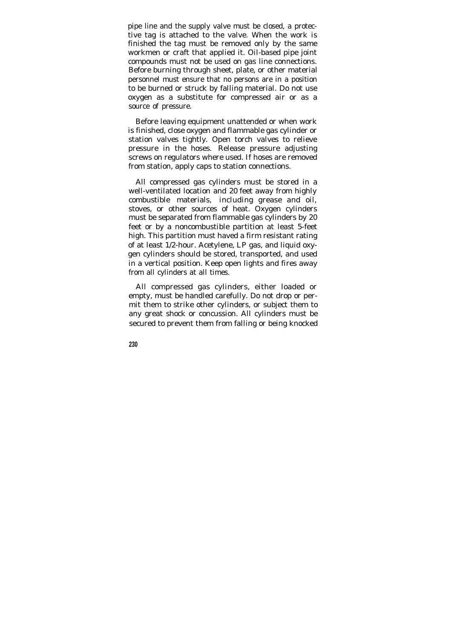pipe line and the supply valve must be closed, a protective tag is attached to the valve. When the work is finished the tag must be removed only by the same workmen or craft that applied it. Oil-based pipe joint compounds must not be used on gas line connections. Before burning through sheet, plate, or other material personnel must ensure that no persons are in a position to be burned or struck by falling material. Do not use oxygen as a substitute for compressed air or as a source of pressure.

Before leaving equipment unattended or when work is finished, close oxygen and flammable gas cylinder or station valves tightly. Open torch valves to relieve pressure in the hoses. Release pressure adjusting screws on regulators where used. If hoses are removed from station, apply caps to station connections.

All compressed gas cylinders must be stored in a well-ventilated location and 20 feet away from highly combustible materials, including grease and oil, stoves, or other sources of heat. Oxygen cylinders must be separated from flammable gas cylinders by 20 feet or by a noncombustible partition at least 5-feet high. This partition must haved a firm resistant rating of at least 1/2-hour. Acetylene, LP gas, and liquid oxygen cylinders should be stored, transported, and used in a vertical position. Keep open lights and fires away from all cylinders at all times.

All compressed gas cylinders, either loaded or empty, must be handled carefully. Do not drop or permit them to strike other cylinders, or subject them to any great shock or concussion. All cylinders must be secured to prevent them from falling or being knocked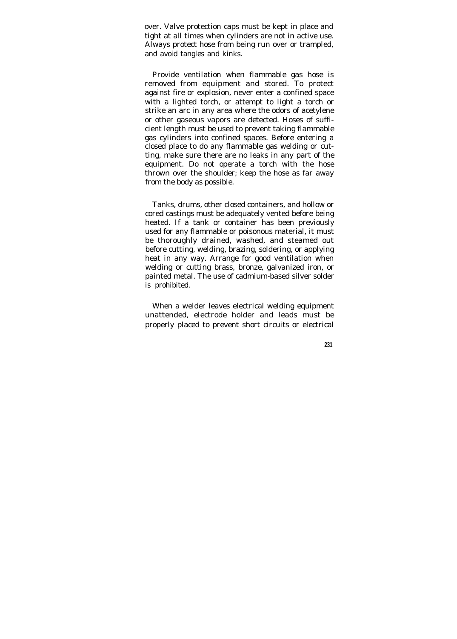over. Valve protection caps must be kept in place and tight at all times when cylinders are not in active use. Always protect hose from being run over or trampled, and avoid tangles and kinks.

Provide ventilation when flammable gas hose is removed from equipment and stored. To protect against fire or explosion, never enter a confined space with a lighted torch, or attempt to light a torch or strike an arc in any area where the odors of acetylene or other gaseous vapors are detected. Hoses of sufficient length must be used to prevent taking flammable gas cylinders into confined spaces. Before entering a closed place to do any flammable gas welding or cutting, make sure there are no leaks in any part of the equipment. Do not operate a torch with the hose thrown over the shoulder; keep the hose as far away from the body as possible.

Tanks, drums, other closed containers, and hollow or cored castings must be adequately vented before being heated. If a tank or container has been previously used for any flammable or poisonous material, it must be thoroughly drained, washed, and steamed out before cutting, welding, brazing, soldering, or applying heat in any way. Arrange for good ventilation when welding or cutting brass, bronze, galvanized iron, or painted metal. The use of cadmium-based silver solder is prohibited.

When a welder leaves electrical welding equipment unattended, electrode holder and leads must be properly placed to prevent short circuits or electrical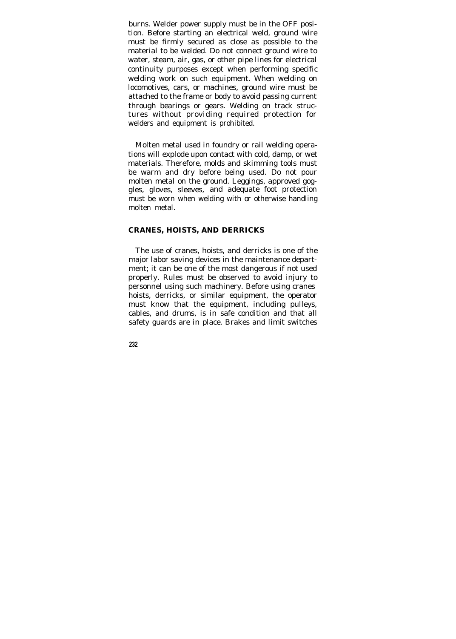burns. Welder power supply must be in the OFF position. Before starting an electrical weld, ground wire must be firmly secured as close as possible to the material to be welded. Do not connect ground wire to water, steam, air, gas, or other pipe lines for electrical continuity purposes except when performing specific welding work on such equipment. When welding on locomotives, cars, or machines, ground wire must be attached to the frame or body to avoid passing current through bearings or gears. Welding on track structures without providing required protection for welders and equipment is prohibited.

Molten metal used in foundry or rail welding operations will explode upon contact with cold, damp, or wet materials. Therefore, molds and skimming tools must be warm and dry before being used. Do not pour molten metal on the ground. Leggings, approved goggles, gloves, sleeves, and adequate foot protection must be worn when welding with or otherwise handling molten metal.

### **CRANES, HOISTS, AND DERRICKS**

The use of cranes, hoists, and derricks is one of the major labor saving devices in the maintenance department; it can be one of the most dangerous if not used properly. Rules must be observed to avoid injury to personnel using such machinery. Before using cranes hoists, derricks, or similar equipment, the operator must know that the equipment, including pulleys, cables, and drums, is in safe condition and that all safety guards are in place. Brakes and limit switches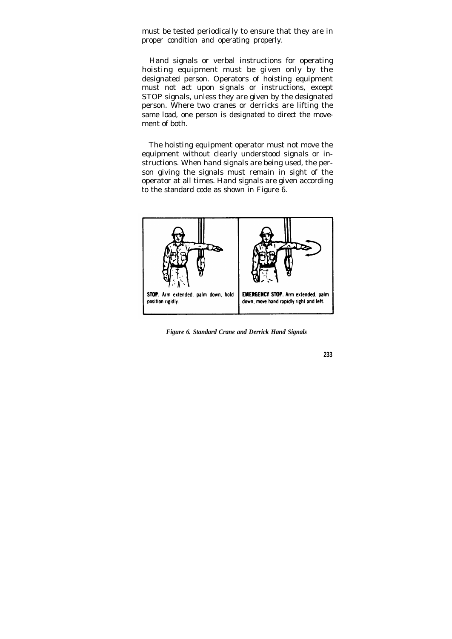must be tested periodically to ensure that they are in proper condition and operating properly.

Hand signals or verbal instructions for operating hoisting equipment must be given only by the designated person. Operators of hoisting equipment must not act upon signals or instructions, except STOP signals, unless they are given by the designated person. Where two cranes or derricks are lifting the same load, one person is designated to direct the movement of both.

The hoisting equipment operator must not move the equipment without clearly understood signals or instructions. When hand signals are being used, the person giving the signals must remain in sight of the operator at all times. Hand signals are given according to the standard code as shown in Figure 6.



*Figure 6. Standard Crane and Derrick Hand Signals*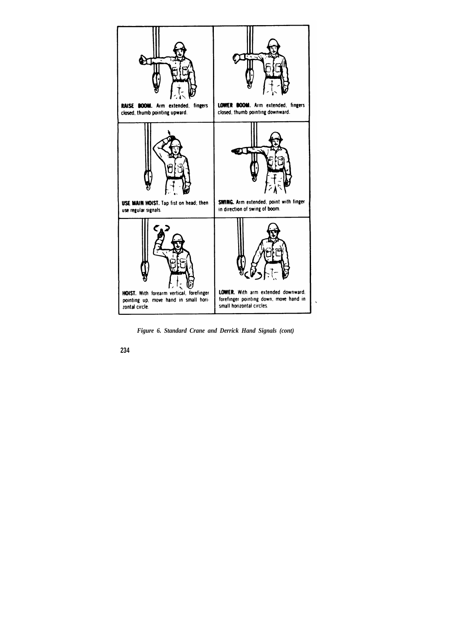

*Figure 6. Standard Crane and Derrick Hand Signals (cont)*

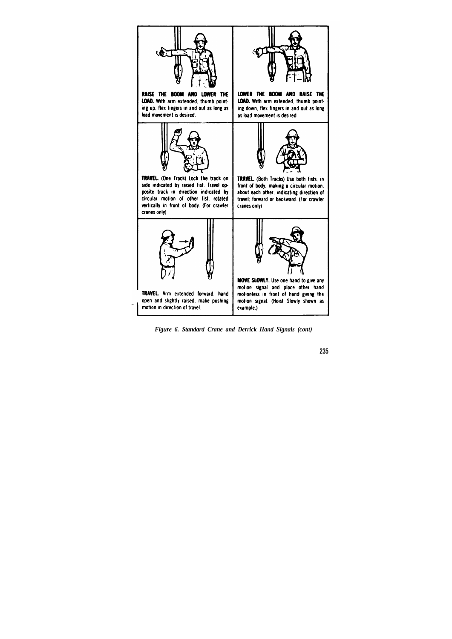

*Figure 6. Standard Crane and Derrick Hand Signals (cont)*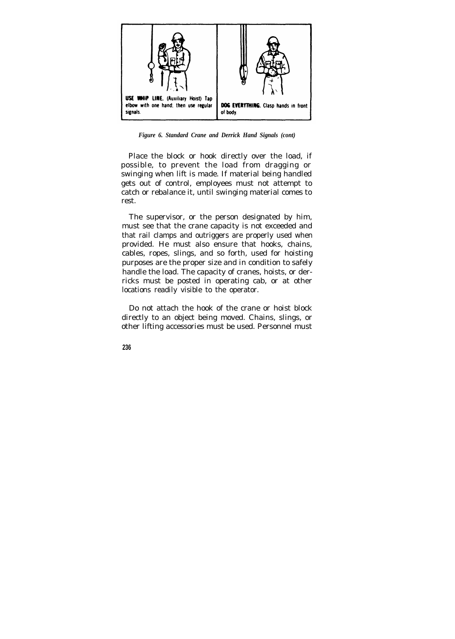

*Figure 6. Standard Crane and Derrick Hand Signals (cont)*

Place the block or hook directly over the load, if possible, to prevent the load from dragging or swinging when lift is made. If material being handled gets out of control, employees must not attempt to catch or rebalance it, until swinging material comes to rest.

The supervisor, or the person designated by him, must see that the crane capacity is not exceeded and that rail clamps and outriggers are properly used when provided. He must also ensure that hooks, chains, cables, ropes, slings, and so forth, used for hoisting purposes are the proper size and in condition to safely handle the load. The capacity of cranes, hoists, or derricks must be posted in operating cab, or at other locations readily visible to the operator.

Do not attach the hook of the crane or hoist block directly to an object being moved. Chains, slings, or other lifting accessories must be used. Personnel must

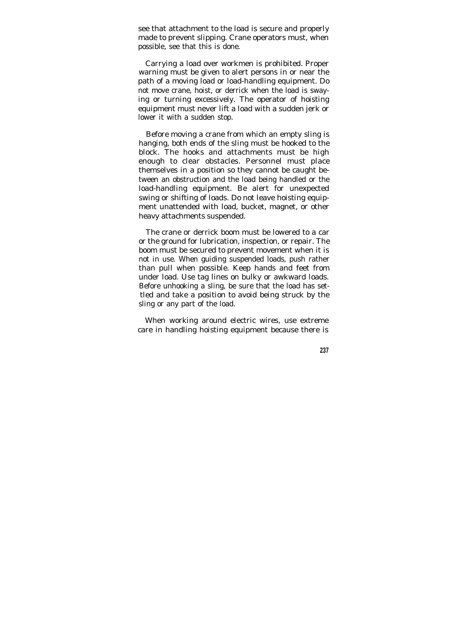see that attachment to the load is secure and properly made to prevent slipping. Crane operators must, when possible, see that this is done.

Carrying a load over workmen is prohibited. Proper warning must be given to alert persons in or near the path of a moving load or load-handling equipment. Do not move crane, hoist, or derrick when the load is swaying or turning excessively. The operator of hoisting equipment must never lift a load with a sudden jerk or lower it with a sudden stop.

Before moving a crane from which an empty sling is hanging, both ends of the sling must be hooked to the block. The hooks and attachments must be high enough to clear obstacles. Personnel must place themselves in a position so they cannot be caught between an obstruction and the load being handled or the load-handling equipment. Be alert for unexpected swing or shifting of loads. Do not leave hoisting equipment unattended with load, bucket, magnet, or other heavy attachments suspended.

The crane or derrick boom must be lowered to a car or the ground for lubrication, inspection, or repair. The boom must be secured to prevent movement when it is not in use. When guiding suspended loads, push rather than pull when possible. Keep hands and feet from under load. Use tag lines on bulky or awkward loads. Before unhooking a sling, be sure that the load has settled and take a position to avoid being struck by the sling or any part of the load.

When working around electric wires, use extreme care in handling hoisting equipment because there is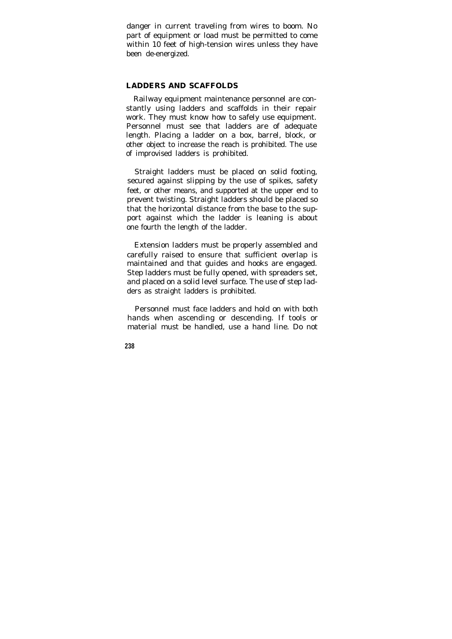danger in current traveling from wires to boom. No part of equipment or load must be permitted to come within 10 feet of high-tension wires unless they have been de-energized.

#### **LADDERS AND SCAFFOLDS**

Railway equipment maintenance personnel are constantly using ladders and scaffolds in their repair work. They must know how to safely use equipment. Personnel must see that ladders are of adequate length. Placing a ladder on a box, barrel, block, or other object to increase the reach is prohibited. The use of improvised ladders is prohibited.

Straight ladders must be placed on solid footing, secured against slipping by the use of spikes, safety feet, or other means, and supported at the upper end to prevent twisting. Straight ladders should be placed so that the horizontal distance from the base to the support against which the ladder is leaning is about one fourth the length of the ladder.

Extension ladders must be properly assembled and carefully raised to ensure that sufficient overlap is maintained and that guides and hooks are engaged. Step ladders must be fully opened, with spreaders set, and placed on a solid level surface. The use of step ladders as straight ladders is prohibited.

Personnel must face ladders and hold on with both hands when ascending or descending. If tools or material must be handled, use a hand line. Do not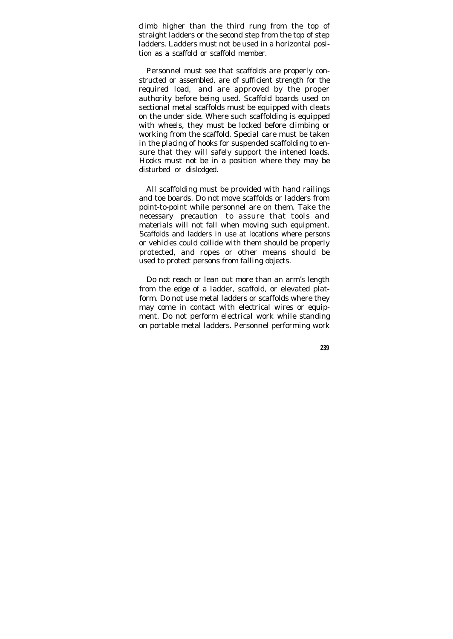climb higher than the third rung from the top of straight ladders or the second step from the top of step ladders. Ladders must not be used in a horizontal position as a scaffold or scaffold member.

Personnel must see that scaffolds are properly constructed or assembled, are of sufficient strength for the required load, and are approved by the proper authority before being used. Scaffold boards used on sectional metal scaffolds must be equipped with cleats on the under side. Where such scaffolding is equipped with wheels, they must be locked before climbing or working from the scaffold. Special care must be taken in the placing of hooks for suspended scaffolding to ensure that they will safely support the intened loads. Hooks must not be in a position where they may be disturbed or dislodged.

All scaffolding must be provided with hand railings and toe boards. Do not move scaffolds or ladders from point-to-point while personnel are on them. Take the necessary precaution to assure that tools and materials will not fall when moving such equipment. Scaffolds and ladders in use at locations where persons or vehicles could collide with them should be properly protected, and ropes or other means should be used to protect persons from falling objects.

Do not reach or lean out more than an arm's length from the edge of a ladder, scaffold, or elevated platform. Do not use metal ladders or scaffolds where they may come in contact with electrical wires or equipment. Do not perform electrical work while standing on portable metal ladders. Personnel performing work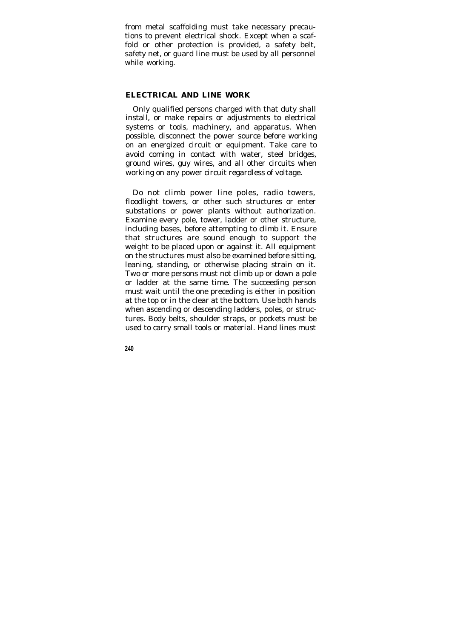from metal scaffolding must take necessary precautions to prevent electrical shock. Except when a scaffold or other protection is provided, a safety belt, safety net, or guard line must be used by all personnel while working.

#### **ELECTRICAL AND LINE WORK**

Only qualified persons charged with that duty shall install, or make repairs or adjustments to electrical systems or tools, machinery, and apparatus. When possible, disconnect the power source before working on an energized circuit or equipment. Take care to avoid coming in contact with water, steel bridges, ground wires, guy wires, and all other circuits when working on any power circuit regardless of voltage.

Do not climb power line poles, radio towers, floodlight towers, or other such structures or enter substations or power plants without authorization. Examine every pole, tower, ladder or other structure, including bases, before attempting to climb it. Ensure that structures are sound enough to support the weight to be placed upon or against it. All equipment on the structures must also be examined before sitting, leaning, standing, or otherwise placing strain on it. Two or more persons must not climb up or down a pole or ladder at the same time. The succeeding person must wait until the one preceding is either in position at the top or in the clear at the bottom. Use both hands when ascending or descending ladders, poles, or structures. Body belts, shoulder straps, or pockets must be used to carry small tools or material. Hand lines must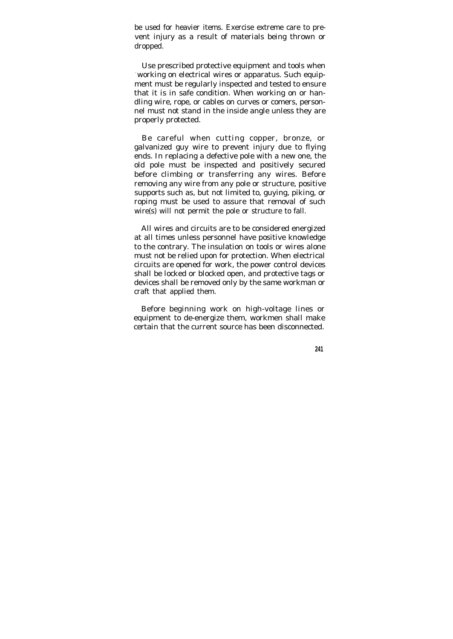be used for heavier items. Exercise extreme care to prevent injury as a result of materials being thrown or dropped.

Use prescribed protective equipment and tools when working on electrical wires or apparatus. Such equipment must be regularly inspected and tested to ensure that it is in safe condition. When working on or handling wire, rope, or cables on curves or comers, personnel must not stand in the inside angle unless they are properly protected.

Be careful when cutting copper, bronze, or galvanized guy wire to prevent injury due to flying ends. In replacing a defective pole with a new one, the old pole must be inspected and positively secured before climbing or transferring any wires. Before removing any wire from any pole or structure, positive supports such as, but not limited to, guying, piking, or roping must be used to assure that removal of such wire(s) will not permit the pole or structure to fall.

All wires and circuits are to be considered energized at all times unless personnel have positive knowledge to the contrary. The insulation on tools or wires alone must not be relied upon for protection. When electrical circuits are opened for work, the power control devices shall be locked or blocked open, and protective tags or devices shall be removed only by the same workman or craft that applied them.

Before beginning work on high-voltage lines or equipment to de-energize them, workmen shall make certain that the current source has been disconnected.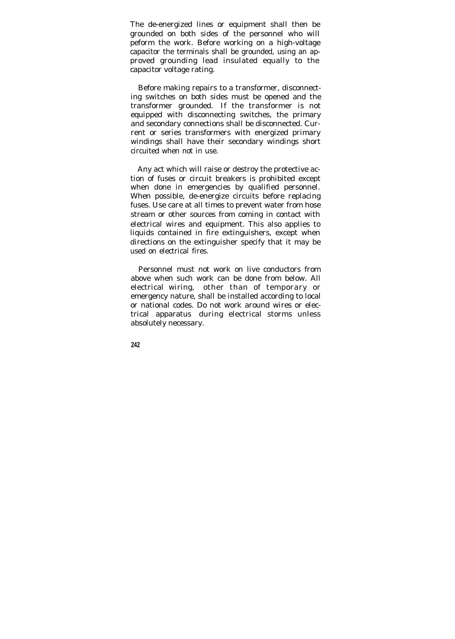The de-energized lines or equipment shall then be grounded on both sides of the personnel who will peform the work. Before working on a high-voltage capacitor the terminals shall be grounded, using an approved grounding lead insulated equally to the capacitor voltage rating.

Before making repairs to a transformer, disconnecting switches on both sides must be opened and the transformer grounded. If the transformer is not equipped with disconnecting switches, the primary and secondary connections shall be disconnected. Current or series transformers with energized primary windings shall have their secondary windings short circuited when not in use.

Any act which will raise or destroy the protective action of fuses or circuit breakers is prohibited except when done in emergencies by qualified personnel. When possible, de-energize circuits before replacing fuses. Use care at all times to prevent water from hose stream or other sources from coming in contact with electrical wires and equipment. This also applies to liquids contained in fire extinguishers, except when directions on the extinguisher specify that it may be used on electrical fires.

Personnel must not work on live conductors from above when such work can be done from below. All electrical wiring, other than of temporary or emergency nature, shall be installed according to local or national codes. Do not work around wires or electrical apparatus during electrical storms unless absolutely necessary.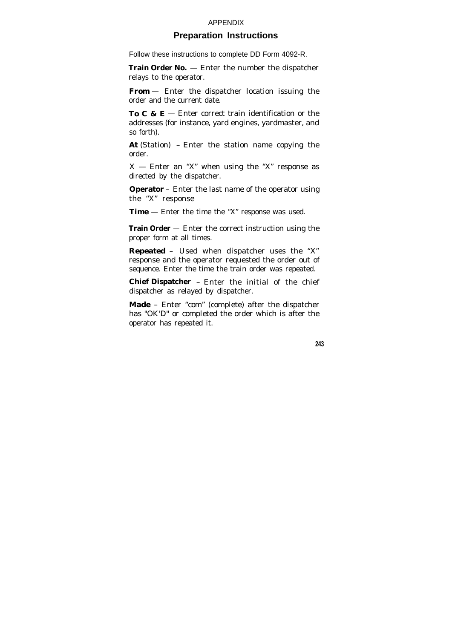# APPENDIX

#### **Preparation Instructions**

Follow these instructions to complete DD Form 4092-R.

**Train Order No.** — Enter the number the dispatcher relays to the operator.

From - Enter the dispatcher location issuing the order and the current date.

To C & E – Enter correct train identification or the addresses (for instance, yard engines, yardmaster, and so forth).

**At** (Station) – Enter the station name copying the order.

 $X$  — Enter an "X" when using the "X" response as directed by the dispatcher.

**Operator** – Enter the last name of the operator using the "X" response

Time – Enter the time the "X" response was used.

**Train Order** — Enter the correct instruction using the proper form at all times.

**Repeated** – Used when dispatcher uses the "X" response and the operator requested the order out of sequence. Enter the time the train order was repeated.

**Chief Dispatcher** – Enter the initial of the chief dispatcher as relayed by dispatcher.

**Made** – Enter "com" (complete) after the dispatcher has "OK'D" or completed the order which is after the operator has repeated it.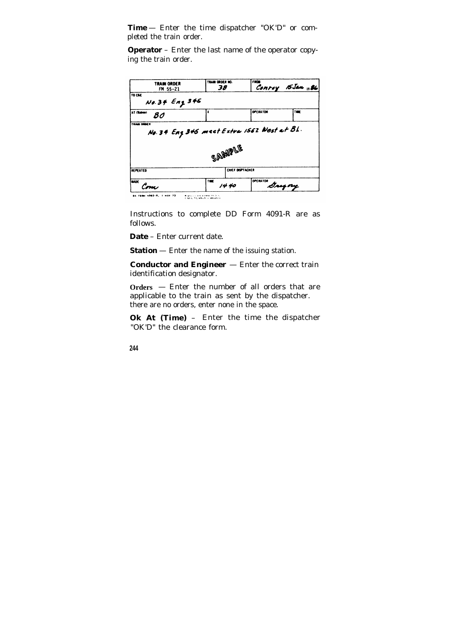**Time** — Enter the time dispatcher "OK'D" or completed the train order.

**Operator** – Enter the last name of the operator copying the train order.

| <b>TRAIN ORDER</b><br>FM 55-21 | TRAIN ORDER NO.<br>38                                        | FROM             | Conroy BJan 186 |
|--------------------------------|--------------------------------------------------------------|------------------|-----------------|
| TO CAE<br>No. 34 Eng 346       |                                                              |                  |                 |
| AT (Station)<br>B O            |                                                              | OPERATOR         | THE             |
|                                | No. 34 Eng 346 meet Extra 1562 Nost at BL.<br>SAMPLE         |                  |                 |
| REPEATED                       |                                                              | CHIEF DISPTACHER |                 |
| <b>BADE</b>                    | THE<br>14 40                                                 | OPERATOR         |                 |
| DA FORM NOD2-R. I MAY 73       | Replaces DA EXHM 55-2010<br>L. Al. L. Als, which is absolute |                  |                 |

Instructions to complete DD Form 4091-R are as follows.

**Date** – Enter current date.

**Station** — Enter the name of the issuing station.

**Conductor and Engineer** — Enter the correct train identification designator.

**Orders** — Enter the number of all orders that are applicable to the train as sent by the dispatcher. there are no orders, enter none in the space.

**Ok At (Time)** – Enter the time the dispatcher "OK'D" the clearance form.

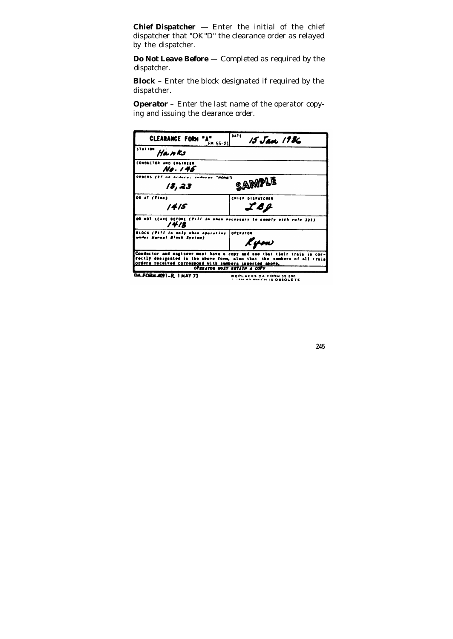**Chief Dispatcher** — Enter the initial of the chief dispatcher that "OK"D" the clearance order as relayed by the dispatcher.

**Do Not Leave Before** — Completed as required by the dispatcher.

**Block** – Enter the block designated if required by the dispatcher.

**Operator** – Enter the last name of the operator copying and issuing the clearance order.

| CLEARANCE FORM "A"<br>FM 55-21                                                      | DATE<br>15 Jan 1986                                                                                                                                                                       |
|-------------------------------------------------------------------------------------|-------------------------------------------------------------------------------------------------------------------------------------------------------------------------------------------|
| <b>STATION</b><br>Hanks                                                             |                                                                                                                                                                                           |
| <b>CONDUCTOR AND ENGINEER</b><br><b>No. 145</b>                                     |                                                                                                                                                                                           |
| ORDERS (If no orders, inderse "HOME")<br>18, 23                                     | SAMPLE                                                                                                                                                                                    |
| OK AT (Time)<br>1415                                                                | CHIEF DISPATCHER<br>IBJ                                                                                                                                                                   |
| DO HOT LEAVE BEFORE (Fill in whom necessary to comply with rule 221)<br><b>/4/8</b> |                                                                                                                                                                                           |
| BLOCK (Pill in only when operating<br>under Hanual Block System)                    | <b>LOPERATOR</b><br>Kym                                                                                                                                                                   |
| orders received correspond with numbers inserted above,                             | Conductor and engineer must have a copy and see that their train is cor-<br>rectly designated in the above form, also that the numbers of all train<br><b>OPERATOR MUST RETAIN A COPY</b> |
| DA FORM 4091-R. 1 MAY 73                                                            | REPLACES DA FORM 55 200<br><b>CWHICH IS OBSOLETE</b>                                                                                                                                      |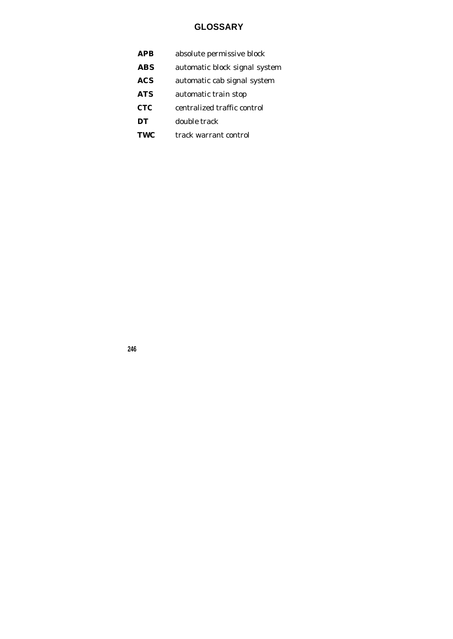# **GLOSSARY**

| <b>APB</b> | absolute permissive block |  |
|------------|---------------------------|--|
|------------|---------------------------|--|

- **ABS** automatic block signal system
- **ACS** automatic cab signal system
- **ATS** automatic train stop
- **CTC** centralized traffic control
- **DT** double track
- **TWC** track warrant control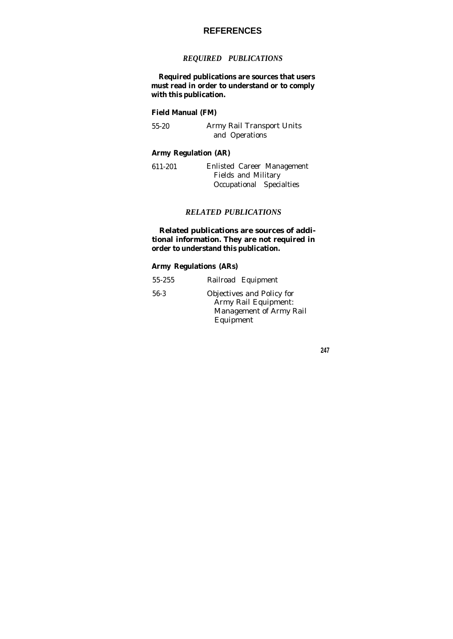# **REFERENCES**

# *REQUIRED PUBLICATIONS*

**Required publications are sources that users must read in order to understand or to comply with this publication.**

## **Field Manual (FM)**

55-20 Army Rail Transport Units and Operations

### **Army Regulation (AR)**

611-201 Enlisted Career Management Fields and Military Occupational Specialties

# *RELATED PUBLICATIONS*

# **Related publications are sources of additional information. They are not required in order to understand this publication.**

### **Army Regulations (ARs)**

| 55-255 | Railroad Equipment                                                                               |
|--------|--------------------------------------------------------------------------------------------------|
| $56-3$ | Objectives and Policy for<br>Army Rail Equipment:<br><b>Management of Army Rail</b><br>Equipment |
|        |                                                                                                  |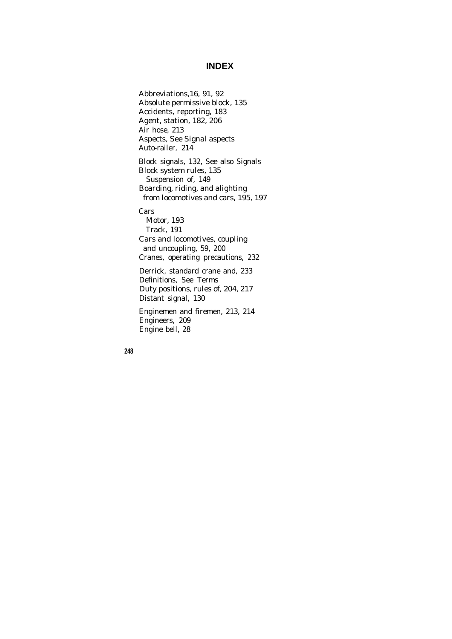# **INDEX**

Abbreviations,16, 91, 92 Absolute permissive block, 135 Accidents, reporting, 183 Agent, station, 182, 206 Air hose, 213 Aspects, See Signal aspects Auto-railer, 214 Block signals, 132, See also Signals Block system rules, 135 Suspension of, 149 Boarding, riding, and alighting from locomotives and cars, 195, 197 Cars Motor, 193 Track, 191 Cars and locomotives, coupling and uncoupling, 59, 200 Cranes, operating precautions, 232 Derrick, standard crane and, 233 Definitions, See Terms Duty positions, rules of, 204, 217 Distant signal, 130 Enginemen and firemen, 213, 214

Engineers, 209 Engine bell, 28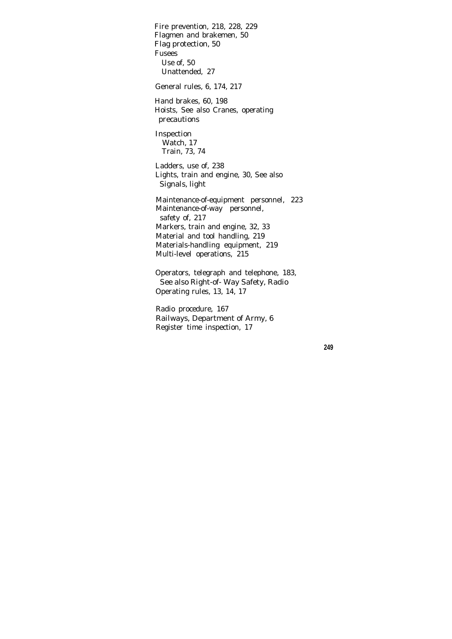Fire prevention, 218, 228, 229 Flagmen and brakemen, 50 Flag protection, 50 Fusees Use of, 50 Unattended, 27 General rules, 6, 174, 217 Hand brakes, 60, 198 Hoists, See also Cranes, operating precautions Inspection Watch, 17 Train, 73, 74 Ladders, use of, 238 Lights, train and engine, 30, See also Signals, light Maintenance-of-equipment personnel, 223 Maintenance-of-way personnel, safety of, 217 Markers, train and engine, 32, 33 Material and tool handling, 219 Materials-handling equipment, 219 Multi-level operations, 215 Operators, telegraph and telephone, 183, See also Right-of- Way Safety, Radio Operating rules, 13, 14, 17

Radio procedure, 167 Railways, Department of Army, 6 Register time inspection, 17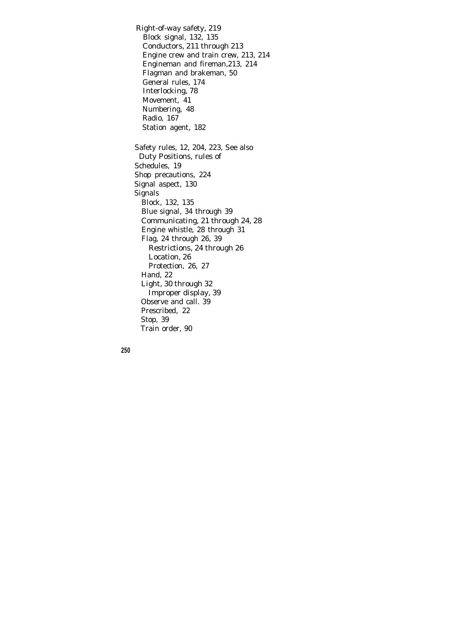Right-of-way safety, 219 Block signal, 132, 135 Conductors, 211 through 213 Engine crew and train crew, 213, 214 Engineman and fireman,213, 214 Flagman and brakeman, 50 General rules, 174 Interlocking, 78 Movement, 41 Numbering, 48 Radio, 167 Station agent, 182 Safety rules, 12, 204, 223, See also Duty Positions, rules of Schedules, 19 Shop precautions, 224 Signal aspect, 130 Signals Block, 132, 135 Blue signal, 34 through 39 Communicating, 21 through 24, 28 Engine whistle, 28 through 31 Flag, 24 through 26, 39 Restrictions, 24 through 26 Location, 26 Protection, 26, 27 Hand, 22 Light, 30 through 32 Improper display, 39 Observe and call. 39 Prescribed, 22 Stop, 39 Train order, 90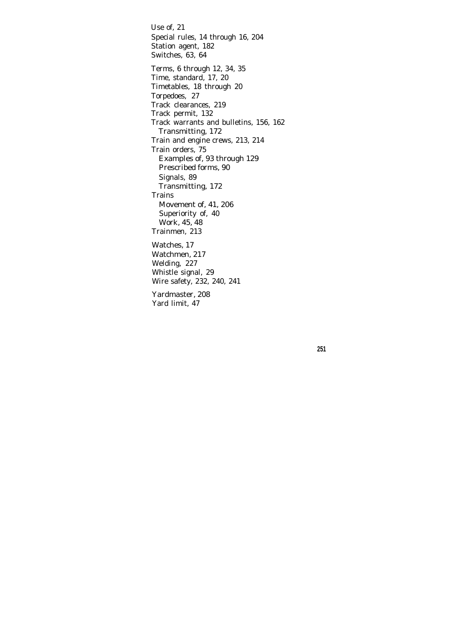Use of, 21 Special rules, 14 through 16, 204 Station agent, 182 Switches, 63, 64 Terms, 6 through 12, 34, 35 Time, standard, 17, 20 Timetables, 18 through 20 Torpedoes, 27 Track clearances, 219 Track permit, 132 Track warrants and bulletins, 156, 162 Transmitting, 172 Train and engine crews, 213, 214 Train orders, 75 Examples of, 93 through 129 Prescribed forms, 90 Signals, 89 Transmitting, 172 Trains Movement of, 41, 206 Superiority of, 40 Work, 45, 48 Trainmen, 213 Watches, 17 Watchmen, 217 Welding, 227 Whistle signal, 29 Wire safety, 232, 240, 241 Yardmaster, 208 Yard limit, 47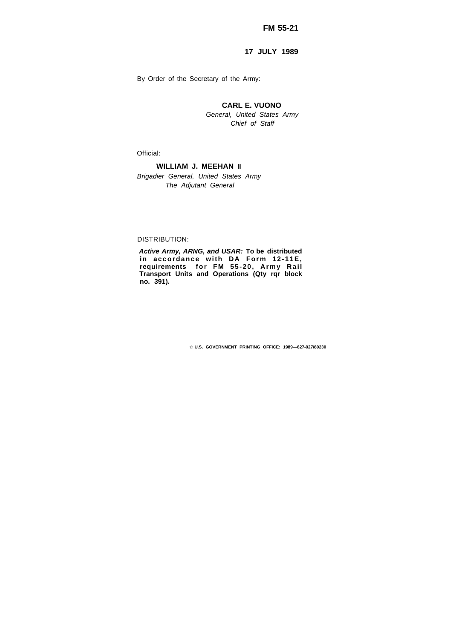**FM 55-21**

**17 JULY 1989**

By Order of the Secretary of the Army:

## **CARL E. VUONO**

General, United States Army Chief of Staff

Official:

**WILLIAM J. MEEHAN II** Brigadier General, United States Army

The Adjutant General

DISTRIBUTION:

**Active Army, ARNG, and USAR: To be distributed in accordance with DA Form 12-11E, requirements for FM 55-20, Army Rail Transport Units and Operations (Qty rqr block no. 391).**

✩ **U.S. GOVERNMENT PRINTING OFFICE: 1989—627-027/80230**